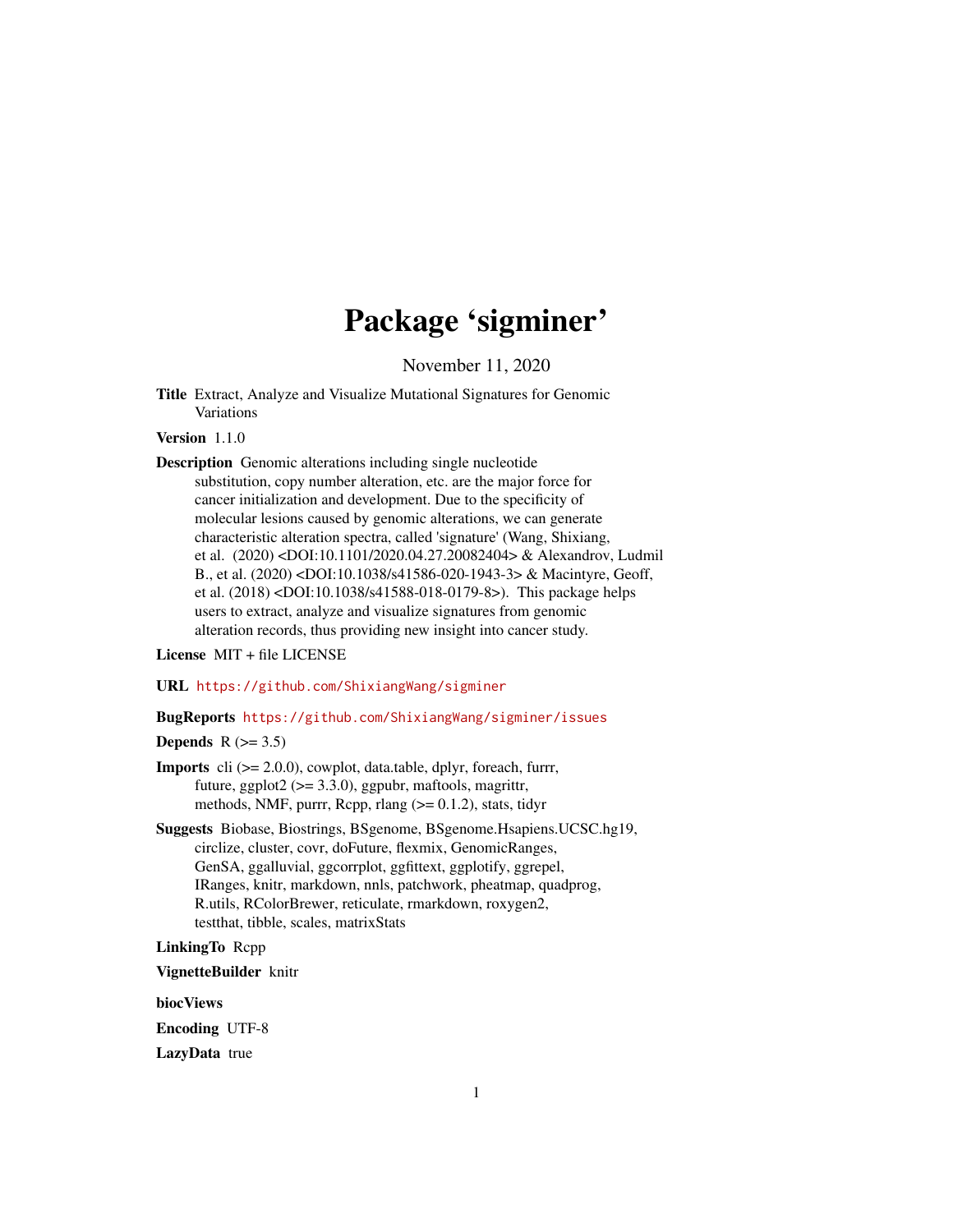# Package 'sigminer'

November 11, 2020

<span id="page-0-0"></span>Title Extract, Analyze and Visualize Mutational Signatures for Genomic Variations

# Version 1.1.0

Description Genomic alterations including single nucleotide substitution, copy number alteration, etc. are the major force for cancer initialization and development. Due to the specificity of molecular lesions caused by genomic alterations, we can generate characteristic alteration spectra, called 'signature' (Wang, Shixiang, et al. (2020) <DOI:10.1101/2020.04.27.20082404> & Alexandrov, Ludmil B., et al. (2020) <DOI:10.1038/s41586-020-1943-3> & Macintyre, Geoff, et al. (2018) <DOI:10.1038/s41588-018-0179-8>). This package helps users to extract, analyze and visualize signatures from genomic alteration records, thus providing new insight into cancer study.

#### License MIT + file LICENSE

URL <https://github.com/ShixiangWang/sigminer>

#### BugReports <https://github.com/ShixiangWang/sigminer/issues>

# Depends  $R$  ( $>= 3.5$ )

- **Imports** cli  $(>= 2.0.0)$ , cowplot, data.table, dplyr, foreach, furrr, future, ggplot $2$  ( $>= 3.3.0$ ), ggpubr, maftools, magrittr, methods, NMF, purrr, Rcpp, rlang  $(>= 0.1.2)$ , stats, tidyr
- Suggests Biobase, Biostrings, BSgenome, BSgenome.Hsapiens.UCSC.hg19, circlize, cluster, covr, doFuture, flexmix, GenomicRanges, GenSA, ggalluvial, ggcorrplot, ggfittext, ggplotify, ggrepel, IRanges, knitr, markdown, nnls, patchwork, pheatmap, quadprog, R.utils, RColorBrewer, reticulate, rmarkdown, roxygen2, testthat, tibble, scales, matrixStats

#### LinkingTo Rcpp

VignetteBuilder knitr

biocViews

Encoding UTF-8

LazyData true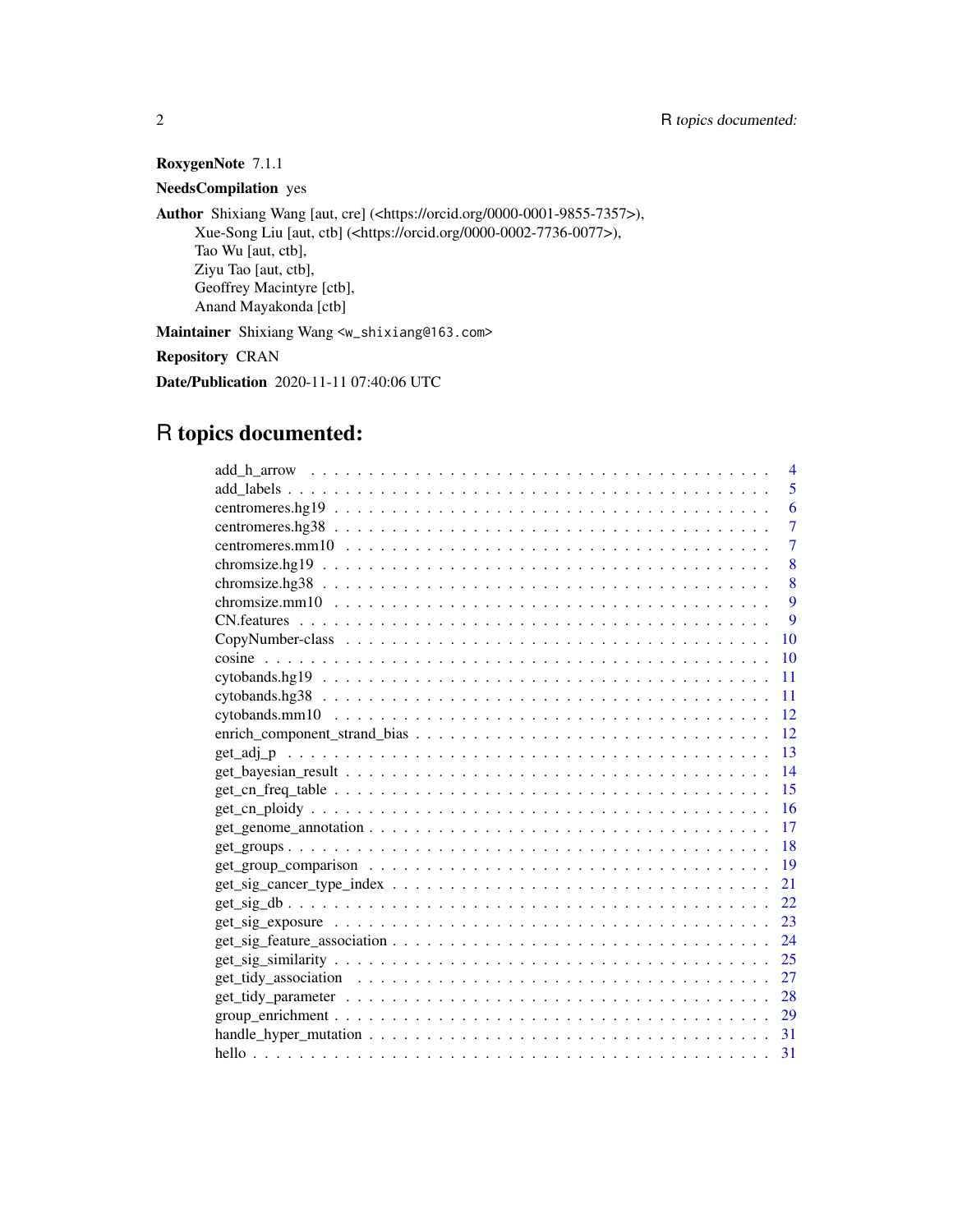# RoxygenNote 7.1.1

NeedsCompilation yes

Author Shixiang Wang [aut, cre] (<https://orcid.org/0000-0001-9855-7357>), Xue-Song Liu [aut, ctb] (<https://orcid.org/0000-0002-7736-0077>), Tao Wu [aut, ctb], Ziyu Tao [aut, ctb], Geoffrey Macintyre [ctb], Anand Mayakonda [ctb]

Maintainer Shixiang Wang <w\_shixiang@163.com>

Repository CRAN

Date/Publication 2020-11-11 07:40:06 UTC

# R topics documented:

| $\overline{4}$                                                                                                      |
|---------------------------------------------------------------------------------------------------------------------|
| 5                                                                                                                   |
| 6                                                                                                                   |
| 7                                                                                                                   |
| $\overline{7}$                                                                                                      |
| 8                                                                                                                   |
| 8                                                                                                                   |
| 9                                                                                                                   |
| 9                                                                                                                   |
| <b>10</b>                                                                                                           |
| <b>10</b>                                                                                                           |
| 11                                                                                                                  |
| 11                                                                                                                  |
| <sup>12</sup>                                                                                                       |
|                                                                                                                     |
| $\overline{13}$                                                                                                     |
| 14                                                                                                                  |
| 15                                                                                                                  |
| <sup>16</sup>                                                                                                       |
| 17<br>$get\_genome\_annotation \dots \dots \dots \dots \dots \dots \dots \dots \dots \dots \dots \dots \dots \dots$ |
|                                                                                                                     |
| -19                                                                                                                 |
| 21                                                                                                                  |
| 22                                                                                                                  |
| 23                                                                                                                  |
|                                                                                                                     |
|                                                                                                                     |
| 27                                                                                                                  |
| 28                                                                                                                  |
|                                                                                                                     |
|                                                                                                                     |
| 31                                                                                                                  |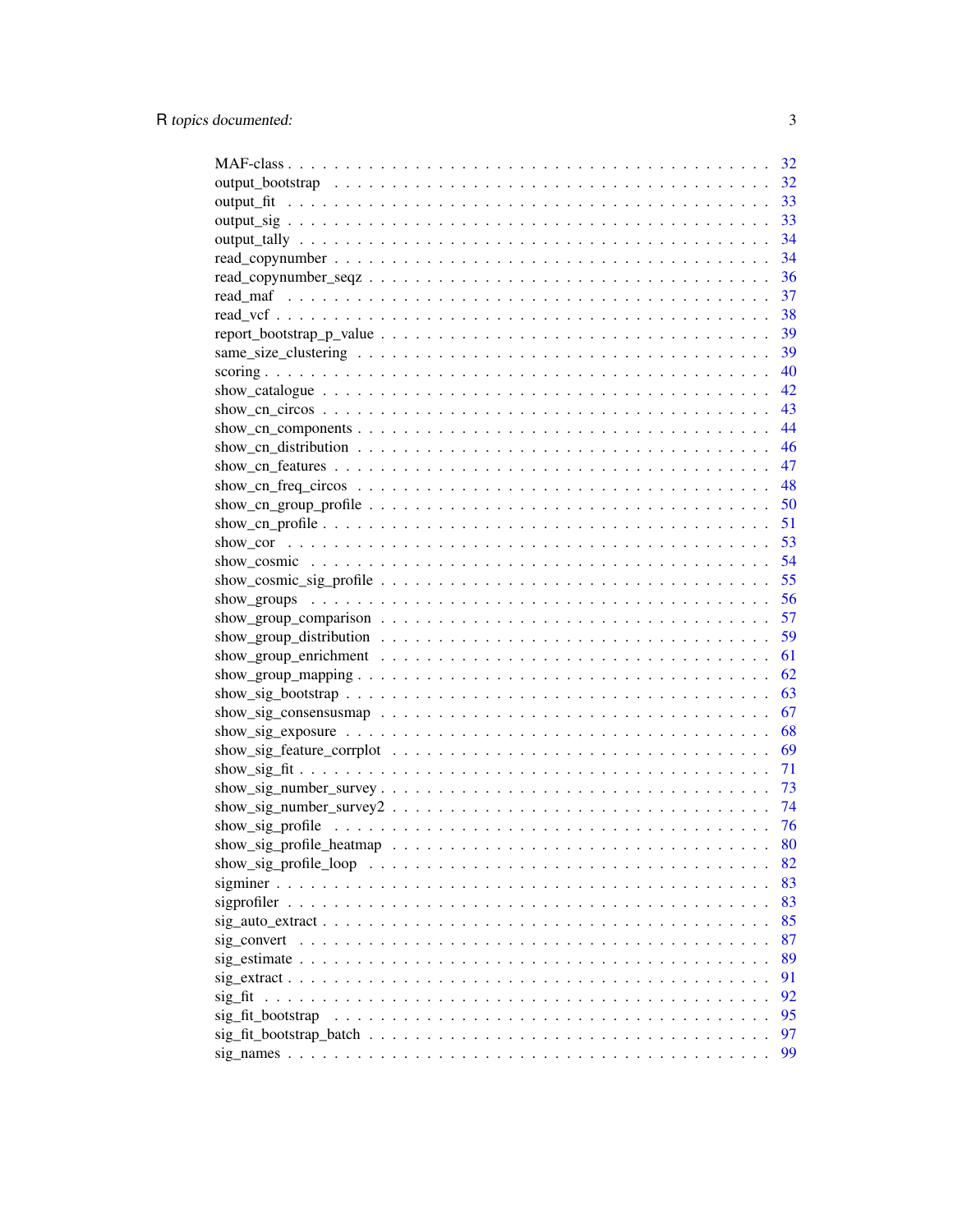|                                                                                                                | 32       |
|----------------------------------------------------------------------------------------------------------------|----------|
|                                                                                                                | 32       |
|                                                                                                                | 33       |
|                                                                                                                | 33       |
|                                                                                                                | 34       |
|                                                                                                                | 34       |
|                                                                                                                | 36       |
|                                                                                                                | 37       |
|                                                                                                                | 38       |
|                                                                                                                | 39       |
|                                                                                                                | 39       |
|                                                                                                                | 40       |
|                                                                                                                | 42       |
|                                                                                                                | 43       |
|                                                                                                                | 44       |
|                                                                                                                | 46       |
|                                                                                                                | 47       |
|                                                                                                                | 48       |
|                                                                                                                | 50       |
|                                                                                                                | 51       |
|                                                                                                                | 53       |
|                                                                                                                | 54       |
|                                                                                                                | 55       |
|                                                                                                                | 56       |
|                                                                                                                | 57       |
|                                                                                                                | 59       |
|                                                                                                                | 61       |
|                                                                                                                | 62       |
|                                                                                                                | 63       |
|                                                                                                                | 67       |
|                                                                                                                | 68       |
|                                                                                                                | 69       |
|                                                                                                                | 71       |
|                                                                                                                | 73       |
|                                                                                                                | 74       |
|                                                                                                                | -76      |
|                                                                                                                | 80       |
|                                                                                                                |          |
|                                                                                                                | 82<br>83 |
|                                                                                                                |          |
|                                                                                                                | 83       |
|                                                                                                                | 85       |
|                                                                                                                | 87       |
|                                                                                                                | 89       |
| $sig\_extract \dots \dots \dots \dots \dots \dots \dots \dots \dots \dots \dots \dots \dots \dots \dots \dots$ | 91       |
| sig fit                                                                                                        | 92       |
| sig_fit_bootstrap                                                                                              | 95       |
|                                                                                                                | 97       |
|                                                                                                                | 99       |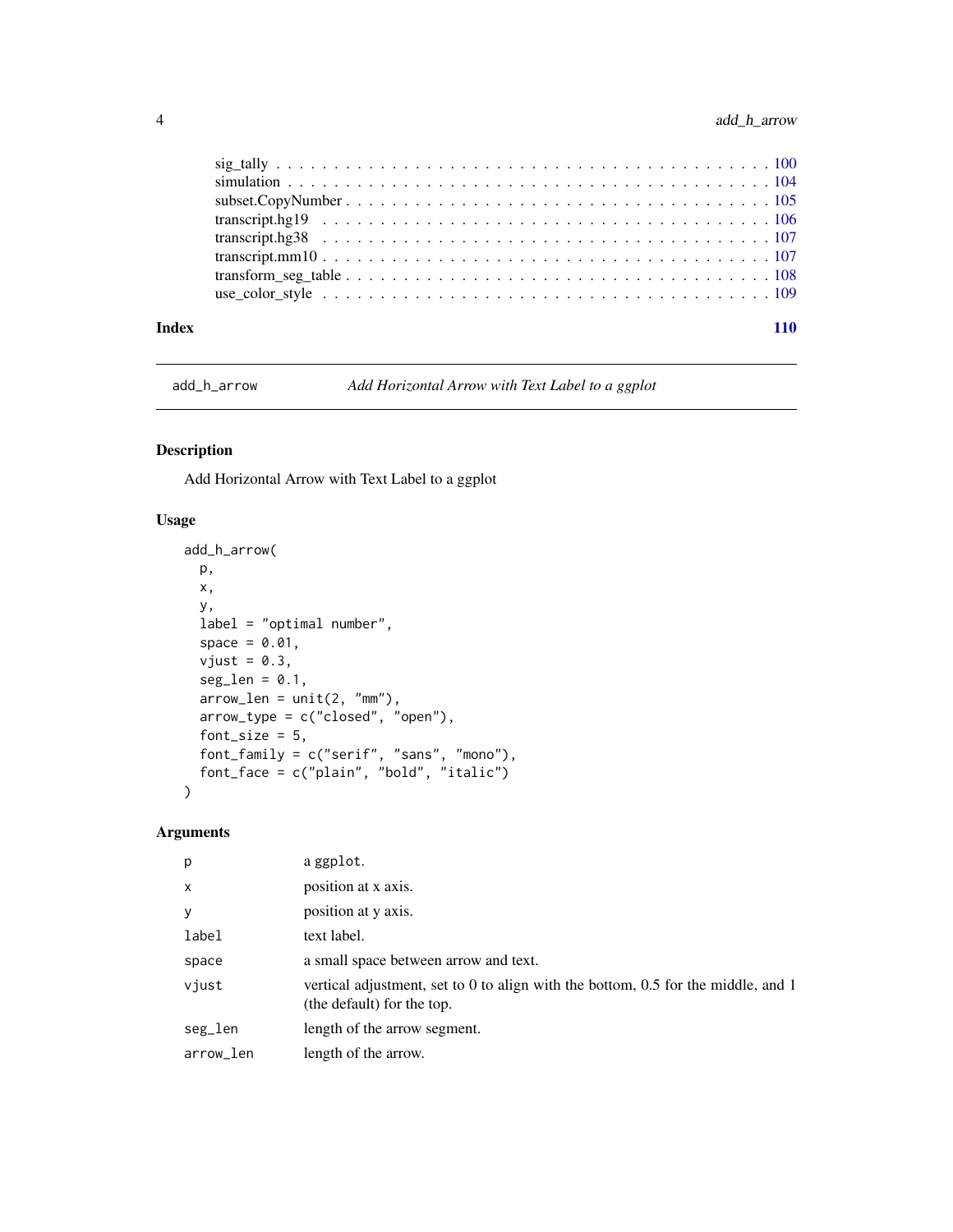<span id="page-3-0"></span>

| Index | 110 |
|-------|-----|

add\_h\_arrow *Add Horizontal Arrow with Text Label to a ggplot*

# Description

Add Horizontal Arrow with Text Label to a ggplot

# Usage

```
add_h_arrow(
 p,
 x,
 y,
  label = "optimal number",
  space = 0.01,vjust = 0.3,
  seg_length = 0.1,arrow\_len = unit(2, "mm"),
  arrow_type = c("closed", "open"),
  font_size = 5,
 font_family = c("serif", "sans", "mono"),
  font_face = c("plain", "bold", "italic")
\mathcal{L}
```
# Arguments

| p            | a ggplot.                                                                                                       |
|--------------|-----------------------------------------------------------------------------------------------------------------|
| $\mathsf{x}$ | position at x axis.                                                                                             |
| y            | position at y axis.                                                                                             |
| label        | text label.                                                                                                     |
| space        | a small space between arrow and text.                                                                           |
| vjust        | vertical adjustment, set to 0 to align with the bottom, 0.5 for the middle, and 1<br>(the default) for the top. |
| seg_len      | length of the arrow segment.                                                                                    |
| arrow_len    | length of the arrow.                                                                                            |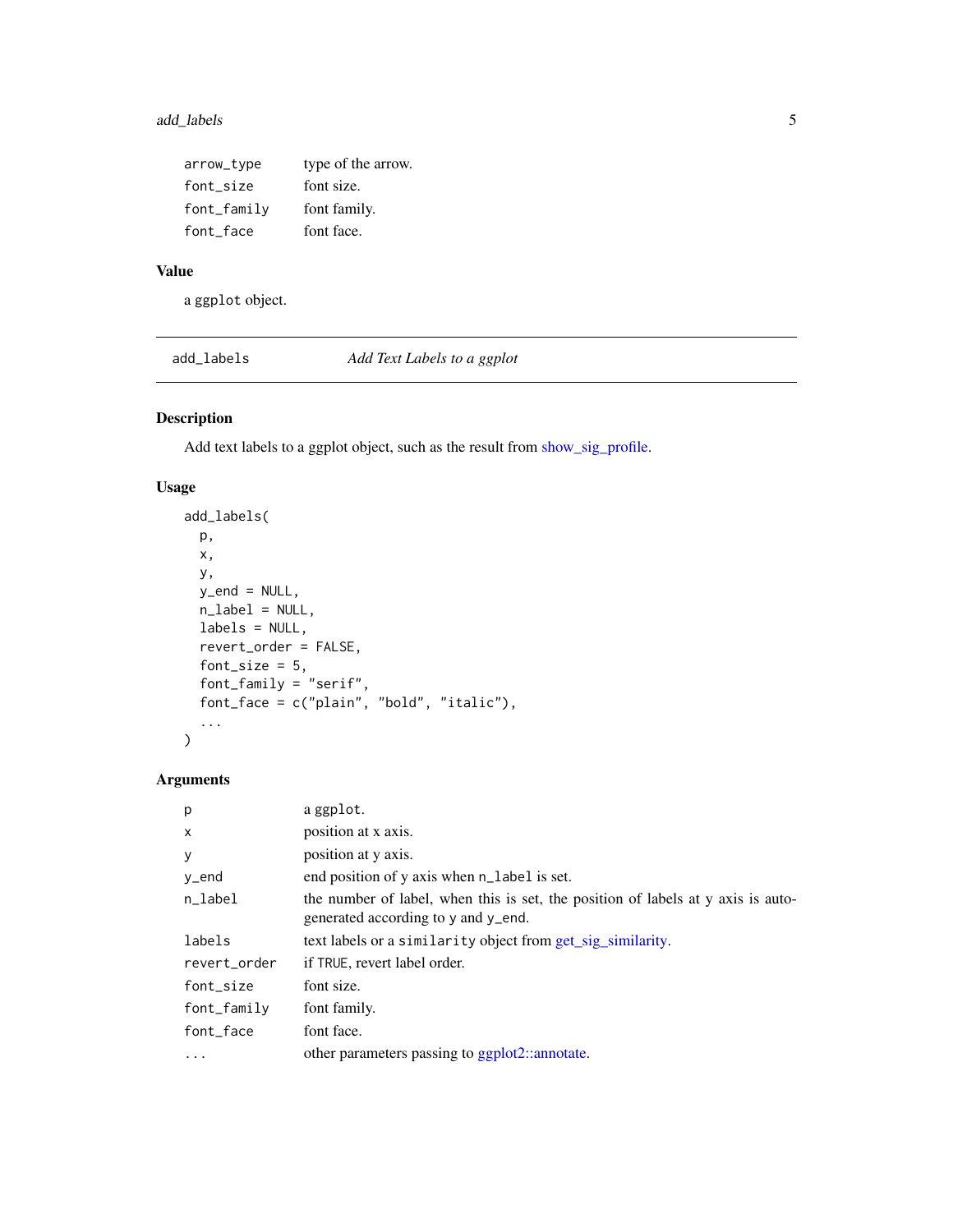# <span id="page-4-0"></span>add\_labels 5

| arrow_type       | type of the arrow. |
|------------------|--------------------|
| font size        | font size.         |
| $font$ $f$ amily | font family.       |
| font_face        | font face.         |

# Value

a ggplot object.

add\_labels *Add Text Labels to a ggplot*

# Description

Add text labels to a ggplot object, such as the result from [show\\_sig\\_profile.](#page-75-1)

# Usage

```
add_labels(
 p,
 x,
 y,
 y<sub>-</sub>end = NULL,
 n_label = NULL,
 labels = NULL,
 revert_order = FALSE,
  font_size = 5,
  font_family = "serif",
 font_face = c("plain", "bold", "italic"),
  ...
)
```
# Arguments

| p                         | a ggplot.                                                                                                               |
|---------------------------|-------------------------------------------------------------------------------------------------------------------------|
| $\boldsymbol{\mathsf{x}}$ | position at x axis.                                                                                                     |
| y                         | position at y axis.                                                                                                     |
| y_end                     | end position of y axis when n_label is set.                                                                             |
| n_label                   | the number of label, when this is set, the position of labels at y axis is auto-<br>generated according to y and y_end. |
| labels                    | text labels or a similarity object from get_sig_similarity.                                                             |
| revert order              | if TRUE, revert label order.                                                                                            |
| font_size                 | font size.                                                                                                              |
| font_family               | font family.                                                                                                            |
| font_face                 | font face.                                                                                                              |
| $\ddots$                  | other parameters passing to ggplot2::annotate.                                                                          |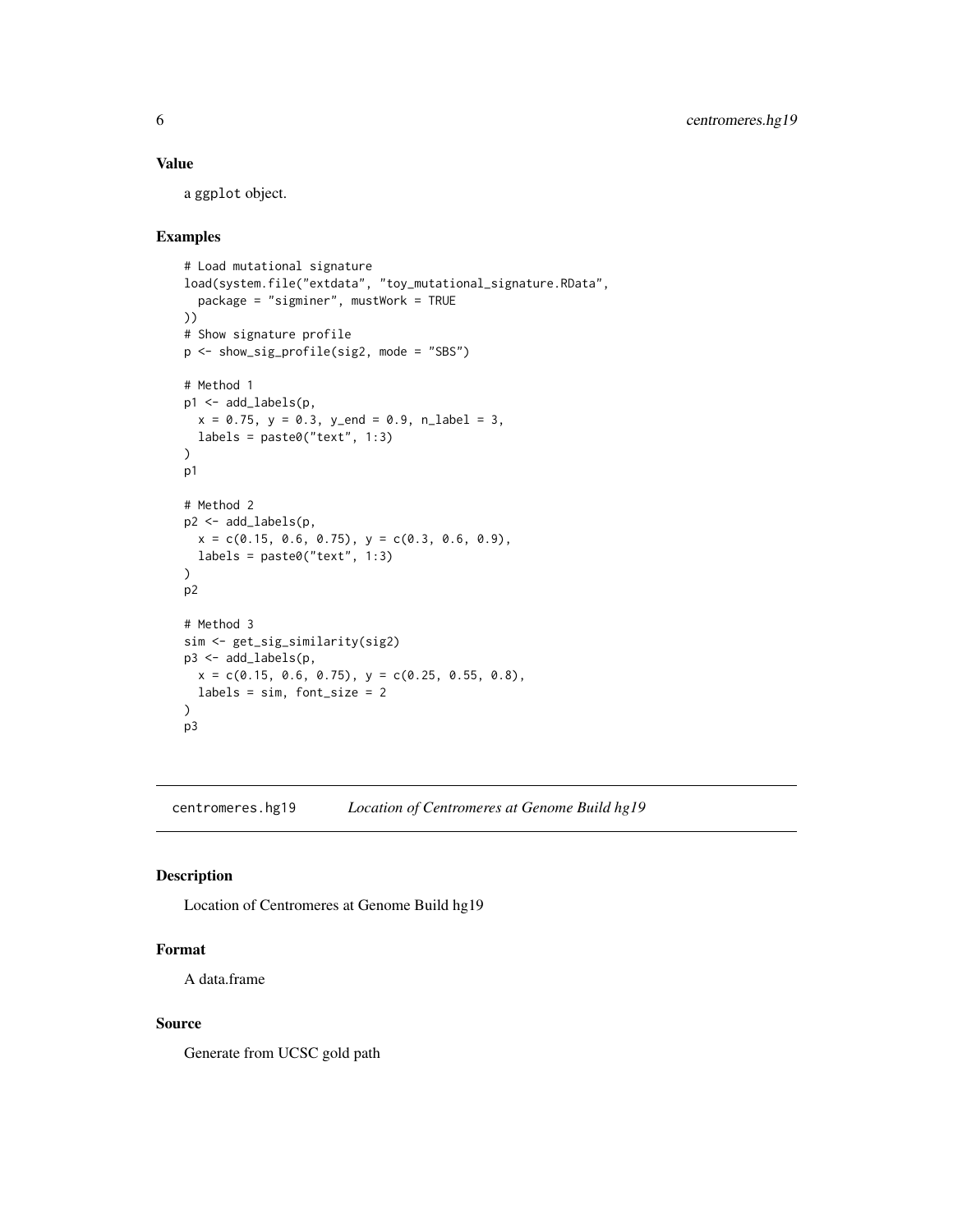# <span id="page-5-0"></span>Value

a ggplot object.

#### Examples

```
# Load mutational signature
load(system.file("extdata", "toy_mutational_signature.RData",
  package = "sigminer", mustWork = TRUE
))
# Show signature profile
p <- show_sig_profile(sig2, mode = "SBS")
# Method 1
p1 <- add_labels(p,
 x = 0.75, y = 0.3, y_{end} = 0.9, n_{label} = 3,
 labels = paste0("text", 1:3)
)
p1
# Method 2
p2 <- add_labels(p,
 x = c(0.15, 0.6, 0.75), y = c(0.3, 0.6, 0.9),labels = paste0("text", 1:3)\mathcal{L}p2
# Method 3
sim <- get_sig_similarity(sig2)
p3 <- add_labels(p,
 x = c(0.15, 0.6, 0.75), y = c(0.25, 0.55, 0.8),labels = sim, font_size = 2
)
p3
```
centromeres.hg19 *Location of Centromeres at Genome Build hg19*

# Description

Location of Centromeres at Genome Build hg19

#### Format

A data.frame

#### Source

Generate from UCSC gold path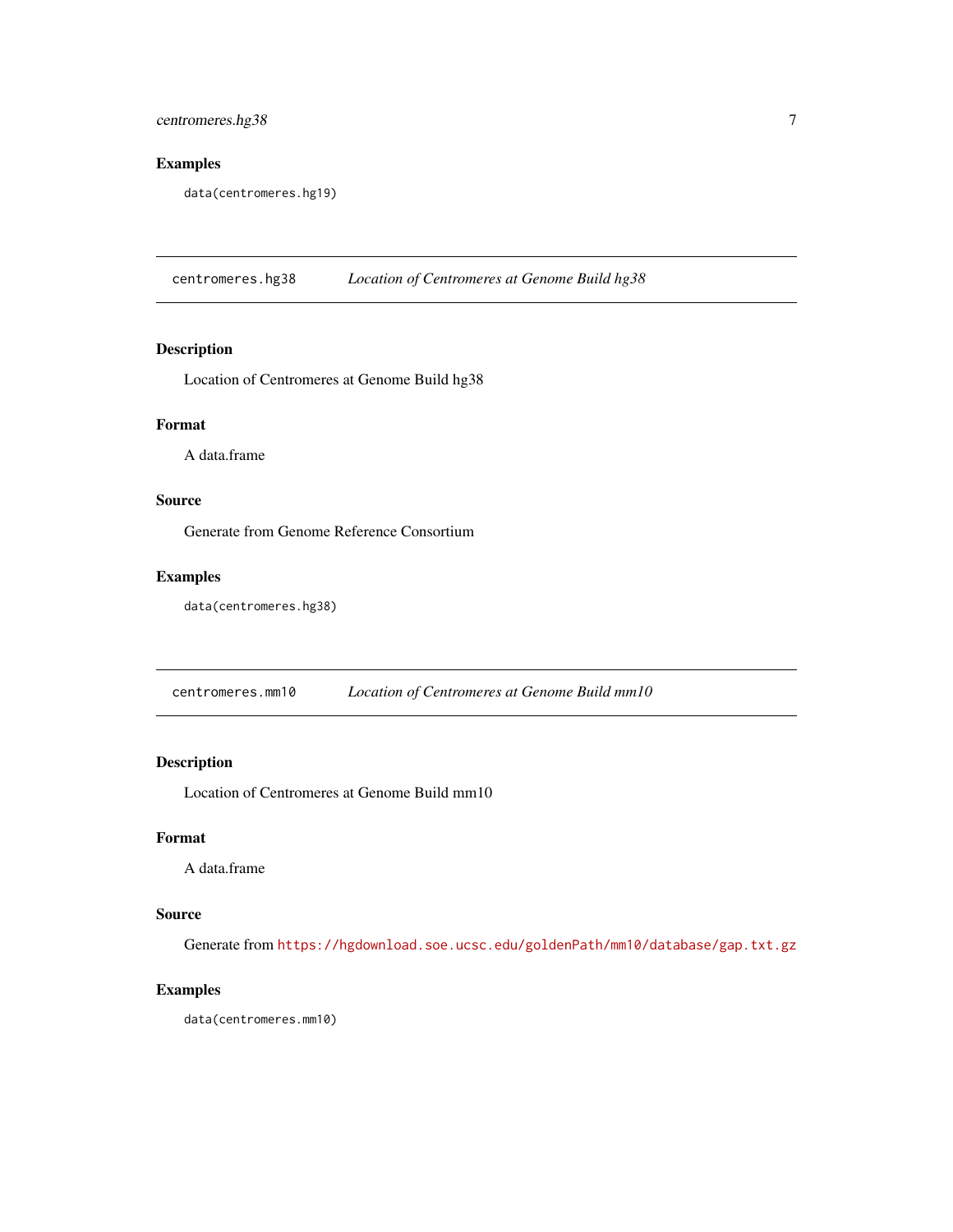# <span id="page-6-0"></span>centromeres.hg38 7

# Examples

data(centromeres.hg19)

centromeres.hg38 *Location of Centromeres at Genome Build hg38*

# Description

Location of Centromeres at Genome Build hg38

#### Format

A data.frame

#### Source

Generate from Genome Reference Consortium

# Examples

data(centromeres.hg38)

centromeres.mm10 *Location of Centromeres at Genome Build mm10*

# Description

Location of Centromeres at Genome Build mm10

# Format

A data.frame

## Source

Generate from <https://hgdownload.soe.ucsc.edu/goldenPath/mm10/database/gap.txt.gz>

# Examples

data(centromeres.mm10)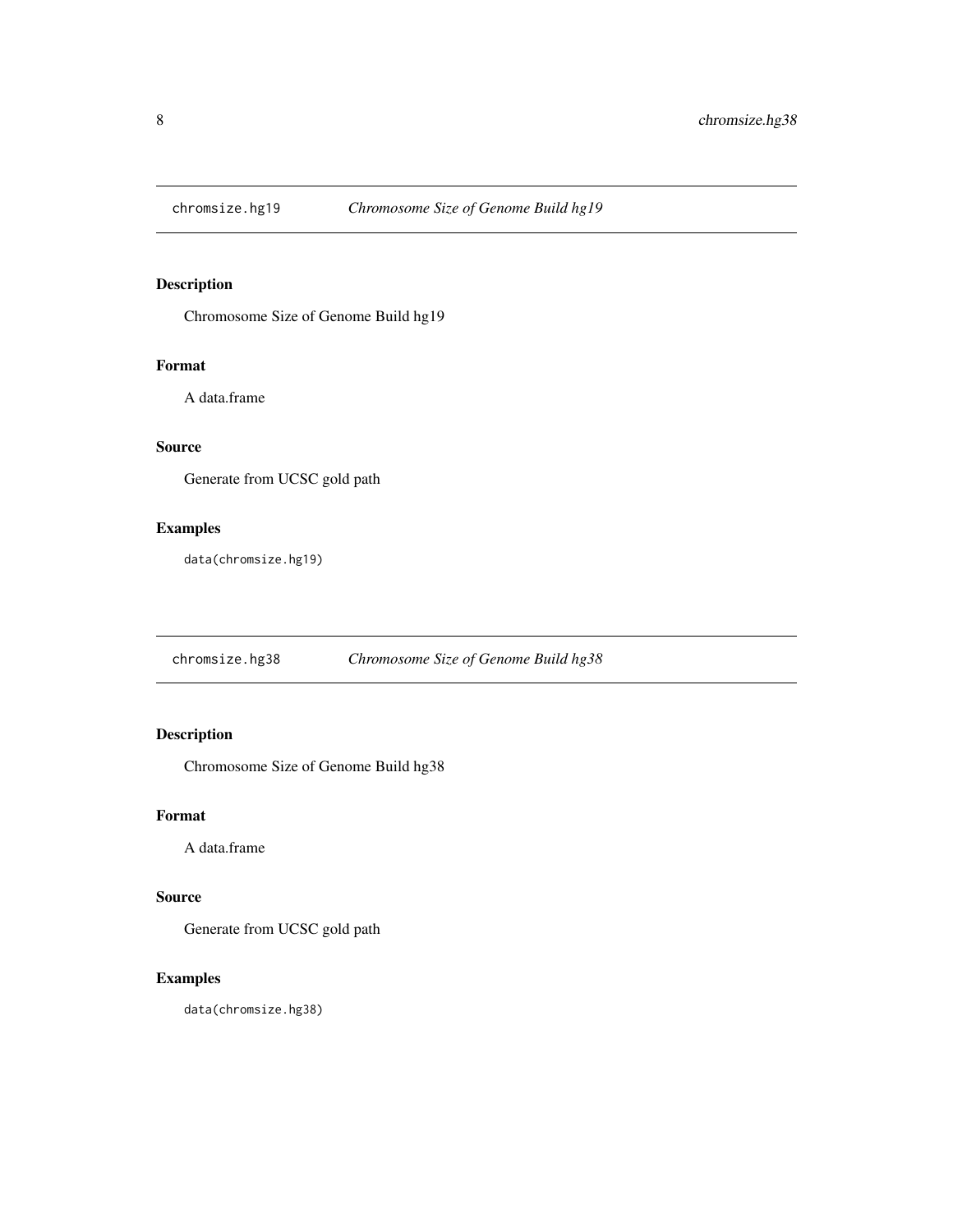<span id="page-7-0"></span>

Chromosome Size of Genome Build hg19

#### Format

A data.frame

# Source

Generate from UCSC gold path

# Examples

data(chromsize.hg19)

chromsize.hg38 *Chromosome Size of Genome Build hg38*

# Description

Chromosome Size of Genome Build hg38

# Format

A data.frame

# Source

Generate from UCSC gold path

# Examples

data(chromsize.hg38)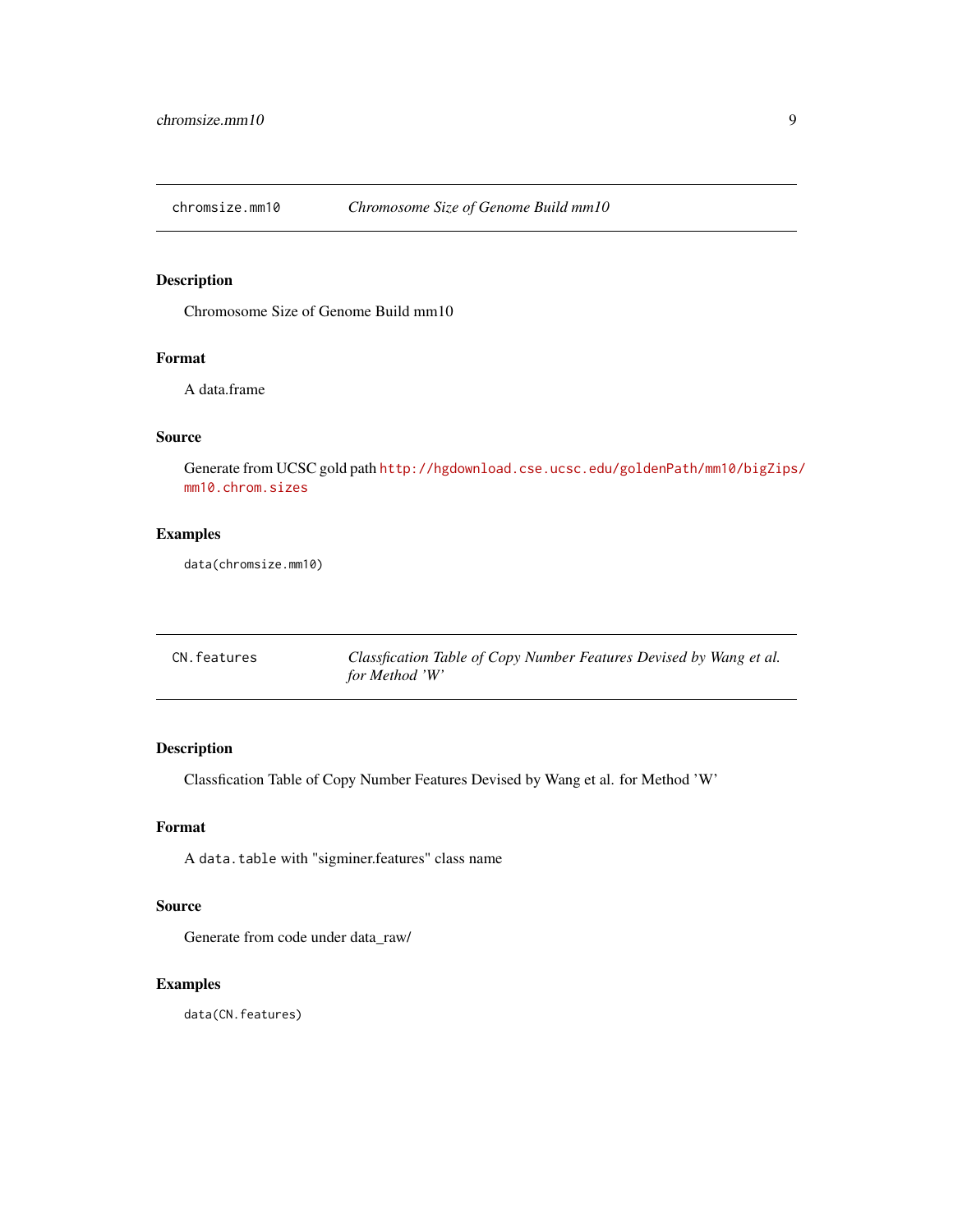<span id="page-8-0"></span>

Chromosome Size of Genome Build mm10

# Format

A data.frame

# Source

Generate from UCSC gold path [http://hgdownload.cse.ucsc.edu/goldenPath/mm10/bigZips](http://hgdownload.cse.ucsc.edu/goldenPath/mm10/bigZips/mm10.chrom.sizes)/ [mm10.chrom.sizes](http://hgdownload.cse.ucsc.edu/goldenPath/mm10/bigZips/mm10.chrom.sizes)

# Examples

data(chromsize.mm10)

<span id="page-8-1"></span>

| CN. features | Classfication Table of Copy Number Features Devised by Wang et al. |
|--------------|--------------------------------------------------------------------|
|              | for Method 'W'                                                     |

# Description

Classfication Table of Copy Number Features Devised by Wang et al. for Method 'W'

#### Format

A data.table with "sigminer.features" class name

# Source

Generate from code under data\_raw/

# Examples

data(CN.features)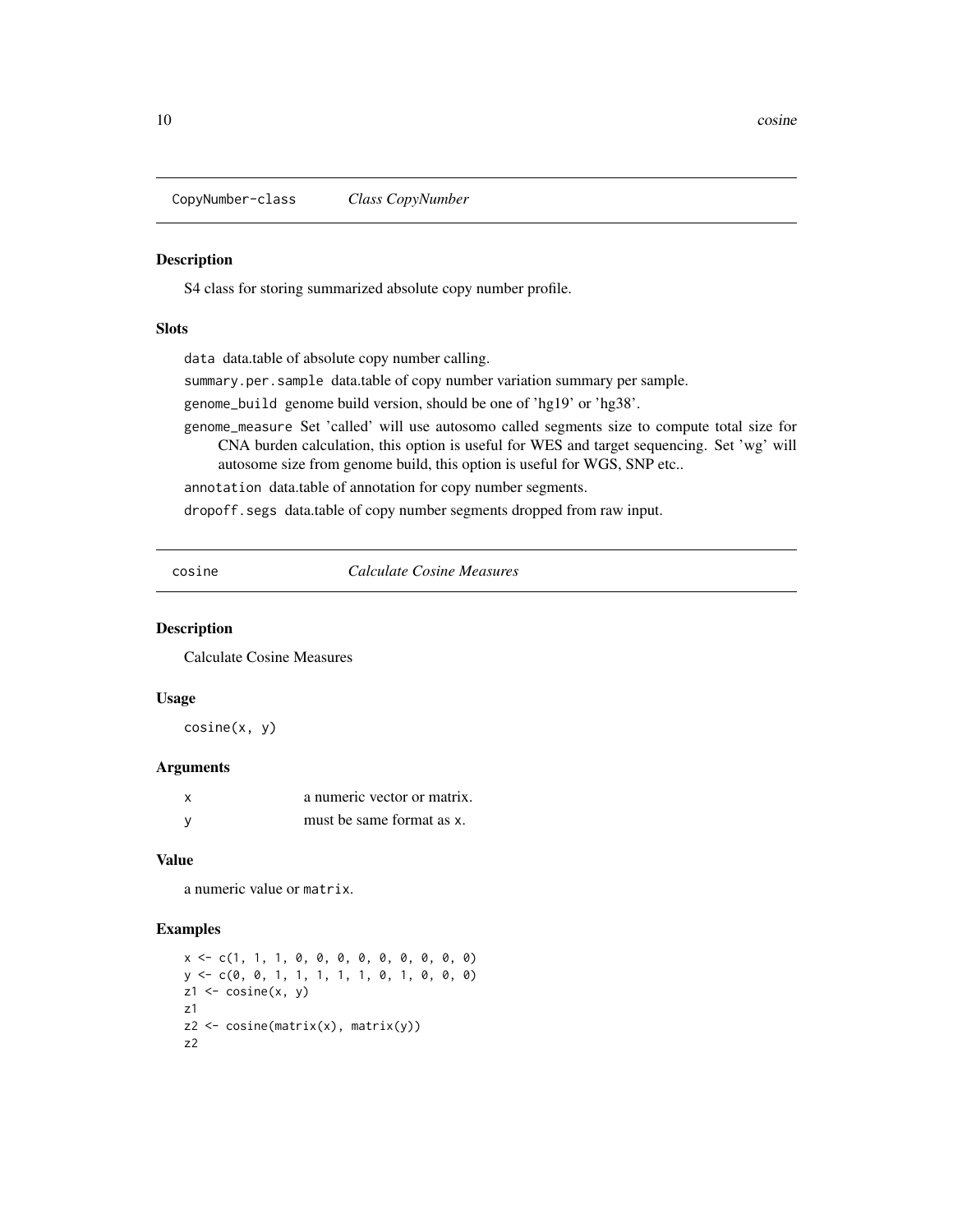<span id="page-9-0"></span>CopyNumber-class *Class CopyNumber*

#### <span id="page-9-1"></span>Description

S4 class for storing summarized absolute copy number profile.

#### **Slots**

data data.table of absolute copy number calling.

summary.per.sample data.table of copy number variation summary per sample.

genome\_build genome build version, should be one of 'hg19' or 'hg38'.

genome\_measure Set 'called' will use autosomo called segments size to compute total size for CNA burden calculation, this option is useful for WES and target sequencing. Set 'wg' will autosome size from genome build, this option is useful for WGS, SNP etc..

annotation data.table of annotation for copy number segments.

dropoff.segs data.table of copy number segments dropped from raw input.

cosine *Calculate Cosine Measures*

#### Description

Calculate Cosine Measures

#### Usage

cosine(x, y)

#### Arguments

| X | a numeric vector or matrix. |
|---|-----------------------------|
| У | must be same format as x.   |

# Value

a numeric value or matrix.

```
x <- c(1, 1, 1, 0, 0, 0, 0, 0, 0, 0, 0, 0)
y <- c(0, 0, 1, 1, 1, 1, 1, 0, 1, 0, 0, 0)
z1 \leftarrow \text{cosine}(x, y)z1
z2 <- cosine(matrix(x), matrix(y))
z2
```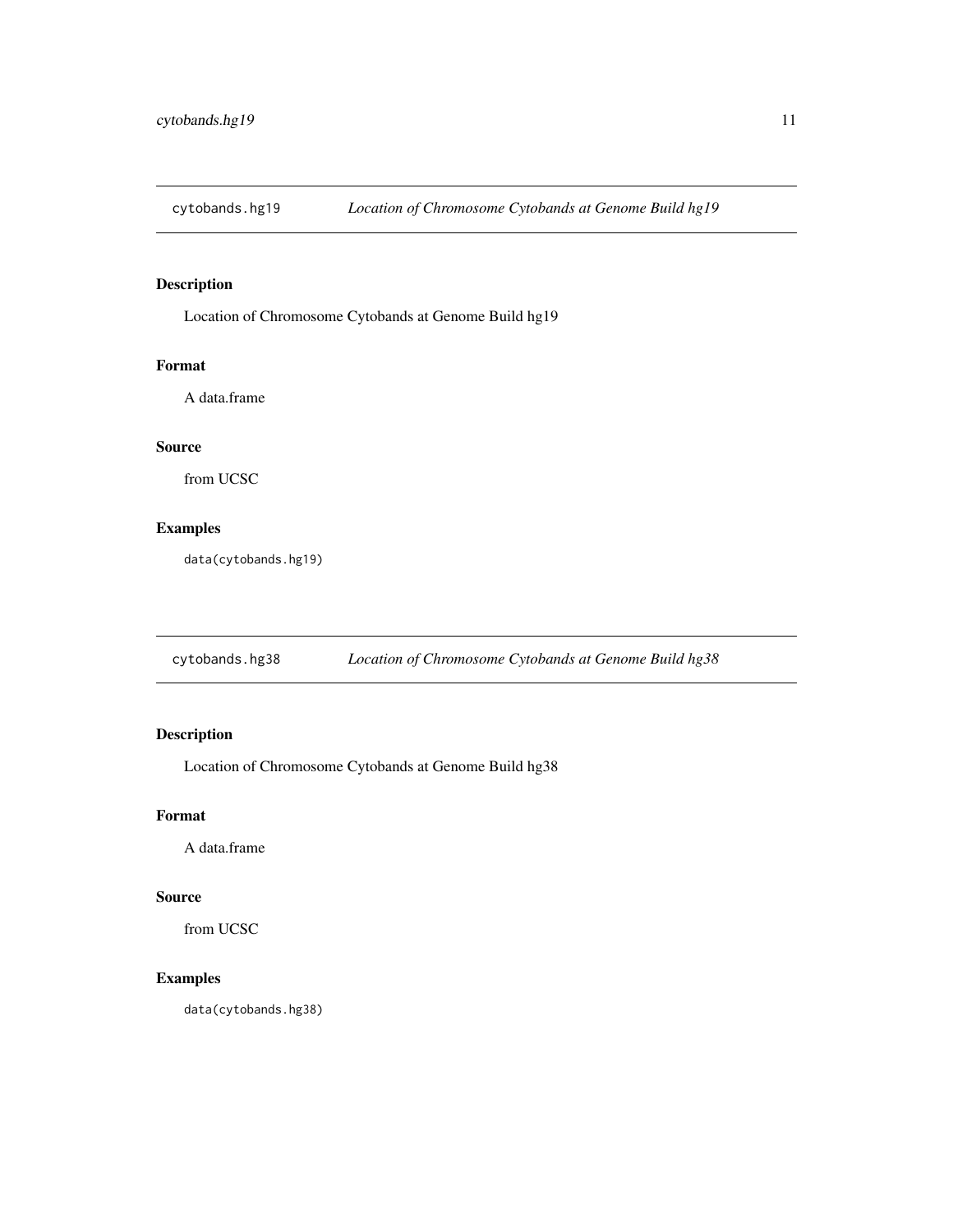<span id="page-10-0"></span>cytobands.hg19 *Location of Chromosome Cytobands at Genome Build hg19*

# Description

Location of Chromosome Cytobands at Genome Build hg19

#### Format

A data.frame

# Source

from UCSC

# Examples

data(cytobands.hg19)

cytobands.hg38 *Location of Chromosome Cytobands at Genome Build hg38*

# Description

Location of Chromosome Cytobands at Genome Build hg38

# Format

A data.frame

# Source

from UCSC

# Examples

data(cytobands.hg38)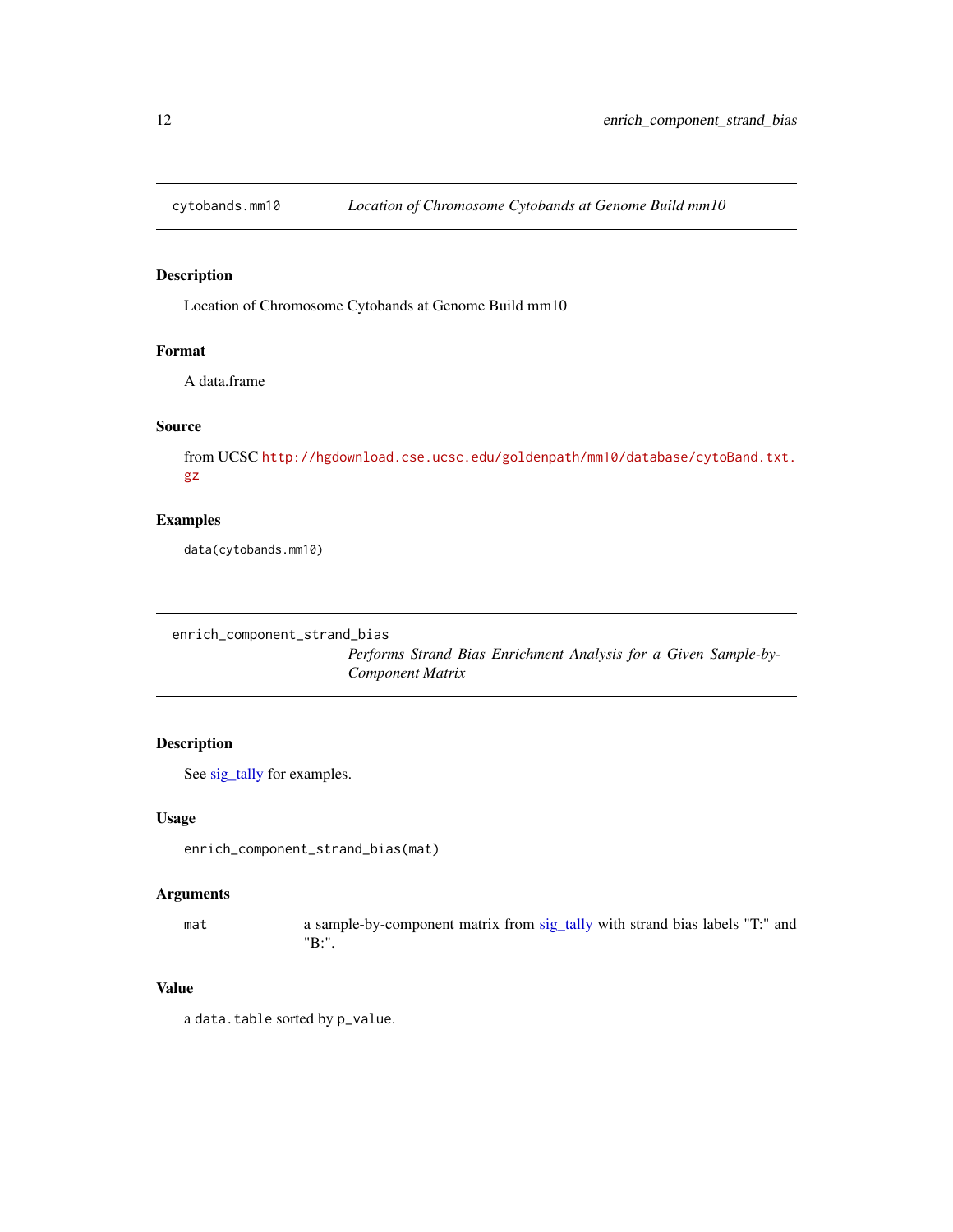<span id="page-11-0"></span>

Location of Chromosome Cytobands at Genome Build mm10

# Format

A data.frame

# Source

from UCSC [http://hgdownload.cse.ucsc.edu/goldenpath/mm10/database/cytoBand.txt.](http://hgdownload.cse.ucsc.edu/goldenpath/mm10/database/cytoBand.txt.gz) [gz](http://hgdownload.cse.ucsc.edu/goldenpath/mm10/database/cytoBand.txt.gz)

# Examples

data(cytobands.mm10)

```
enrich_component_strand_bias
```
*Performs Strand Bias Enrichment Analysis for a Given Sample-by-Component Matrix*

# Description

See [sig\\_tally](#page-99-1) for examples.

#### Usage

enrich\_component\_strand\_bias(mat)

#### Arguments

mat a sample-by-component matrix from [sig\\_tally](#page-99-1) with strand bias labels "T:" and "B:".

#### Value

a data.table sorted by p\_value.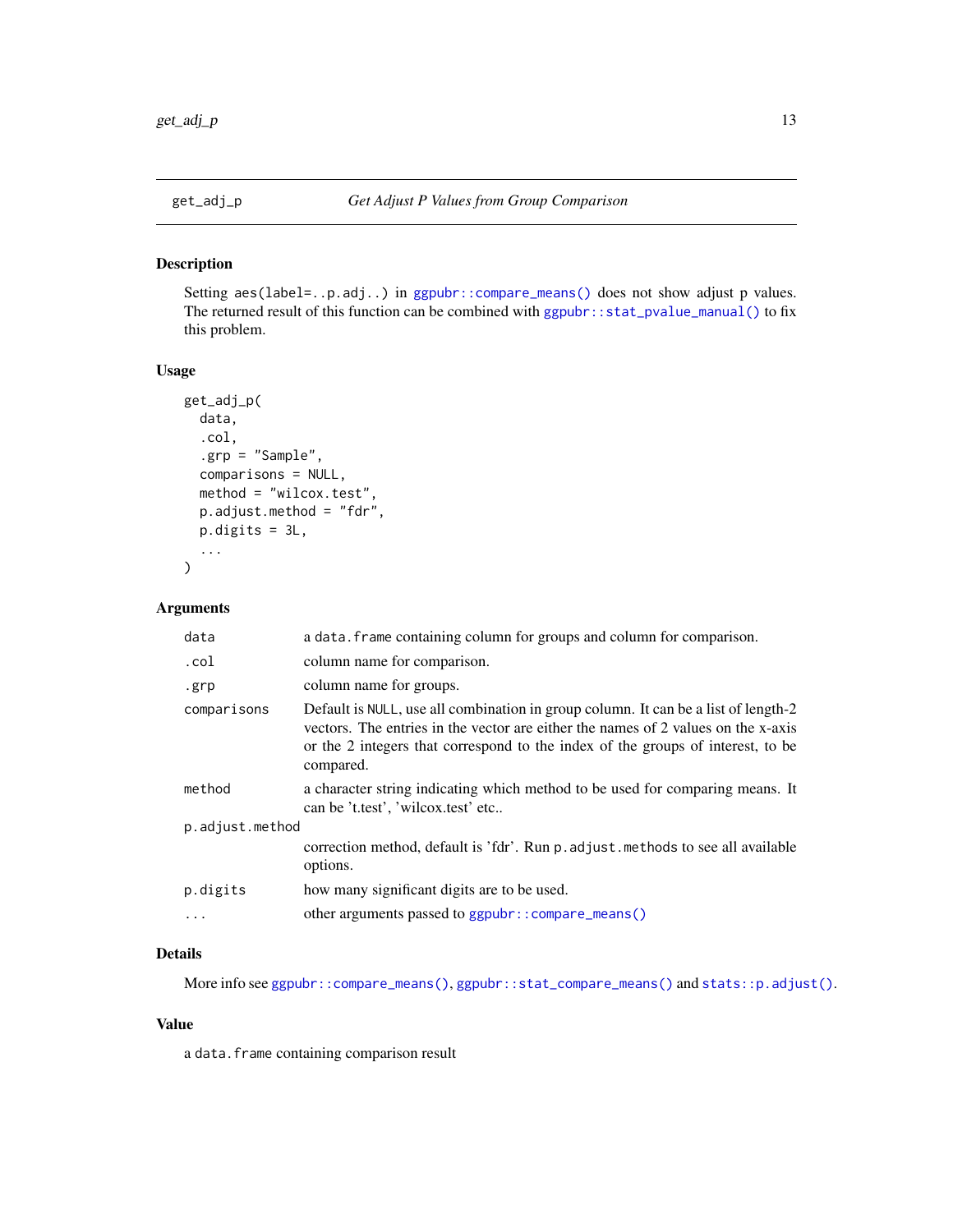<span id="page-12-0"></span>

Setting aes(label=..p.adj..) in [ggpubr::compare\\_means\(\)](#page-0-0) does not show adjust p values. The returned result of this function can be combined with [ggpubr::stat\\_pvalue\\_manual\(\)](#page-0-0) to fix this problem.

#### Usage

```
get_adj_p(
  data,
  .col,
  .grp = "Sample",
  comparisons = NULL,
 method = "wilcox.test",
 p.adjust.method = "fdr",
 p.digits = 3L,
  ...
)
```
# Arguments

| data            | a data. frame containing column for groups and column for comparison.                                                                                                                                                                                                   |  |
|-----------------|-------------------------------------------------------------------------------------------------------------------------------------------------------------------------------------------------------------------------------------------------------------------------|--|
| .col            | column name for comparison.                                                                                                                                                                                                                                             |  |
| .grp            | column name for groups.                                                                                                                                                                                                                                                 |  |
| comparisons     | Default is NULL, use all combination in group column. It can be a list of length-2<br>vectors. The entries in the vector are either the names of 2 values on the x-axis<br>or the 2 integers that correspond to the index of the groups of interest, to be<br>compared. |  |
| method          | a character string indicating which method to be used for comparing means. It<br>can be 't.test', 'wilcox.test' etc                                                                                                                                                     |  |
| p.adjust.method |                                                                                                                                                                                                                                                                         |  |
|                 | correction method, default is 'fdr'. Run p. adjust. methods to see all available<br>options.                                                                                                                                                                            |  |
| p.digits        | how many significant digits are to be used.                                                                                                                                                                                                                             |  |
|                 | other arguments passed to ggpubr:: compare_means()                                                                                                                                                                                                                      |  |

# Details

More info see [ggpubr::compare\\_means\(\)](#page-0-0), [ggpubr::stat\\_compare\\_means\(\)](#page-0-0) and [stats::p.adjust\(\)](#page-0-0).

#### Value

a data.frame containing comparison result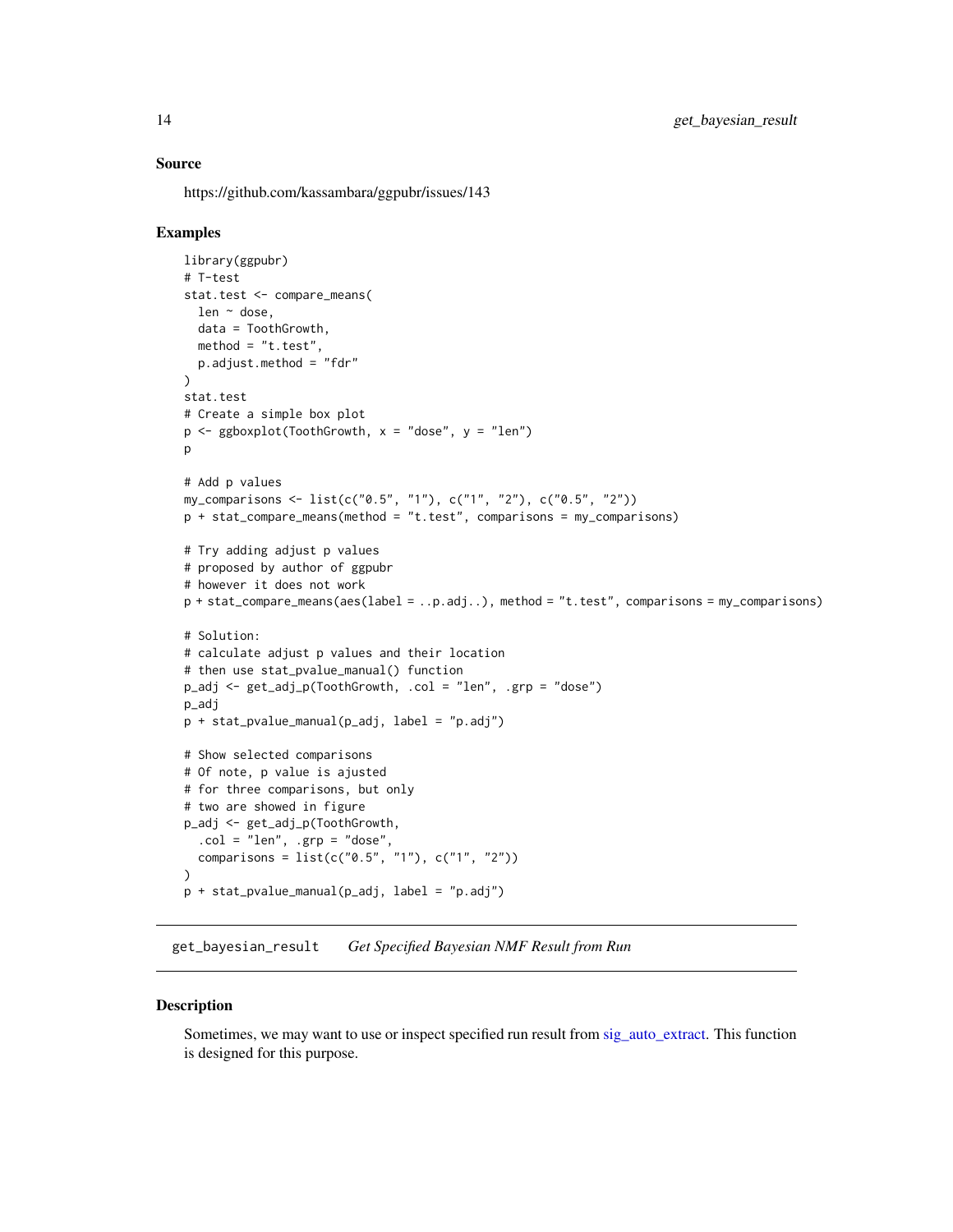#### <span id="page-13-0"></span>Source

https://github.com/kassambara/ggpubr/issues/143

#### Examples

```
library(ggpubr)
# T-test
stat.test <- compare_means(
  len ~ dose,
  data = ToothGrowth,
 method = "t.test",
  p.adjust.method = "fdr"
\lambdastat.test
# Create a simple box plot
p \leq - ggboxplot(ToothGrowth, x = "dose", y = "len")
\mathsf{D}# Add p values
my_comparisons <- list(c("0.5", "1"), c("1", "2"), c("0.5", "2"))
p + stat_compare_means(method = "t.test", comparisons = my_comparisons)
# Try adding adjust p values
# proposed by author of ggpubr
# however it does not work
p + stat_compare_means(aes(label = ..p.adj..), method = "t.test", comparisons = my_comparisons)
# Solution:
# calculate adjust p values and their location
# then use stat_pvalue_manual() function
p_adj <- get_adj_p(ToothGrowth, .col = "len", .grp = "dose")
p_adj
p + stat_pvalue_manual(p_adj, label = "p.adj")
# Show selected comparisons
# Of note, p value is ajusted
# for three comparisons, but only
# two are showed in figure
p_adj <- get_adj_p(ToothGrowth,
  col = "len", \n    spre = "dose",comparisons = list(c("0.5", "1"), c("1", "2"))\lambdap + stat_pvalue_manual(p_adj, label = "p.adj")
```
get\_bayesian\_result *Get Specified Bayesian NMF Result from Run*

#### **Description**

Sometimes, we may want to use or inspect specified run result from [sig\\_auto\\_extract.](#page-84-1) This function is designed for this purpose.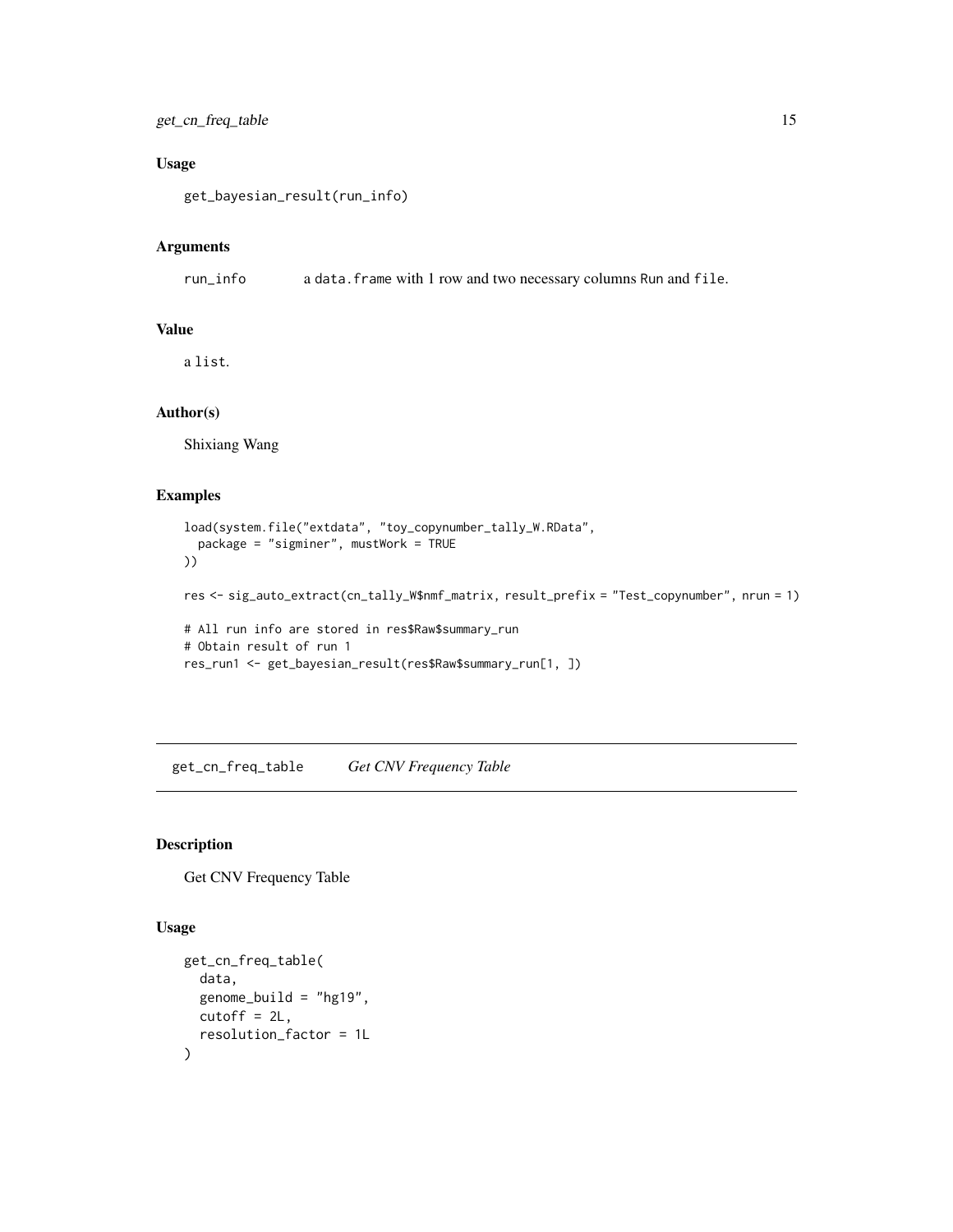# <span id="page-14-0"></span>get\_cn\_freq\_table 15

# Usage

get\_bayesian\_result(run\_info)

# Arguments

run\_info a data.frame with 1 row and two necessary columns Run and file.

# Value

a list.

#### Author(s)

Shixiang Wang

# Examples

```
load(system.file("extdata", "toy_copynumber_tally_W.RData",
  package = "sigminer", mustWork = TRUE
))
res <- sig_auto_extract(cn_tally_W$nmf_matrix, result_prefix = "Test_copynumber", nrun = 1)
# All run info are stored in res$Raw$summary_run
# Obtain result of run 1
res_run1 <- get_bayesian_result(res$Raw$summary_run[1, ])
```
get\_cn\_freq\_table *Get CNV Frequency Table*

# Description

Get CNV Frequency Table

#### Usage

```
get_cn_freq_table(
  data,
  genome\_build = "hg19",cutoff = 2L,
  resolution_factor = 1L
\mathcal{E}
```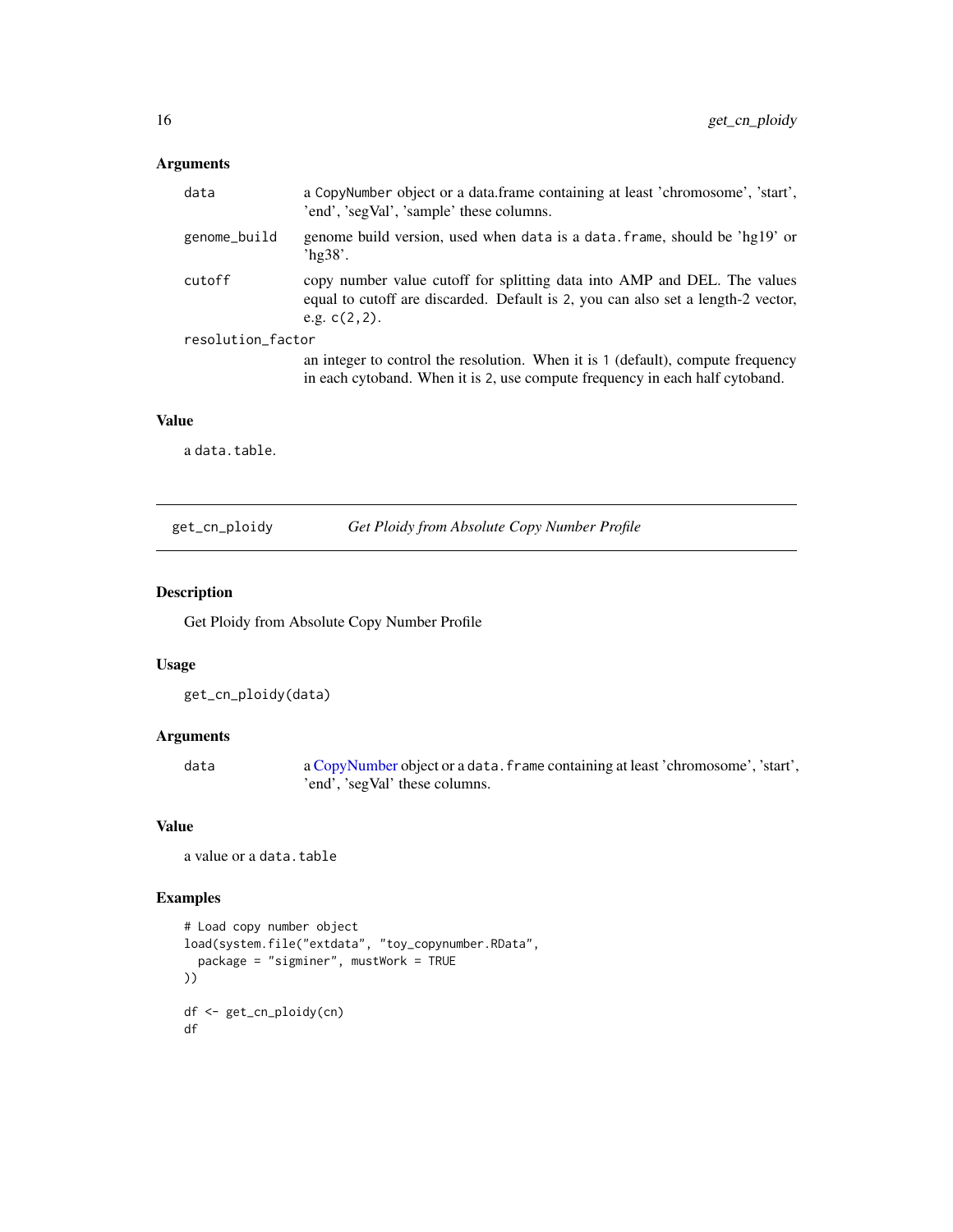# <span id="page-15-0"></span>Arguments

| data              | a CopyNumber object or a data.frame containing at least 'chromosome', 'start',<br>'end', 'segVal', 'sample' these columns.                                                      |  |
|-------------------|---------------------------------------------------------------------------------------------------------------------------------------------------------------------------------|--|
| genome_build      | genome build version, used when data is a data. frame, should be 'hg19' or<br>hg38'.                                                                                            |  |
| cutoff            | copy number value cutoff for splitting data into AMP and DEL. The values<br>equal to cutoff are discarded. Default is 2, you can also set a length-2 vector,<br>e.g. $c(2,2)$ . |  |
| resolution_factor |                                                                                                                                                                                 |  |
|                   | an integer to control the resolution. When it is 1 (default), compute frequency<br>in each cytoband. When it is 2, use compute frequency in each half cytoband.                 |  |

# Value

a data.table.

get\_cn\_ploidy *Get Ploidy from Absolute Copy Number Profile*

# Description

Get Ploidy from Absolute Copy Number Profile

#### Usage

```
get_cn_ploidy(data)
```
# Arguments

data a [CopyNumber](#page-9-1) object or a data.frame containing at least 'chromosome', 'start', 'end', 'segVal' these columns.

# Value

```
a value or a data.table
```

```
# Load copy number object
load(system.file("extdata", "toy_copynumber.RData",
  package = "sigminer", mustWork = TRUE
))
df <- get_cn_ploidy(cn)
df
```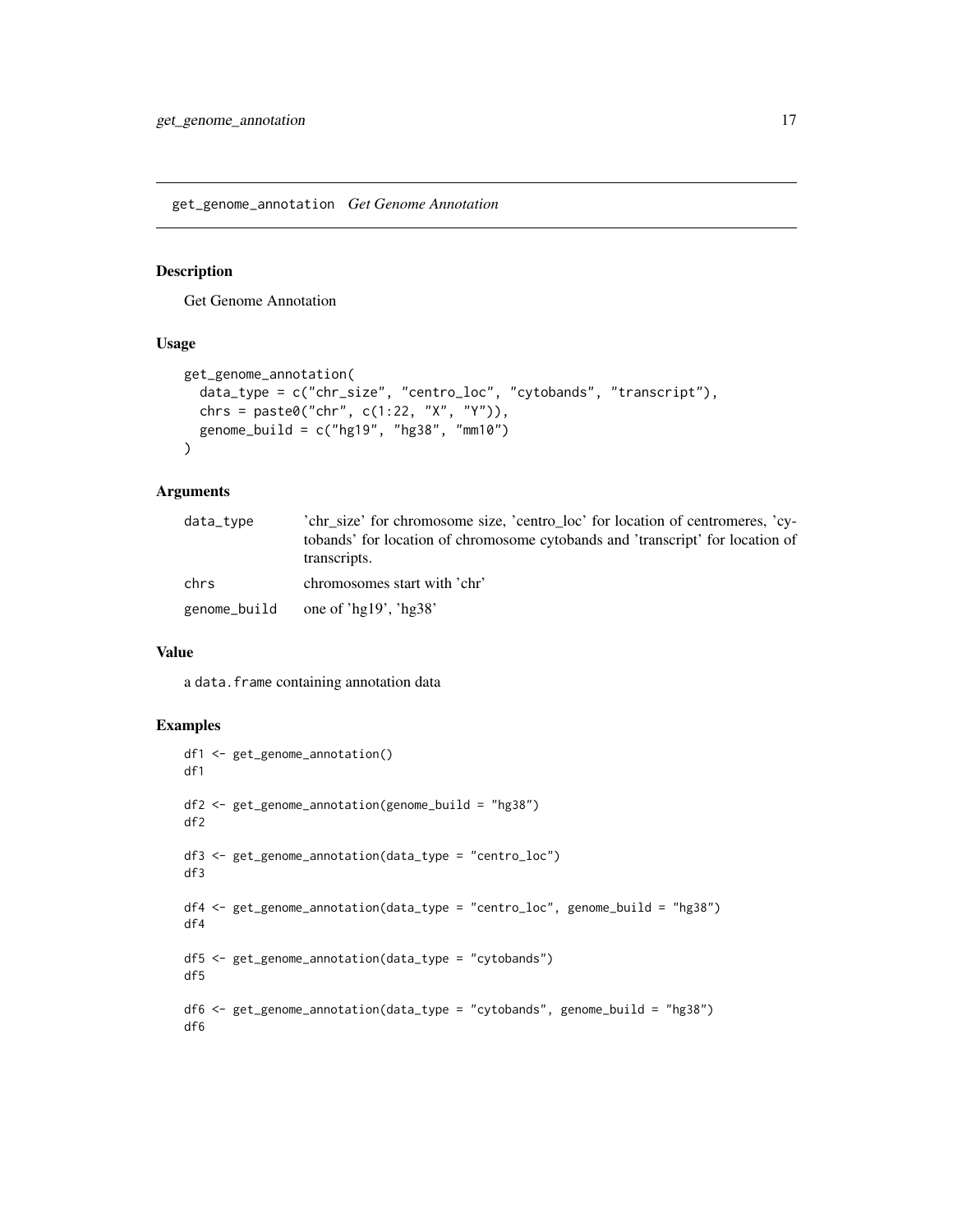<span id="page-16-0"></span>get\_genome\_annotation *Get Genome Annotation*

#### Description

Get Genome Annotation

# Usage

```
get_genome_annotation(
  data_type = c("chr_size", "centro_loc", "cytobands", "transcript"),
  chrs = paste0("chr", c(1:22, "X", "Y")),
  genome_build = c("hg19", "hg38", "mm10")
\lambda
```
#### Arguments

| data_type    | 'chr size' for chromosome size, 'centro loc' for location of centromeres, 'cy-<br>tobands' for location of chromosome cytobands and 'transcript' for location of<br>transcripts. |
|--------------|----------------------------------------------------------------------------------------------------------------------------------------------------------------------------------|
| chrs         | chromosomes start with 'chr'                                                                                                                                                     |
| genome_build | one of 'hg $19'$ , 'hg $38'$                                                                                                                                                     |

#### Value

a data.frame containing annotation data

```
df1 <- get_genome_annotation()
df1
df2 <- get_genome_annotation(genome_build = "hg38")
df2
df3 <- get_genome_annotation(data_type = "centro_loc")
df3
df4 <- get_genome_annotation(data_type = "centro_loc", genome_build = "hg38")
df4
df5 <- get_genome_annotation(data_type = "cytobands")
df5
df6 <- get_genome_annotation(data_type = "cytobands", genome_build = "hg38")
df6
```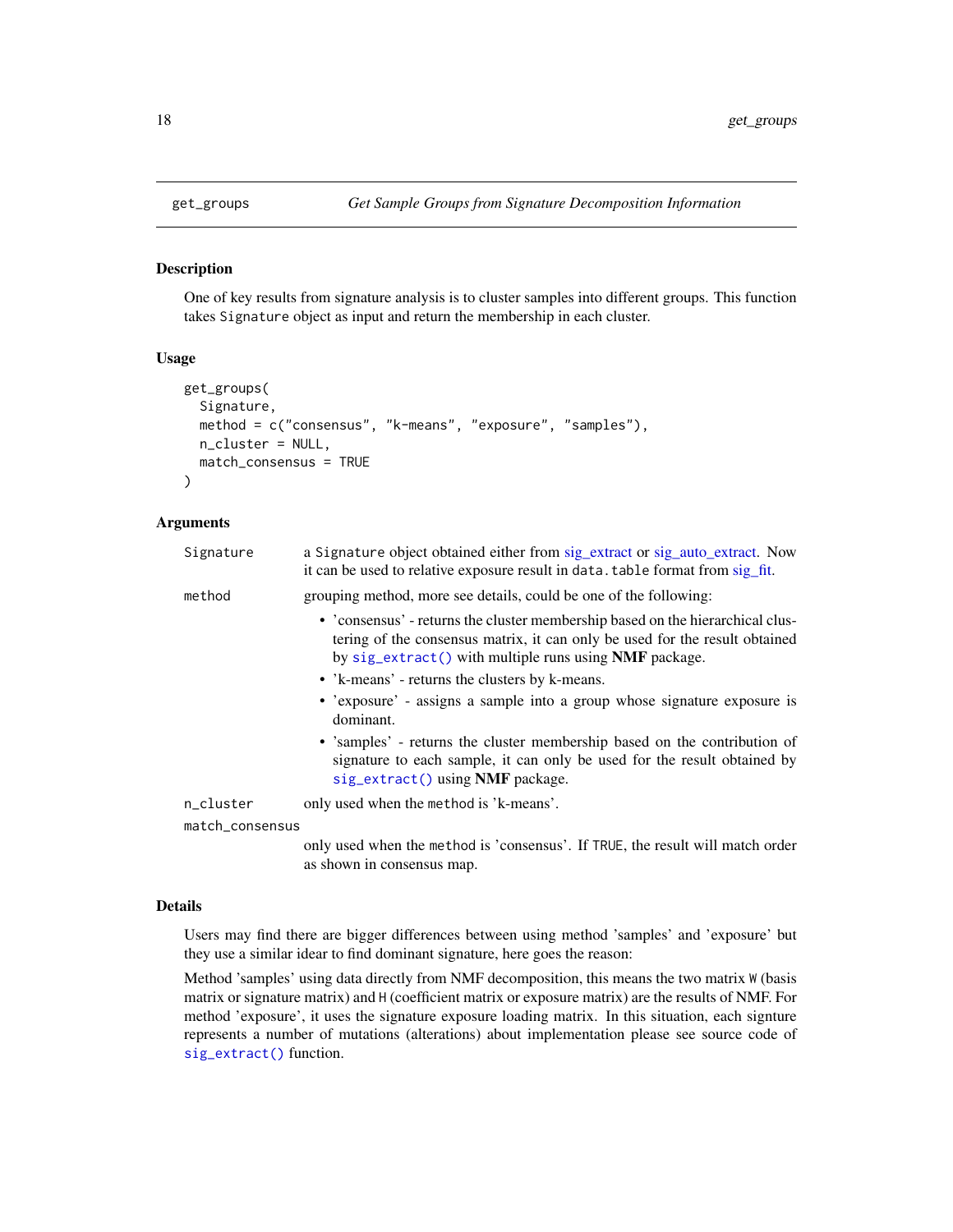One of key results from signature analysis is to cluster samples into different groups. This function takes Signature object as input and return the membership in each cluster.

# Usage

```
get_groups(
  Signature,
 method = c("consensus", "k-means", "exposure", "samples"),
 n_cluster = NULL,
 match_consensus = TRUE
)
```
# Arguments

| Signature       | a Signature object obtained either from sig_extract or sig_auto_extract. Now<br>it can be used to relative exposure result in data. table format from sig_fit.                                                          |
|-----------------|-------------------------------------------------------------------------------------------------------------------------------------------------------------------------------------------------------------------------|
| method          | grouping method, more see details, could be one of the following:                                                                                                                                                       |
|                 | • 'consensus' - returns the cluster membership based on the hierarchical clus-<br>tering of the consensus matrix, it can only be used for the result obtained<br>by sig_extract() with multiple runs using NMF package. |
|                 | • 'k-means' - returns the clusters by k-means.                                                                                                                                                                          |
|                 | • 'exposure' - assigns a sample into a group whose signature exposure is<br>dominant.                                                                                                                                   |
|                 | • 'samples' - returns the cluster membership based on the contribution of<br>signature to each sample, it can only be used for the result obtained by<br>sig_extract() using NMF package.                               |
| n_cluster       | only used when the method is 'k-means'.                                                                                                                                                                                 |
| match_consensus |                                                                                                                                                                                                                         |
|                 | only used when the method is 'consensus' If TBUE the result will meteh order                                                                                                                                            |

only used when the method is 'consensus'. If TRUE, the result will match order as shown in consensus map.

#### Details

Users may find there are bigger differences between using method 'samples' and 'exposure' but they use a similar idear to find dominant signature, here goes the reason:

Method 'samples' using data directly from NMF decomposition, this means the two matrix W (basis matrix or signature matrix) and H (coefficient matrix or exposure matrix) are the results of NMF. For method 'exposure', it uses the signature exposure loading matrix. In this situation, each signture represents a number of mutations (alterations) about implementation please see source code of [sig\\_extract\(\)](#page-90-1) function.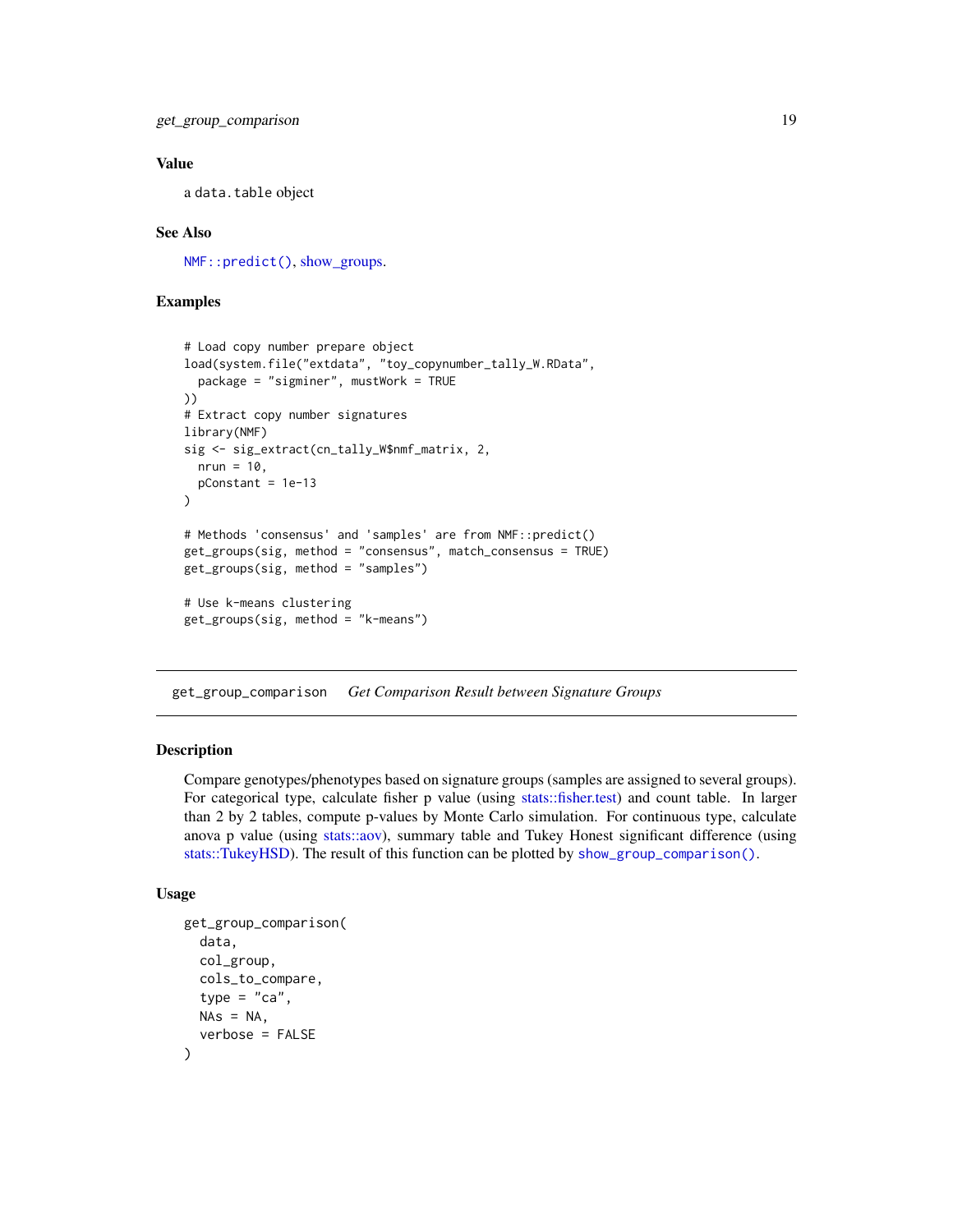#### <span id="page-18-0"></span>Value

a data.table object

#### See Also

[NMF::predict\(\)](#page-0-0), [show\\_groups.](#page-55-1)

# Examples

```
# Load copy number prepare object
load(system.file("extdata", "toy_copynumber_tally_W.RData",
  package = "sigminer", mustWork = TRUE
))
# Extract copy number signatures
library(NMF)
sig <- sig_extract(cn_tally_W$nmf_matrix, 2,
 nrun = 10,
  pConstant = 1e-13
)
# Methods 'consensus' and 'samples' are from NMF::predict()
get_groups(sig, method = "consensus", match_consensus = TRUE)
get_groups(sig, method = "samples")
# Use k-means clustering
get_groups(sig, method = "k-means")
```
get\_group\_comparison *Get Comparison Result between Signature Groups*

#### Description

Compare genotypes/phenotypes based on signature groups (samples are assigned to several groups). For categorical type, calculate fisher p value (using [stats::fisher.test\)](#page-0-0) and count table. In larger than 2 by 2 tables, compute p-values by Monte Carlo simulation. For continuous type, calculate anova p value (using [stats::aov\)](#page-0-0), summary table and Tukey Honest significant difference (using [stats::TukeyHSD\)](#page-0-0). The result of this function can be plotted by [show\\_group\\_comparison\(\)](#page-56-1).

#### Usage

```
get_group_comparison(
  data,
  col_group,
  cols_to_compare,
  type = "ca".
 NAs = NA,
  verbose = FALSE
)
```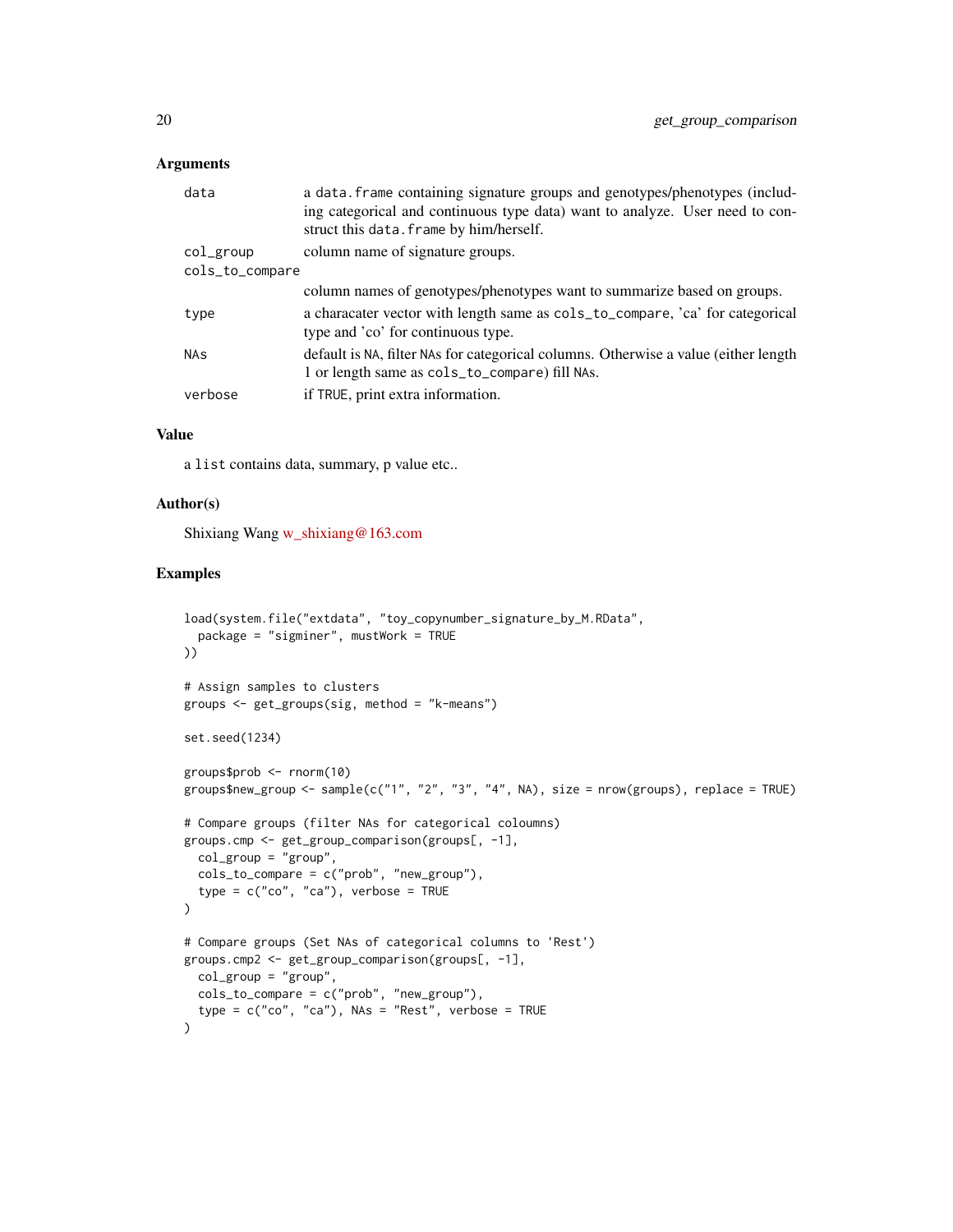#### Arguments

| data                  | a data. frame containing signature groups and genotypes/phenotypes (includ-<br>ing categorical and continuous type data) want to analyze. User need to con-<br>struct this data. frame by him/herself. |
|-----------------------|--------------------------------------------------------------------------------------------------------------------------------------------------------------------------------------------------------|
| col_group             | column name of signature groups.                                                                                                                                                                       |
| cols_to_compare       |                                                                                                                                                                                                        |
|                       | column names of genotypes/phenotypes want to summarize based on groups.                                                                                                                                |
| type                  | a characater vector with length same as $\text{cols_tojarrow}$ , 'ca' for categorical<br>type and 'co' for continuous type.                                                                            |
| <b>NA<sub>S</sub></b> | default is NA, filter NAs for categorical columns. Otherwise a value (either length<br>1 or length same as cols_to_compare) fill NAs.                                                                  |
| verbose               | if TRUE, print extra information.                                                                                                                                                                      |
|                       |                                                                                                                                                                                                        |

# Value

a list contains data, summary, p value etc..

# Author(s)

Shixiang Wang [w\\_shixiang@163.com](mailto:w_shixiang@163.com)

```
load(system.file("extdata", "toy_copynumber_signature_by_M.RData",
  package = "sigminer", mustWork = TRUE
))
# Assign samples to clusters
groups <- get_groups(sig, method = "k-means")
set.seed(1234)
groups$prob <- rnorm(10)
groups$new_group <- sample(c("1", "2", "3", "4", NA), size = nrow(groups), replace = TRUE)
# Compare groups (filter NAs for categorical coloumns)
groups.cmp <- get_group_comparison(groups[, -1],
 col\_group = "group",cols_to_compare = c("prob", "new_group"),
  type = c("co", "ca"), verbose = TRUE
\lambda# Compare groups (Set NAs of categorical columns to 'Rest')
groups.cmp2 <- get_group_comparison(groups[, -1],
  col_group = "group",
  cols_to_compare = c("prob", "new_group"),
  type = c("co", "ca"), NAs = "Rest", verbose = TRUE
)
```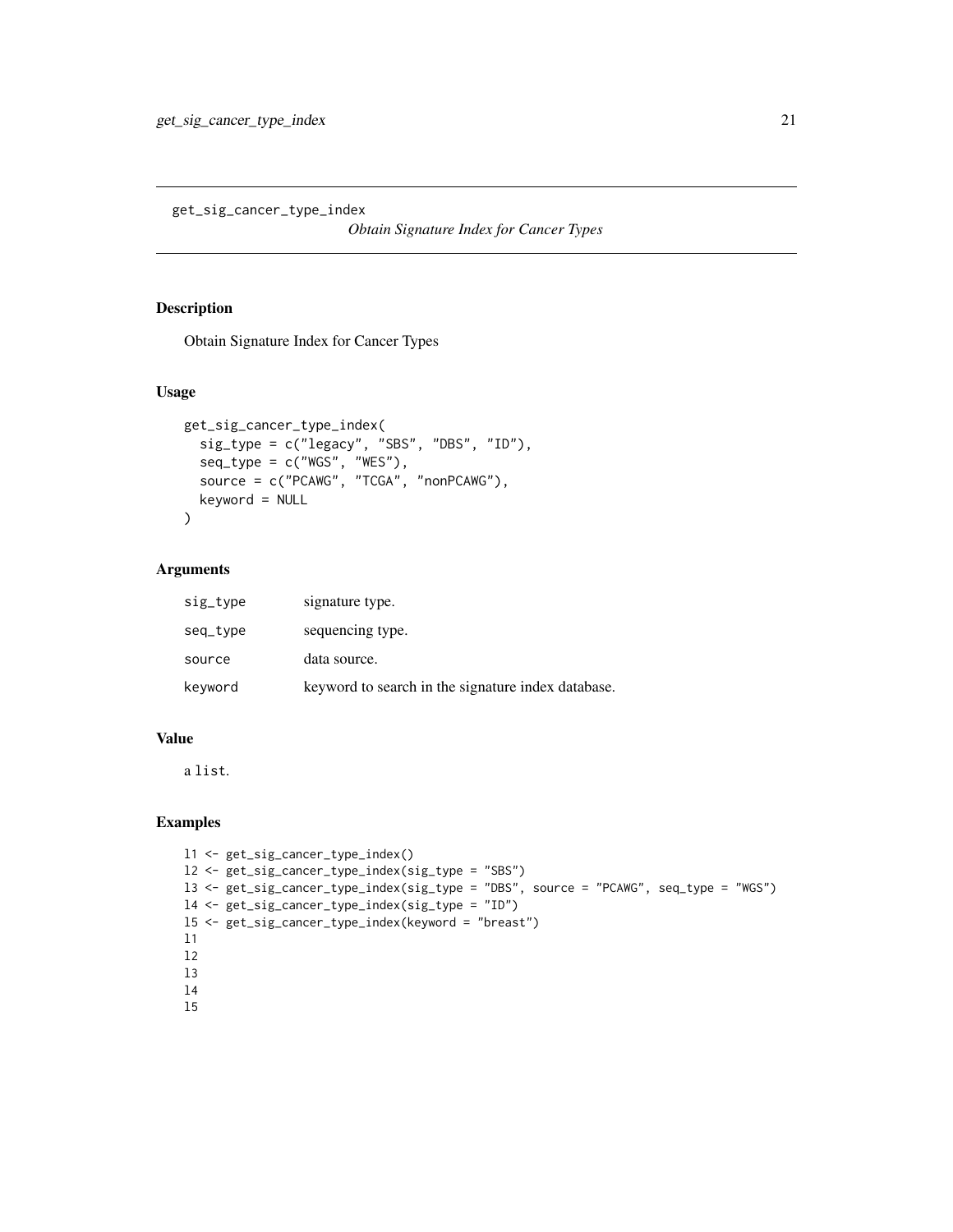<span id="page-20-0"></span>get\_sig\_cancer\_type\_index

*Obtain Signature Index for Cancer Types*

# Description

Obtain Signature Index for Cancer Types

# Usage

```
get_sig_cancer_type_index(
  sig_type = c("legacy", "SBS", "DBS", "ID"),
  seq_type = c("WGS", "WES"),source = c("PCANG", "TCGA", "nonPCAWG"),keyword = NULL
\lambda
```
# Arguments

| sig_type | signature type.                                    |
|----------|----------------------------------------------------|
| seq_type | sequencing type.                                   |
| source   | data source.                                       |
| keyword  | keyword to search in the signature index database. |

# Value

a list.

```
l1 <- get_sig_cancer_type_index()
l2 <- get_sig_cancer_type_index(sig_type = "SBS")
l3 <- get_sig_cancer_type_index(sig_type = "DBS", source = "PCAWG", seq_type = "WGS")
l4 <- get_sig_cancer_type_index(sig_type = "ID")
l5 <- get_sig_cancer_type_index(keyword = "breast")
l1
l2
l3
l4
l5
```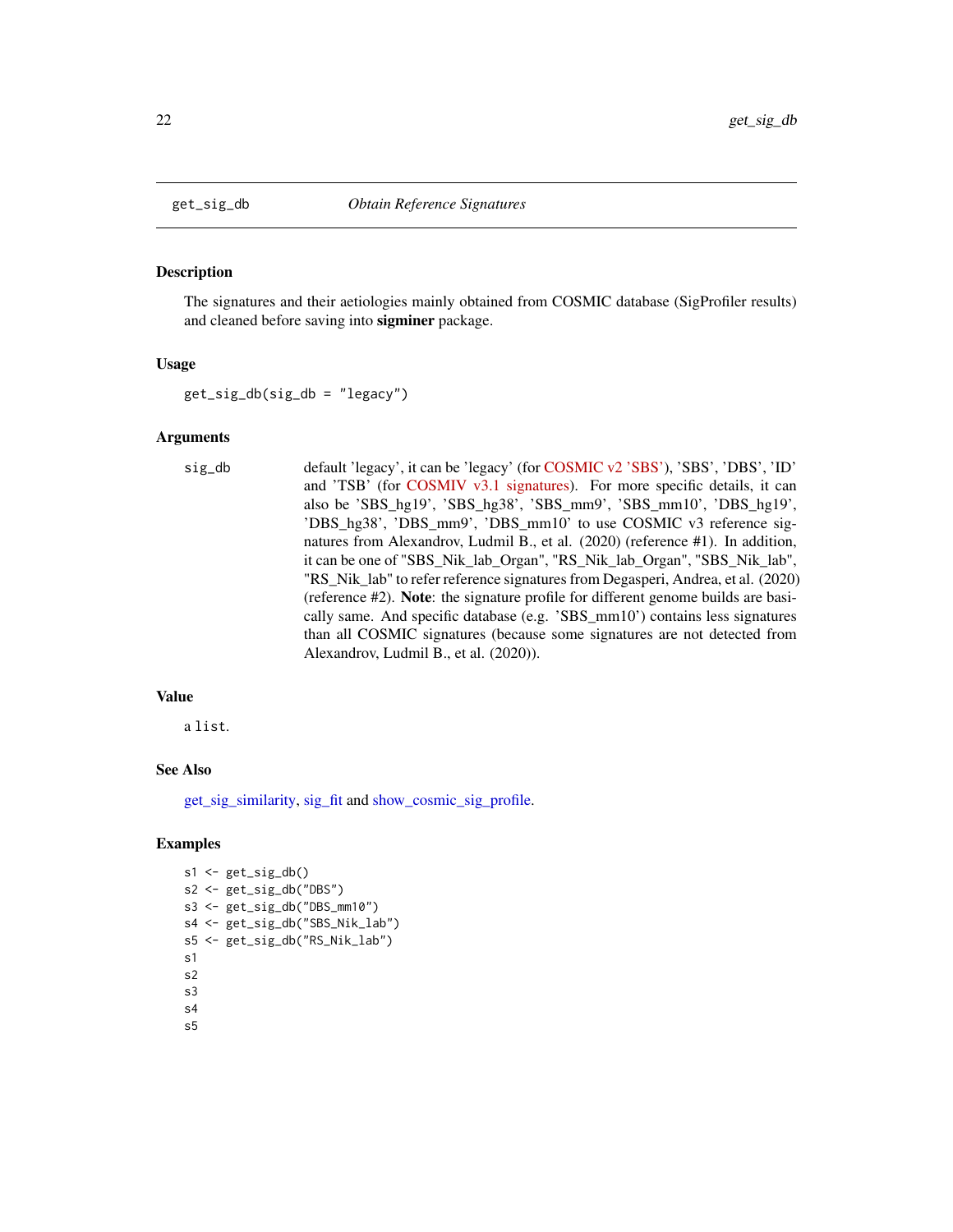<span id="page-21-0"></span>

The signatures and their aetiologies mainly obtained from COSMIC database (SigProfiler results) and cleaned before saving into sigminer package.

#### Usage

get\_sig\_db(sig\_db = "legacy")

#### Arguments

sig\_db default 'legacy', it can be 'legacy' (for [COSMIC v2 'SBS'\)](https://cancer.sanger.ac.uk/cosmic/signatures_v2.tt/), 'SBS', 'DBS', 'ID' and 'TSB' (for [COSMIV v3.1 signatures\)](https://cancer.sanger.ac.uk/cosmic/signatures/). For more specific details, it can also be 'SBS\_hg19', 'SBS\_hg38', 'SBS\_mm9', 'SBS\_mm10', 'DBS\_hg19', 'DBS\_hg38', 'DBS\_mm9', 'DBS\_mm10' to use COSMIC v3 reference signatures from Alexandrov, Ludmil B., et al. (2020) (reference #1). In addition, it can be one of "SBS\_Nik\_lab\_Organ", "RS\_Nik\_lab\_Organ", "SBS\_Nik\_lab", "RS\_Nik\_lab" to refer reference signatures from Degasperi, Andrea, et al. (2020) (reference #2). Note: the signature profile for different genome builds are basically same. And specific database (e.g. 'SBS\_mm10') contains less signatures than all COSMIC signatures (because some signatures are not detected from Alexandrov, Ludmil B., et al. (2020)).

#### Value

a list.

#### See Also

[get\\_sig\\_similarity,](#page-24-1) [sig\\_fit](#page-91-1) and [show\\_cosmic\\_sig\\_profile.](#page-54-1)

```
s1 \leftarrow get\_sig_db()s2 <- get_sig_db("DBS")
s3 <- get_sig_db("DBS_mm10")
s4 <- get_sig_db("SBS_Nik_lab")
s5 <- get_sig_db("RS_Nik_lab")
s1
s2
s3
s4
s5
```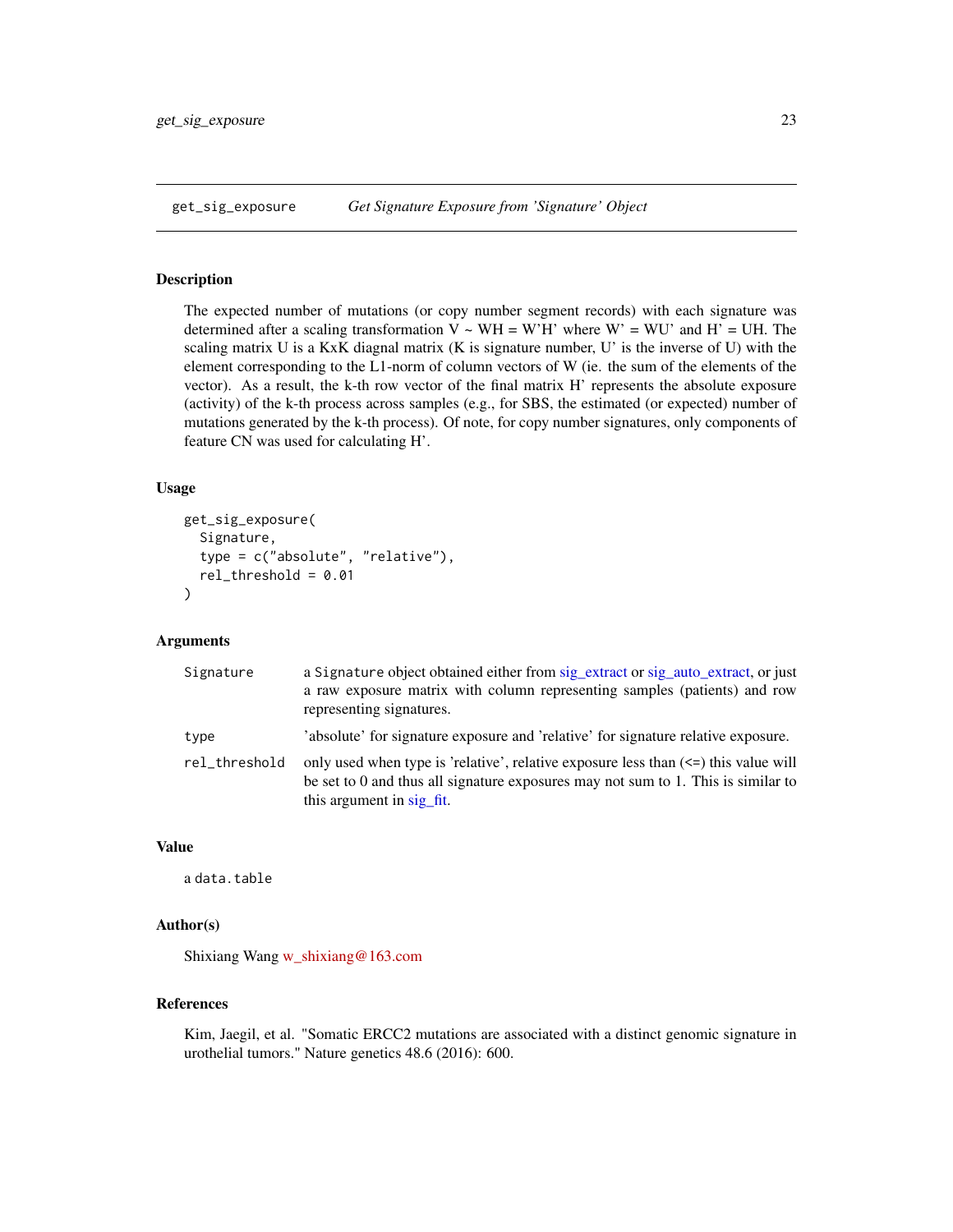<span id="page-22-0"></span>The expected number of mutations (or copy number segment records) with each signature was determined after a scaling transformation  $V \sim WH = W'H'$  where  $W' = WU'$  and  $H' = UH$ . The scaling matrix U is a KxK diagnal matrix (K is signature number, U' is the inverse of U) with the element corresponding to the L1-norm of column vectors of W (ie. the sum of the elements of the vector). As a result, the k-th row vector of the final matrix H' represents the absolute exposure (activity) of the k-th process across samples (e.g., for SBS, the estimated (or expected) number of mutations generated by the k-th process). Of note, for copy number signatures, only components of feature CN was used for calculating H'.

#### Usage

```
get_sig_exposure(
  Signature,
  type = c("absolute", "relative"),
  rel_threshold = 0.01
)
```
# Arguments

| Signature     | a Signature object obtained either from sig_extract or sig_auto_extract, or just<br>a raw exposure matrix with column representing samples (patients) and row<br>representing signatures.                  |
|---------------|------------------------------------------------------------------------------------------------------------------------------------------------------------------------------------------------------------|
| type          | 'absolute' for signature exposure and 'relative' for signature relative exposure.                                                                                                                          |
| rel_threshold | only used when type is 'relative', relative exposure less than $\le$ = this value will<br>be set to $0$ and thus all signature exposures may not sum to 1. This is similar to<br>this argument in sig fit. |

# Value

a data.table

# Author(s)

Shixiang Wang [w\\_shixiang@163.com](mailto:w_shixiang@163.com)

#### References

Kim, Jaegil, et al. "Somatic ERCC2 mutations are associated with a distinct genomic signature in urothelial tumors." Nature genetics 48.6 (2016): 600.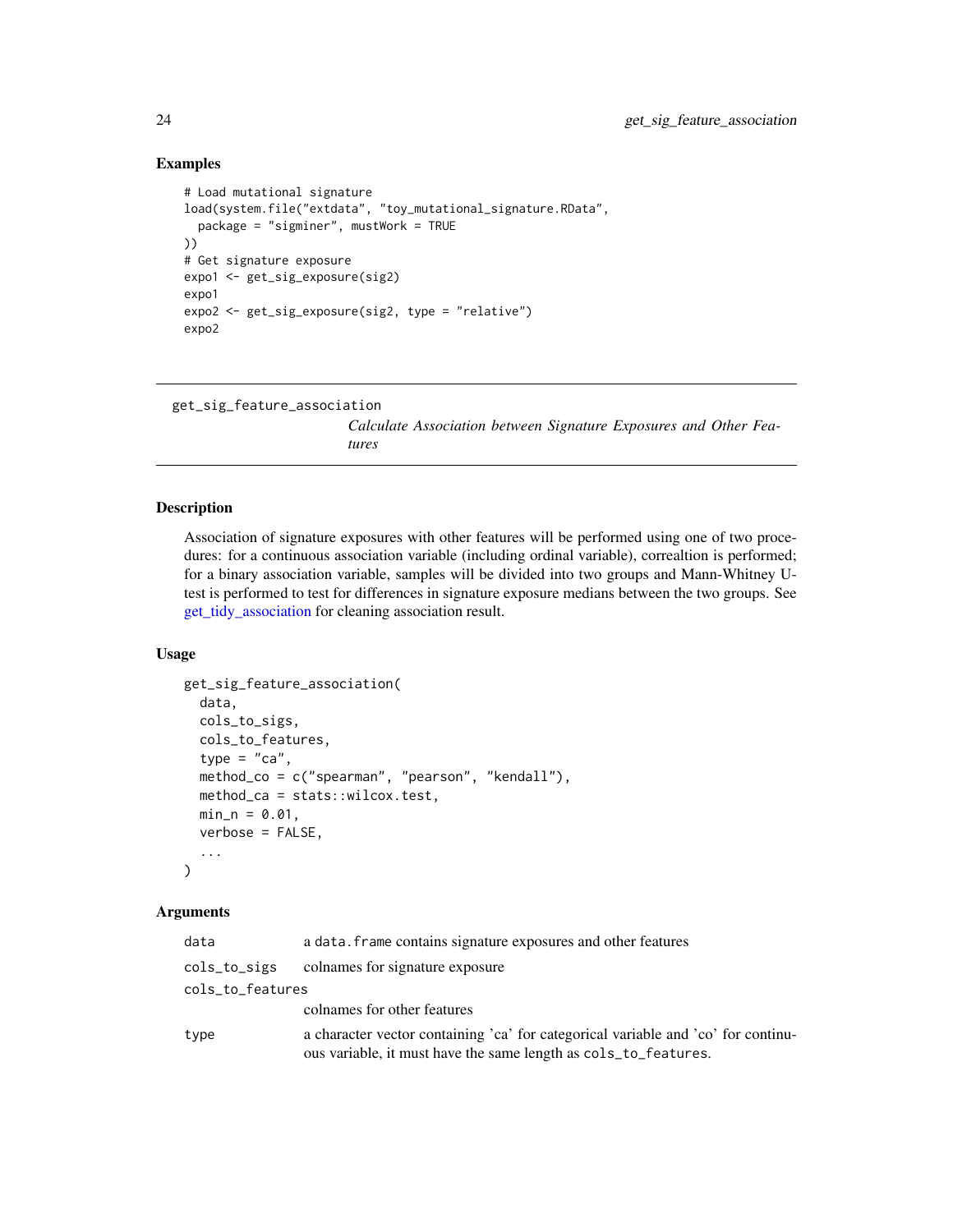#### Examples

```
# Load mutational signature
load(system.file("extdata", "toy_mutational_signature.RData",
  package = "sigminer", mustWork = TRUE
))
# Get signature exposure
expo1 <- get_sig_exposure(sig2)
expo1
expo2 <- get_sig_exposure(sig2, type = "relative")
expo2
```

```
get_sig_feature_association
```
*Calculate Association between Signature Exposures and Other Features*

#### Description

Association of signature exposures with other features will be performed using one of two procedures: for a continuous association variable (including ordinal variable), correaltion is performed; for a binary association variable, samples will be divided into two groups and Mann-Whitney Utest is performed to test for differences in signature exposure medians between the two groups. See [get\\_tidy\\_association](#page-26-1) for cleaning association result.

#### Usage

```
get_sig_feature_association(
 data,
  cols_to_sigs,
 cols_to_features,
  type = "ca",method_co = c("spearman", "pearson", "kendall"),
 method_ca = stats::wilcox.test,
 min_n = 0.01,
 verbose = FALSE,
  ...
)
```
#### **Arguments**

| data             | a data. frame contains signature exposures and other features                                                                                        |
|------------------|------------------------------------------------------------------------------------------------------------------------------------------------------|
| cols_to_sigs     | colnames for signature exposure                                                                                                                      |
| cols_to_features |                                                                                                                                                      |
|                  | colnames for other features                                                                                                                          |
| type             | a character vector containing 'ca' for categorical variable and 'co' for continu-<br>ous variable, it must have the same length as cols_to_features. |

<span id="page-23-0"></span>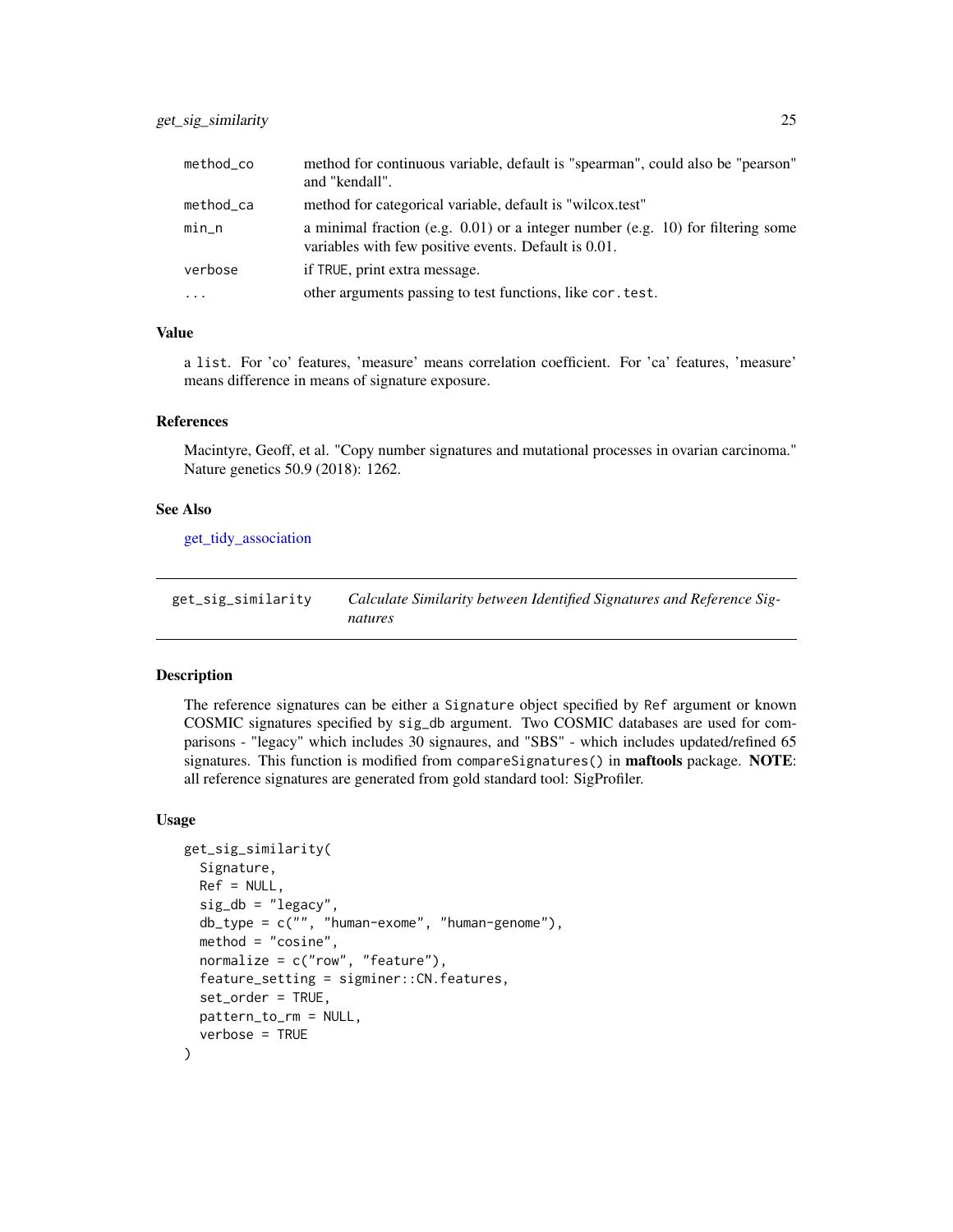<span id="page-24-0"></span>

| method_co    | method for continuous variable, default is "spearman", could also be "pearson"<br>and "kendall".                                           |
|--------------|--------------------------------------------------------------------------------------------------------------------------------------------|
| $method\_ca$ | method for categorical variable, default is "wilcox.test"                                                                                  |
| $min_n$      | a minimal fraction (e.g. $0.01$ ) or a integer number (e.g. 10) for filtering some<br>variables with few positive events. Default is 0.01. |
| verbose      | if TRUE, print extra message.                                                                                                              |
| $\cdot$      | other arguments passing to test functions, like cor. test.                                                                                 |

# Value

a list. For 'co' features, 'measure' means correlation coefficient. For 'ca' features, 'measure' means difference in means of signature exposure.

# References

Macintyre, Geoff, et al. "Copy number signatures and mutational processes in ovarian carcinoma." Nature genetics 50.9 (2018): 1262.

#### See Also

[get\\_tidy\\_association](#page-26-1)

<span id="page-24-1"></span>

| get_sig_similarity | Calculate Similarity between Identified Signatures and Reference Sig- |
|--------------------|-----------------------------------------------------------------------|
|                    | natures                                                               |

# Description

The reference signatures can be either a Signature object specified by Ref argument or known COSMIC signatures specified by sig\_db argument. Two COSMIC databases are used for comparisons - "legacy" which includes 30 signaures, and "SBS" - which includes updated/refined 65 signatures. This function is modified from compareSignatures() in **maftools** package. NOTE: all reference signatures are generated from gold standard tool: SigProfiler.

#### Usage

```
get_sig_similarity(
  Signature,
  Ref = NULL,sig_d b = "legacy",db_type = c("", "human-exome", "human-genome"),
  method = "cosine",
  normalize = c("row", "feature"),
  feature_setting = sigminer::CN.features,
  set_order = TRUE,
  pattern_to_rm = NULL,
  verbose = TRUE
)
```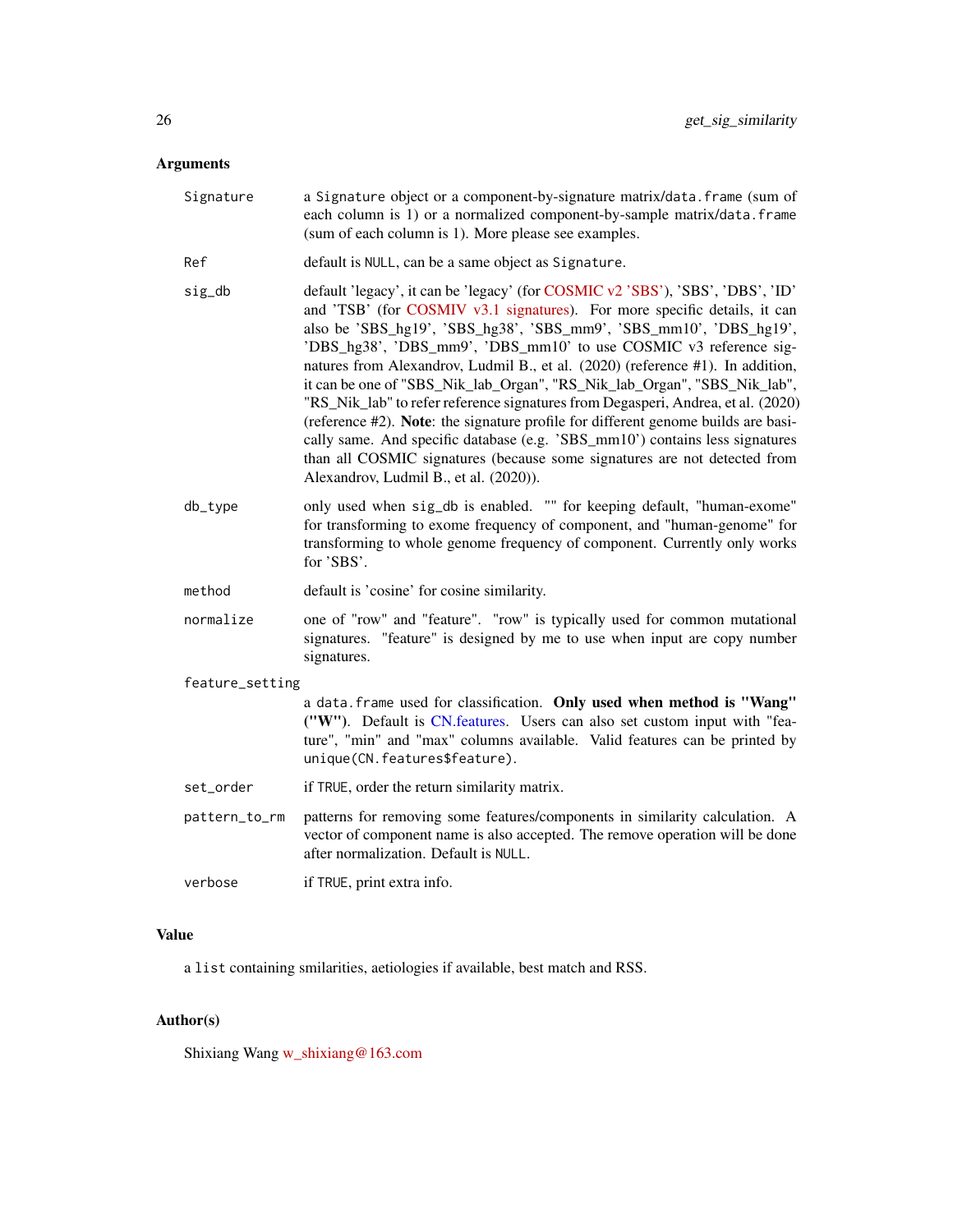#### Arguments

- Signature a Signature object or a component-by-signature matrix/data.frame (sum of each column is 1) or a normalized component-by-sample matrix/data.frame (sum of each column is 1). More please see examples.
- Ref default is NULL, can be a same object as Signature.
- sig\_db default 'legacy', it can be 'legacy' (for [COSMIC v2 'SBS'\)](https://cancer.sanger.ac.uk/cosmic/signatures_v2.tt/), 'SBS', 'DBS', 'ID' and 'TSB' (for [COSMIV v3.1 signatures\)](https://cancer.sanger.ac.uk/cosmic/signatures/). For more specific details, it can also be 'SBS\_hg19', 'SBS\_hg38', 'SBS\_mm9', 'SBS\_mm10', 'DBS\_hg19', 'DBS\_hg38', 'DBS\_mm9', 'DBS\_mm10' to use COSMIC v3 reference signatures from Alexandrov, Ludmil B., et al. (2020) (reference #1). In addition, it can be one of "SBS\_Nik\_lab\_Organ", "RS\_Nik\_lab\_Organ", "SBS\_Nik\_lab", "RS\_Nik\_lab" to refer reference signatures from Degasperi, Andrea, et al. (2020) (reference #2). Note: the signature profile for different genome builds are basically same. And specific database (e.g. 'SBS\_mm10') contains less signatures than all COSMIC signatures (because some signatures are not detected from Alexandrov, Ludmil B., et al. (2020)).
- db\_type only used when sig\_db is enabled. "" for keeping default, "human-exome" for transforming to exome frequency of component, and "human-genome" for transforming to whole genome frequency of component. Currently only works for 'SBS'.
- method default is 'cosine' for cosine similarity.
- normalize one of "row" and "feature". "row" is typically used for common mutational signatures. "feature" is designed by me to use when input are copy number signatures.

#### feature\_setting

a data.frame used for classification. Only used when method is "Wang" ("W"). Default is [CN.features.](#page-8-1) Users can also set custom input with "feature", "min" and "max" columns available. Valid features can be printed by unique(CN.features\$feature).

- set\_order if TRUE, order the return similarity matrix.
- pattern\_to\_rm patterns for removing some features/components in similarity calculation. A vector of component name is also accepted. The remove operation will be done after normalization. Default is NULL.
- verbose if TRUE, print extra info.

#### Value

a list containing smilarities, aetiologies if available, best match and RSS.

#### Author(s)

Shixiang Wang [w\\_shixiang@163.com](mailto:w_shixiang@163.com)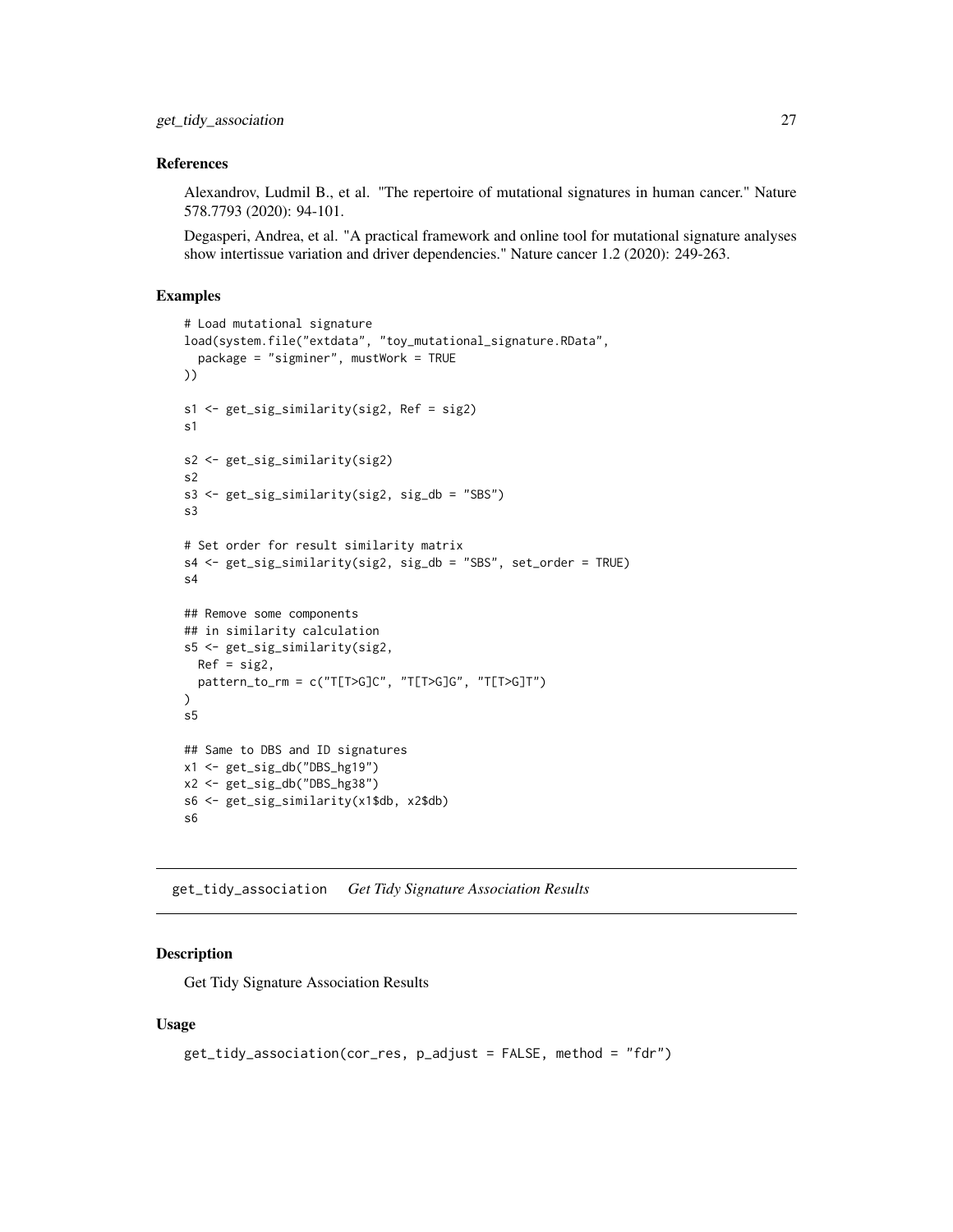#### <span id="page-26-0"></span>References

Alexandrov, Ludmil B., et al. "The repertoire of mutational signatures in human cancer." Nature 578.7793 (2020): 94-101.

Degasperi, Andrea, et al. "A practical framework and online tool for mutational signature analyses show intertissue variation and driver dependencies." Nature cancer 1.2 (2020): 249-263.

#### Examples

```
# Load mutational signature
load(system.file("extdata", "toy_mutational_signature.RData",
  package = "sigminer", mustWork = TRUE
))
s1 <- get_sig_similarity(sig2, Ref = sig2)
s1
s2 <- get_sig_similarity(sig2)
s2
s3 <- get_sig_similarity(sig2, sig_db = "SBS")
s3
# Set order for result similarity matrix
s4 <- get_sig_similarity(sig2, sig_db = "SBS", set_order = TRUE)
s4
## Remove some components
## in similarity calculation
s5 <- get_sig_similarity(sig2,
 Ref = sig2,
  pattern_to_rm = c("T[T>G]C", "T[T>G]G", "T[T>G]T")
)
s5
## Same to DBS and ID signatures
x1 <- get_sig_db("DBS_hg19")
x2 \leq -get\_sig_db("DBS_hg38")s6 <- get_sig_similarity(x1$db, x2$db)
s6
```
<span id="page-26-1"></span>get\_tidy\_association *Get Tidy Signature Association Results*

# Description

Get Tidy Signature Association Results

#### Usage

```
get_tidy_association(cor_res, p_adjust = FALSE, method = "fdr")
```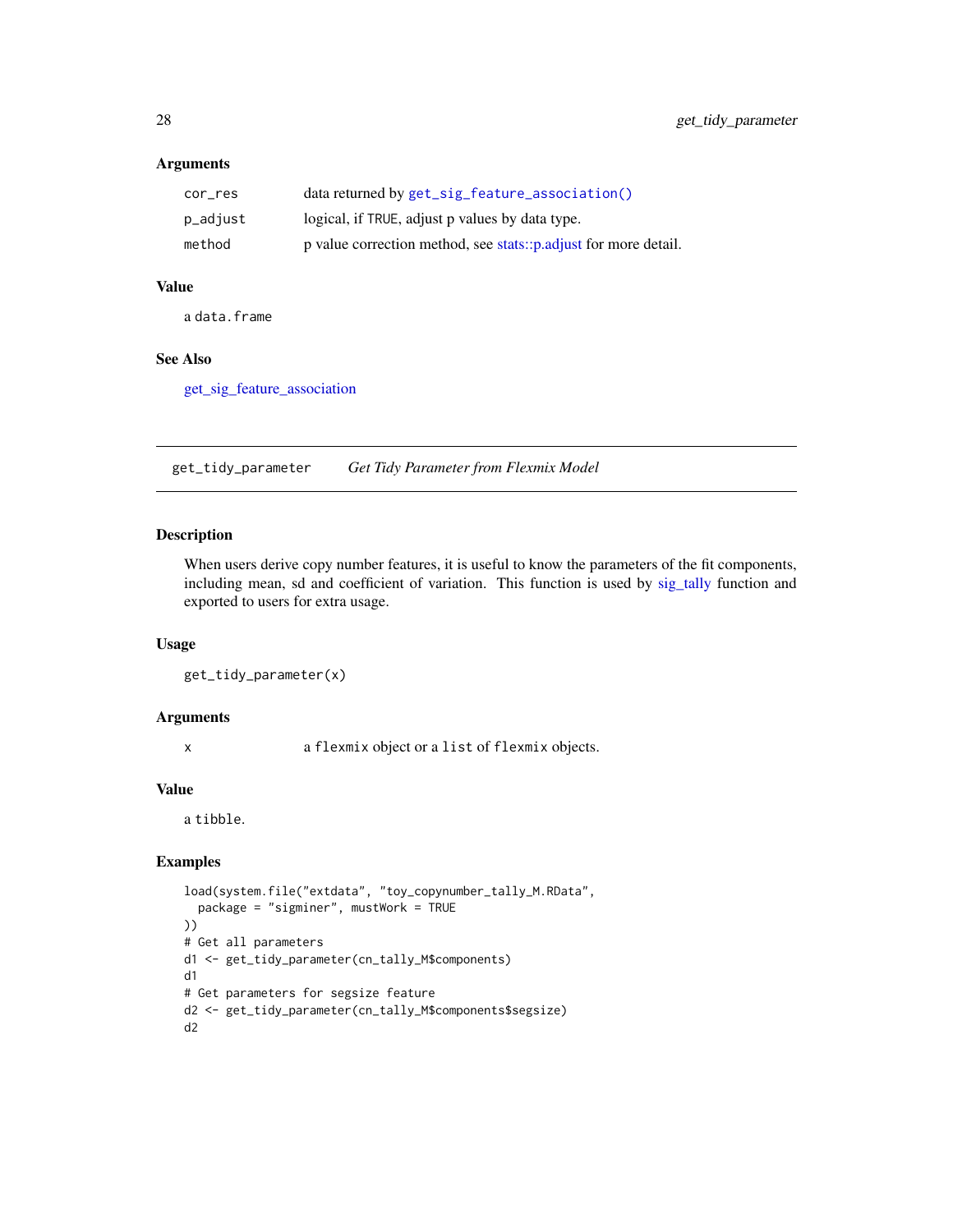# <span id="page-27-0"></span>Arguments

| cor res  | data returned by get_sig_feature_association()                  |
|----------|-----------------------------------------------------------------|
| p_adjust | logical, if TRUE, adjust p values by data type.                 |
| method   | p value correction method, see stats::p.adjust for more detail. |

#### Value

a data.frame

# See Also

[get\\_sig\\_feature\\_association](#page-23-1)

get\_tidy\_parameter *Get Tidy Parameter from Flexmix Model*

# Description

When users derive copy number features, it is useful to know the parameters of the fit components, including mean, sd and coefficient of variation. This function is used by [sig\\_tally](#page-99-1) function and exported to users for extra usage.

#### Usage

get\_tidy\_parameter(x)

#### Arguments

x a flexmix object or a list of flexmix objects.

# Value

a tibble.

```
load(system.file("extdata", "toy_copynumber_tally_M.RData",
  package = "sigminer", mustWork = TRUE
))
# Get all parameters
d1 <- get_tidy_parameter(cn_tally_M$components)
d1
# Get parameters for segsize feature
d2 <- get_tidy_parameter(cn_tally_M$components$segsize)
d2
```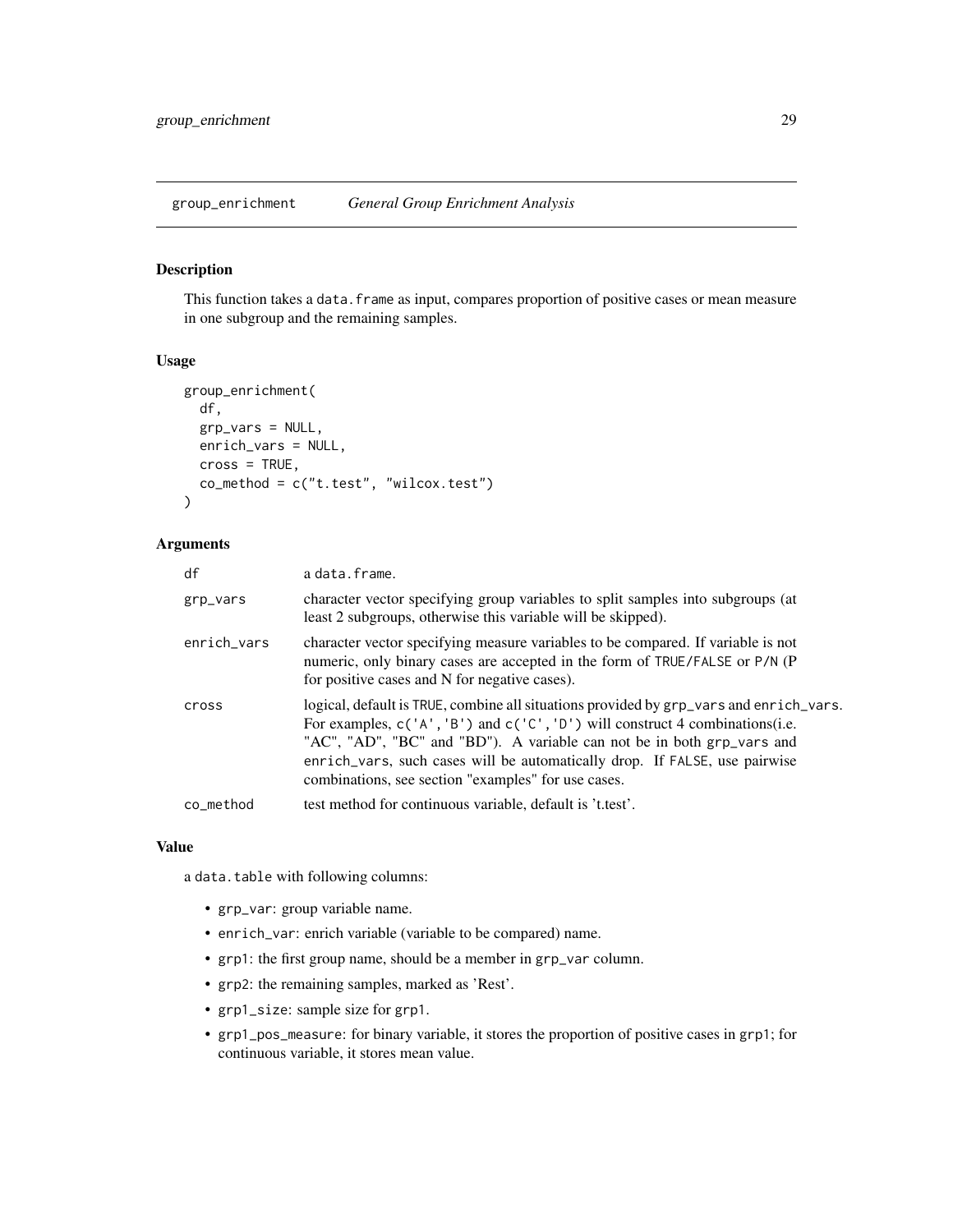<span id="page-28-0"></span>group\_enrichment *General Group Enrichment Analysis*

#### Description

This function takes a data. frame as input, compares proportion of positive cases or mean measure in one subgroup and the remaining samples.

# Usage

```
group_enrichment(
  df,
  grp_vars = NULL,
  enrich_vars = NULL,
 cross = TRUE,co_{\text{method}} = c("t.test", "wilcox.test"))
```
# Arguments

| df          | a data.frame.                                                                                                                                                                                                                                                                                                                                                                             |
|-------------|-------------------------------------------------------------------------------------------------------------------------------------------------------------------------------------------------------------------------------------------------------------------------------------------------------------------------------------------------------------------------------------------|
| grp_vars    | character vector specifying group variables to split samples into subgroups (at<br>least 2 subgroups, otherwise this variable will be skipped).                                                                                                                                                                                                                                           |
| enrich_vars | character vector specifying measure variables to be compared. If variable is not<br>numeric, only binary cases are accepted in the form of TRUE/FALSE or P/N (P<br>for positive cases and N for negative cases).                                                                                                                                                                          |
| cross       | logical, default is TRUE, combine all situations provided by grp_vars and enrich_vars.<br>For examples, $c('A', 'B')$ and $c('C', 'D')$ will construct 4 combinations(i.e.<br>"AC", "AD", "BC" and "BD"). A variable can not be in both grp_vars and<br>enrich_vars, such cases will be automatically drop. If FALSE, use pairwise<br>combinations, see section "examples" for use cases. |
| co method   | test method for continuous variable, default is 't.test'.                                                                                                                                                                                                                                                                                                                                 |

#### Value

a data.table with following columns:

- grp\_var: group variable name.
- enrich\_var: enrich variable (variable to be compared) name.
- grp1: the first group name, should be a member in grp\_var column.
- grp2: the remaining samples, marked as 'Rest'.
- grp1\_size: sample size for grp1.
- grp1\_pos\_measure: for binary variable, it stores the proportion of positive cases in grp1; for continuous variable, it stores mean value.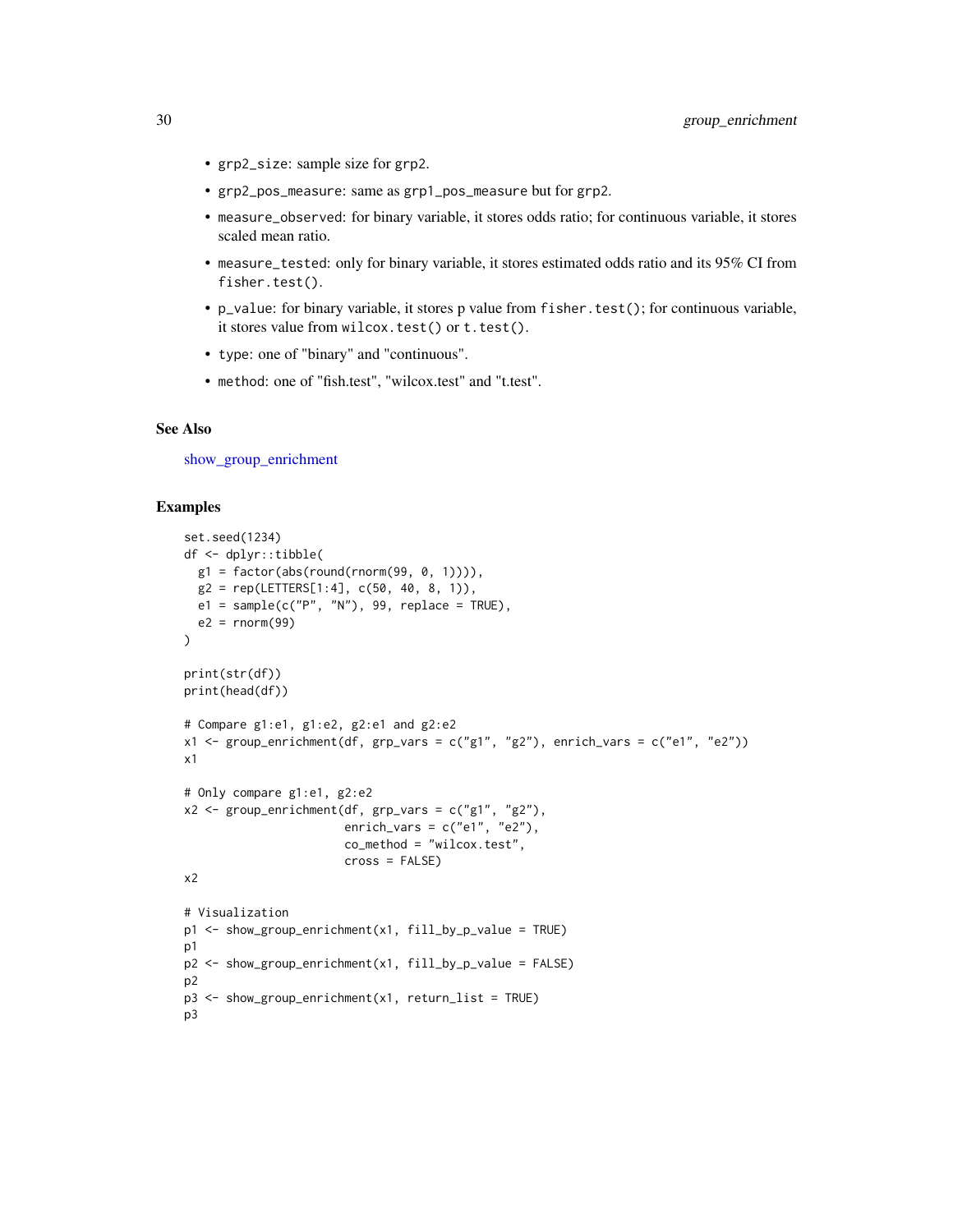- grp2\_size: sample size for grp2.
- grp2\_pos\_measure: same as grp1\_pos\_measure but for grp2.
- measure\_observed: for binary variable, it stores odds ratio; for continuous variable, it stores scaled mean ratio.
- measure\_tested: only for binary variable, it stores estimated odds ratio and its 95% CI from fisher.test().
- p\_value: for binary variable, it stores p value from fisher.test(); for continuous variable, it stores value from wilcox.test() or t.test().
- type: one of "binary" and "continuous".
- method: one of "fish.test", "wilcox.test" and "t.test".

#### See Also

[show\\_group\\_enrichment](#page-60-1)

```
set.seed(1234)
df <- dplyr::tibble(
  g1 = factor(abs(round(rnorm(99, 0, 1)))),
  g2 = rep(LETTERS[1:4], c(50, 40, 8, 1)),e1 = sample(c("P", "N"), 99, replace = TRUE),
  e2 = rnorm(99))
print(str(df))
print(head(df))
# Compare g1:e1, g1:e2, g2:e1 and g2:e2
x1 <- group_enrichment(df, grp_vars = c("g1", "g2"), enrich_vars = c("e1", "e2"))
x1
# Only compare g1:e1, g2:e2
x2 \le group_enrichment(df, grp_vars = c("g1", "g2"),
                       enrich_vars = c("e1", "e2"),co_method = "wilcox.test",
                      cross = FALSE)
x2
# Visualization
p1 <- show_group_enrichment(x1, fill_by_p_value = TRUE)
p1
p2 <- show_group_enrichment(x1, fill_by_p_value = FALSE)
p2
p3 <- show_group_enrichment(x1, return_list = TRUE)
p3
```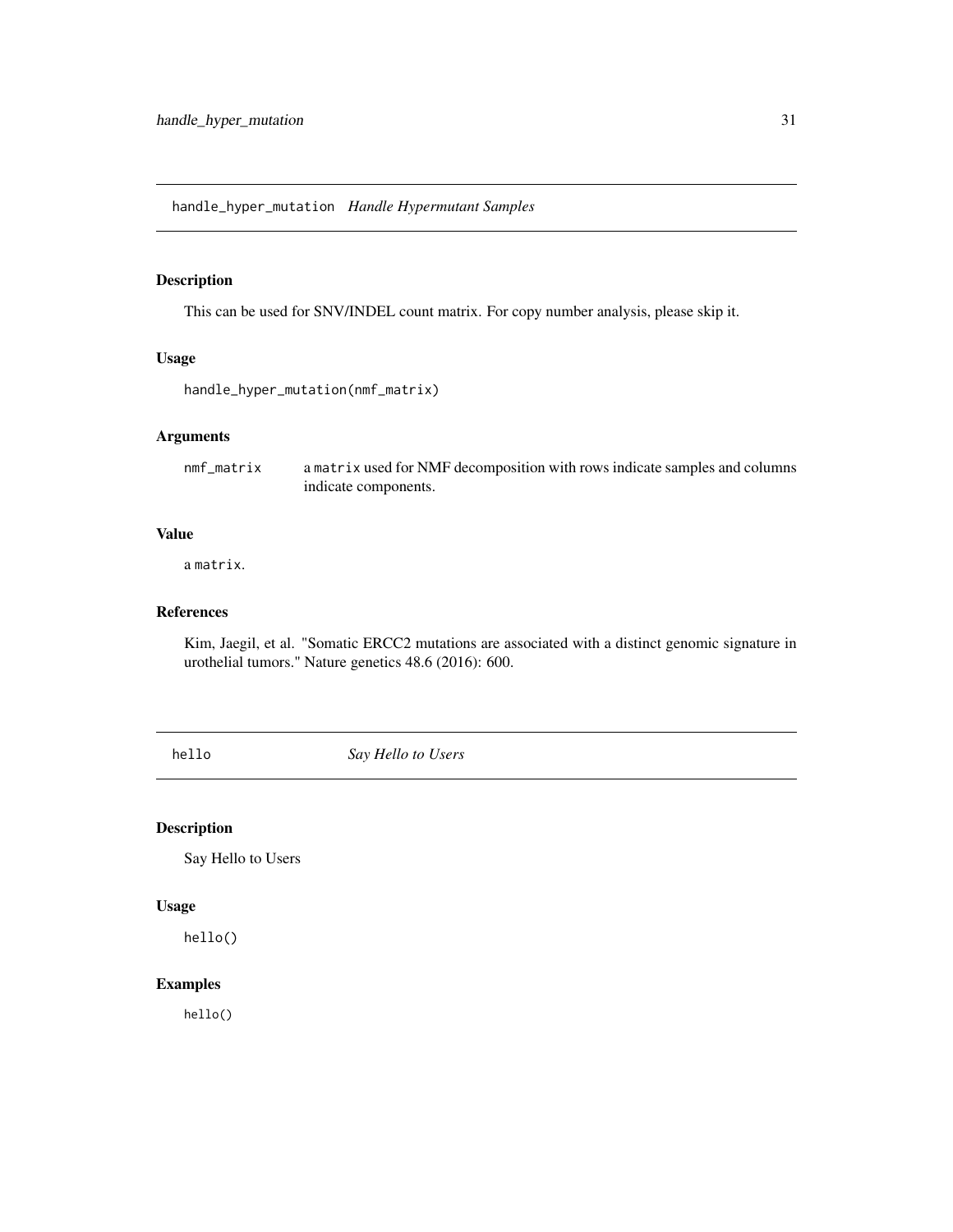<span id="page-30-0"></span>This can be used for SNV/INDEL count matrix. For copy number analysis, please skip it.

# Usage

```
handle_hyper_mutation(nmf_matrix)
```
# Arguments

nmf\_matrix a matrix used for NMF decomposition with rows indicate samples and columns indicate components.

#### Value

a matrix.

# References

Kim, Jaegil, et al. "Somatic ERCC2 mutations are associated with a distinct genomic signature in urothelial tumors." Nature genetics 48.6 (2016): 600.

hello *Say Hello to Users*

# Description

Say Hello to Users

# Usage

hello()

# Examples

hello()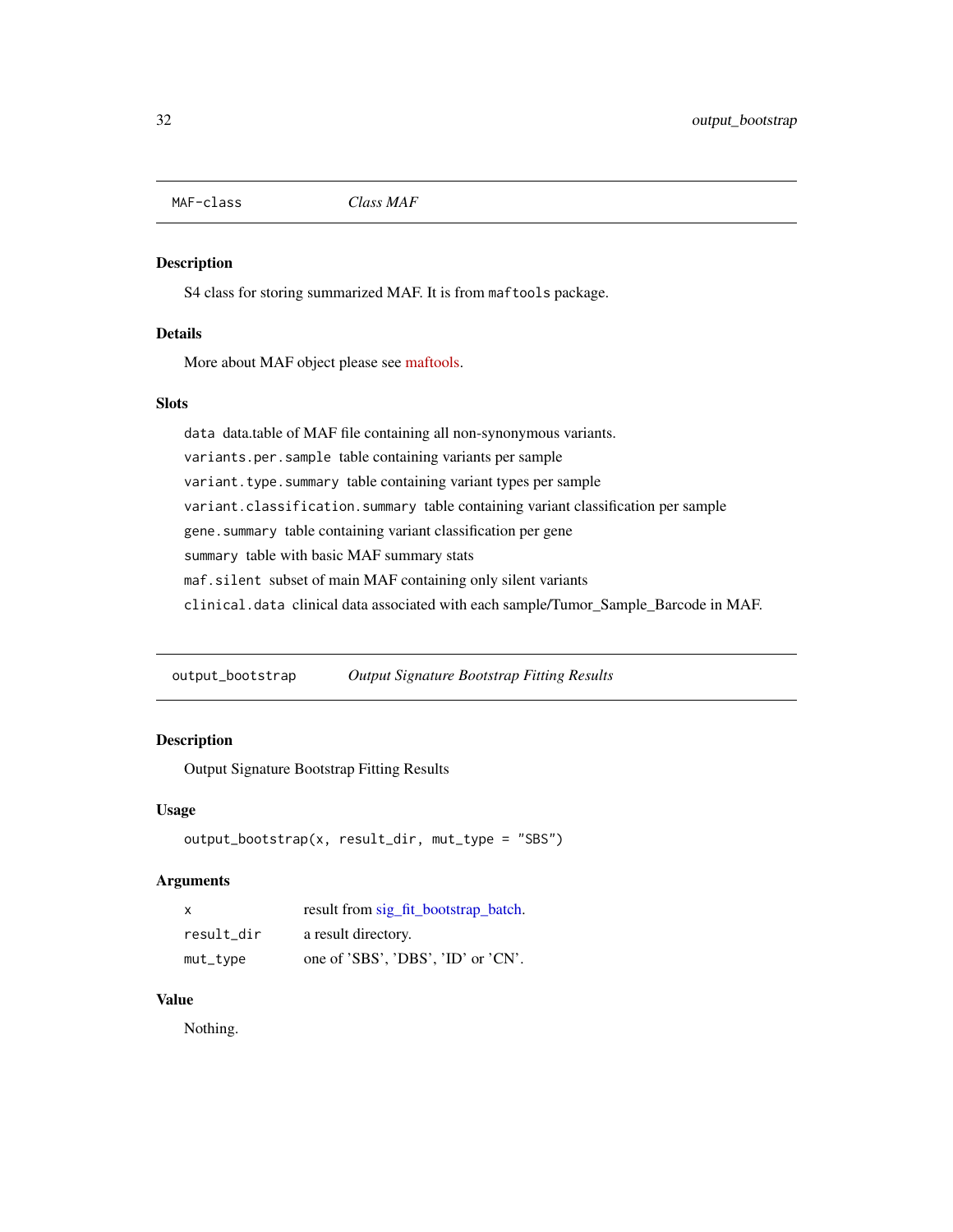<span id="page-31-0"></span>MAF-class *Class MAF*

#### <span id="page-31-1"></span>Description

S4 class for storing summarized MAF. It is from maftools package.

#### Details

More about MAF object please see [maftools.](https://github.com/PoisonAlien/maftools)

# Slots

data data.table of MAF file containing all non-synonymous variants. variants.per.sample table containing variants per sample variant.type.summary table containing variant types per sample variant.classification.summary table containing variant classification per sample gene.summary table containing variant classification per gene summary table with basic MAF summary stats maf.silent subset of main MAF containing only silent variants clinical.data clinical data associated with each sample/Tumor\_Sample\_Barcode in MAF.

output\_bootstrap *Output Signature Bootstrap Fitting Results*

# Description

Output Signature Bootstrap Fitting Results

#### Usage

```
output_bootstrap(x, result_dir, mut_type = "SBS")
```
# Arguments

| $\mathsf{x}$ | result from sig_fit_bootstrap_batch. |
|--------------|--------------------------------------|
| result dir   | a result directory.                  |
| mut_type     | one of 'SBS', 'DBS', 'ID' or 'CN'.   |

# Value

Nothing.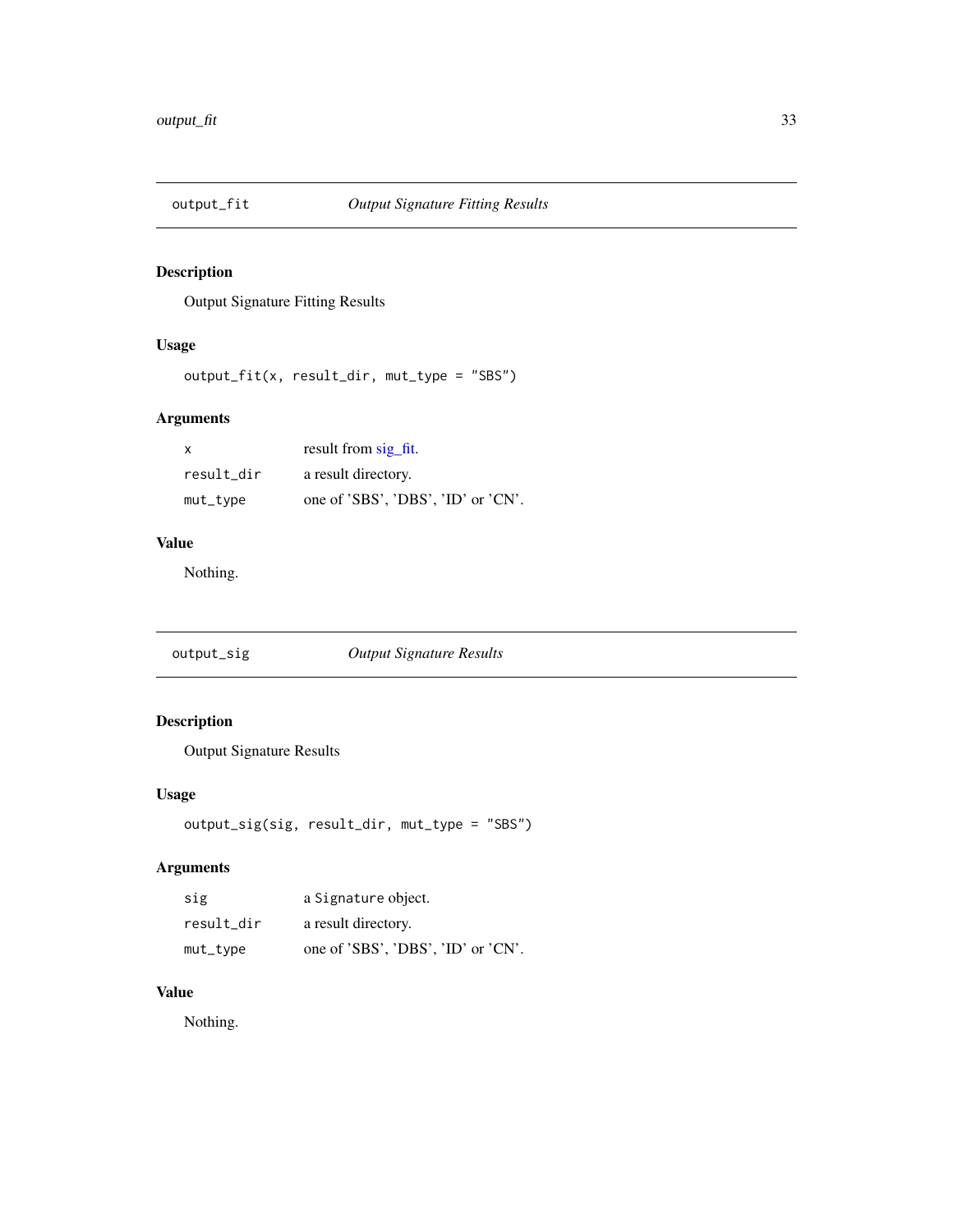<span id="page-32-0"></span>

Output Signature Fitting Results

# Usage

output\_fit(x, result\_dir, mut\_type = "SBS")

# Arguments

| X          | result from sig fit.               |
|------------|------------------------------------|
| result dir | a result directory.                |
| mut_type   | one of 'SBS', 'DBS', 'ID' or 'CN'. |

# Value

Nothing.

output\_sig *Output Signature Results*

# Description

Output Signature Results

# Usage

```
output_sig(sig, result_dir, mut_type = "SBS")
```
# Arguments

| sig         | a Signature object.                |
|-------------|------------------------------------|
| result dir  | a result directory.                |
| $mut\_type$ | one of 'SBS', 'DBS', 'ID' or 'CN'. |

# Value

Nothing.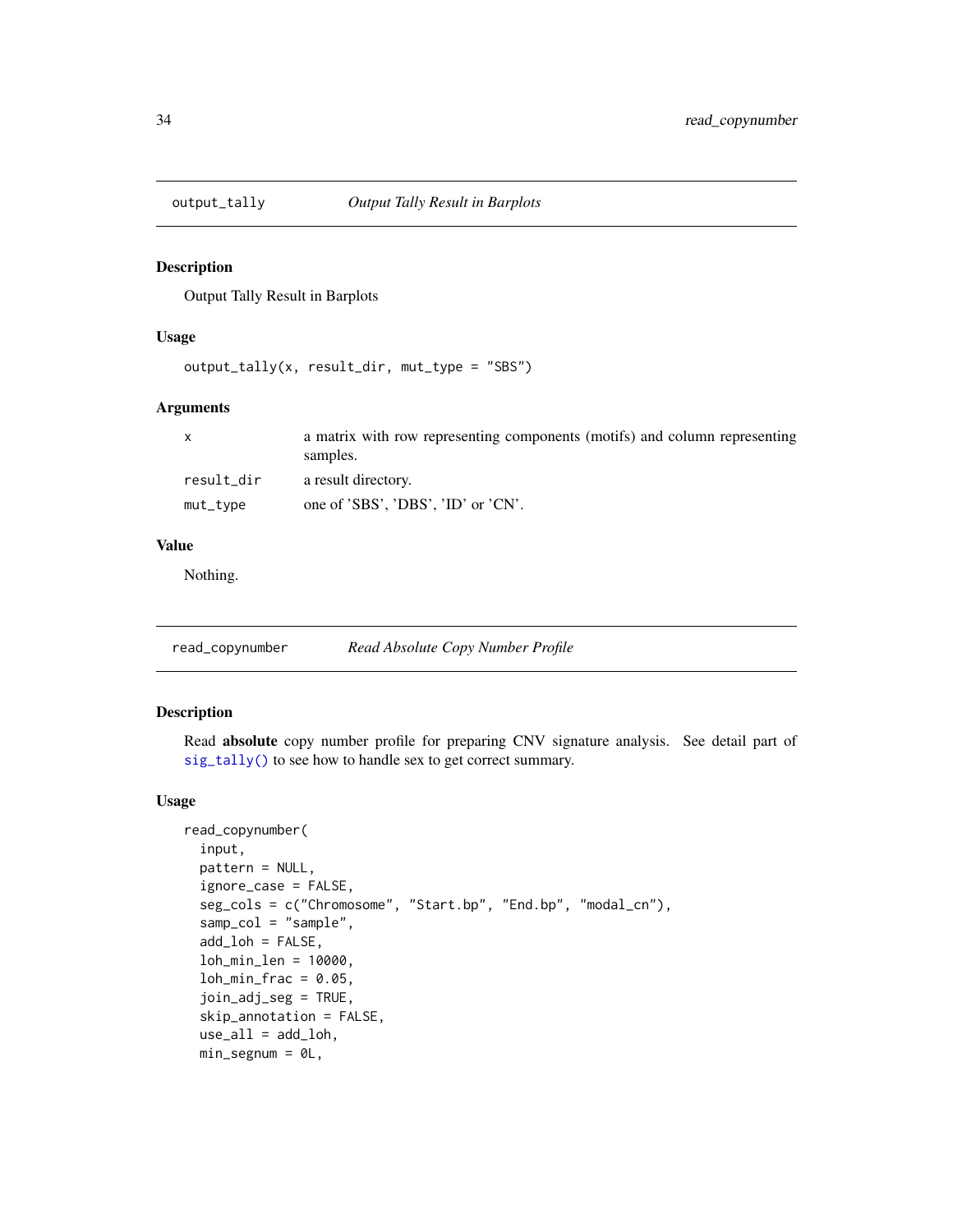<span id="page-33-0"></span>

Output Tally Result in Barplots

#### Usage

```
output_tally(x, result_dir, mut_type = "SBS")
```
# Arguments

| $\mathsf{x}$ | a matrix with row representing components (motifs) and column representing<br>samples. |
|--------------|----------------------------------------------------------------------------------------|
| result_dir   | a result directory.                                                                    |
| $mut\_type$  | one of 'SBS', 'DBS', 'ID' or 'CN'.                                                     |

#### Value

Nothing.

read\_copynumber *Read Absolute Copy Number Profile*

# Description

Read absolute copy number profile for preparing CNV signature analysis. See detail part of [sig\\_tally\(\)](#page-99-1) to see how to handle sex to get correct summary.

#### Usage

```
read_copynumber(
  input,
 pattern = NULL,
  ignore_case = FALSE,
  seg_cols = c("Chromosome", "Start.bp", "End.bp", "modal_cn"),
  samp_col = "sample",
  add_loh = FALSE,
  loh_min_len = 10000,
  loh\_min\_frac = 0.05,
  join_adj_seg = TRUE,
  skip_annotation = FALSE,
  use\_all = add\_loh,min\_segnum = 0L,
```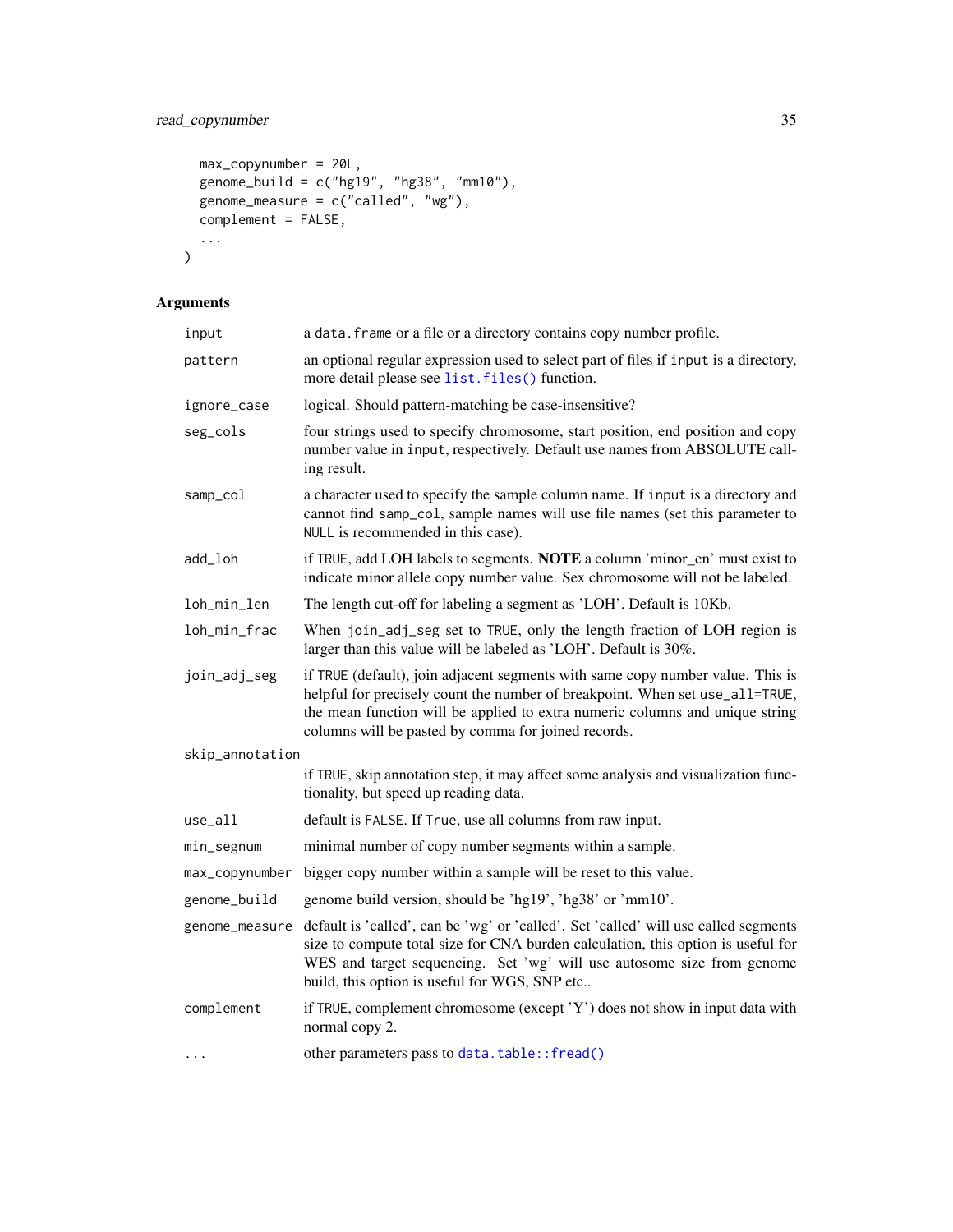# read\_copynumber 35

```
max_copynumber = 20L,genome\_build = c("hg19", "hg38", "mm10"),genome_measure = c("called", "wg"),complement = FALSE,
  ...
\mathcal{L}
```
# Arguments

| input           | a data. frame or a file or a directory contains copy number profile.                                                                                                                                                                                                                                  |
|-----------------|-------------------------------------------------------------------------------------------------------------------------------------------------------------------------------------------------------------------------------------------------------------------------------------------------------|
| pattern         | an optional regular expression used to select part of files if input is a directory,<br>more detail please see list. files () function.                                                                                                                                                               |
| ignore_case     | logical. Should pattern-matching be case-insensitive?                                                                                                                                                                                                                                                 |
| seg_cols        | four strings used to specify chromosome, start position, end position and copy<br>number value in input, respectively. Default use names from ABSOLUTE call-<br>ing result.                                                                                                                           |
| samp_col        | a character used to specify the sample column name. If input is a directory and<br>cannot find samp_co1, sample names will use file names (set this parameter to<br>NULL is recommended in this case).                                                                                                |
| add_loh         | if TRUE, add LOH labels to segments. NOTE a column 'minor_cn' must exist to<br>indicate minor allele copy number value. Sex chromosome will not be labeled.                                                                                                                                           |
| loh_min_len     | The length cut-off for labeling a segment as 'LOH'. Default is 10Kb.                                                                                                                                                                                                                                  |
| loh_min_frac    | When join_adj_seg set to TRUE, only the length fraction of LOH region is<br>larger than this value will be labeled as 'LOH'. Default is 30%.                                                                                                                                                          |
| join_adj_seg    | if TRUE (default), join adjacent segments with same copy number value. This is<br>helpful for precisely count the number of breakpoint. When set use_all=TRUE,<br>the mean function will be applied to extra numeric columns and unique string<br>columns will be pasted by comma for joined records. |
| skip_annotation |                                                                                                                                                                                                                                                                                                       |
|                 | if TRUE, skip annotation step, it may affect some analysis and visualization func-<br>tionality, but speed up reading data.                                                                                                                                                                           |
| use_all         | default is FALSE. If True, use all columns from raw input.                                                                                                                                                                                                                                            |
| min_segnum      | minimal number of copy number segments within a sample.                                                                                                                                                                                                                                               |
| max_copynumber  | bigger copy number within a sample will be reset to this value.                                                                                                                                                                                                                                       |
| genome_build    | genome build version, should be 'hg19', 'hg38' or 'mm10'.                                                                                                                                                                                                                                             |
| genome_measure  | default is 'called', can be 'wg' or 'called'. Set 'called' will use called segments<br>size to compute total size for CNA burden calculation, this option is useful for<br>WES and target sequencing. Set 'wg' will use autosome size from genome<br>build, this option is useful for WGS, SNP etc    |
| complement      | if TRUE, complement chromosome (except 'Y') does not show in input data with<br>normal copy 2.                                                                                                                                                                                                        |
| .               | other parameters pass to data.table::fread()                                                                                                                                                                                                                                                          |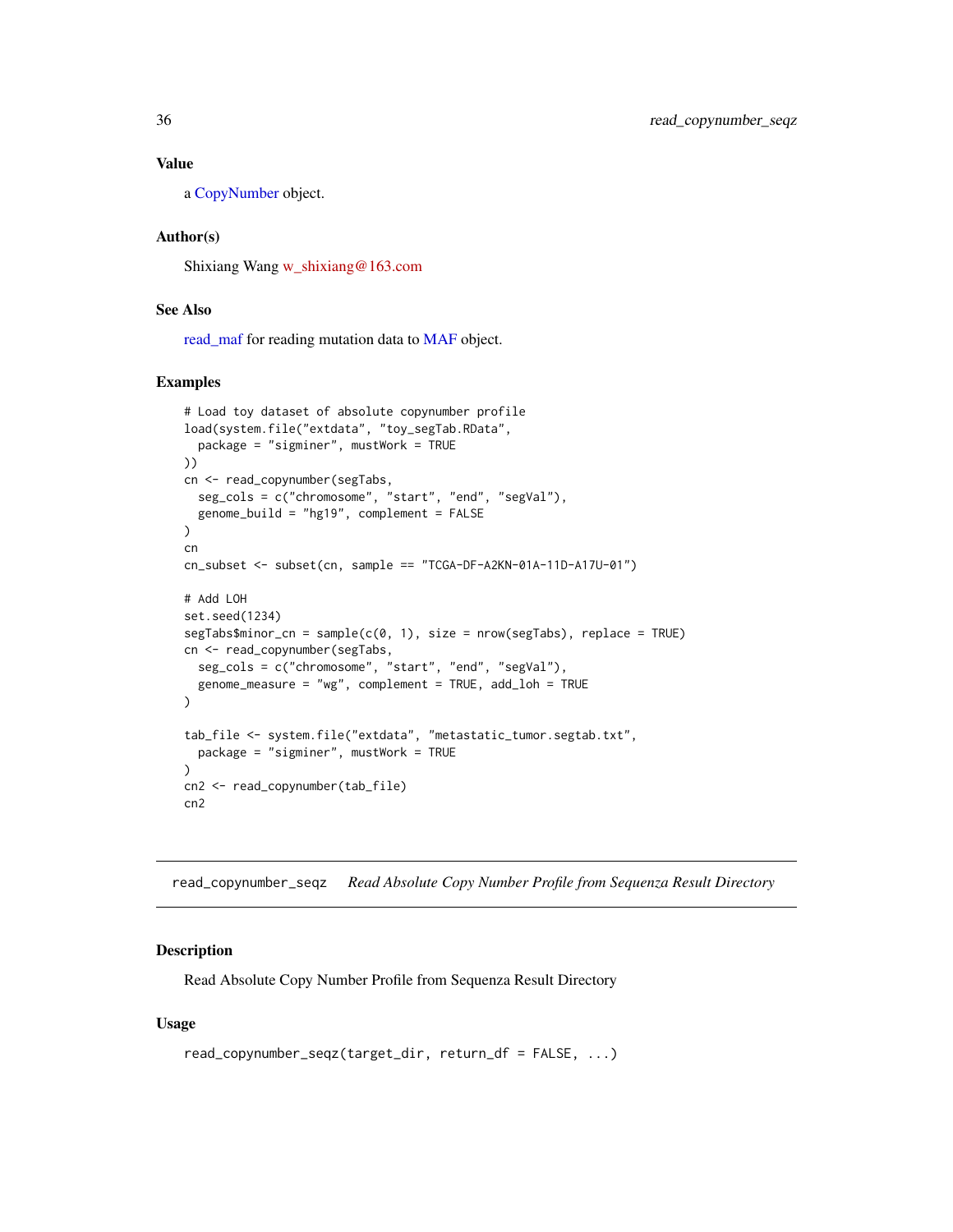#### <span id="page-35-0"></span>Value

a [CopyNumber](#page-9-1) object.

#### Author(s)

Shixiang Wang [w\\_shixiang@163.com](mailto:w_shixiang@163.com)

# See Also

[read\\_maf](#page-36-1) for reading mutation data to [MAF](#page-31-1) object.

#### Examples

```
# Load toy dataset of absolute copynumber profile
load(system.file("extdata", "toy_segTab.RData",
  package = "sigminer", mustWork = TRUE
))
cn <- read_copynumber(segTabs,
  seg_cols = c("chromosome", "start", "end", "segVal"),
  genome_build = "hg19", complement = FALSE
)
cn
cn_subset <- subset(cn, sample == "TCGA-DF-A2KN-01A-11D-A17U-01")
# Add LOH
set.seed(1234)
segTabs$minor_cn = sample(c(0, 1), size = nrow(segTabs), replace = TRUE)cn <- read_copynumber(segTabs,
  seg_cols = c("chromosome", "start", "end", "segVal"),
  genome_measure = "wg", complement = TRUE, add_loh = TRUE
)
tab_file <- system.file("extdata", "metastatic_tumor.segtab.txt",
  package = "sigminer", mustWork = TRUE
\lambdacn2 <- read_copynumber(tab_file)
cn2
```
read\_copynumber\_seqz *Read Absolute Copy Number Profile from Sequenza Result Directory*

#### Description

Read Absolute Copy Number Profile from Sequenza Result Directory

#### Usage

```
read_copynumber_seqz(target_dir, return_df = FALSE, ...)
```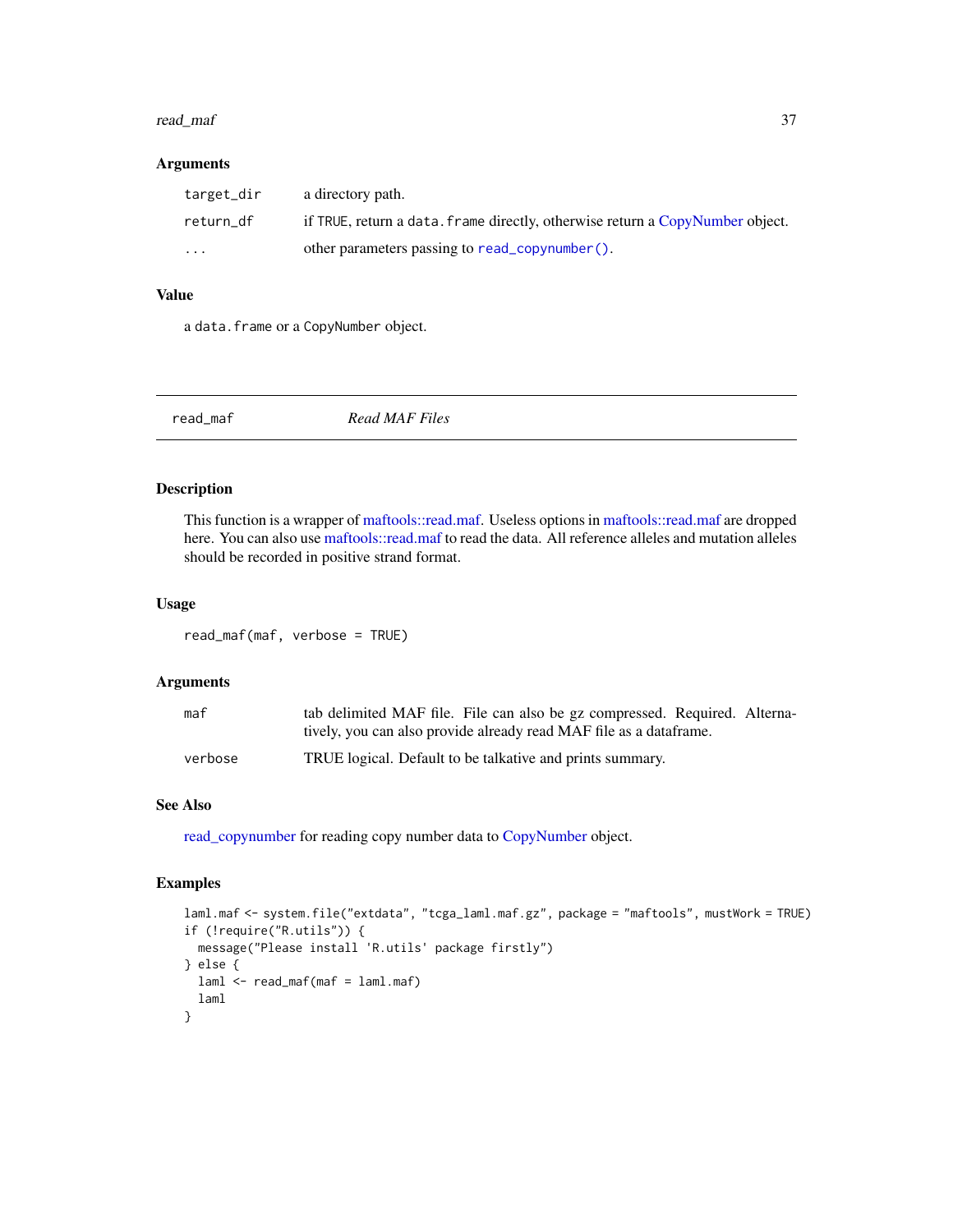#### read\_maf 37

### Arguments

| target_dir | a directory path.                                                             |
|------------|-------------------------------------------------------------------------------|
| return df  | if TRUE, return a data. frame directly, otherwise return a CopyNumber object. |
| $\cdots$   | other parameters passing to read_copynumber().                                |

## Value

a data.frame or a CopyNumber object.

<span id="page-36-0"></span>

| read_maf | Read MAF Files |  |
|----------|----------------|--|
|          |                |  |

## Description

This function is a wrapper of [maftools::read.maf.](#page-0-0) Useless options in [maftools::read.maf](#page-0-0) are dropped here. You can also use [maftools::read.maf](#page-0-0) to read the data. All reference alleles and mutation alleles should be recorded in positive strand format.

#### Usage

read\_maf(maf, verbose = TRUE)

#### Arguments

| maf     | tab delimited MAF file. File can also be gz compressed. Required. Alterna- |
|---------|----------------------------------------------------------------------------|
|         | tively, you can also provide already read MAF file as a data frame.        |
| verbose | TRUE logical. Default to be talkative and prints summary.                  |

## See Also

[read\\_copynumber](#page-33-0) for reading copy number data to [CopyNumber](#page-9-0) object.

```
laml.maf <- system.file("extdata", "tcga_laml.maf.gz", package = "maftools", mustWork = TRUE)
if (!require("R.utils")) {
  message("Please install 'R.utils' package firstly")
} else {
  laml <- read_maf(maf = laml.maf)
  laml
}
```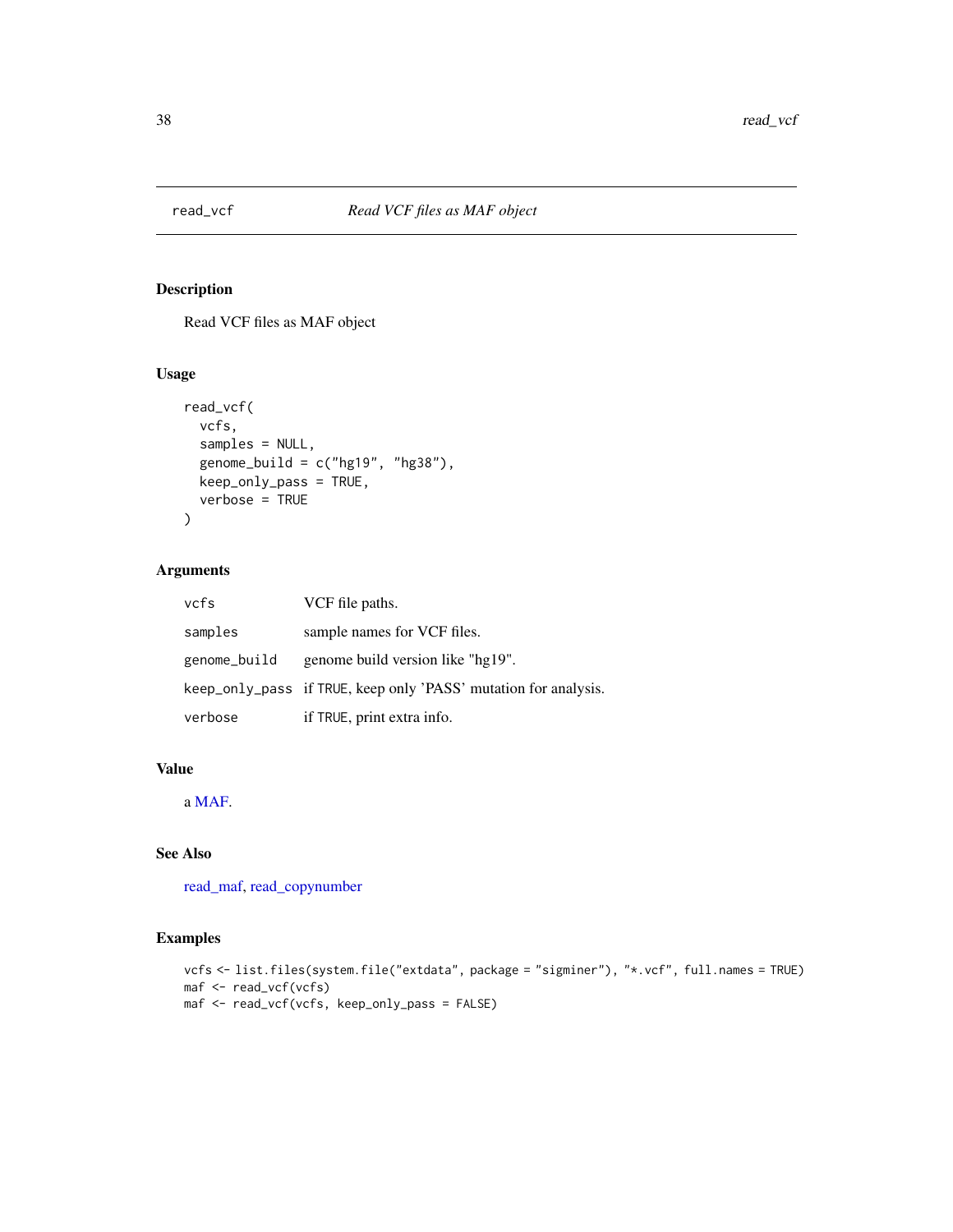## Description

Read VCF files as MAF object

## Usage

```
read_vcf(
  vcfs,
  samples = NULL,
  genome\_build = c("hg19", "hg38"),
 keep_only_pass = TRUE,
 verbose = TRUE
)
```
## Arguments

| vcfs         | VCF file paths.                                                 |
|--------------|-----------------------------------------------------------------|
| samples      | sample names for VCF files.                                     |
| genome_build | genome build version like "hg19".                               |
|              | keep_only_pass if TRUE, keep only 'PASS' mutation for analysis. |
| verbose      | if TRUE, print extra info.                                      |

## Value

a [MAF.](#page-31-0)

## See Also

[read\\_maf,](#page-36-0) [read\\_copynumber](#page-33-0)

```
vcfs <- list.files(system.file("extdata", package = "sigminer"), "*.vcf", full.names = TRUE)
maf <- read_vcf(vcfs)
maf <- read_vcf(vcfs, keep_only_pass = FALSE)
```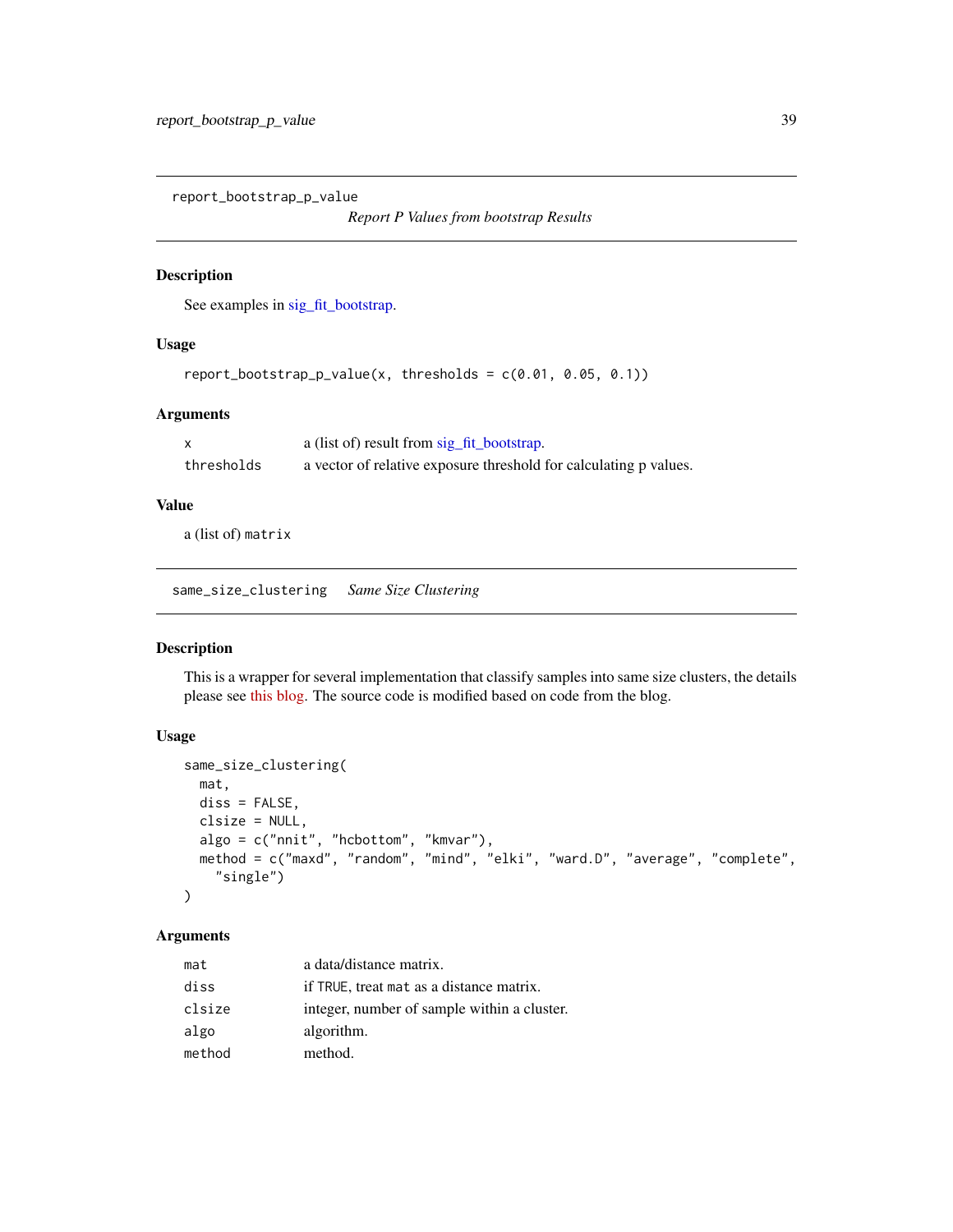report\_bootstrap\_p\_value

*Report P Values from bootstrap Results*

## Description

See examples in [sig\\_fit\\_bootstrap.](#page-94-0)

### Usage

```
report_bootstrap_p_value(x, thresholds = c(0.01, 0.05, 0.1))
```
#### Arguments

|            | a (list of) result from sig_fit_bootstrap.                        |
|------------|-------------------------------------------------------------------|
| thresholds | a vector of relative exposure threshold for calculating p values. |

## Value

a (list of) matrix

same\_size\_clustering *Same Size Clustering*

#### Description

This is a wrapper for several implementation that classify samples into same size clusters, the details please see [this blog.](http://jmonlong.github.io/Hippocamplus/2018/06/09/cluster-same-size/) The source code is modified based on code from the blog.

## Usage

```
same_size_clustering(
 mat,
 diss = FALSE,
  clsize = NULL,
  algo = c("nnit", "hcbottom", "kmvar"),
 method = c("maxd", "random", "mind", "elki", "ward.D", "average", "complete",
    "single")
)
```

| mat    | a data/distance matrix.                     |
|--------|---------------------------------------------|
| diss   | if TRUE, treat mat as a distance matrix.    |
| clsize | integer, number of sample within a cluster. |
| algo   | algorithm.                                  |
| method | method.                                     |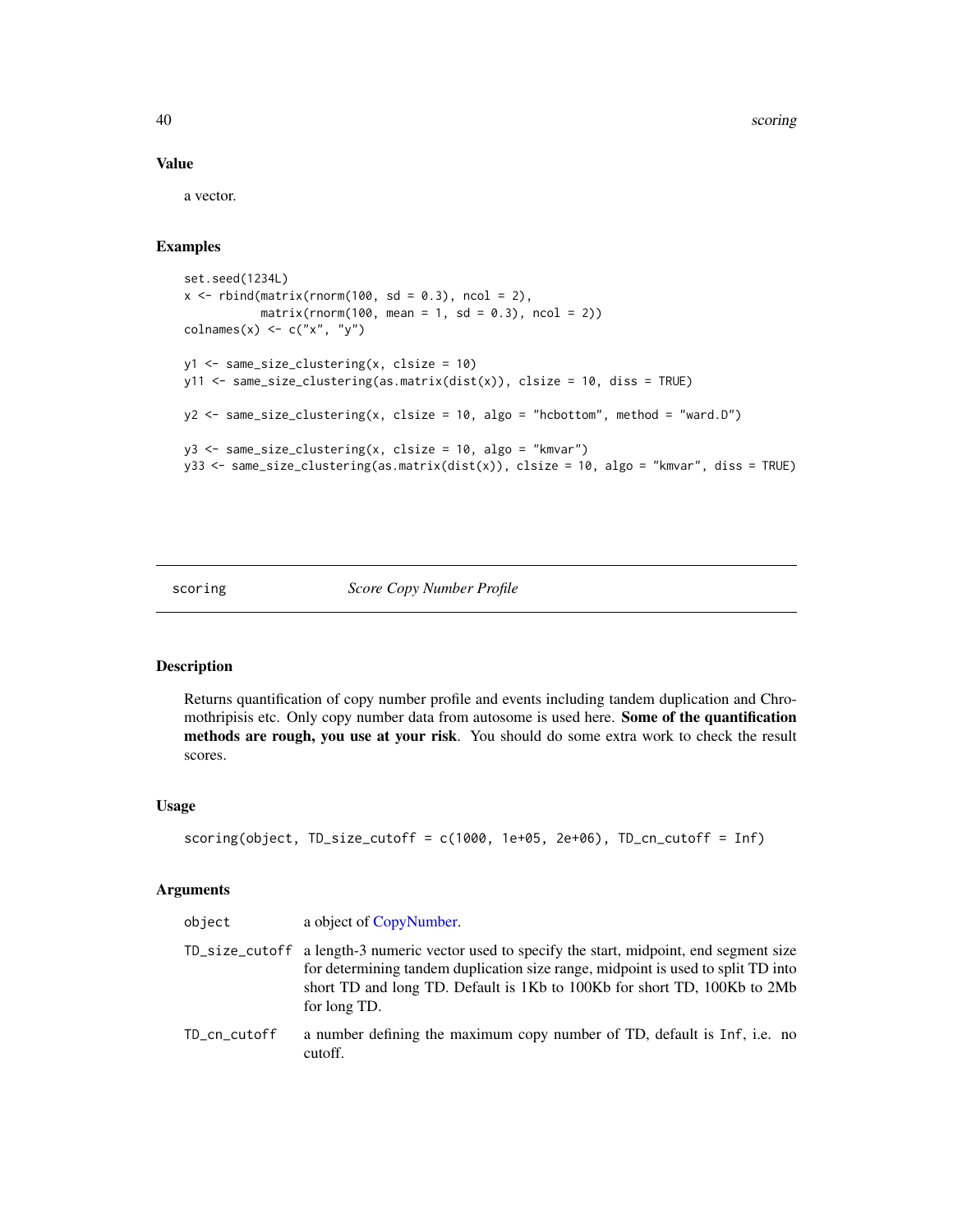40 scoring and the second second second second second second second second second second second second second second second second second second second second second second second second second second second second second

#### Value

a vector.

### Examples

```
set.seed(1234L)
x \le rbind(matrix(rnorm(100, sd = 0.3), ncol = 2),
           matrix(rnorm(100, mean = 1, sd = 0.3), ncol = 2))\text{colnames}(x) \leftarrow c("x", "y")y1 <- same_size_clustering(x, clsize = 10)
y11 \le same_size_clustering(as.matrix(dist(x)), clsize = 10, diss = TRUE)
y2 \leq - same_size_clustering(x, clsize = 10, algo = "hcbottom", method = "ward.D")
y3 <- same_size_clustering(x, clsize = 10, algo = "kmvar")
y33 <- same_size_clustering(as.matrix(dist(x)), clsize = 10, algo = "kmvar", diss = TRUE)
```
scoring *Score Copy Number Profile*

## Description

Returns quantification of copy number profile and events including tandem duplication and Chromothripisis etc. Only copy number data from autosome is used here. Some of the quantification methods are rough, you use at your risk. You should do some extra work to check the result scores.

## Usage

```
scoring(object, TD_size_cutoff = c(1000, 1e+05, 2e+06), TD_cn_cutoff = Inf)
```

| object       | a object of CopyNumber.                                                                                                                                                                                                                                                        |
|--------------|--------------------------------------------------------------------------------------------------------------------------------------------------------------------------------------------------------------------------------------------------------------------------------|
|              | TD_size_cutoff a length-3 numeric vector used to specify the start, midpoint, end segment size<br>for determining tandem duplication size range, midpoint is used to split TD into<br>short TD and long TD. Default is 1Kb to 100Kb for short TD, 100Kb to 2Mb<br>for long TD. |
| TD_cn_cutoff | a number defining the maximum copy number of TD, default is Inf, i.e. no<br>cutoff.                                                                                                                                                                                            |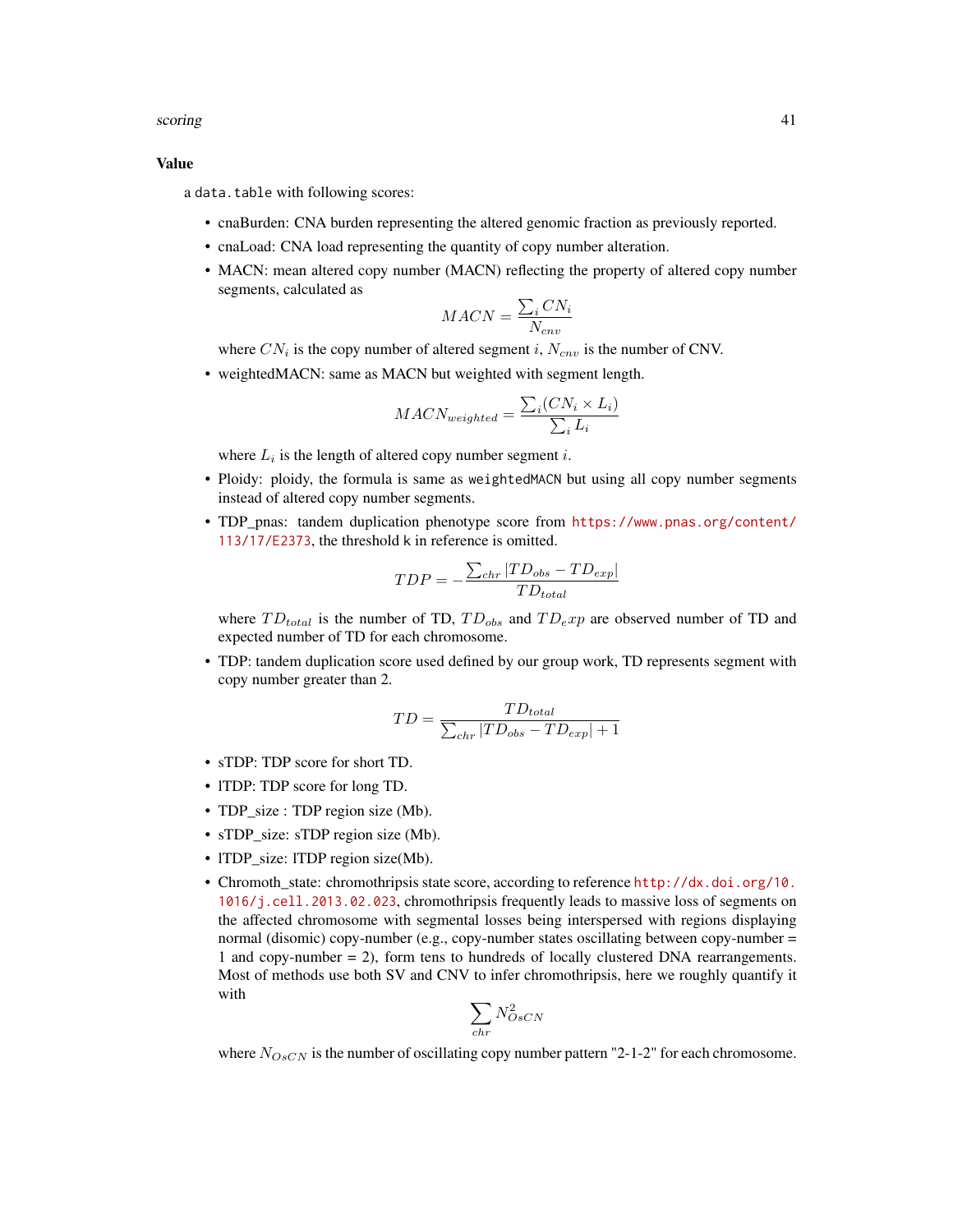#### scoring the set of the set of the set of the set of the set of the set of the set of the set of the set of the set of the set of the set of the set of the set of the set of the set of the set of the set of the set of the s

#### Value

a data.table with following scores:

- cnaBurden: CNA burden representing the altered genomic fraction as previously reported.
- cnaLoad: CNA load representing the quantity of copy number alteration.
- MACN: mean altered copy number (MACN) reflecting the property of altered copy number segments, calculated as

$$
MACN = \frac{\sum_{i} CN_{i}}{N_{env}}
$$

where  $CN_i$  is the copy number of altered segment i,  $N_{env}$  is the number of CNV.

• weightedMACN: same as MACN but weighted with segment length.

$$
MACN_{weighted} = \frac{\sum_{i}(CN_i \times L_i)}{\sum_{i} L_i}
$$

where  $L_i$  is the length of altered copy number segment i.

- Ploidy: ploidy, the formula is same as weightedMACN but using all copy number segments instead of altered copy number segments.
- TDP\_pnas: tandem duplication phenotype score from [https://www.pnas.org/content/](https://www.pnas.org/content/113/17/E2373) [113/17/E2373](https://www.pnas.org/content/113/17/E2373), the threshold k in reference is omitted.

$$
TDP = -\frac{\sum_{chr} | TD_{obs} - TD_{exp}|}{TD_{total}}
$$

where  $TD_{total}$  is the number of TD,  $TD_{obs}$  and  $TD_{e}xp$  are observed number of TD and expected number of TD for each chromosome.

• TDP: tandem duplication score used defined by our group work, TD represents segment with copy number greater than 2.

$$
TD = \frac{TD_{total}}{\sum_{chr} |TD_{obs} - TD_{exp}| + 1}
$$

- sTDP: TDP score for short TD.
- lTDP: TDP score for long TD.
- TDP\_size : TDP region size (Mb).
- sTDP\_size: sTDP region size (Mb).
- ITDP size: ITDP region size(Mb).
- Chromoth state: chromothripsis state score, according to reference [http://dx.doi.org/10.](http://dx.doi.org/10.1016/j.cell.2013.02.023) [1016/j.cell.2013.02.023](http://dx.doi.org/10.1016/j.cell.2013.02.023), chromothripsis frequently leads to massive loss of segments on the affected chromosome with segmental losses being interspersed with regions displaying normal (disomic) copy-number (e.g., copy-number states oscillating between copy-number = 1 and copy-number = 2), form tens to hundreds of locally clustered DNA rearrangements. Most of methods use both SV and CNV to infer chromothripsis, here we roughly quantify it with

$$
\sum_{chr} N_{OsCN}^2
$$

where  $N_{OsCN}$  is the number of oscillating copy number pattern "2-1-2" for each chromosome.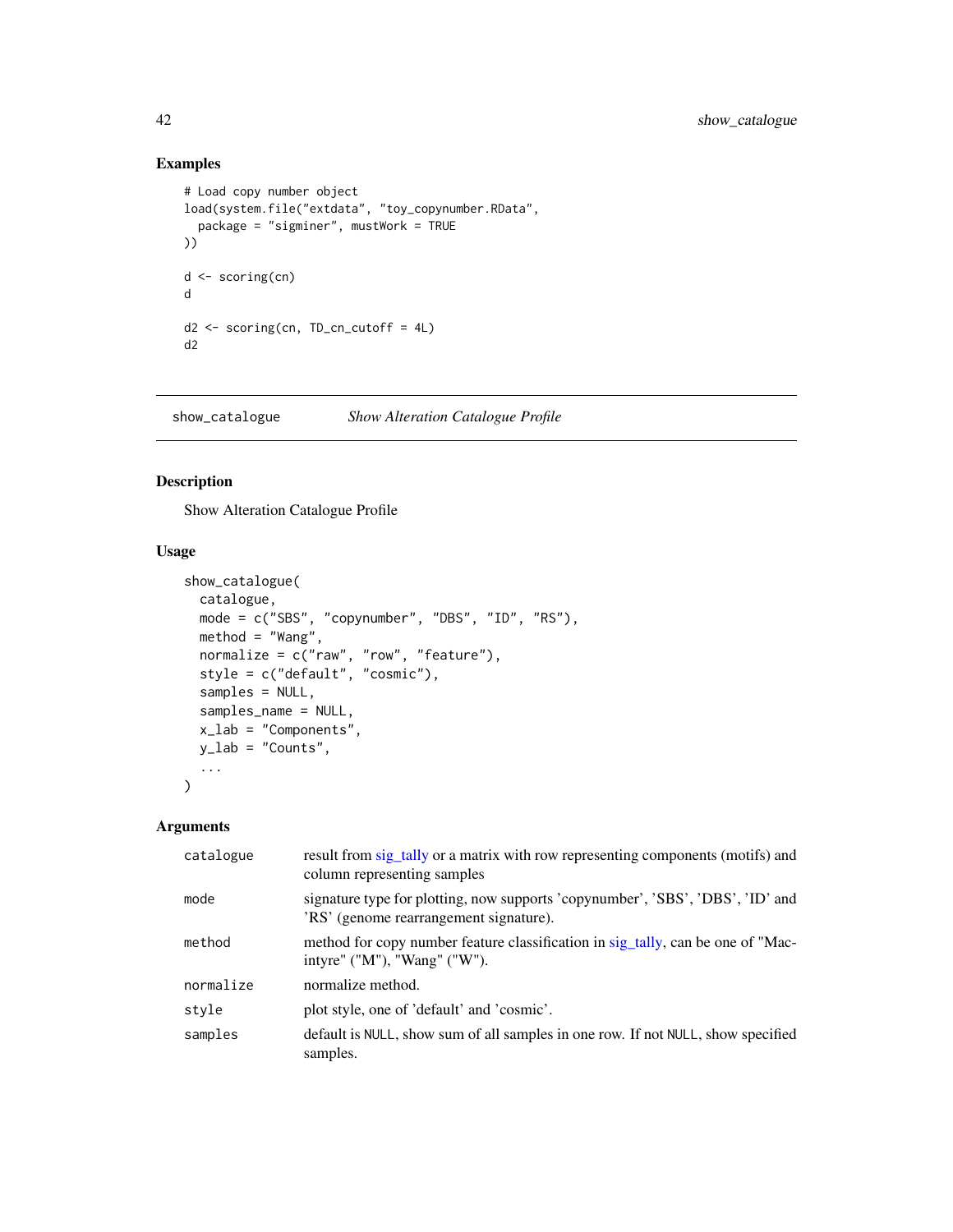## Examples

```
# Load copy number object
load(system.file("extdata", "toy_copynumber.RData",
  package = "sigminer", mustWork = TRUE
))
d <- scoring(cn)
d
d2 <- scoring(cn, TD_cn_cutoff = 4L)
d2
```
show\_catalogue *Show Alteration Catalogue Profile*

## Description

Show Alteration Catalogue Profile

#### Usage

```
show_catalogue(
 catalogue,
 mode = c("SBS", "copynumber", "DBS", "ID", "RS"),
 method = "Wang",
  normalize = c("raw", "row", "feature"),
  style = c("default", "cosmic"),
  samples = NULL,
  samples_name = NULL,
  x_lab = "Components",
 y_lab = "Counts",
  ...
\lambda
```

| catalogue | result from sig_tally or a matrix with row representing components (motifs) and<br>column representing samples           |
|-----------|--------------------------------------------------------------------------------------------------------------------------|
| mode      | signature type for plotting, now supports 'copynumber', 'SBS', 'DBS', 'ID' and<br>'RS' (genome rearrangement signature). |
| method    | method for copy number feature classification in sig_tally, can be one of "Mac-<br>intyre" ("M"), "Wang" ("W").          |
| normalize | normalize method.                                                                                                        |
| style     | plot style, one of 'default' and 'cosmic'.                                                                               |
| samples   | default is NULL, show sum of all samples in one row. If not NULL, show specified<br>samples.                             |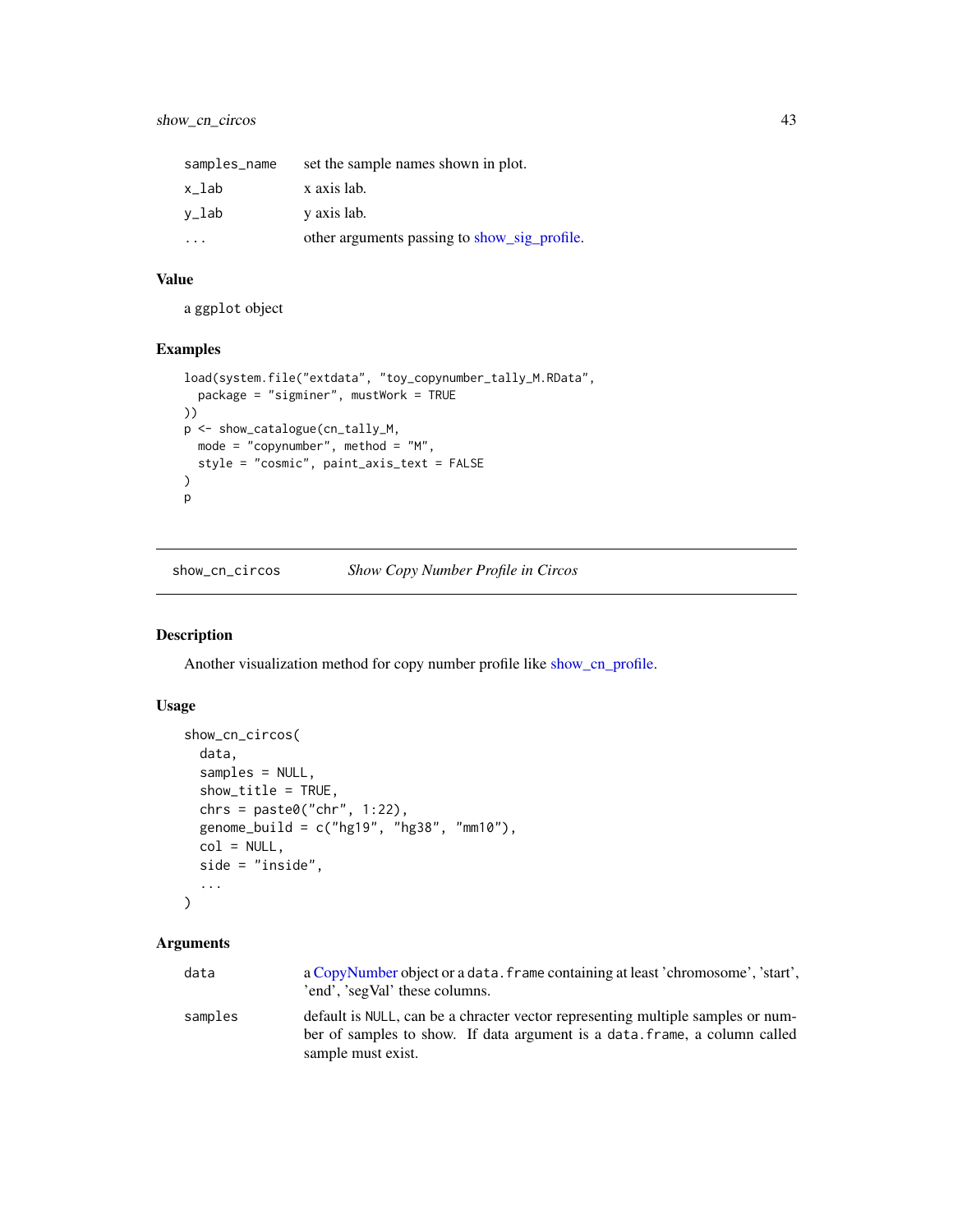| samples_name | set the sample names shown in plot.          |
|--------------|----------------------------------------------|
| x lab        | x axis lab.                                  |
| v_lab        | y axis lab.                                  |
|              | other arguments passing to show_sig_profile. |

a ggplot object

## Examples

```
load(system.file("extdata", "toy_copynumber_tally_M.RData",
  package = "sigminer", mustWork = TRUE
))
p <- show_catalogue(cn_tally_M,
 mode = "copynumber", method = "M",
  style = "cosmic", paint_axis_text = FALSE
\mathcal{L}p
```
show\_cn\_circos *Show Copy Number Profile in Circos*

### Description

Another visualization method for copy number profile like [show\\_cn\\_profile.](#page-50-0)

## Usage

```
show_cn_circos(
 data,
  samples = NULL,
 show_title = TRUE,
 chrs = paste0("chr", 1:22),genome_build = c("hg19", "hg38", "mm10"),
 col = NULL,side = "inside",
  ...
)
```

| data    | a CopyNumber object or a data, frame containing at least 'chromosome', 'start',<br>'end', 'segVal' these columns.                                                                   |
|---------|-------------------------------------------------------------------------------------------------------------------------------------------------------------------------------------|
| samples | default is NULL, can be a chracter vector representing multiple samples or num-<br>ber of samples to show. If data argument is a data, frame, a column called<br>sample must exist. |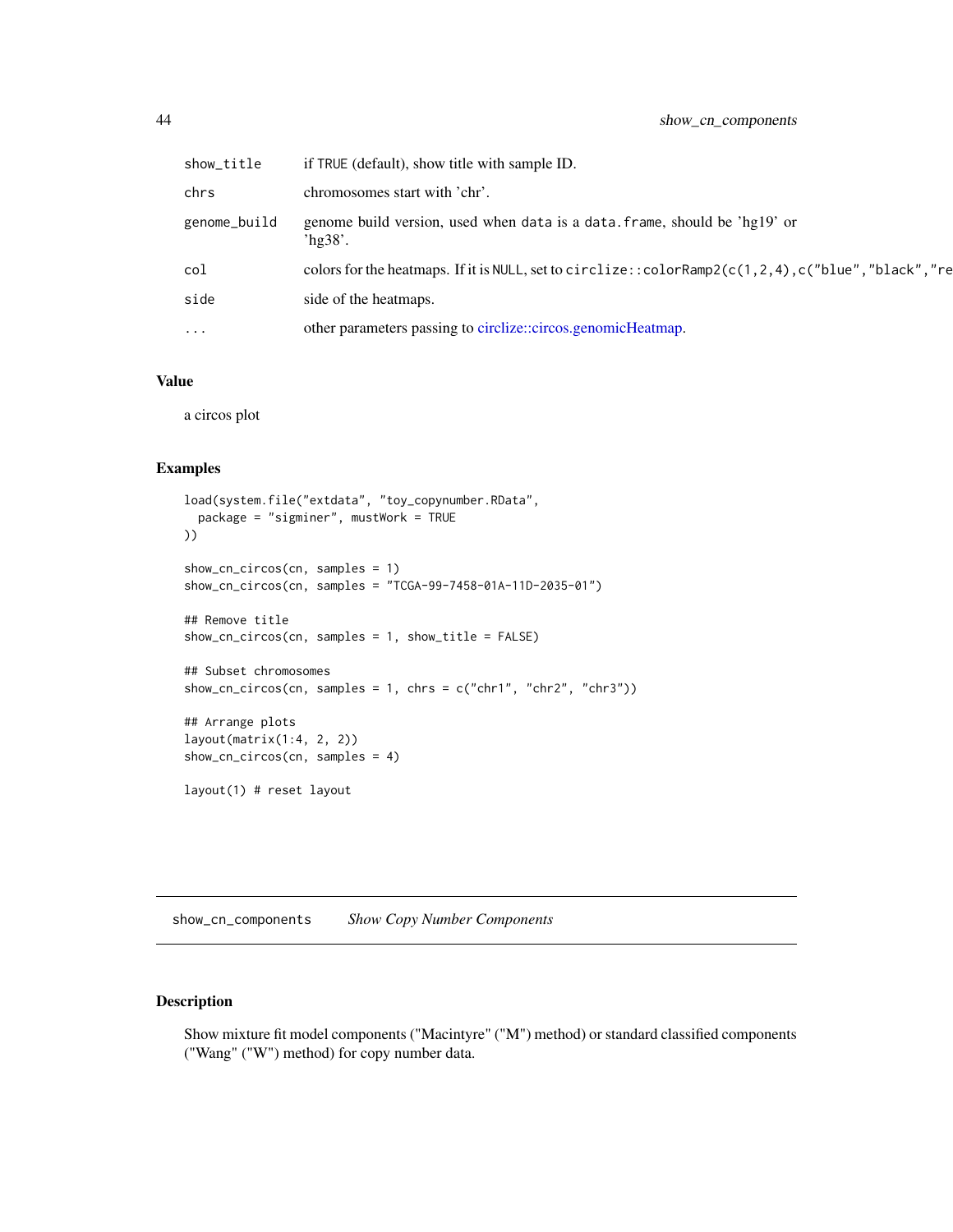| show_title   | if TRUE (default), show title with sample ID.                                                     |
|--------------|---------------------------------------------------------------------------------------------------|
| chrs         | chromosomes start with 'chr'.                                                                     |
| genome_build | genome build version, used when data is a data. frame, should be 'hg19' or<br>hg38'.              |
| col          | colors for the heatmaps. If it is NULL, set to circlize::colorRamp2(c(1,2,4),c("blue","black","re |
| side         | side of the heatmaps.                                                                             |
| $\cdots$     | other parameters passing to circlize::circos.genomicHeatmap.                                      |

a circos plot

### Examples

```
load(system.file("extdata", "toy_copynumber.RData",
  package = "sigminer", mustWork = TRUE
))
show_cn_circos(cn, samples = 1)
show_cn_circos(cn, samples = "TCGA-99-7458-01A-11D-2035-01")
## Remove title
show_cn_circos(cn, samples = 1, show_title = FALSE)
## Subset chromosomes
show_cn_circos(cn, samples = 1, chrs = c("chr1", "chr2", "chr3"))## Arrange plots
layout(matrix(1:4, 2, 2))
show_cn_circos(cn, samples = 4)
layout(1) # reset layout
```
show\_cn\_components *Show Copy Number Components*

### Description

Show mixture fit model components ("Macintyre" ("M") method) or standard classified components ("Wang" ("W") method) for copy number data.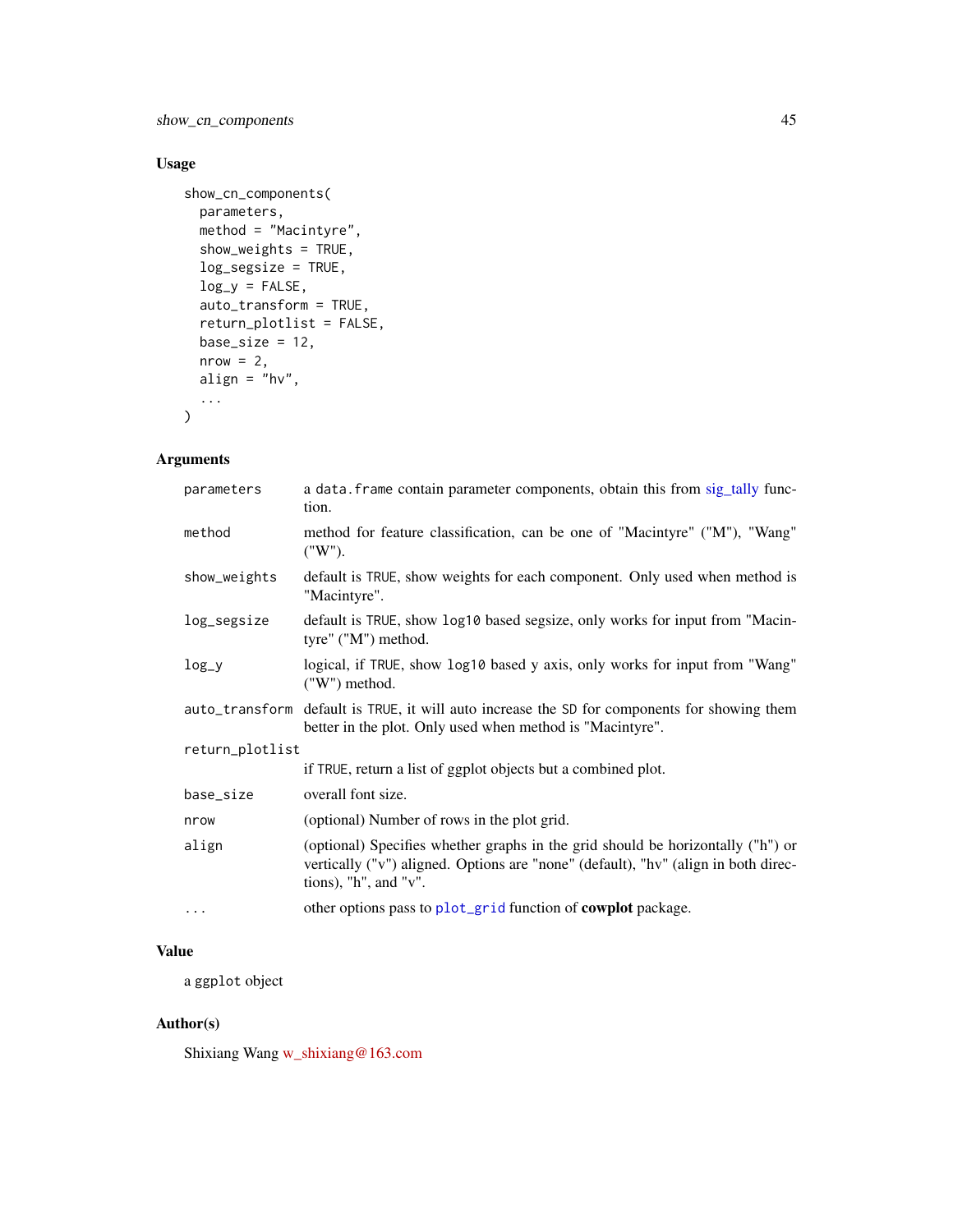show\_cn\_components 45

# Usage

```
show_cn_components(
 parameters,
 method = "Macintyre",
 show_weights = TRUE,
 log_segsize = TRUE,
 log_y = FALSE,
 auto_transform = TRUE,
 return_plotlist = FALSE,
 base_size = 12,
 nrow = 2,
 align = "hv",
  ...
\mathcal{L}
```
## Arguments

| parameters      | a data. frame contain parameter components, obtain this from sig_tally func-<br>tion.                                                                                                                  |  |
|-----------------|--------------------------------------------------------------------------------------------------------------------------------------------------------------------------------------------------------|--|
| method          | method for feature classification, can be one of "Macintyre" ("M"), "Wang"<br>("W").                                                                                                                   |  |
| show_weights    | default is TRUE, show weights for each component. Only used when method is<br>"Macintyre".                                                                                                             |  |
| log_segsize     | default is TRUE, show log10 based segsize, only works for input from "Macin-<br>tyre" ("M") method.                                                                                                    |  |
| $log_y$         | logical, if TRUE, show log10 based y axis, only works for input from "Wang"<br>("W") method.                                                                                                           |  |
|                 | auto_transform default is TRUE, it will auto increase the SD for components for showing them<br>better in the plot. Only used when method is "Macintyre".                                              |  |
| return_plotlist |                                                                                                                                                                                                        |  |
|                 | if TRUE, return a list of ggplot objects but a combined plot.                                                                                                                                          |  |
| base_size       | overall font size.                                                                                                                                                                                     |  |
| nrow            | (optional) Number of rows in the plot grid.                                                                                                                                                            |  |
| align           | (optional) Specifies whether graphs in the grid should be horizontally ("h") or<br>vertically ("v") aligned. Options are "none" (default), "hv" (align in both direc-<br>tions), " $h$ ", and " $v$ ". |  |
| $\cdots$        | other options pass to plot_grid function of <b>cowplot</b> package.                                                                                                                                    |  |

# Value

a ggplot object

## Author(s)

Shixiang Wang [w\\_shixiang@163.com](mailto:w_shixiang@163.com)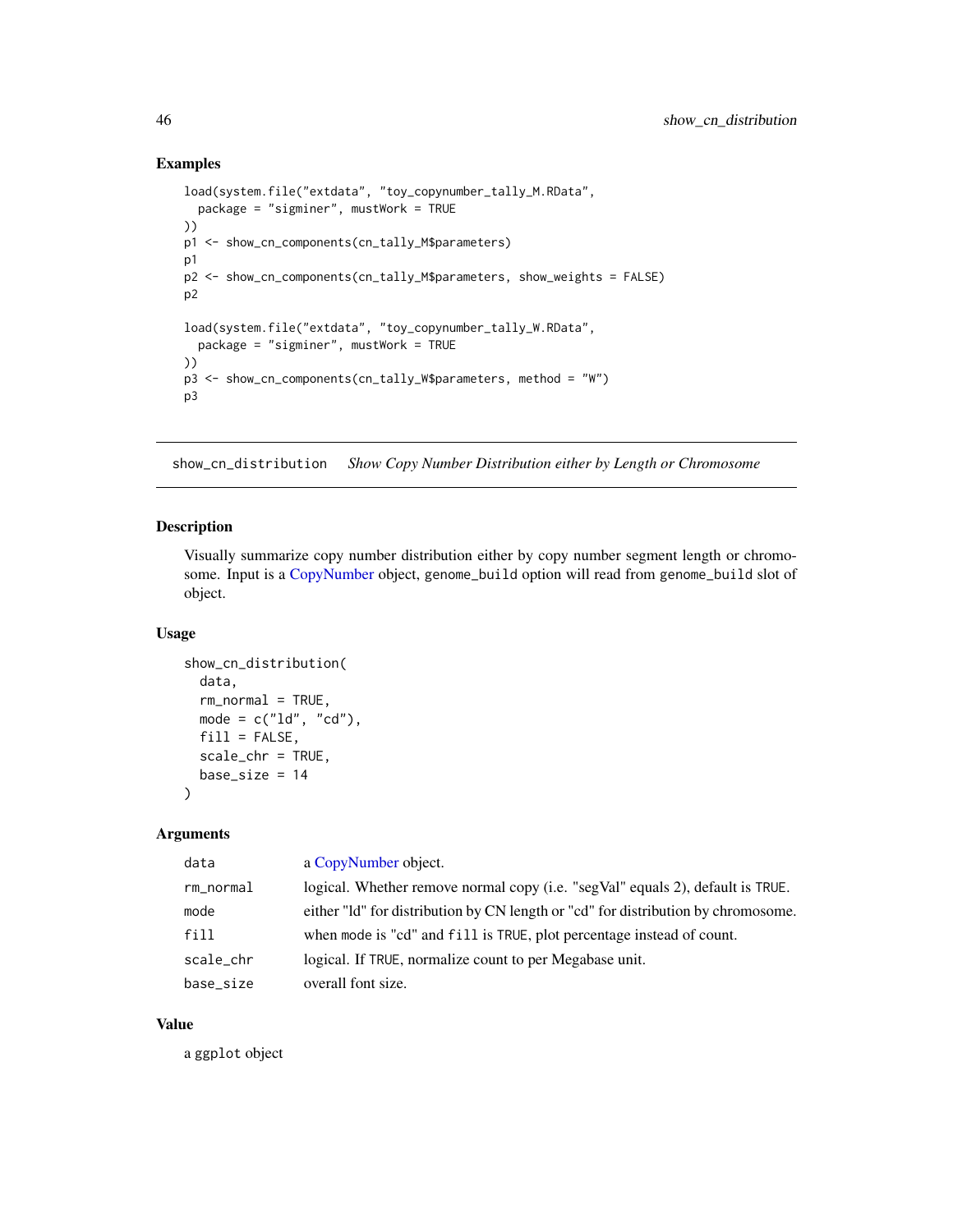### Examples

```
load(system.file("extdata", "toy_copynumber_tally_M.RData",
  package = "sigminer", mustWork = TRUE
))
p1 <- show_cn_components(cn_tally_M$parameters)
p1
p2 <- show_cn_components(cn_tally_M$parameters, show_weights = FALSE)
p2
load(system.file("extdata", "toy_copynumber_tally_W.RData",
  package = "sigminer", mustWork = TRUE
))
p3 <- show_cn_components(cn_tally_W$parameters, method = "W")
p3
```
show\_cn\_distribution *Show Copy Number Distribution either by Length or Chromosome*

#### Description

Visually summarize copy number distribution either by copy number segment length or chromosome. Input is a [CopyNumber](#page-9-0) object, genome\_build option will read from genome\_build slot of object.

## Usage

```
show_cn_distribution(
 data,
 rm_normal = TRUE,
 mode = c("ld", "cd"),
 fill = FALSE,scale_chr = TRUE,
 base_size = 14
\lambda
```
#### Arguments

| data      | a CopyNumber object.                                                              |
|-----------|-----------------------------------------------------------------------------------|
| rm_normal | logical. Whether remove normal copy (i.e. "segVal" equals 2), default is TRUE.    |
| mode      | either "Id" for distribution by CN length or "cd" for distribution by chromosome. |
| fill      | when mode is "cd" and fill is TRUE, plot percentage instead of count.             |
| scale_chr | logical. If TRUE, normalize count to per Megabase unit.                           |
| base size | overall font size.                                                                |

### Value

a ggplot object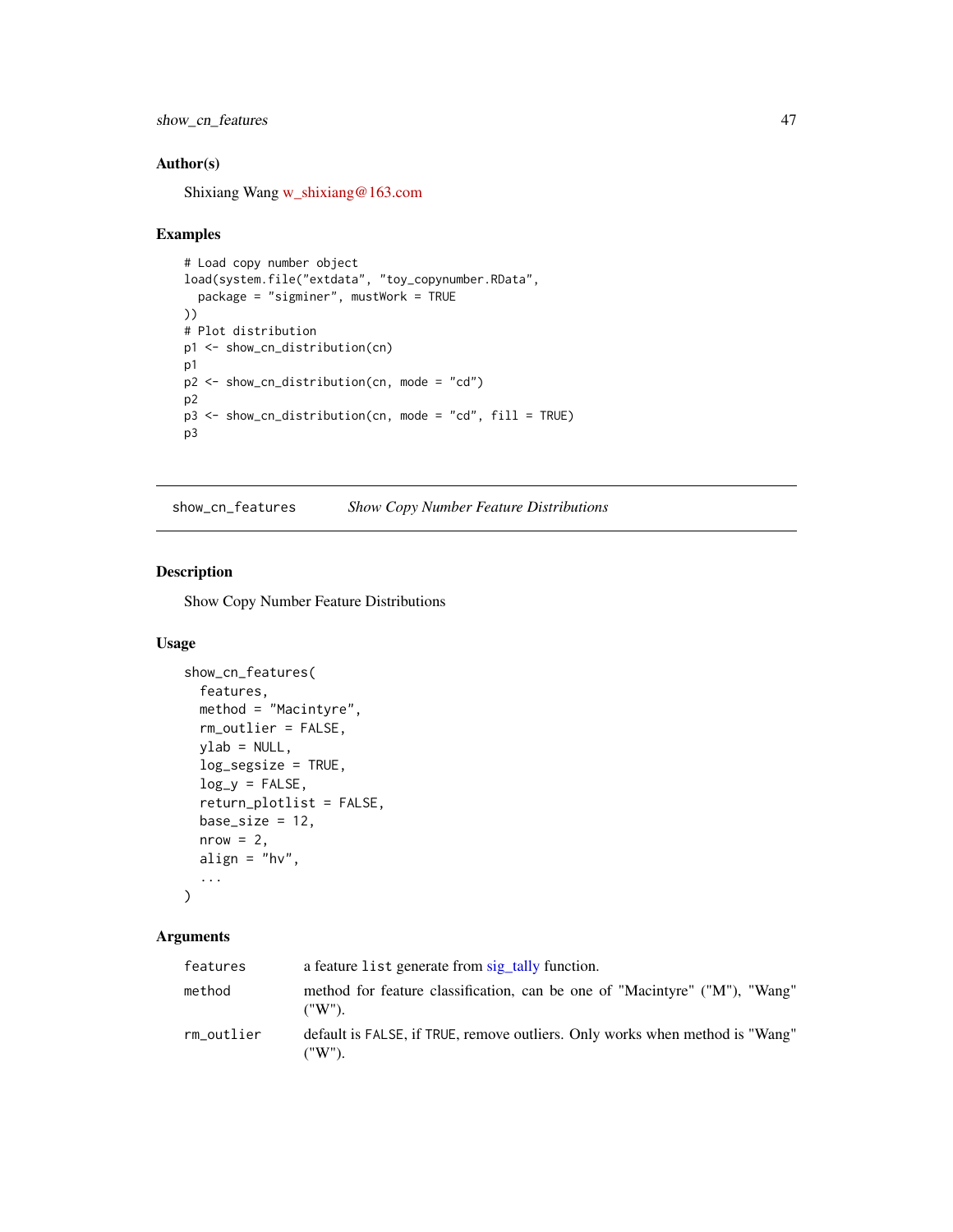show\_cn\_features 47

## Author(s)

Shixiang Wang [w\\_shixiang@163.com](mailto:w_shixiang@163.com)

#### Examples

```
# Load copy number object
load(system.file("extdata", "toy_copynumber.RData",
  package = "sigminer", mustWork = TRUE
))
# Plot distribution
p1 <- show_cn_distribution(cn)
p1
p2 <- show_cn_distribution(cn, mode = "cd")
p2
p3 <- show_cn_distribution(cn, mode = "cd", fill = TRUE)
p3
```
show\_cn\_features *Show Copy Number Feature Distributions*

## Description

Show Copy Number Feature Distributions

#### Usage

```
show_cn_features(
  features,
 method = "Macintyre",
 rm_outlier = FALSE,
 vlab = NULL,log_segsize = TRUE,
 log_y = FALSE,
  return_plotlist = FALSE,
 base_size = 12,
 nrow = 2,
 align = "hv",
  ...
)
```

| features   | a feature list generate from sig_tally function.                                            |
|------------|---------------------------------------------------------------------------------------------|
| method     | method for feature classification, can be one of "Macintyre" ("M"), "Wang"<br>("W").        |
| rm outlier | default is FALSE, if TRUE, remove outliers. Only works when method is "Wang"<br>$(''W'')$ . |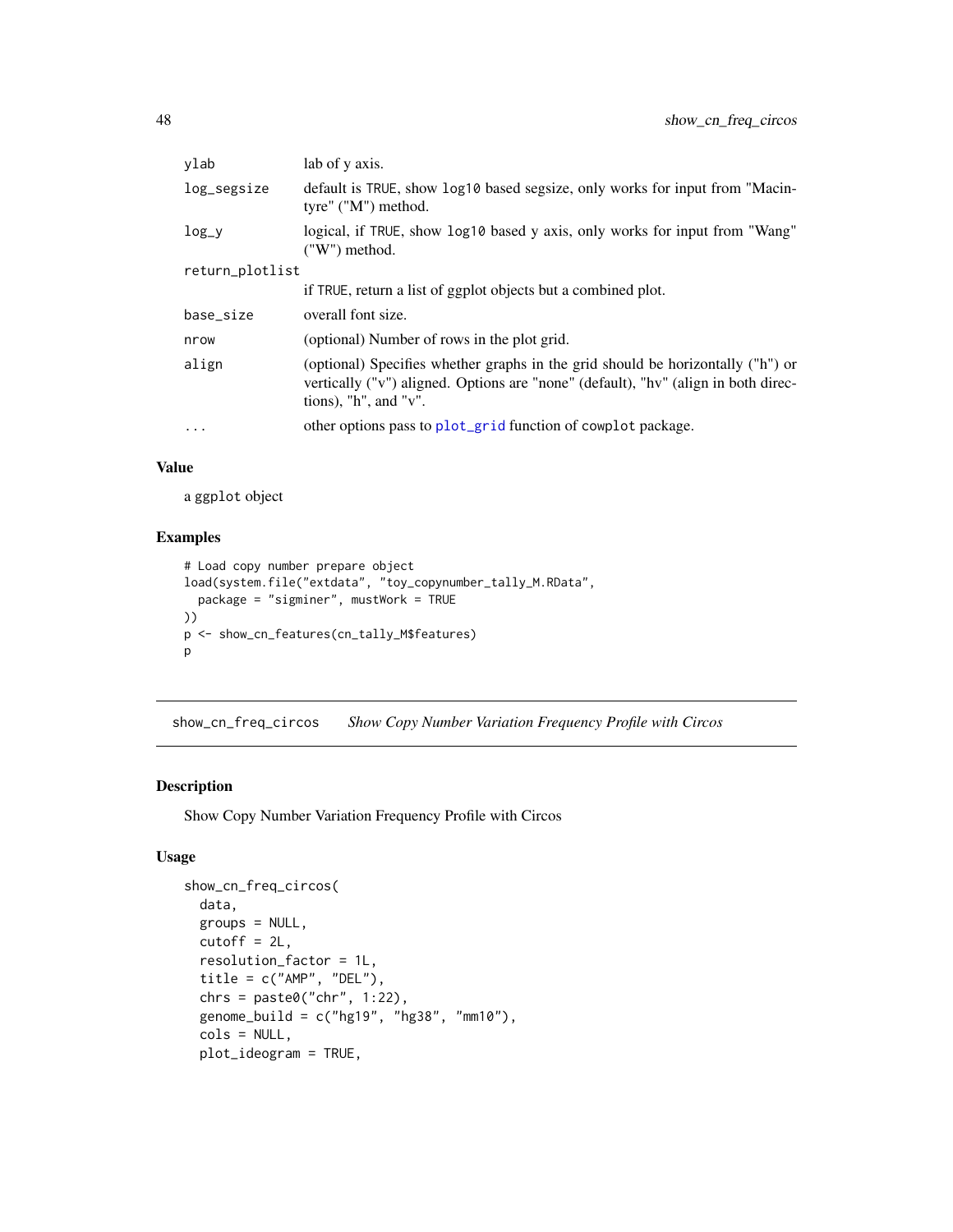| ylab            | lab of y axis.                                                                                                                                                                                         |
|-----------------|--------------------------------------------------------------------------------------------------------------------------------------------------------------------------------------------------------|
| log_segsize     | default is TRUE, show log10 based segsize, only works for input from "Macin-<br>tyre" ("M") method.                                                                                                    |
| $log_y$         | logical, if TRUE, show log10 based y axis, only works for input from "Wang"<br>$(''W'')$ method.                                                                                                       |
| return_plotlist |                                                                                                                                                                                                        |
|                 | if TRUE, return a list of ggplot objects but a combined plot.                                                                                                                                          |
| base_size       | overall font size.                                                                                                                                                                                     |
| nrow            | (optional) Number of rows in the plot grid.                                                                                                                                                            |
| align           | (optional) Specifies whether graphs in the grid should be horizontally ("h") or<br>vertically ("v") aligned. Options are "none" (default), "hv" (align in both direc-<br>tions), " $h$ ", and " $v$ ". |
| $\cdot$         | other options pass to plot_grid function of cowplot package.                                                                                                                                           |

a ggplot object

## Examples

```
# Load copy number prepare object
load(system.file("extdata", "toy_copynumber_tally_M.RData",
  package = "sigminer", mustWork = TRUE
))
p <- show_cn_features(cn_tally_M$features)
p
```
show\_cn\_freq\_circos *Show Copy Number Variation Frequency Profile with Circos*

## Description

Show Copy Number Variation Frequency Profile with Circos

### Usage

```
show_cn_freq_circos(
 data,
 groups = NULL,
 cutoff = 2L,resolution_factor = 1L,
 title = c("AMP", "DEL"),
 chrs = paste0("chr", 1:22),genome_build = c("hg19", "hg38", "mm10"),
 cols = NULL,
 plot_ideogram = TRUE,
```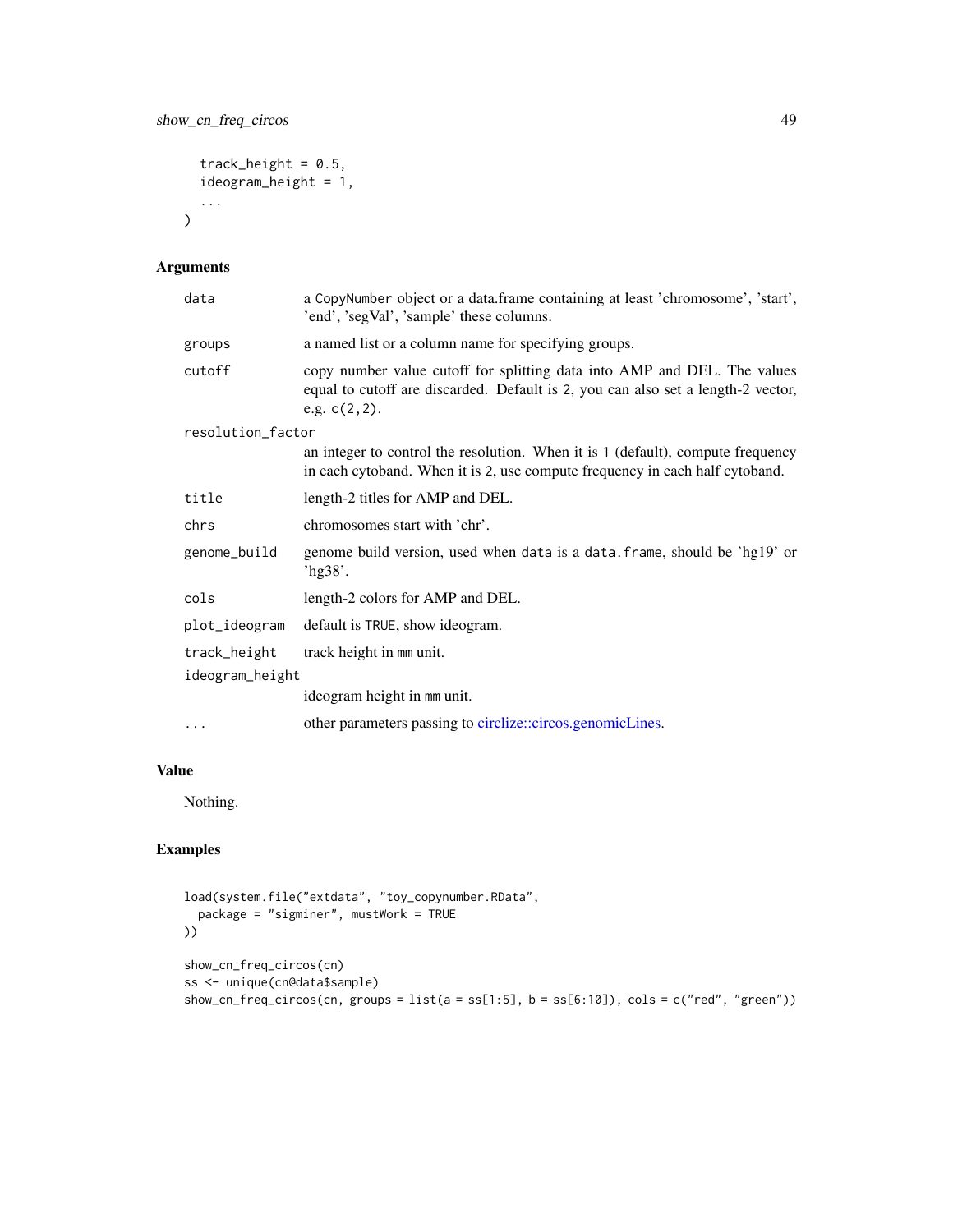```
track_height = 0.5,
ideogram_height = 1,
...
```
## Arguments

 $\mathcal{L}$ 

| data              | a CopyNumber object or a data.frame containing at least 'chromosome', 'start',<br>'end', 'segVal', 'sample' these columns.                                                       |
|-------------------|----------------------------------------------------------------------------------------------------------------------------------------------------------------------------------|
| groups            | a named list or a column name for specifying groups.                                                                                                                             |
| cutoff            | copy number value cutoff for splitting data into AMP and DEL. The values<br>equal to cutoff are discarded. Default is 2, you can also set a length-2 vector,<br>e.g. $c(2, 2)$ . |
| resolution_factor |                                                                                                                                                                                  |
|                   | an integer to control the resolution. When it is 1 (default), compute frequency<br>in each cytoband. When it is 2, use compute frequency in each half cytoband.                  |
| title             | length-2 titles for AMP and DEL.                                                                                                                                                 |
| chrs              | chromosomes start with 'chr'.                                                                                                                                                    |
| genome_build      | genome build version, used when data is a data. frame, should be 'hg19' or<br>'hg $38$ '.                                                                                        |
| cols              | length-2 colors for AMP and DEL.                                                                                                                                                 |
| plot_ideogram     | default is TRUE, show ideogram.                                                                                                                                                  |
| track_height      | track height in mm unit.                                                                                                                                                         |
| ideogram_height   |                                                                                                                                                                                  |
|                   | ideogram height in mm unit.                                                                                                                                                      |
| .                 | other parameters passing to circlize::circos.genomicLines.                                                                                                                       |

## Value

Nothing.

```
load(system.file("extdata", "toy_copynumber.RData",
 package = "sigminer", mustWork = TRUE
))
show_cn_freq_circos(cn)
ss <- unique(cn@data$sample)
show_cn_freq_circos(cn, groups = list(a = ss[1:5], b = ss[6:10]), cols = c("red", "green"))
```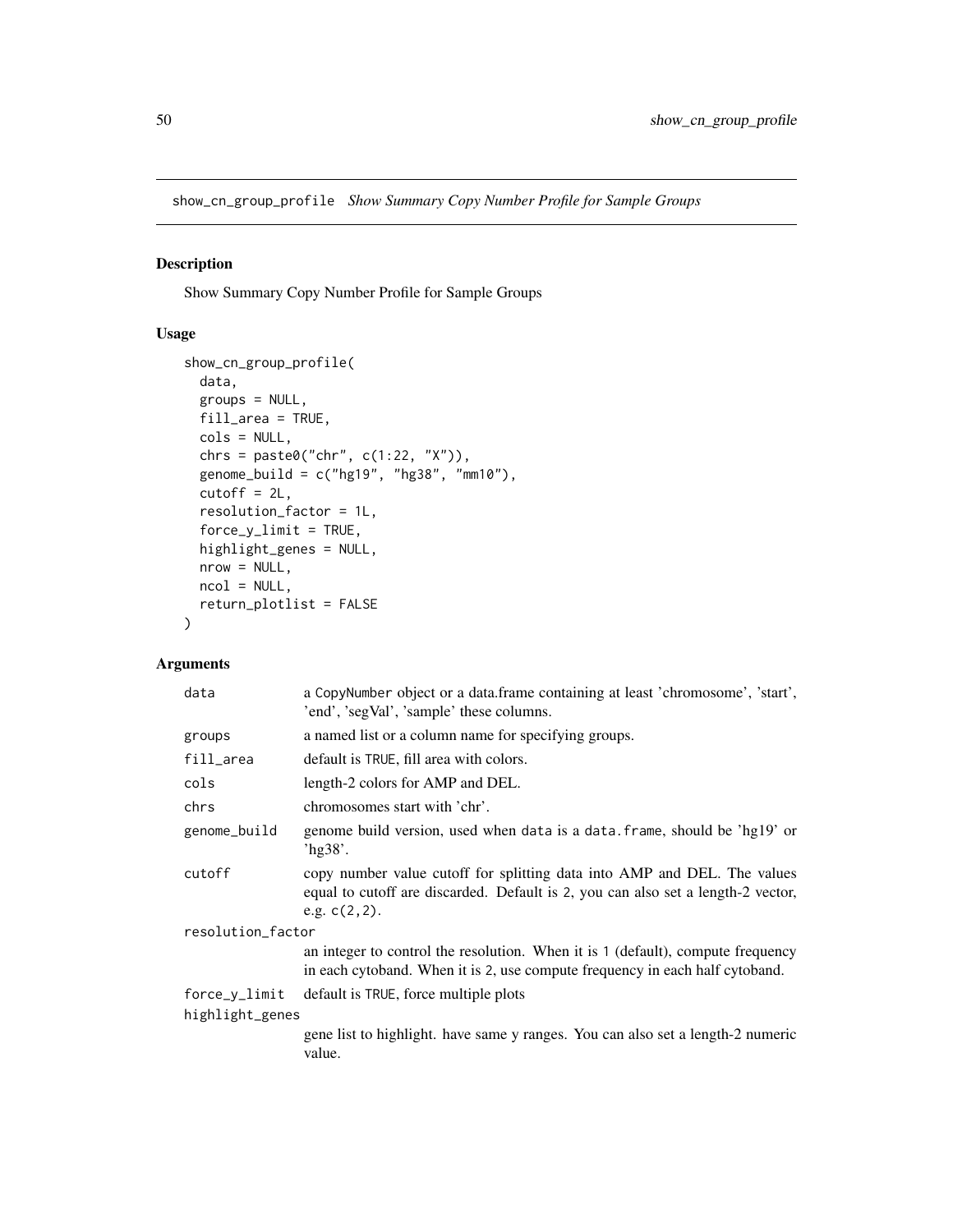show\_cn\_group\_profile *Show Summary Copy Number Profile for Sample Groups*

## Description

Show Summary Copy Number Profile for Sample Groups

## Usage

```
show_cn_group_profile(
 data,
 groups = NULL,
 fill_area = TRUE,
 cols = NULL,
 chrs = paste0("chr", c(1:22, "X")),
 genome_build = c("hg19", "hg38", "mm10"),
 cutoff = 2L,
 resolution_factor = 1L,
  force_y_limit = TRUE,highlight_genes = NULL,
 nrow = NULL,
 ncol = NULL,return_plotlist = FALSE
)
```

| data              | a CopyNumber object or a data.frame containing at least 'chromosome', 'start',<br>'end', 'segVal', 'sample' these columns.                                                      |  |
|-------------------|---------------------------------------------------------------------------------------------------------------------------------------------------------------------------------|--|
| groups            | a named list or a column name for specifying groups.                                                                                                                            |  |
| fill_area         | default is TRUE, fill area with colors.                                                                                                                                         |  |
| cols              | length-2 colors for AMP and DEL.                                                                                                                                                |  |
| chrs              | chromosomes start with 'chr'.                                                                                                                                                   |  |
| genome_build      | genome build version, used when data is a data. frame, should be 'hg19' or<br>hg38'.                                                                                            |  |
| cutoff            | copy number value cutoff for splitting data into AMP and DEL. The values<br>equal to cutoff are discarded. Default is 2, you can also set a length-2 vector,<br>e.g. $c(2,2)$ . |  |
| resolution_factor |                                                                                                                                                                                 |  |
|                   | an integer to control the resolution. When it is 1 (default), compute frequency<br>in each cytoband. When it is 2, use compute frequency in each half cytoband.                 |  |
| force_y_limit     | default is TRUE, force multiple plots                                                                                                                                           |  |
| highlight_genes   |                                                                                                                                                                                 |  |
|                   | gene list to highlight. have same y ranges. You can also set a length-2 numeric<br>value.                                                                                       |  |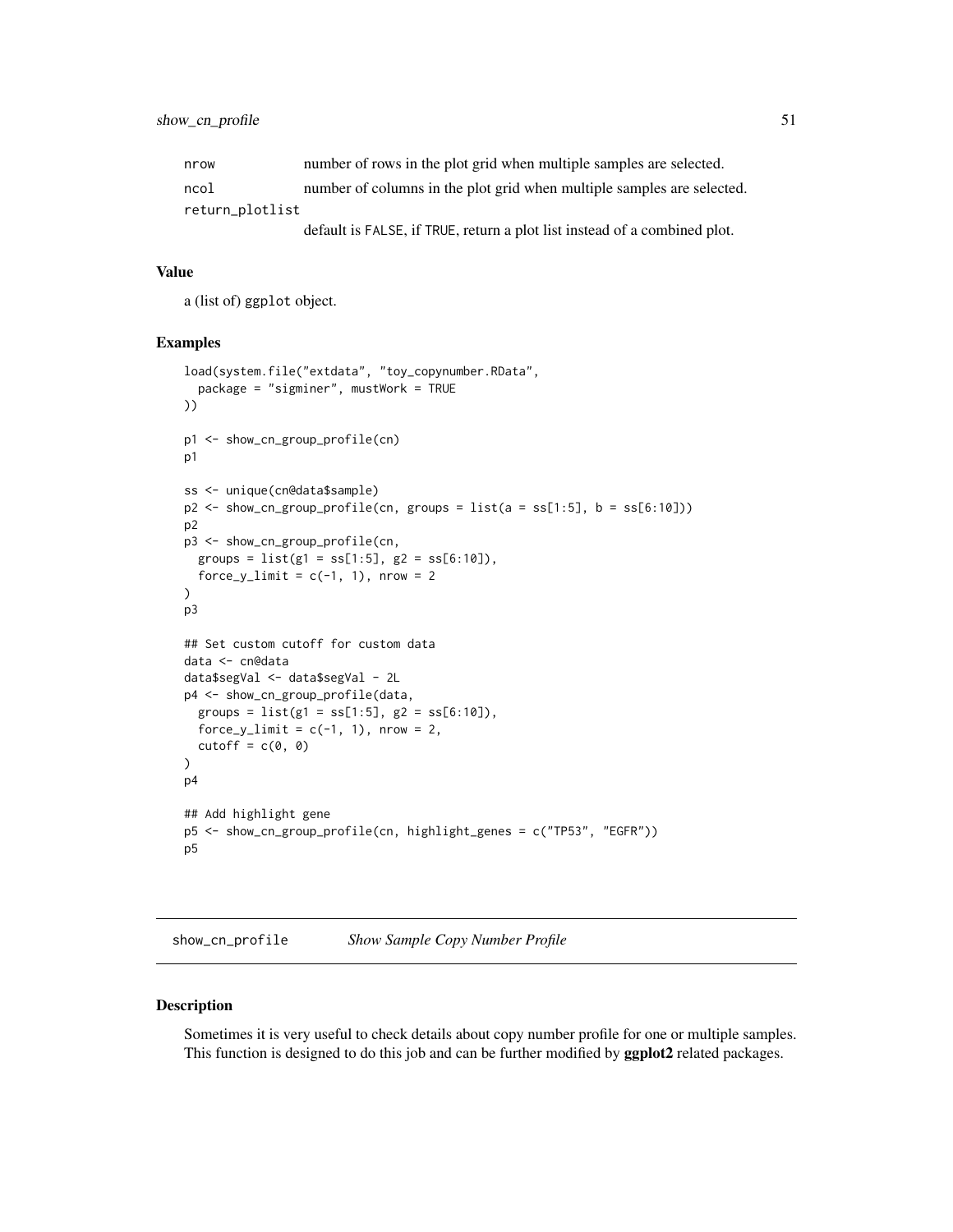| nrow            | number of rows in the plot grid when multiple samples are selected.       |
|-----------------|---------------------------------------------------------------------------|
| ncol            | number of columns in the plot grid when multiple samples are selected.    |
| return_plotlist |                                                                           |
|                 | default is FALSE, if TRUE, return a plot list instead of a combined plot. |

a (list of) ggplot object.

## Examples

```
load(system.file("extdata", "toy_copynumber.RData",
  package = "sigminer", mustWork = TRUE
))
p1 <- show_cn_group_profile(cn)
p1
ss <- unique(cn@data$sample)
p2 \le - show_cn_group_profile(cn, groups = list(a = ss[1:5], b = ss[6:10]))
p2
p3 <- show_cn_group_profile(cn,
  groups = list(g1 = ss[1:5], g2 = ss[6:10]),force_y_limit = c(-1, 1), nrow = 2
)
p3
## Set custom cutoff for custom data
data <- cn@data
data$segVal <- data$segVal - 2L
p4 <- show_cn_group_profile(data,
  groups = list(g1 = ss[1:5], g2 = ss[6:10]),force_y_limit = c(-1, 1), nrow = 2,
  cutoff = c(0, 0))
p4
## Add highlight gene
p5 <- show_cn_group_profile(cn, highlight_genes = c("TP53", "EGFR"))
p5
```
<span id="page-50-0"></span>show\_cn\_profile *Show Sample Copy Number Profile*

#### Description

Sometimes it is very useful to check details about copy number profile for one or multiple samples. This function is designed to do this job and can be further modified by ggplot2 related packages.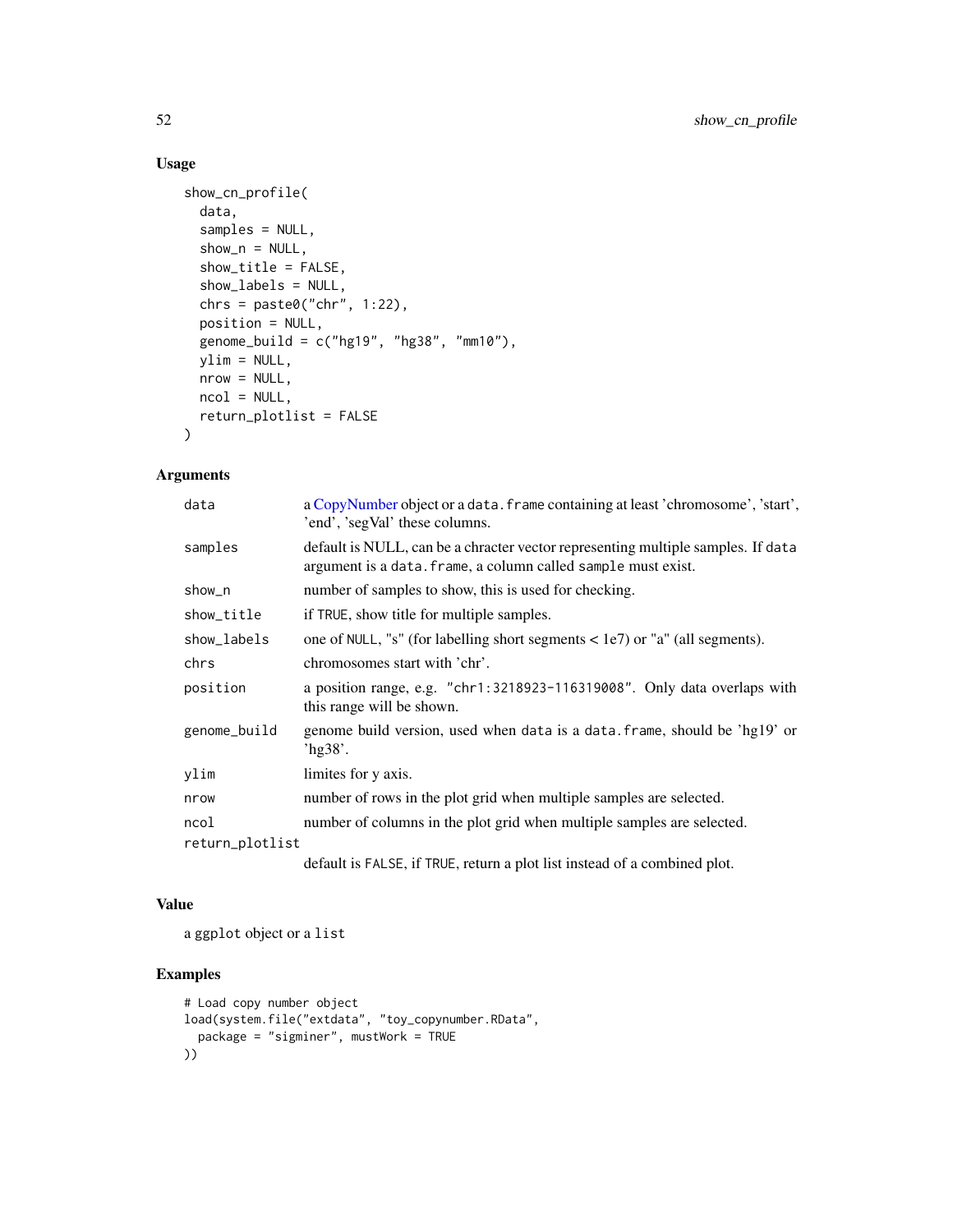## Usage

```
show_cn_profile(
 data,
 samples = NULL,
 show_n = NULL,show_title = FALSE,
 show_labels = NULL,
 chrs = paste0("chr", 1:22),position = NULL,
 genome_build = c("hg19", "hg38", "mm10"),
 ylim = NULL,
 nrow = NULL,
 ncol = NULL,return_plotlist = FALSE
)
```
## Arguments

| data            | a CopyNumber object or a data. frame containing at least 'chromosome', 'start',<br>'end', 'segVal' these columns.                                 |
|-----------------|---------------------------------------------------------------------------------------------------------------------------------------------------|
| samples         | default is NULL, can be a chracter vector representing multiple samples. If data<br>argument is a data. frame, a column called sample must exist. |
| show_n          | number of samples to show, this is used for checking.                                                                                             |
| show_title      | if TRUE, show title for multiple samples.                                                                                                         |
| show_labels     | one of NULL, "s" (for labelling short segments $\langle$ 1e7) or "a" (all segments).                                                              |
| chrs            | chromosomes start with 'chr'.                                                                                                                     |
| position        | a position range, e.g. "chr1:3218923-116319008". Only data overlaps with<br>this range will be shown.                                             |
| genome_build    | genome build version, used when data is a data. frame, should be 'hg19' or<br>'hg $38$ '.                                                         |
| ylim            | limites for y axis.                                                                                                                               |
| nrow            | number of rows in the plot grid when multiple samples are selected.                                                                               |
| ncol            | number of columns in the plot grid when multiple samples are selected.                                                                            |
| return_plotlist |                                                                                                                                                   |
|                 |                                                                                                                                                   |

default is FALSE, if TRUE, return a plot list instead of a combined plot.

## Value

a ggplot object or a list

```
# Load copy number object
load(system.file("extdata", "toy_copynumber.RData",
  package = "sigminer", mustWork = TRUE
))
```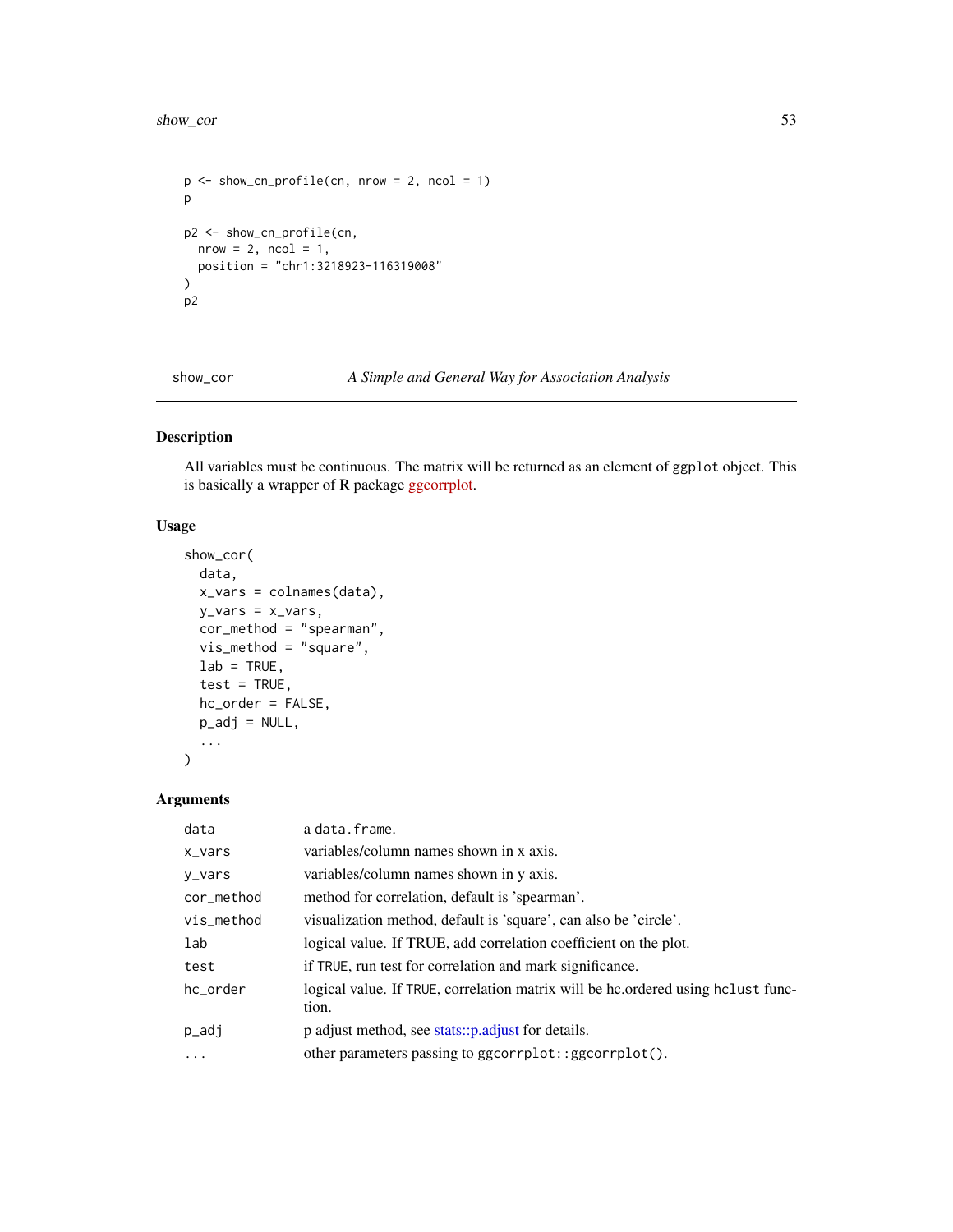#### show\_cor 53

```
p <- show_cn_profile(cn, nrow = 2, ncol = 1)
p
p2 <- show_cn_profile(cn,
 nrow = 2, ncol = 1,
 position = "chr1:3218923-116319008"
)
p2
```
show\_cor *A Simple and General Way for Association Analysis*

# Description

All variables must be continuous. The matrix will be returned as an element of ggplot object. This is basically a wrapper of R package [ggcorrplot.](https://github.com/kassambara/ggcorrplot)

## Usage

```
show_cor(
  data,
  x_vars = colnames(data),
  y_{\text{vars}} = x_{\text{vars}},
  cor_method = "spearman",
  vis_method = "square",
  lab = TRUE,test = TRUE,
  hc_order = FALSE,
  p\_adj = NULL,...
\mathcal{L}
```

| data       | a data.frame.                                                                             |
|------------|-------------------------------------------------------------------------------------------|
| x_vars     | variables/column names shown in x axis.                                                   |
| y_vars     | variables/column names shown in y axis.                                                   |
| cor_method | method for correlation, default is 'spearman'.                                            |
| vis_method | visualization method, default is 'square', can also be 'circle'.                          |
| lab        | logical value. If TRUE, add correlation coefficient on the plot.                          |
| test       | if TRUE, run test for correlation and mark significance.                                  |
| hc_order   | logical value. If TRUE, correlation matrix will be hc.ordered using holast func-<br>tion. |
| p_adj      | p adjust method, see stats::p.adjust for details.                                         |
| $\cdots$   | other parameters passing to ggcorrplot::ggcorrplot().                                     |
|            |                                                                                           |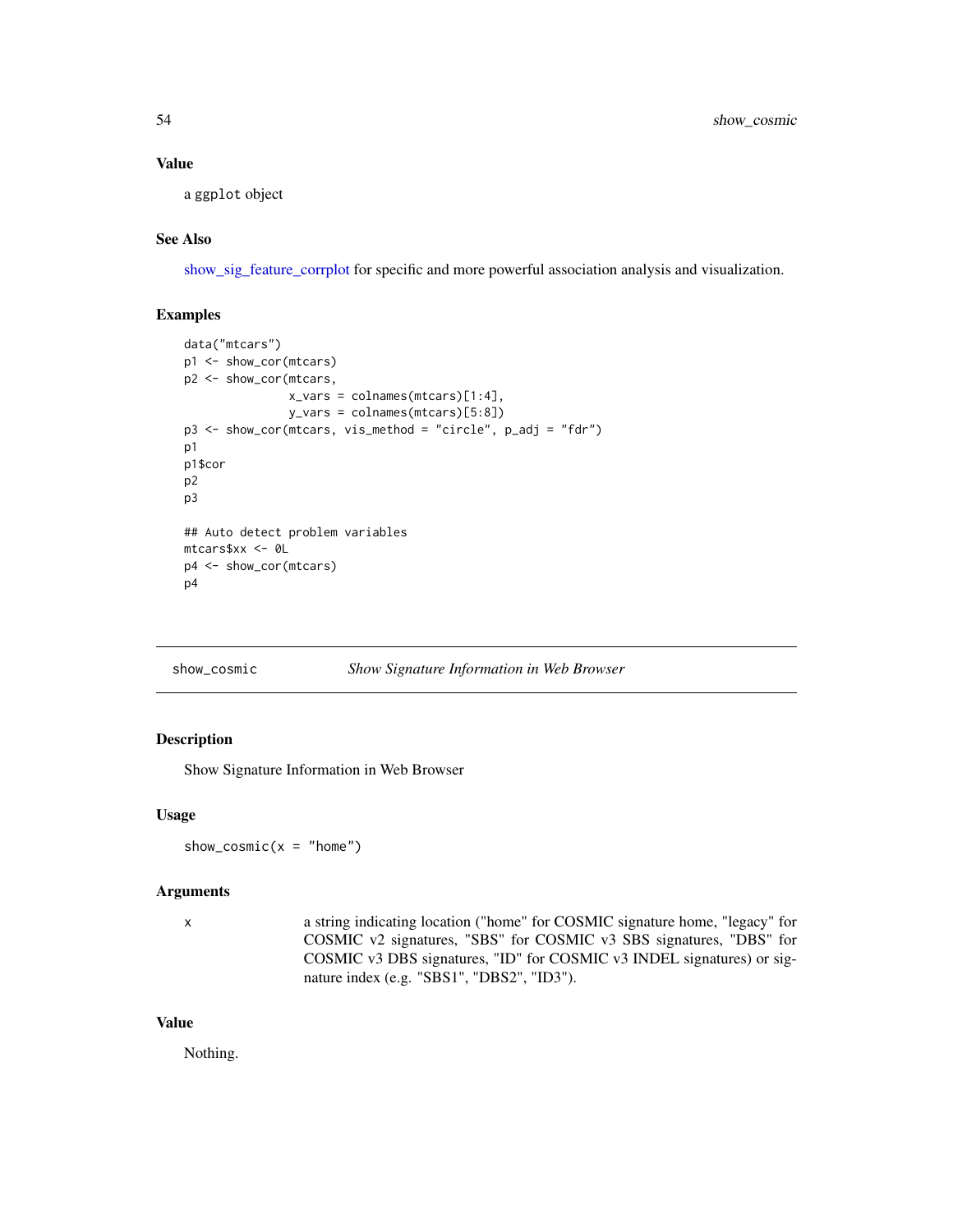a ggplot object

## See Also

[show\\_sig\\_feature\\_corrplot](#page-68-0) for specific and more powerful association analysis and visualization.

#### Examples

```
data("mtcars")
p1 <- show_cor(mtcars)
p2 <- show_cor(mtcars,
               x_vars = colnames(mtcars)[1:4],
               y_vars = colnames(mtcars)[5:8])
p3 <- show_cor(mtcars, vis_method = "circle", p_adj = "fdr")
p1
p1$cor
p2
p3
## Auto detect problem variables
mtcars$xx <- 0L
p4 <- show_cor(mtcars)
p4
```
#### show\_cosmic *Show Signature Information in Web Browser*

#### Description

Show Signature Information in Web Browser

#### Usage

```
show_cosmic(x = "home")
```
#### Arguments

x a string indicating location ("home" for COSMIC signature home, "legacy" for COSMIC v2 signatures, "SBS" for COSMIC v3 SBS signatures, "DBS" for COSMIC v3 DBS signatures, "ID" for COSMIC v3 INDEL signatures) or signature index (e.g. "SBS1", "DBS2", "ID3").

#### Value

Nothing.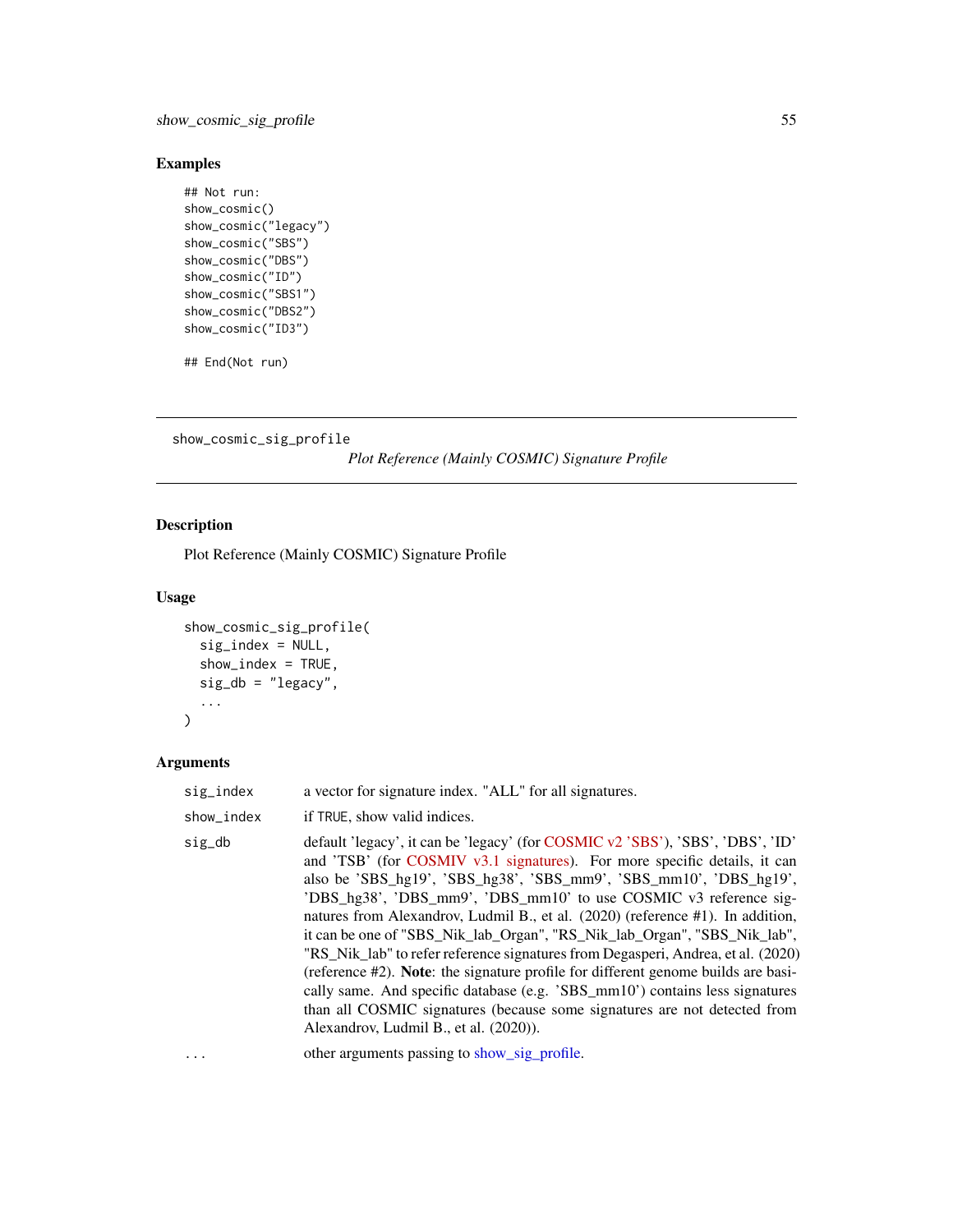## Examples

```
## Not run:
show_cosmic()
show_cosmic("legacy")
show_cosmic("SBS")
show_cosmic("DBS")
show_cosmic("ID")
show_cosmic("SBS1")
show_cosmic("DBS2")
show_cosmic("ID3")
```
## End(Not run)

show\_cosmic\_sig\_profile

*Plot Reference (Mainly COSMIC) Signature Profile*

## Description

Plot Reference (Mainly COSMIC) Signature Profile

## Usage

```
show_cosmic_sig_profile(
  sig_index = NULL,
  show_index = TRUE,
  sig_db = "legacy",
  ...
\mathcal{L}
```

| sig_index  | a vector for signature index. "ALL" for all signatures.                                                                                                                                                                                                                                                                                                                                                                                                                                                                                                                                                                                                                                                                                                                                                                                              |
|------------|------------------------------------------------------------------------------------------------------------------------------------------------------------------------------------------------------------------------------------------------------------------------------------------------------------------------------------------------------------------------------------------------------------------------------------------------------------------------------------------------------------------------------------------------------------------------------------------------------------------------------------------------------------------------------------------------------------------------------------------------------------------------------------------------------------------------------------------------------|
| show_index | if TRUE, show valid indices.                                                                                                                                                                                                                                                                                                                                                                                                                                                                                                                                                                                                                                                                                                                                                                                                                         |
| sig_db     | default 'legacy', it can be 'legacy' (for COSMIC v2 'SBS'), 'SBS', 'DBS', 'ID'<br>and 'TSB' (for COSMIV v3.1 signatures). For more specific details, it can<br>also be 'SBS_hg19', 'SBS_hg38', 'SBS_mm9', 'SBS_mm10', 'DBS_hg19',<br>'DBS_hg38', 'DBS_mm9', 'DBS_mm10' to use COSMIC v3 reference sig-<br>natures from Alexandrov, Ludmil B., et al. (2020) (reference #1). In addition,<br>it can be one of "SBS_Nik_lab_Organ", "RS_Nik_lab_Organ", "SBS_Nik_lab",<br>"RS_Nik_lab" to refer reference signatures from Degasperi, Andrea, et al. (2020)<br>(reference #2). Note: the signature profile for different genome builds are basi-<br>cally same. And specific database (e.g. 'SBS_mm10') contains less signatures<br>than all COSMIC signatures (because some signatures are not detected from<br>Alexandrov, Ludmil B., et al. (2020)). |
| .          | other arguments passing to show_sig_profile.                                                                                                                                                                                                                                                                                                                                                                                                                                                                                                                                                                                                                                                                                                                                                                                                         |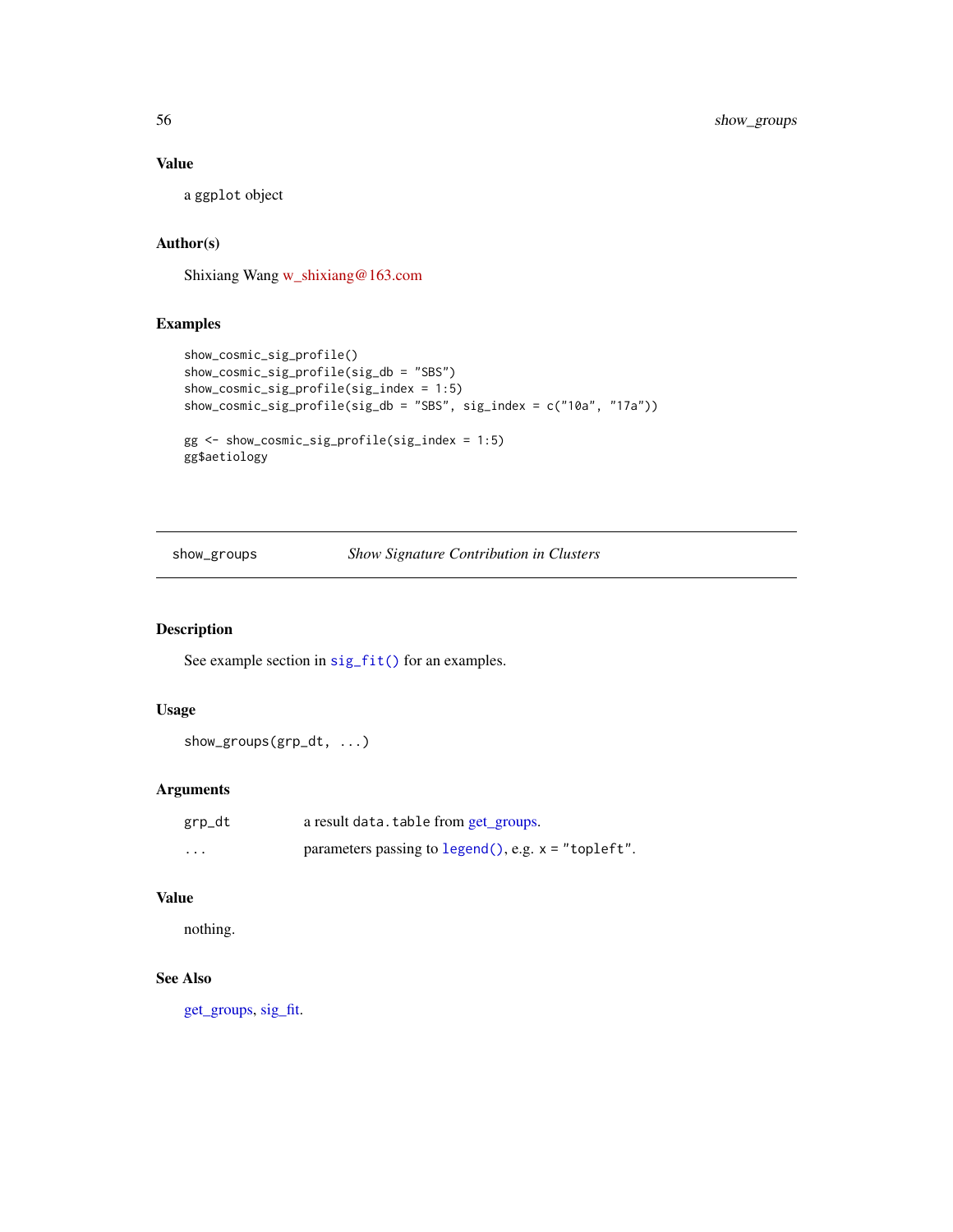a ggplot object

## Author(s)

Shixiang Wang [w\\_shixiang@163.com](mailto:w_shixiang@163.com)

## Examples

```
show_cosmic_sig_profile()
show_cosmic_sig_profile(sig_db = "SBS")
show_cosmic_sig_profile(sig_index = 1:5)
show_cosmic_sig_profile(sig_db = "SBS", sig_index = c("10a", "17a"))
gg <- show_cosmic_sig_profile(sig_index = 1:5)
gg$aetiology
```
show\_groups *Show Signature Contribution in Clusters*

## Description

See example section in [sig\\_fit\(\)](#page-91-0) for an examples.

## Usage

show\_groups(grp\_dt, ...)

## Arguments

| grp_dt   | a result data. table from get_groups.                     |
|----------|-----------------------------------------------------------|
| $\cdots$ | parameters passing to $lepend(.)$ , e.g. $x = "topleft".$ |

## Value

nothing.

#### See Also

[get\\_groups,](#page-17-0) [sig\\_fit.](#page-91-0)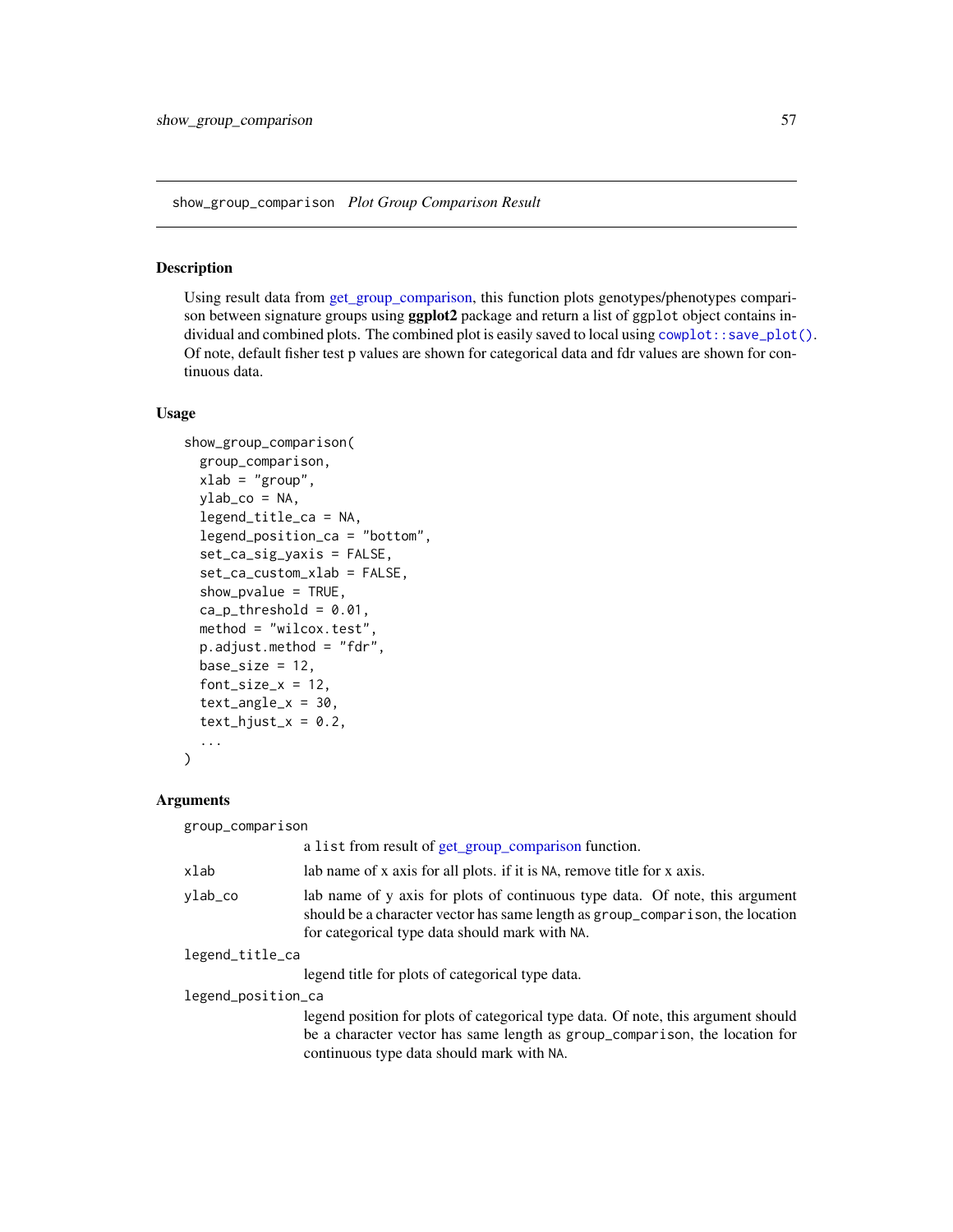show\_group\_comparison *Plot Group Comparison Result*

## Description

Using result data from [get\\_group\\_comparison,](#page-18-0) this function plots genotypes/phenotypes comparison between signature groups using **ggplot2** package and return a list of ggplot object contains individual and combined plots. The combined plot is easily saved to local using [cowplot::save\\_plot\(\)](#page-0-0). Of note, default fisher test p values are shown for categorical data and fdr values are shown for continuous data.

#### Usage

```
show_group_comparison(
  group_comparison,
 xlab = "group",
 ylab_{co} = NA,
  legend_title_ca = NA,
  legend_position_ca = "bottom",
  set_ca_sig_yaxis = FALSE,
  set_ca_custom_xlab = FALSE,
  show_pvalue = TRUE,
  ca\_p\_threshold = 0.01,
 method = "wilcox.test",
 p.adjust.method = "fdr",
 base_size = 12,
  font\_size_x = 12,text\_angle_x = 30,
  text\_hjust_x = 0.2,
  ...
)
```

| group_comparison                                                                                                                                                                                                 |  |  |
|------------------------------------------------------------------------------------------------------------------------------------------------------------------------------------------------------------------|--|--|
| a list from result of get_group_comparison function.                                                                                                                                                             |  |  |
| lab name of x axis for all plots. if it is NA, remove title for x axis.                                                                                                                                          |  |  |
| lab name of y axis for plots of continuous type data. Of note, this argument<br>should be a character vector has same length as group_comparison, the location<br>for categorical type data should mark with NA. |  |  |
| legend_title_ca                                                                                                                                                                                                  |  |  |
| legend title for plots of categorical type data.                                                                                                                                                                 |  |  |
| legend_position_ca                                                                                                                                                                                               |  |  |
| legend position for plots of categorical type data. Of note, this argument should<br>be a character vector has same length as group_comparison, the location for<br>continuous type data should mark with NA.    |  |  |
|                                                                                                                                                                                                                  |  |  |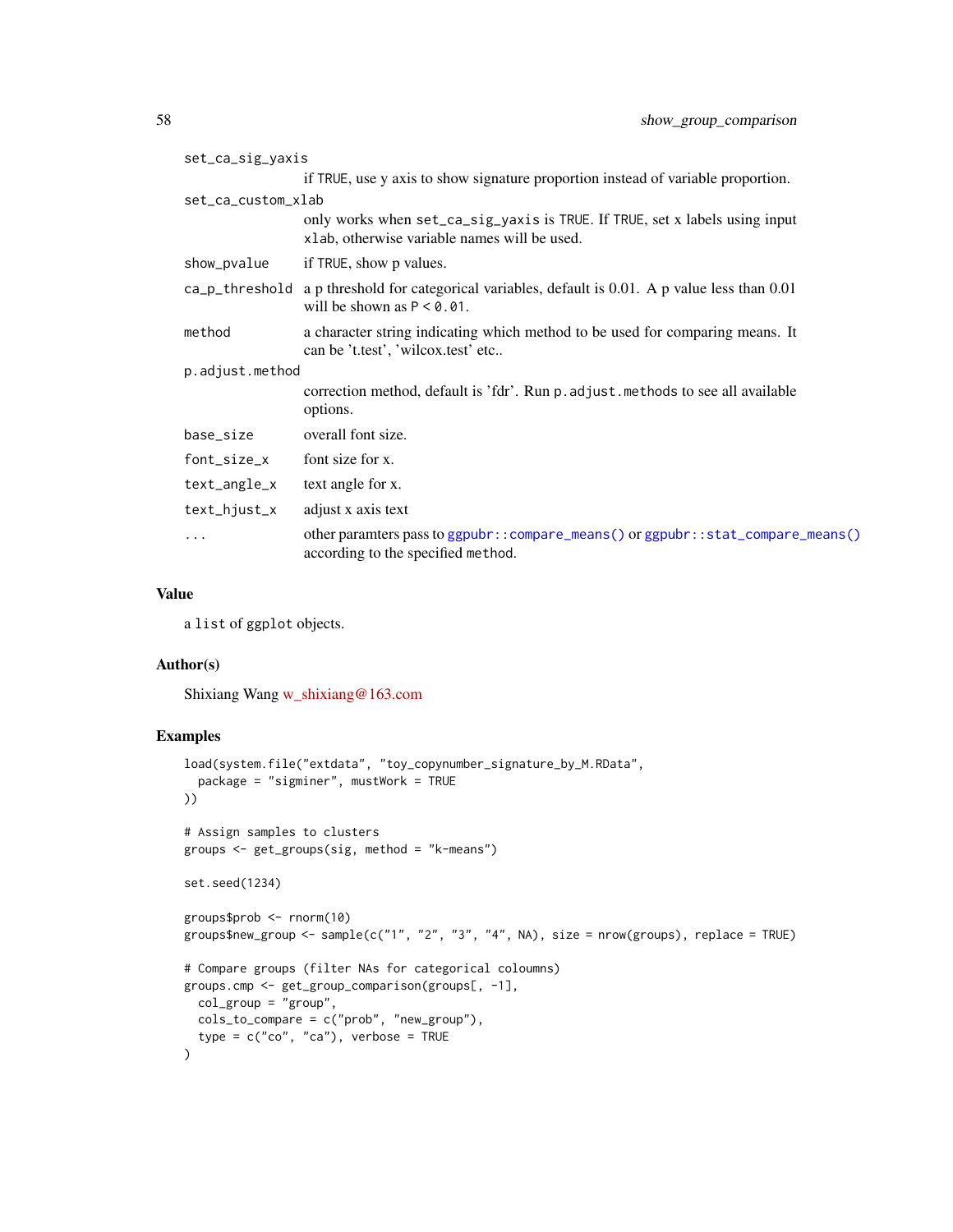| set_ca_sig_yaxis   |                                                                                                                                       |  |
|--------------------|---------------------------------------------------------------------------------------------------------------------------------------|--|
|                    | if TRUE, use y axis to show signature proportion instead of variable proportion.                                                      |  |
| set_ca_custom_xlab |                                                                                                                                       |  |
|                    | only works when set_ca_sig_yaxis is TRUE. If TRUE, set x labels using input<br>xlab, otherwise variable names will be used.           |  |
| show_pvalue        | if TRUE, show p values.                                                                                                               |  |
|                    | $ca$ -p-threshold a p threshold for categorical variables, default is 0.01. A p value less than 0.01<br>will be shown as $P < 0.01$ . |  |
| method             | a character string indicating which method to be used for comparing means. It<br>can be 't.test', 'wilcox.test' etc                   |  |
| p.adjust.method    |                                                                                                                                       |  |
|                    | correction method, default is 'fdr'. Run p. adjust. methods to see all available<br>options.                                          |  |
| base_size          | overall font size.                                                                                                                    |  |
| font_size_x        | font size for x.                                                                                                                      |  |
| text_angle_x       | text angle for x.                                                                                                                     |  |
| text_hjust_x       | adjust x axis text                                                                                                                    |  |
| .                  | other paramters pass to ggpubr::compare_means() or ggpubr::stat_compare_means()<br>according to the specified method.                 |  |

a list of ggplot objects.

#### Author(s)

Shixiang Wang [w\\_shixiang@163.com](mailto:w_shixiang@163.com)

```
load(system.file("extdata", "toy_copynumber_signature_by_M.RData",
  package = "sigminer", mustWork = TRUE
))
# Assign samples to clusters
groups <- get_groups(sig, method = "k-means")
set.seed(1234)
groups$prob <- rnorm(10)
groups$new_group <- sample(c("1", "2", "3", "4", NA), size = nrow(groups), replace = TRUE)
# Compare groups (filter NAs for categorical coloumns)
groups.cmp <- get_group_comparison(groups[, -1],
 col_group = "group",
 cols_to_compare = c("prob", "new_group"),
  type = c("co", "ca"), verbose = TRUE
)
```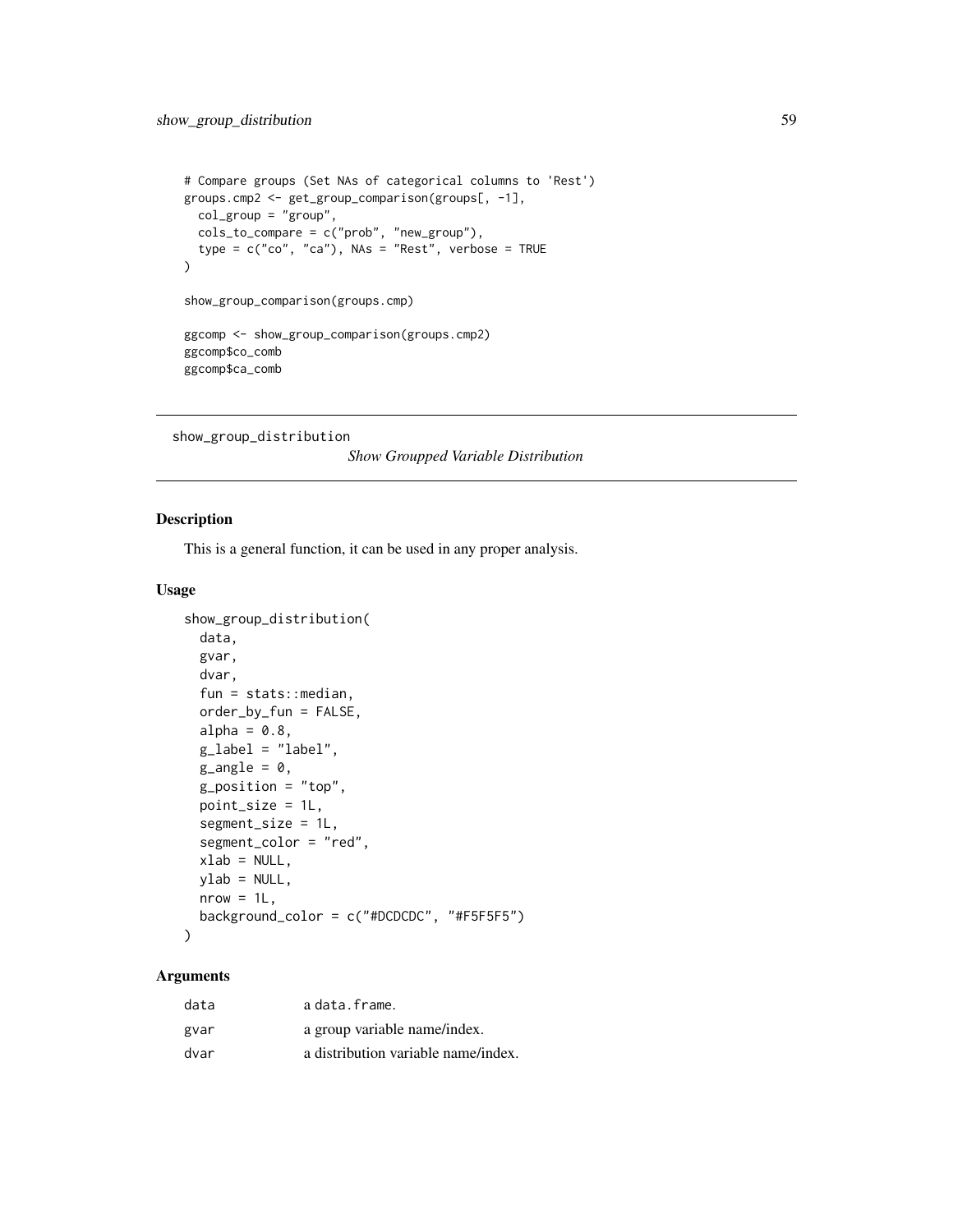```
# Compare groups (Set NAs of categorical columns to 'Rest')
groups.cmp2 <- get_group_comparison(groups[, -1],
  col_group = "group",
 cols_to_compare = c("prob", "new_group"),
  type = c("co", "ca"), NAs = "Rest", verbose = TRUE
\mathcal{L}show_group_comparison(groups.cmp)
ggcomp <- show_group_comparison(groups.cmp2)
ggcomp$co_comb
ggcomp$ca_comb
```

```
show_group_distribution
```
*Show Groupped Variable Distribution*

## Description

This is a general function, it can be used in any proper analysis.

## Usage

```
show_group_distribution(
  data,
  gvar,
  dvar,
  fun = stats::median,
  order_by_fun = FALSE,
  alpha = 0.8,
  g<sup>-</sup>label = "label",
  g<sub>angle</sub> = \theta,
  g_position = "top",
  point_size = 1L,
  segment_size = 1L,
  segment_color = "red",
  xlab = NULL,
 ylab = NULL,
  nrow = 1L,
  background_color = c("#DCDCDC", "#F5F5F5")
)
```

| data | a data.frame.                       |
|------|-------------------------------------|
| gvar | a group variable name/index.        |
| dvar | a distribution variable name/index. |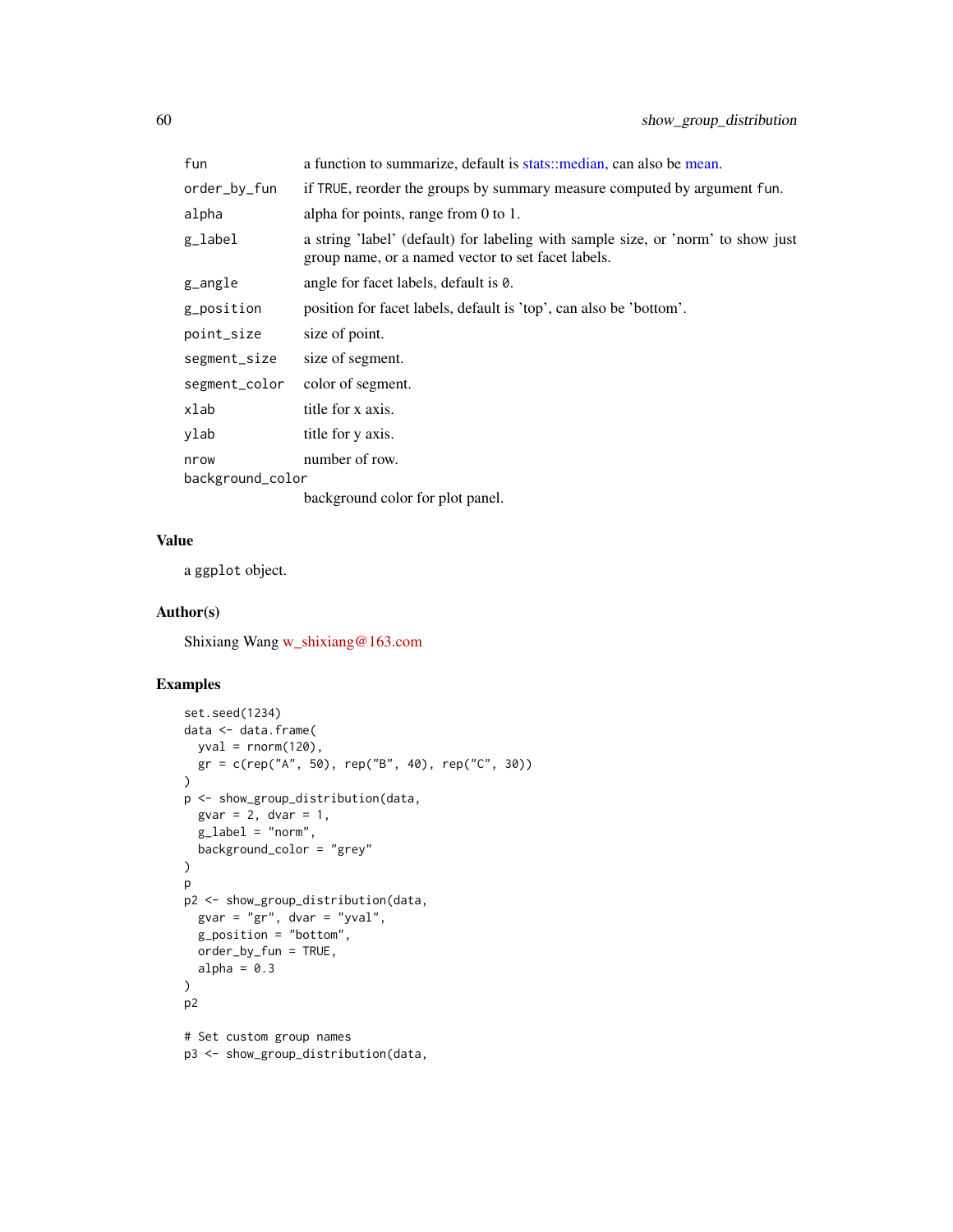| fun                      | a function to summarize, default is stats: median, can also be mean.                                                                   |
|--------------------------|----------------------------------------------------------------------------------------------------------------------------------------|
| order_by_fun             | if TRUE, reorder the groups by summary measure computed by argument fun.                                                               |
| alpha                    | alpha for points, range from 0 to 1.                                                                                                   |
| g_label                  | a string 'label' (default) for labeling with sample size, or 'norm' to show just<br>group name, or a named vector to set facet labels. |
| g_angle                  | angle for facet labels, default is 0.                                                                                                  |
| g_position               | position for facet labels, default is 'top', can also be 'bottom'.                                                                     |
| point_size               | size of point.                                                                                                                         |
| segment_size             | size of segment.                                                                                                                       |
| segment_color            | color of segment.                                                                                                                      |
| xlab                     | title for x axis.                                                                                                                      |
| ylab                     | title for y axis.                                                                                                                      |
| nrow<br>background_color | number of row.                                                                                                                         |
|                          | background color for plot panel.                                                                                                       |

a ggplot object.

#### Author(s)

Shixiang Wang [w\\_shixiang@163.com](mailto:w_shixiang@163.com)

```
set.seed(1234)
data <- data.frame(
 yval = rnorm(120),
 gr = c(rep("A", 50), rep("B", 40), rep("C", 30))
\lambdap <- show_group_distribution(data,
  gvar = 2, dvar = 1,
  g<sup>-</sup>label = "norm",background_color = "grey"
)
p
p2 <- show_group_distribution(data,
 gvar = "gr", dvar = "yval",g_position = "bottom",
  order_by_fun = TRUE,
  alpha = 0.3)
p2
# Set custom group names
p3 <- show_group_distribution(data,
```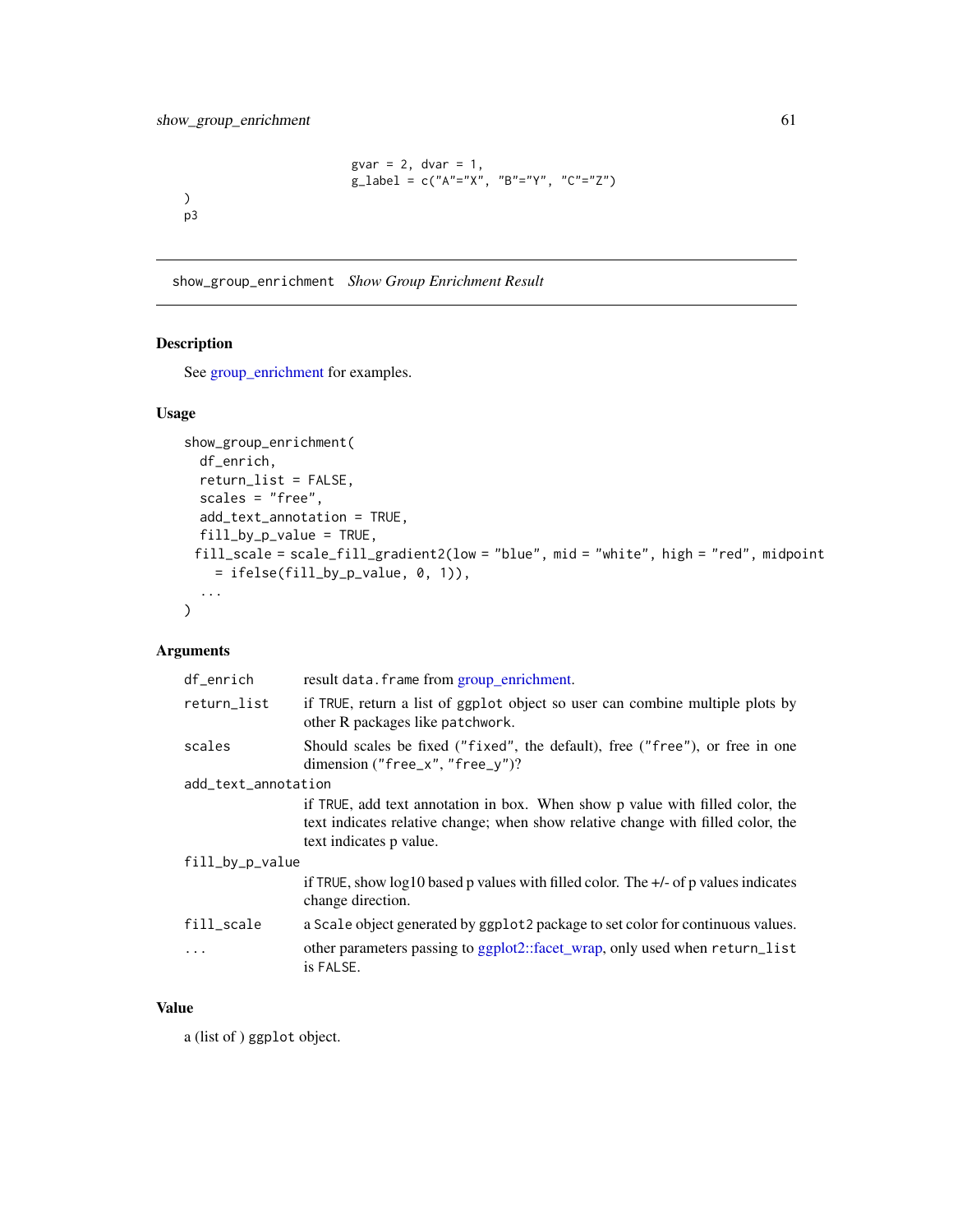```
gvar = 2, dvar = 1,
g_{\text{label}} = c("A"="X", "B"="Y", "C"="Z")
```
show\_group\_enrichment *Show Group Enrichment Result*

## Description

) p3

See [group\\_enrichment](#page-28-0) for examples.

### Usage

```
show_group_enrichment(
 df_enrich,
 return_list = FALSE,
 scales = "free",
 add_text_annotation = TRUE,
 fill_by_p_value = TRUE,
 fill_scale = scale_fill_gradient2(low = "blue", mid = "white", high = "red", midpoint
    = ifelse(fill_by_p_value, 0, 1)),
  ...
\mathcal{L}
```
## Arguments

| df_enrich           | result data. frame from group_enrichment.                                                                                                                                                    |  |
|---------------------|----------------------------------------------------------------------------------------------------------------------------------------------------------------------------------------------|--|
| return_list         | if TRUE, return a list of ggplot object so user can combine multiple plots by<br>other R packages like patchwork.                                                                            |  |
| scales              | Should scales be fixed ("fixed", the default), free ("free"), or free in one<br>dimension ("free_x", "free_y")?                                                                              |  |
| add_text_annotation |                                                                                                                                                                                              |  |
|                     | if TRUE, add text annotation in box. When show p value with filled color, the<br>text indicates relative change; when show relative change with filled color, the<br>text indicates p value. |  |
| fill_by_p_value     |                                                                                                                                                                                              |  |
|                     | if TRUE, show $log10$ based p values with filled color. The $+/-$ of p values indicates<br>change direction.                                                                                 |  |
| fill_scale          | a Scale object generated by ggplot2 package to set color for continuous values.                                                                                                              |  |
| .                   | other parameters passing to ggplot2::facet_wrap, only used when return_list<br>is FALSE.                                                                                                     |  |

## Value

a (list of ) ggplot object.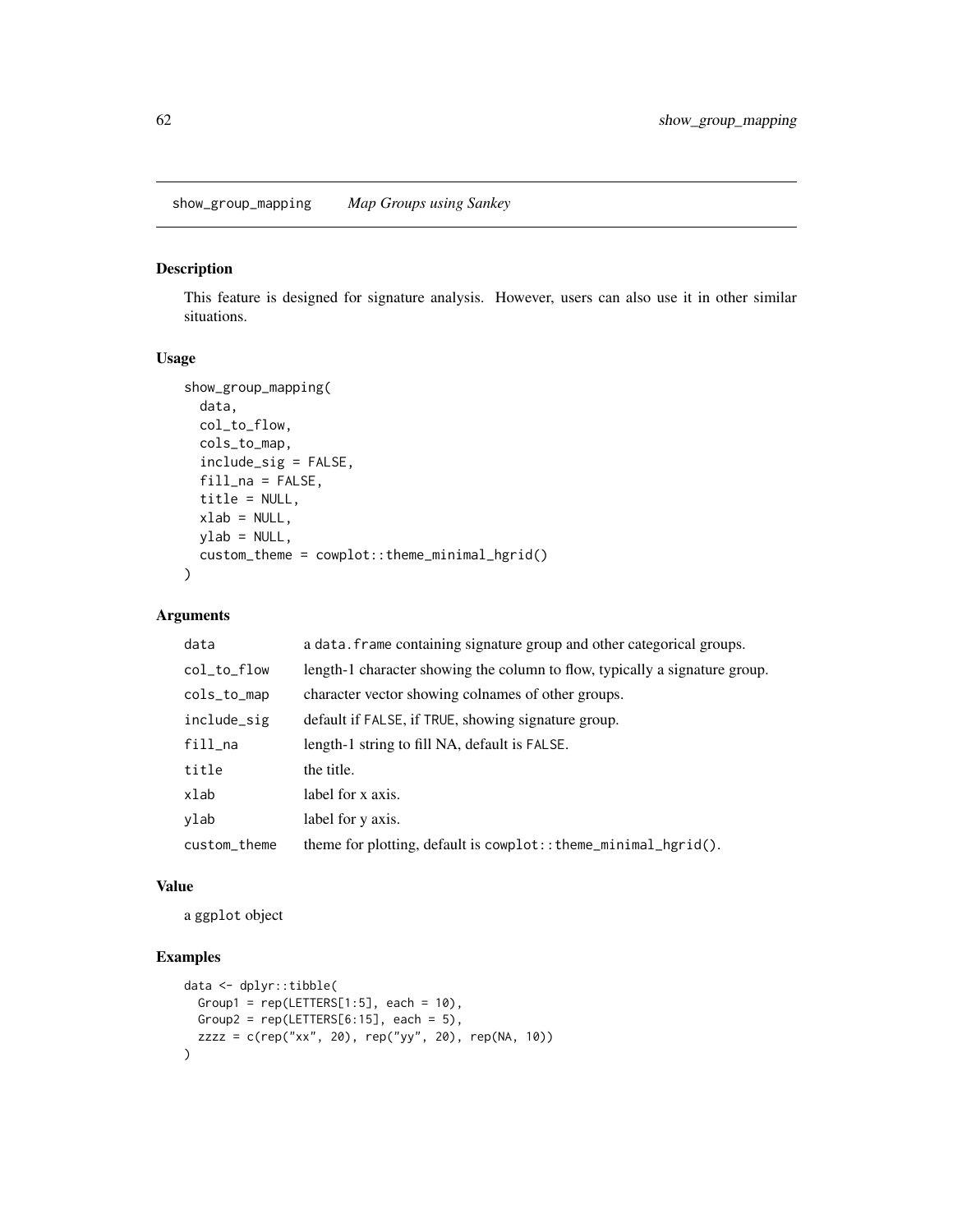show\_group\_mapping *Map Groups using Sankey*

### Description

This feature is designed for signature analysis. However, users can also use it in other similar situations.

## Usage

```
show_group_mapping(
 data,
 col_to_flow,
  cols_to_map,
  include_sig = FALSE,
  fill\_na = FALSE,title = NULL,
  xlab = NULL,
 ylab = NULL,
  custom_theme = cowplot::theme_minimal_hgrid()
)
```
# Arguments

| data         | a data. frame containing signature group and other categorical groups.      |
|--------------|-----------------------------------------------------------------------------|
| col_to_flow  | length-1 character showing the column to flow, typically a signature group. |
| cols_to_map  | character vector showing colnames of other groups.                          |
| include_sig  | default if FALSE, if TRUE, showing signature group.                         |
| fill_na      | length-1 string to fill NA, default is FALSE.                               |
| title        | the title.                                                                  |
| xlab         | label for x axis.                                                           |
| ylab         | label for y axis.                                                           |
| custom_theme | theme for plotting, default is $\text{cowplot}:$ : theme_minimal_hgrid().   |

#### Value

a ggplot object

```
data <- dplyr::tibble(
 Group1 = rep(LETTERS[1:5], each = 10),
  Group2 = rep(LETTERS[6:15], each = 5),
  zzzz = c(rep("xx", 20), rep("yy", 20), rep(NA, 10))
)
```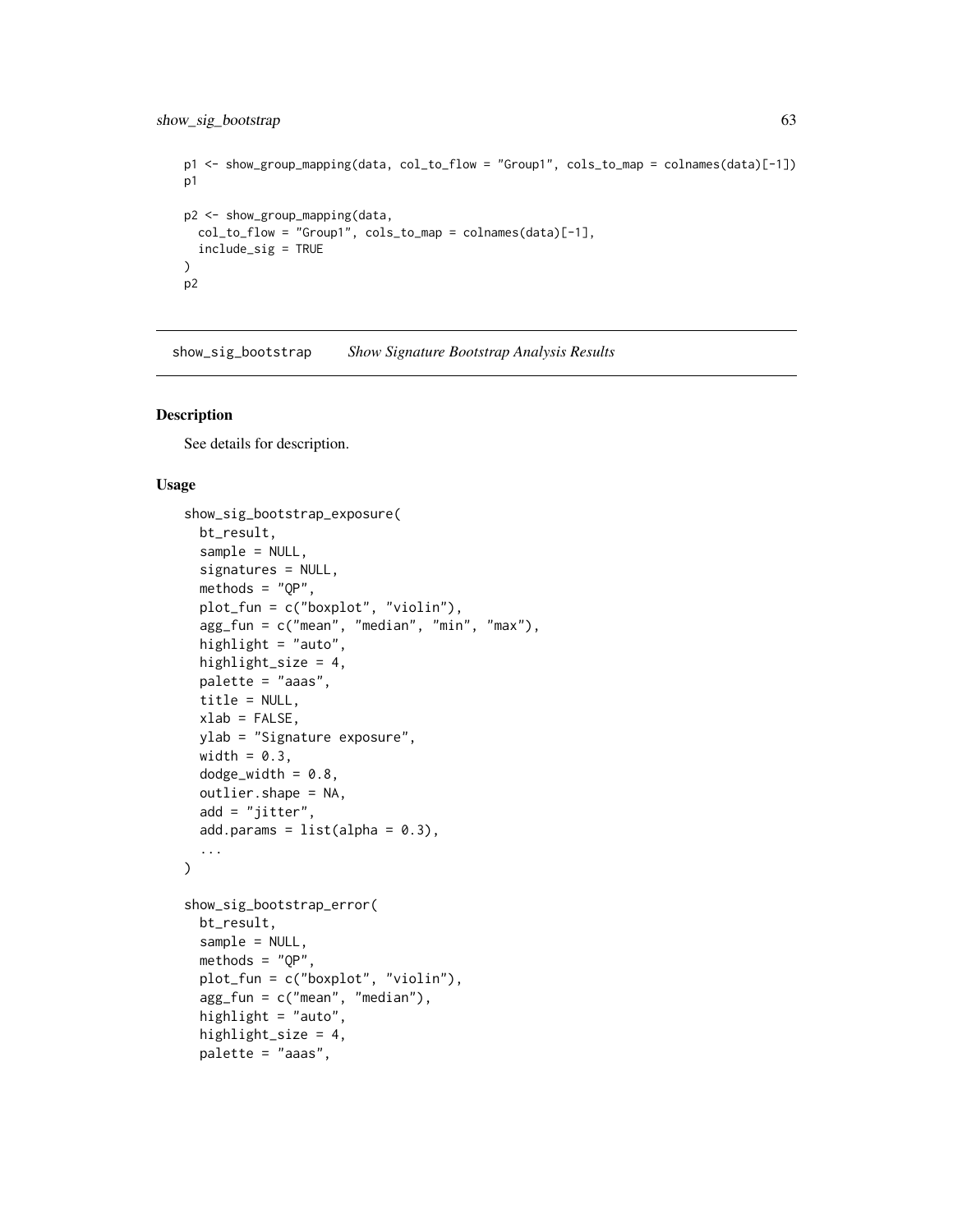```
p1 <- show_group_mapping(data, col_to_flow = "Group1", cols_to_map = colnames(data)[-1])
p1
p2 <- show_group_mapping(data,
 col_to_flow = "Group1", cols_to_map = colnames(data)[-1],include_sig = TRUE
)
p2
```
show\_sig\_bootstrap *Show Signature Bootstrap Analysis Results*

#### <span id="page-62-0"></span>Description

See details for description.

## Usage

```
show_sig_bootstrap_exposure(
 bt_result,
  sample = NULL,
  signatures = NULL,
 methods = "QP",plot_fun = c("boxplot", "violin"),
  agg_fun = c("mean", "median", "min", "max"),
 highlight = "auto",
 highlight_size = 4,
 palette = "aaas",
 title = NULL,
 xlab = FALSE,
 ylab = "Signature exposure",
 width = 0.3,
 dodge_width = 0.8,
 outlier.shape = NA,
  add = "jitter",
  add.params = list(alpha = 0.3),...
)
show_sig_bootstrap_error(
 bt_result,
  sample = NULL,
 methods = "OP",plot_fun = c("boxplot", "violin"),
  agg_fun = c("mean", "median"),highlight = "auto",
  highlight_size = 4,
 palette = "aaas",
```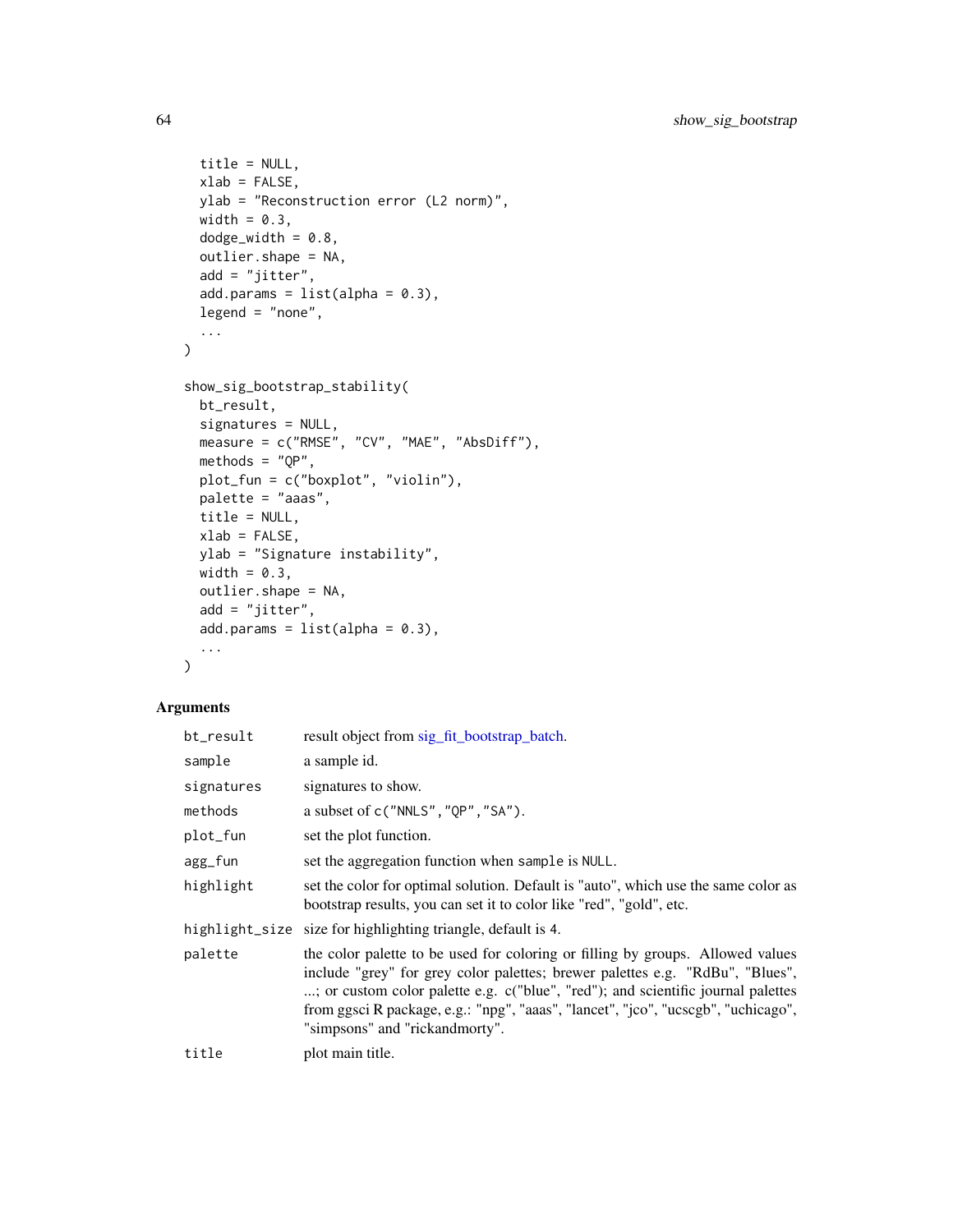```
title = NULL,
 xlab = FALSE,
 ylab = "Reconstruction error (L2 norm)",
 width = 0.3,
  dodge_width = 0.8,
 outlier.shape = NA,
 add = "jitter",add.params = list(alpha = 0.3),legend = "none",...
\mathcal{L}show_sig_bootstrap_stability(
 bt_result,
 signatures = NULL,
 measure = c("RMSE", "CV", "MAE", "AbsDiff"),
 methods = "QP",plot_fun = c("boxplot", "violin"),
 palette = "aaas",
 title = NULL,
 xlab = FALSE,ylab = "Signature instability",
 width = 0.3,
 outlier.shape = NA,
 add = "jitter",add.params = list(alpha = 0.3),
  ...
\mathcal{L}
```

| bt_result  | result object from sig_fit_bootstrap_batch.                                                                                                                                                                                                                                                                                                                                |
|------------|----------------------------------------------------------------------------------------------------------------------------------------------------------------------------------------------------------------------------------------------------------------------------------------------------------------------------------------------------------------------------|
| sample     | a sample id.                                                                                                                                                                                                                                                                                                                                                               |
| signatures | signatures to show.                                                                                                                                                                                                                                                                                                                                                        |
| methods    | a subset of $c("NNLS", "QP", "SA").$                                                                                                                                                                                                                                                                                                                                       |
| plot_fun   | set the plot function.                                                                                                                                                                                                                                                                                                                                                     |
| agg_fun    | set the aggregation function when sample is NULL.                                                                                                                                                                                                                                                                                                                          |
| highlight  | set the color for optimal solution. Default is "auto", which use the same color as<br>bootstrap results, you can set it to color like "red", "gold", etc.                                                                                                                                                                                                                  |
|            | highlight_size size for highlighting triangle, default is 4.                                                                                                                                                                                                                                                                                                               |
| palette    | the color palette to be used for coloring or filling by groups. Allowed values<br>include "grey" for grey color palettes; brewer palettes e.g. "RdBu", "Blues",<br>; or custom color palette e.g. c("blue", "red"); and scientific journal palettes<br>from ggsci R package, e.g.: "npg", "aaas", "lancet", "jco", "ucscgb", "uchicago",<br>"simpsons" and "rickandmorty". |
| title      | plot main title.                                                                                                                                                                                                                                                                                                                                                           |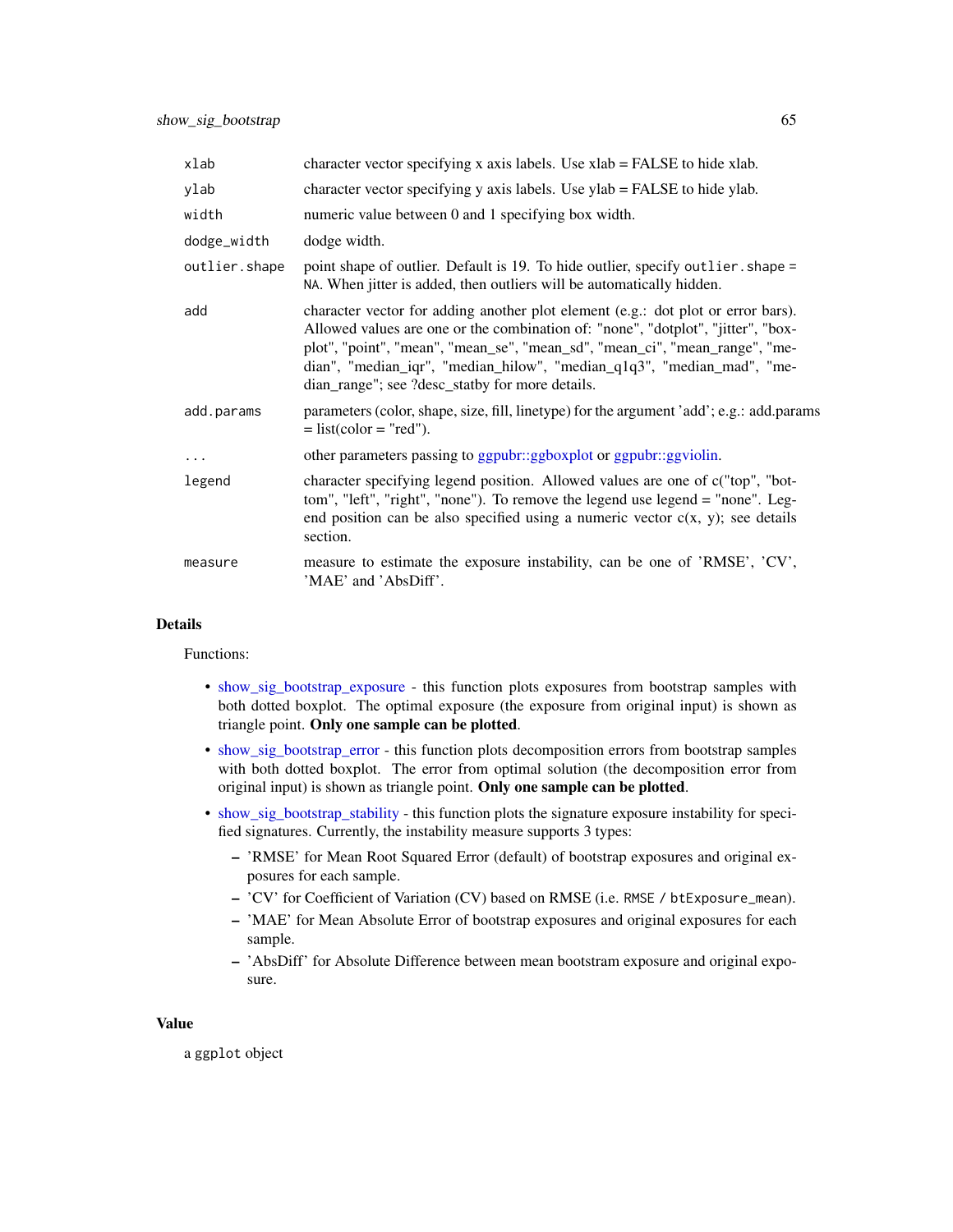| xlab          | character vector specifying x axis labels. Use $x$ lab = FALSE to hide xlab.                                                                                                                                                                                                                                                                                                     |
|---------------|----------------------------------------------------------------------------------------------------------------------------------------------------------------------------------------------------------------------------------------------------------------------------------------------------------------------------------------------------------------------------------|
| ylab          | character vector specifying $y$ axis labels. Use $y$ lab = FALSE to hide $y$ lab.                                                                                                                                                                                                                                                                                                |
| width         | numeric value between 0 and 1 specifying box width.                                                                                                                                                                                                                                                                                                                              |
| dodge_width   | dodge width.                                                                                                                                                                                                                                                                                                                                                                     |
| outlier.shape | point shape of outlier. Default is 19. To hide outlier, specify outlier. shape =<br>NA. When jitter is added, then outliers will be automatically hidden.                                                                                                                                                                                                                        |
| add           | character vector for adding another plot element (e.g.: dot plot or error bars).<br>Allowed values are one or the combination of: "none", "dotplot", "jitter", "box-<br>plot", "point", "mean", "mean_se", "mean_sd", "mean_ci", "mean_range", "me-<br>dian", "median_iqr", "median_hilow", "median_q1q3", "median_mad", "me-<br>dian_range"; see ?desc_statby for more details. |
| add.params    | parameters (color, shape, size, fill, linetype) for the argument 'add'; e.g.: add.params<br>$=$ list(color $=$ "red").                                                                                                                                                                                                                                                           |
| $\cdots$      | other parameters passing to ggpubr::ggboxplot or ggpubr::ggviolin.                                                                                                                                                                                                                                                                                                               |
| legend        | character specifying legend position. Allowed values are one of c("top", "bot-<br>tom", "left", "right", "none"). To remove the legend use legend = "none". Leg-<br>end position can be also specified using a numeric vector $c(x, y)$ ; see details<br>section.                                                                                                                |
| measure       | measure to estimate the exposure instability, can be one of 'RMSE', 'CV',<br>'MAE' and 'AbsDiff'.                                                                                                                                                                                                                                                                                |

#### Details

Functions:

- [show\\_sig\\_bootstrap\\_exposure](#page-62-0) this function plots exposures from bootstrap samples with both dotted boxplot. The optimal exposure (the exposure from original input) is shown as triangle point. Only one sample can be plotted.
- [show\\_sig\\_bootstrap\\_error](#page-62-0) this function plots decomposition errors from bootstrap samples with both dotted boxplot. The error from optimal solution (the decomposition error from original input) is shown as triangle point. Only one sample can be plotted.
- [show\\_sig\\_bootstrap\\_stability](#page-62-0) this function plots the signature exposure instability for specified signatures. Currently, the instability measure supports 3 types:
	- 'RMSE' for Mean Root Squared Error (default) of bootstrap exposures and original exposures for each sample.
	- 'CV' for Coefficient of Variation (CV) based on RMSE (i.e. RMSE / btExposure\_mean).
	- 'MAE' for Mean Absolute Error of bootstrap exposures and original exposures for each sample.
	- 'AbsDiff' for Absolute Difference between mean bootstram exposure and original exposure.

#### Value

a ggplot object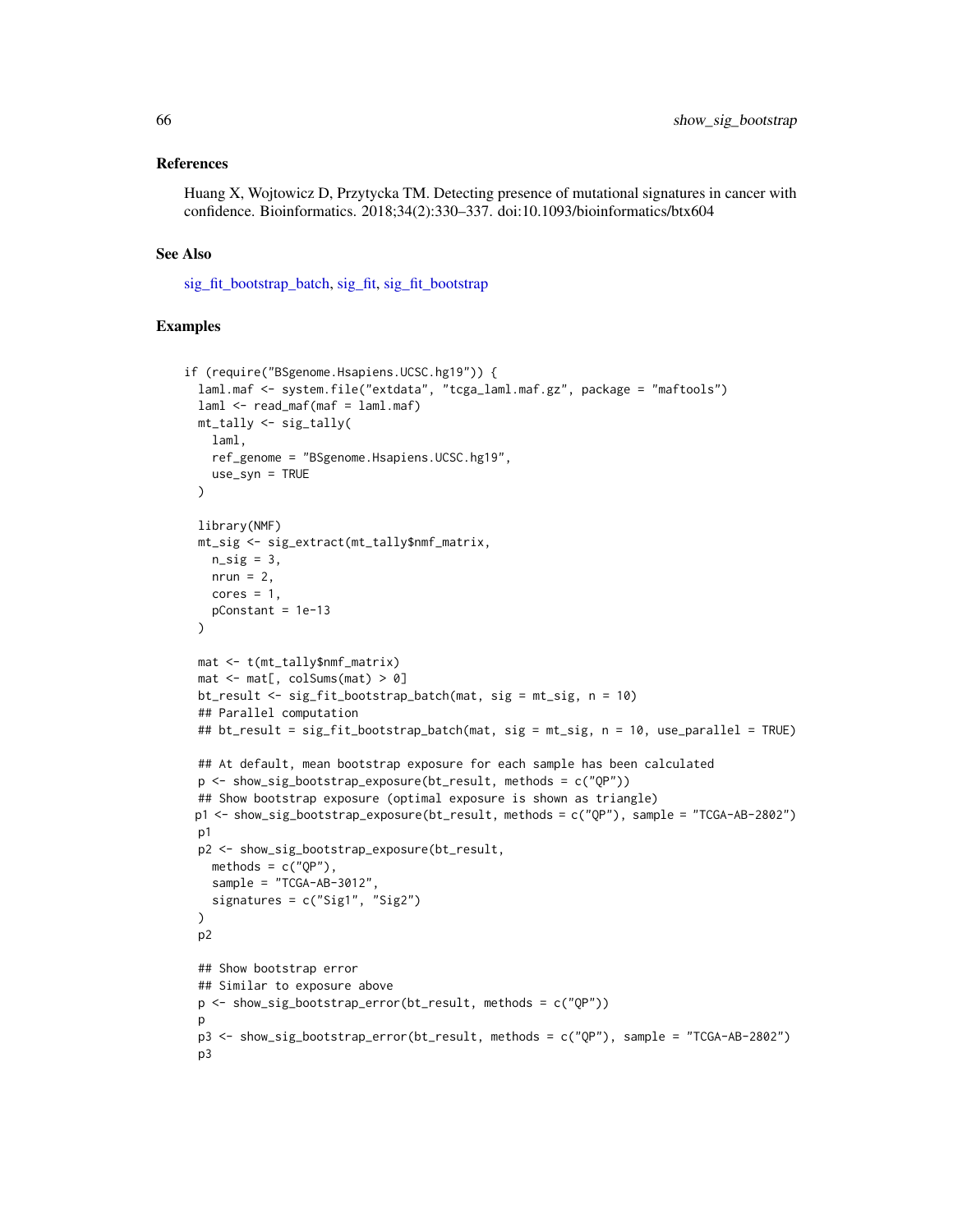#### References

Huang X, Wojtowicz D, Przytycka TM. Detecting presence of mutational signatures in cancer with confidence. Bioinformatics. 2018;34(2):330–337. doi:10.1093/bioinformatics/btx604

#### See Also

[sig\\_fit\\_bootstrap\\_batch,](#page-96-0) [sig\\_fit,](#page-91-0) [sig\\_fit\\_bootstrap](#page-94-0)

```
if (require("BSgenome.Hsapiens.UCSC.hg19")) {
 laml.maf <- system.file("extdata", "tcga_laml.maf.gz", package = "maftools")
 laml < - read_maf(maf = laml.maf)mt_tally <- sig_tally(
   laml,
   ref_genome = "BSgenome.Hsapiens.UCSC.hg19",
   use_syn = TRUE
 \lambdalibrary(NMF)
 mt_sig <- sig_extract(mt_tally$nmf_matrix,
   n<sub>sig</sub> = 3,
   nrun = 2,
   cores = 1,pConstant = 1e-13
 \lambdamat <- t(mt_tally$nmf_matrix)
 mat < -mat[, colSums(mat) > 0]bt_result <- sig_fit_bootstrap_batch(mat, sig = mt_sig, n = 10)
 ## Parallel computation
 ## bt_result = sig_fit_bootstrap_batch(mat, sig = mt_sig, n = 10, use_parallel = TRUE)
 ## At default, mean bootstrap exposure for each sample has been calculated
 p <- show_sig_bootstrap_exposure(bt_result, methods = c("QP"))
 ## Show bootstrap exposure (optimal exposure is shown as triangle)
 p1 <- show_sig_bootstrap_exposure(bt_result, methods = c("QP"), sample = "TCGA-AB-2802")
 p1
 p2 <- show_sig_bootstrap_exposure(bt_result,
   methods = c("QP"),
   sample = "TCGA-AB-3012",signatures = c("Sig1", "Sig2")
 \lambdap2
 ## Show bootstrap error
 ## Similar to exposure above
 p <- show_sig_bootstrap_error(bt_result, methods = c("QP"))
 p
 p3 <- show_sig_bootstrap_error(bt_result, methods = c("QP"), sample = "TCGA-AB-2802")
 p3
```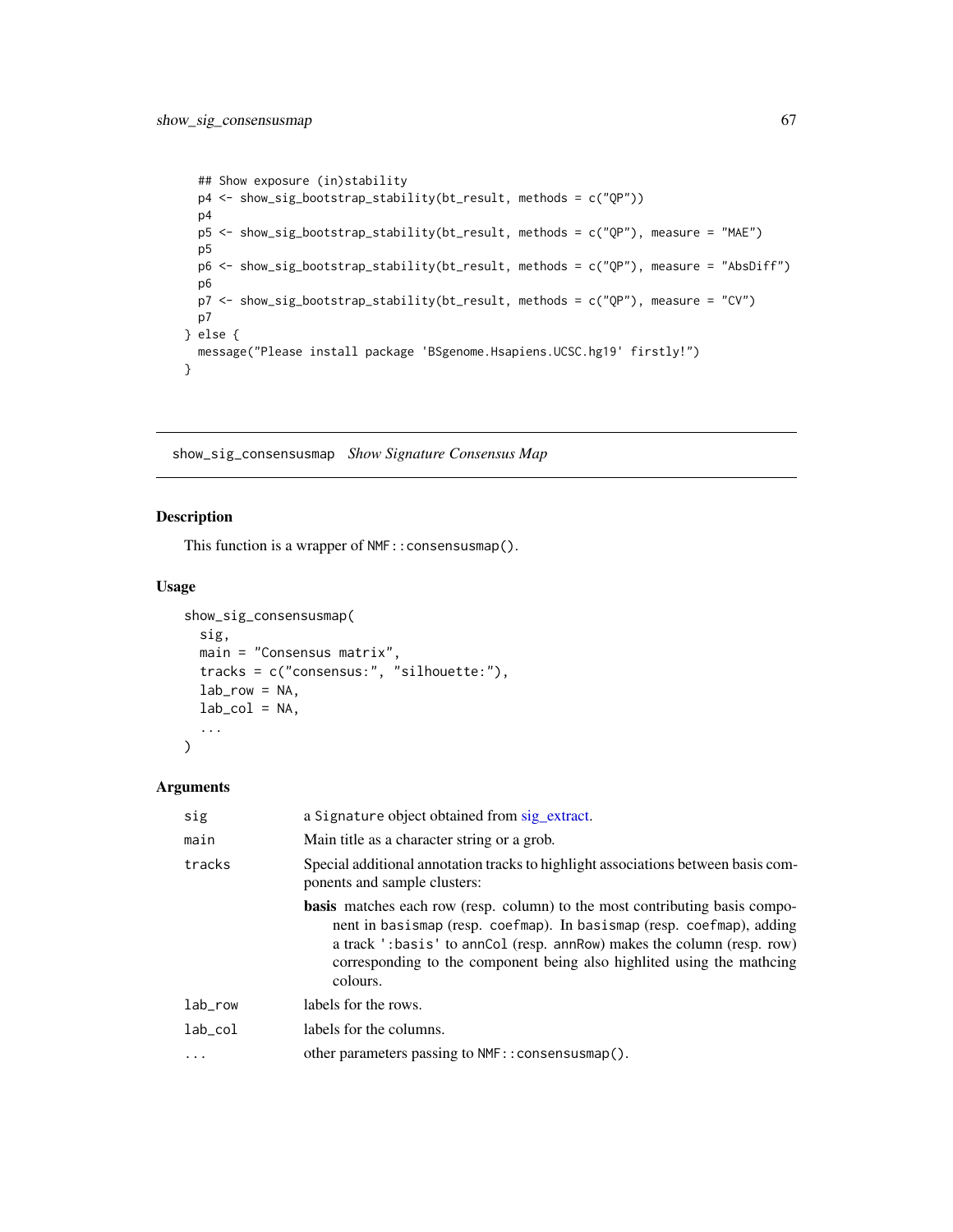```
## Show exposure (in)stability
 p4 <- show_sig_bootstrap_stability(bt_result, methods = c("QP"))
 p4
 p5 <- show_sig_bootstrap_stability(bt_result, methods = c("QP"), measure = "MAE")
 p5
 p6 <- show_sig_bootstrap_stability(bt_result, methods = c("QP"), measure = "AbsDiff")
 p6
 p7 <- show_sig_bootstrap_stability(bt_result, methods = c("QP"), measure = "CV")
 p7
} else {
 message("Please install package 'BSgenome.Hsapiens.UCSC.hg19' firstly!")
}
```
show\_sig\_consensusmap *Show Signature Consensus Map*

## Description

This function is a wrapper of NMF:: consensusmap().

#### Usage

```
show_sig_consensusmap(
  sig,
  main = "Consensus matrix",
  tracks = c("consensus:", "silhouette:"),
  lab_{row} = NA,
  lab\_col = NA,
  ...
\mathcal{L}
```

| sig      | a Signature object obtained from sig_extract.                                                                                                                                                                                                                                                                               |
|----------|-----------------------------------------------------------------------------------------------------------------------------------------------------------------------------------------------------------------------------------------------------------------------------------------------------------------------------|
| main     | Main title as a character string or a grob.                                                                                                                                                                                                                                                                                 |
| tracks   | Special additional annotation tracks to highlight associations between basis com-<br>ponents and sample clusters:                                                                                                                                                                                                           |
|          | <b>basis</b> matches each row (resp. column) to the most contributing basis compo-<br>nent in basismap (resp. coefmap). In basismap (resp. coefmap), adding<br>a track ':basis' to annCol (resp. annRow) makes the column (resp. row)<br>corresponding to the component being also highlited using the mathcing<br>colours. |
| lab_row  | labels for the rows.                                                                                                                                                                                                                                                                                                        |
| lab col  | labels for the columns.                                                                                                                                                                                                                                                                                                     |
| $\ddots$ | other parameters passing to NMF:: consensusmap().                                                                                                                                                                                                                                                                           |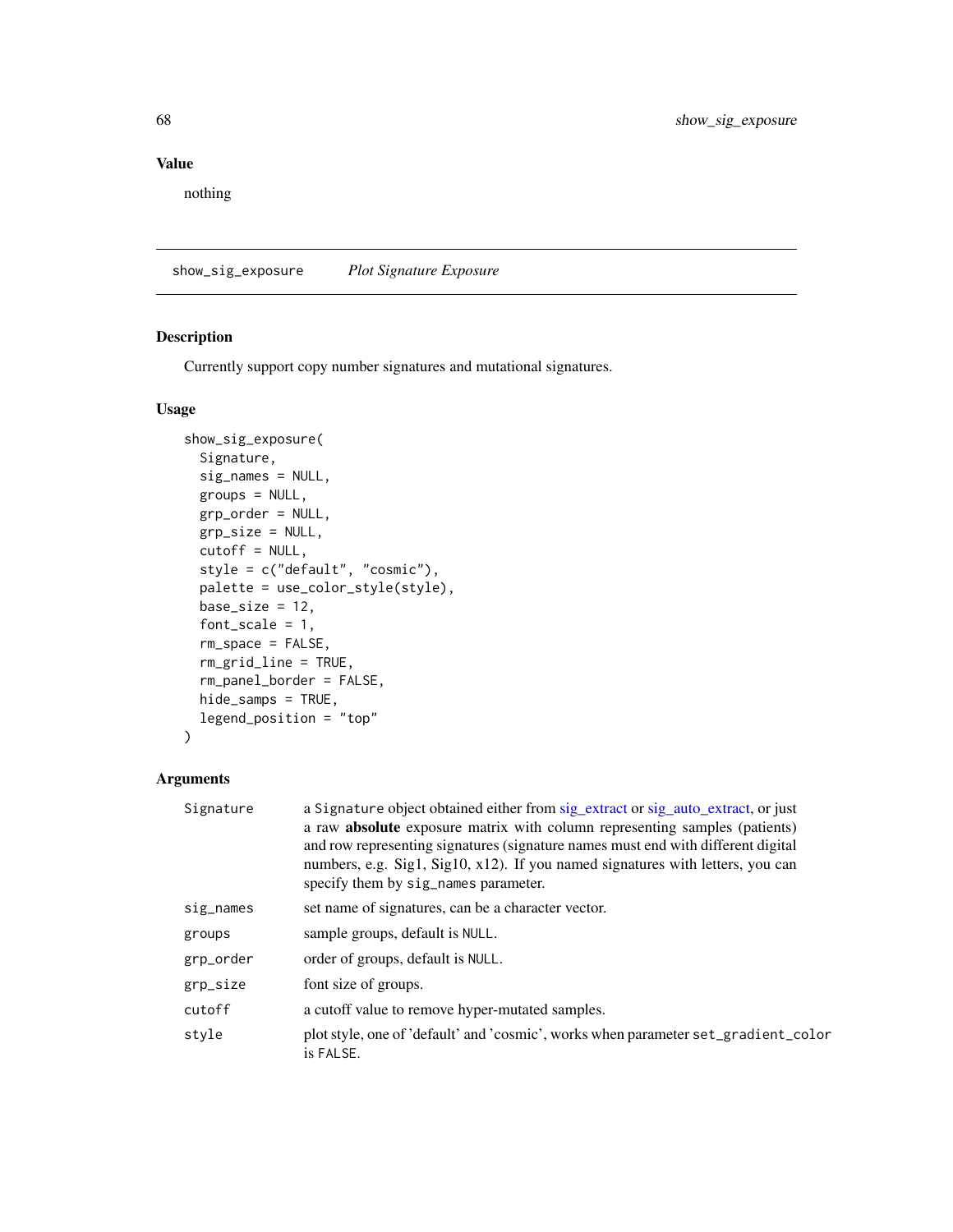nothing

show\_sig\_exposure *Plot Signature Exposure*

## Description

Currently support copy number signatures and mutational signatures.

## Usage

```
show_sig_exposure(
  Signature,
  sig_names = NULL,
  groups = NULL,
 grp_order = NULL,
 grp_size = NULL,
  cutoff = NULL,
  style = c("default", "cosmic"),
 palette = use_color_style(style),
 base_size = 12,
  font_scale = 1,
  rm_space = FALSE,
  rm_grid_line = TRUE,
  rm_panel_border = FALSE,
 hide_samps = TRUE,
  legend_position = "top"
)
```

| Signature | a Signature object obtained either from sig_extract or sig_auto_extract, or just                |
|-----------|-------------------------------------------------------------------------------------------------|
|           | a raw <b>absolute</b> exposure matrix with column representing samples (patients)               |
|           | and row representing signatures (signature names must end with different digital                |
|           | numbers, e.g. Sig1, Sig10, x12). If you named signatures with letters, you can                  |
|           | specify them by sig_names parameter.                                                            |
| sig_names | set name of signatures, can be a character vector.                                              |
| groups    | sample groups, default is NULL.                                                                 |
| grp_order | order of groups, default is NULL.                                                               |
| grp_size  | font size of groups.                                                                            |
| cutoff    | a cutoff value to remove hyper-mutated samples.                                                 |
| style     | plot style, one of 'default' and 'cosmic', works when parameter set_gradient_color<br>is FALSE. |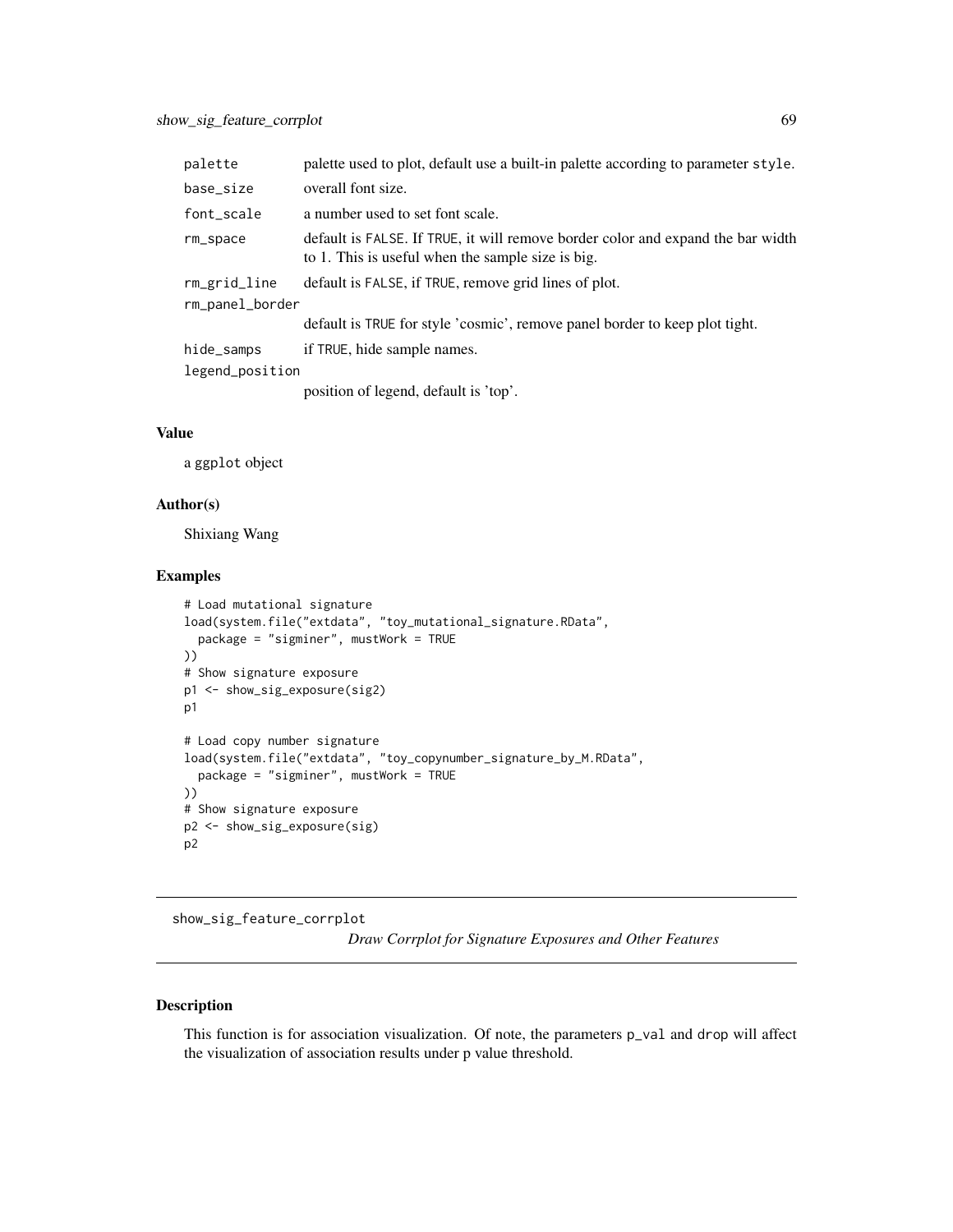| palette         | palette used to plot, default use a built-in palette according to parameter style.                                                   |
|-----------------|--------------------------------------------------------------------------------------------------------------------------------------|
| base_size       | overall font size.                                                                                                                   |
| font_scale      | a number used to set font scale.                                                                                                     |
| rm_space        | default is FALSE. If TRUE, it will remove border color and expand the bar width<br>to 1. This is useful when the sample size is big. |
| rm_grid_line    | default is FALSE, if TRUE, remove grid lines of plot.                                                                                |
| rm_panel_border |                                                                                                                                      |
|                 | default is TRUE for style 'cosmic', remove panel border to keep plot tight.                                                          |
| hide_samps      | if TRUE, hide sample names.                                                                                                          |
| legend_position |                                                                                                                                      |
|                 | $\sim 1.5$ $\sim 1.01$ $\sim 1.00$ $\sim 1.00$ $\sim 1.00$ $\sim 1.00$                                                               |

position of legend, default is 'top'.

### Value

a ggplot object

## Author(s)

Shixiang Wang

## Examples

```
# Load mutational signature
load(system.file("extdata", "toy_mutational_signature.RData",
  package = "sigminer", mustWork = TRUE
))
# Show signature exposure
p1 <- show_sig_exposure(sig2)
p1
# Load copy number signature
load(system.file("extdata", "toy_copynumber_signature_by_M.RData",
  package = "sigminer", mustWork = TRUE
))
# Show signature exposure
p2 <- show_sig_exposure(sig)
p2
```
<span id="page-68-0"></span>show\_sig\_feature\_corrplot

*Draw Corrplot for Signature Exposures and Other Features*

#### Description

This function is for association visualization. Of note, the parameters p\_val and drop will affect the visualization of association results under p value threshold.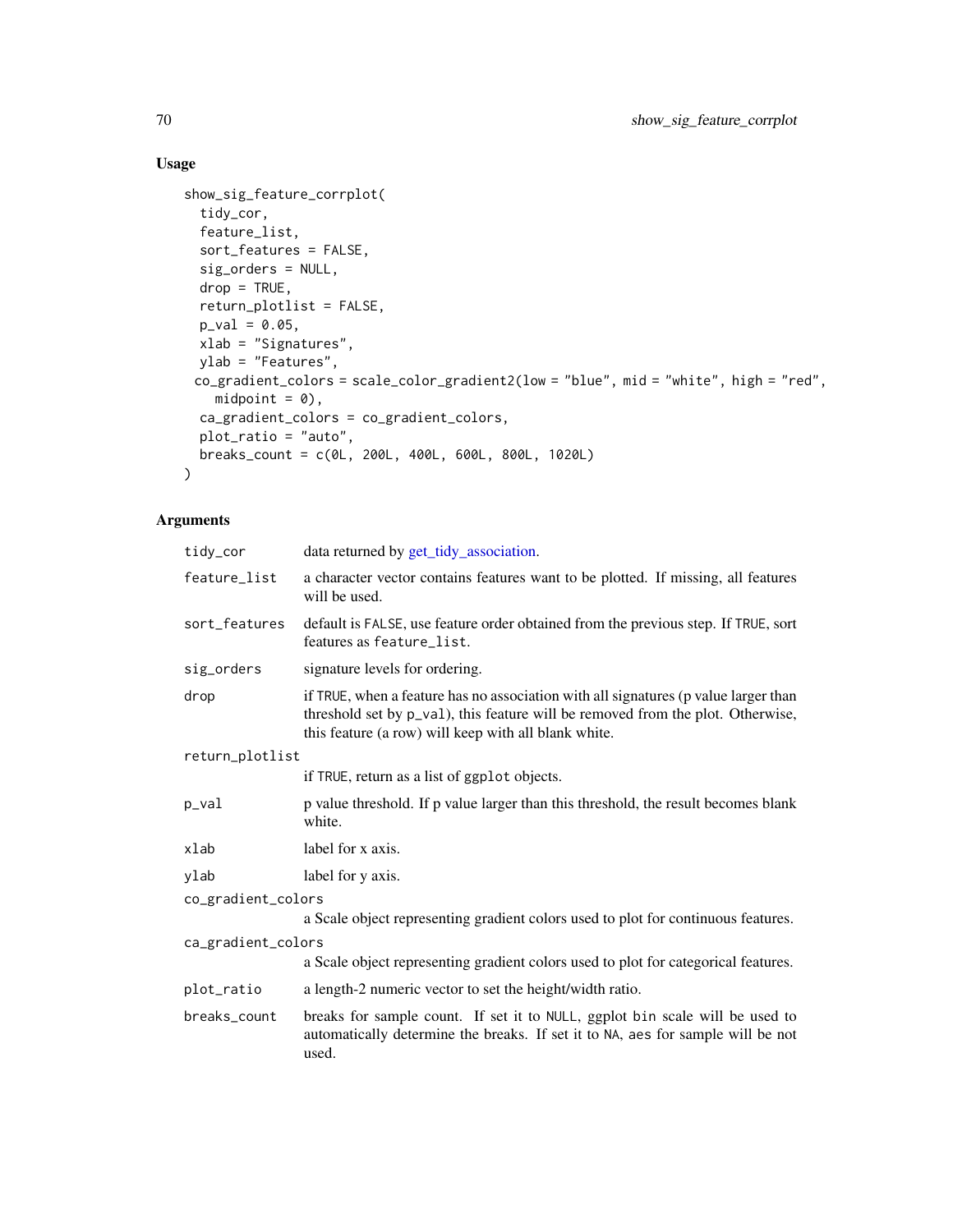## Usage

```
show_sig_feature_corrplot(
  tidy_cor,
 feature_list,
 sort_features = FALSE,
  sig_orders = NULL,
 drop = TRUE,return_plotlist = FALSE,
 p_{val} = 0.05,
 xlab = "Signatures",
 ylab = "Features",
 co_gradient_colors = scale_color_gradient2(low = "blue", mid = "white", high = "red",
   mid = 0),
 ca_gradient_colors = co_gradient_colors,
 plot_ratio = "auto",
 breaks_count = c(0L, 200L, 400L, 600L, 800L, 1020L)
\mathcal{L}
```

| tidy_cor           | data returned by get_tidy_association.                                                                                                                                                                                         |  |  |
|--------------------|--------------------------------------------------------------------------------------------------------------------------------------------------------------------------------------------------------------------------------|--|--|
| feature_list       | a character vector contains features want to be plotted. If missing, all features<br>will be used.                                                                                                                             |  |  |
| sort_features      | default is FALSE, use feature order obtained from the previous step. If TRUE, sort<br>features as feature_list.                                                                                                                |  |  |
| sig_orders         | signature levels for ordering.                                                                                                                                                                                                 |  |  |
| drop               | if TRUE, when a feature has no association with all signatures (p value larger than<br>threshold set by p_val), this feature will be removed from the plot. Otherwise,<br>this feature (a row) will keep with all blank white. |  |  |
|                    | return_plotlist                                                                                                                                                                                                                |  |  |
|                    | if TRUE, return as a list of ggplot objects.                                                                                                                                                                                   |  |  |
| p_val              | p value threshold. If p value larger than this threshold, the result becomes blank<br>white.                                                                                                                                   |  |  |
| xlab               | label for x axis.                                                                                                                                                                                                              |  |  |
| ylab               | label for y axis.                                                                                                                                                                                                              |  |  |
| co_gradient_colors |                                                                                                                                                                                                                                |  |  |
|                    | a Scale object representing gradient colors used to plot for continuous features.                                                                                                                                              |  |  |
| ca_gradient_colors |                                                                                                                                                                                                                                |  |  |
|                    | a Scale object representing gradient colors used to plot for categorical features.                                                                                                                                             |  |  |
| plot_ratio         | a length-2 numeric vector to set the height/width ratio.                                                                                                                                                                       |  |  |
| breaks_count       | breaks for sample count. If set it to NULL, ggplot bin scale will be used to<br>automatically determine the breaks. If set it to NA, aes for sample will be not<br>used.                                                       |  |  |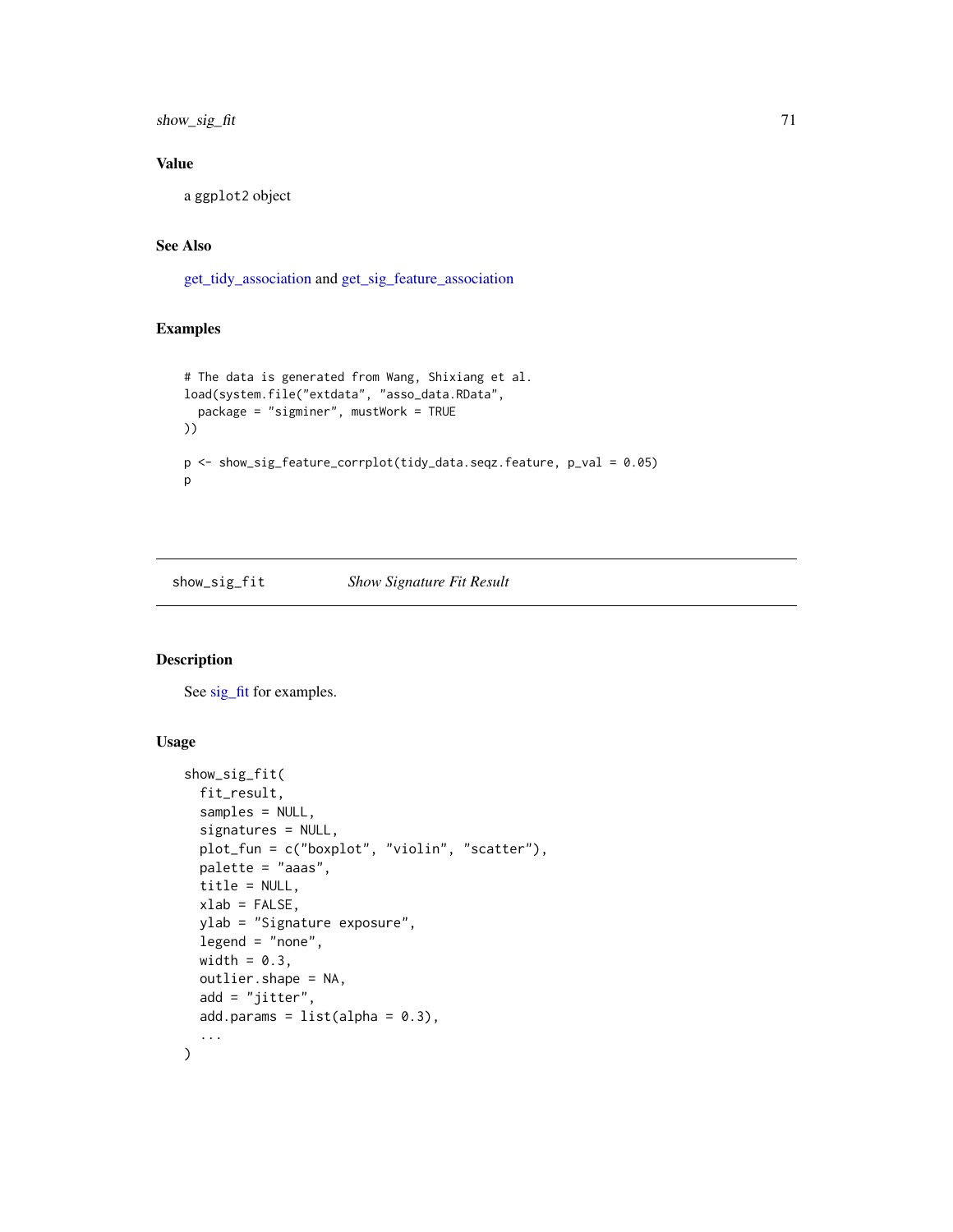show\_sig\_fit 71

## Value

a ggplot2 object

#### See Also

[get\\_tidy\\_association](#page-26-0) and [get\\_sig\\_feature\\_association](#page-23-0)

#### Examples

```
# The data is generated from Wang, Shixiang et al.
load(system.file("extdata", "asso_data.RData",
  package = "sigminer", mustWork = TRUE
))
p <- show_sig_feature_corrplot(tidy_data.seqz.feature, p_val = 0.05)
p
```
show\_sig\_fit *Show Signature Fit Result*

### Description

See [sig\\_fit](#page-91-0) for examples.

#### Usage

```
show_sig_fit(
 fit_result,
  samples = NULL,
  signatures = NULL,
 plot_fun = c("boxplot", "violin", "scatter"),
 palette = "aaas",
 title = NULL,
 xlab = FALSE,
 ylab = "Signature exposure",
 legend = "none",
 width = 0.3,
 outlier.shape = NA,
 add = "jitter",add.params = list(alpha = 0.3),
  ...
\mathcal{L}
```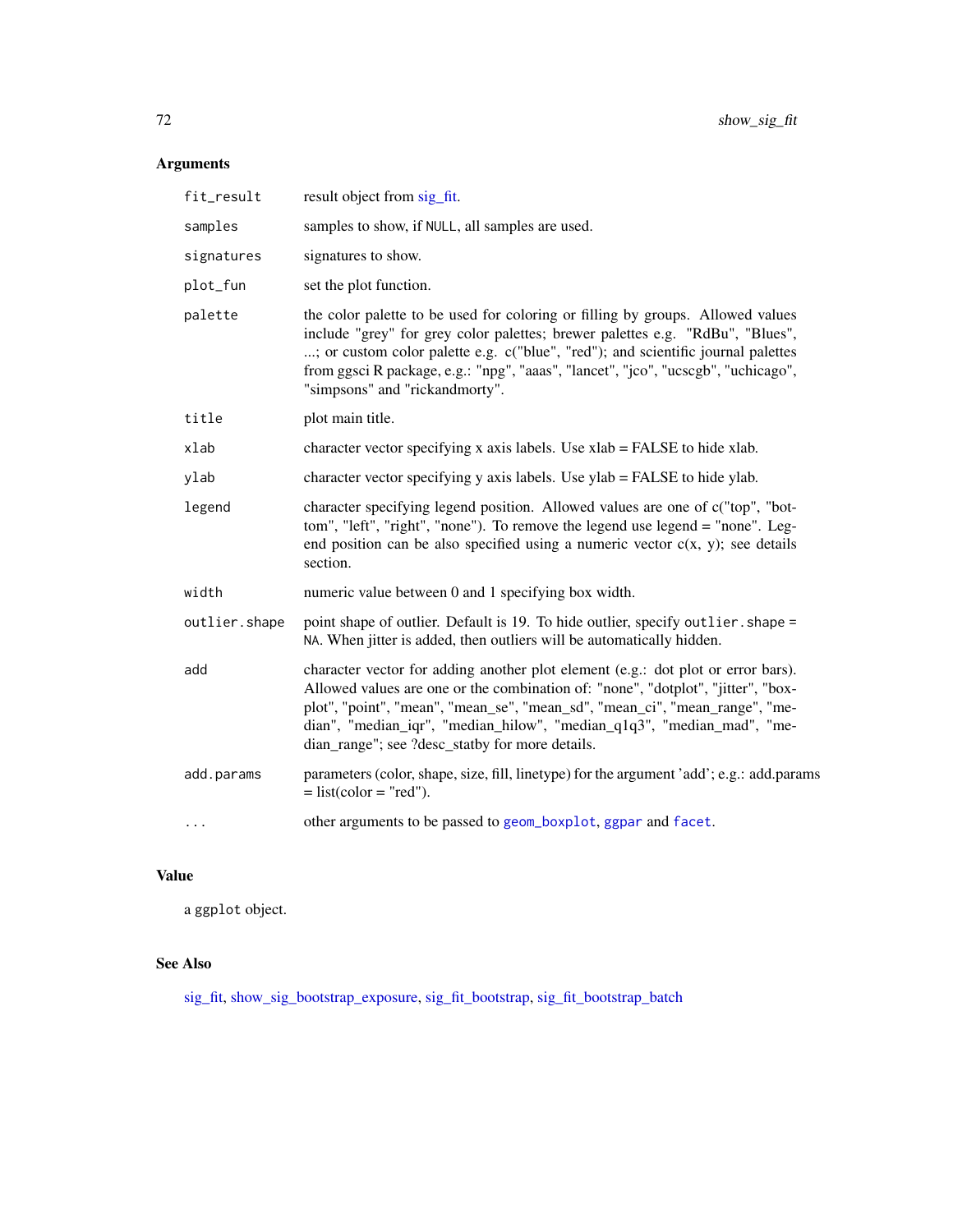# Arguments

| fit_result    | result object from sig_fit.                                                                                                                                                                                                                                                                                                                                                      |
|---------------|----------------------------------------------------------------------------------------------------------------------------------------------------------------------------------------------------------------------------------------------------------------------------------------------------------------------------------------------------------------------------------|
| samples       | samples to show, if NULL, all samples are used.                                                                                                                                                                                                                                                                                                                                  |
| signatures    | signatures to show.                                                                                                                                                                                                                                                                                                                                                              |
| plot_fun      | set the plot function.                                                                                                                                                                                                                                                                                                                                                           |
| palette       | the color palette to be used for coloring or filling by groups. Allowed values<br>include "grey" for grey color palettes; brewer palettes e.g. "RdBu", "Blues",<br>; or custom color palette e.g. c("blue", "red"); and scientific journal palettes<br>from ggsci R package, e.g.: "npg", "aaas", "lancet", "jco", "ucscgb", "uchicago",<br>"simpsons" and "rickandmorty".       |
| title         | plot main title.                                                                                                                                                                                                                                                                                                                                                                 |
| xlab          | character vector specifying x axis labels. Use xlab = FALSE to hide xlab.                                                                                                                                                                                                                                                                                                        |
| ylab          | character vector specifying y axis labels. Use ylab = FALSE to hide ylab.                                                                                                                                                                                                                                                                                                        |
| legend        | character specifying legend position. Allowed values are one of c("top", "bot-<br>tom", "left", "right", "none"). To remove the legend use legend = "none". Leg-<br>end position can be also specified using a numeric vector $c(x, y)$ ; see details<br>section.                                                                                                                |
| width         | numeric value between 0 and 1 specifying box width.                                                                                                                                                                                                                                                                                                                              |
| outlier.shape | point shape of outlier. Default is 19. To hide outlier, specify outlier. shape =<br>NA. When jitter is added, then outliers will be automatically hidden.                                                                                                                                                                                                                        |
| add           | character vector for adding another plot element (e.g.: dot plot or error bars).<br>Allowed values are one or the combination of: "none", "dotplot", "jitter", "box-<br>plot", "point", "mean", "mean_se", "mean_sd", "mean_ci", "mean_range", "me-<br>dian", "median_iqr", "median_hilow", "median_q1q3", "median_mad", "me-<br>dian_range"; see ?desc_statby for more details. |
| add.params    | parameters (color, shape, size, fill, linetype) for the argument 'add'; e.g.: add.params<br>$=$ list(color = "red").                                                                                                                                                                                                                                                             |
| $\cdots$      | other arguments to be passed to geom_boxplot, ggpar and facet.                                                                                                                                                                                                                                                                                                                   |
|               |                                                                                                                                                                                                                                                                                                                                                                                  |

## Value

a ggplot object.

# See Also

[sig\\_fit,](#page-91-0) [show\\_sig\\_bootstrap\\_exposure,](#page-62-0) [sig\\_fit\\_bootstrap,](#page-94-0) [sig\\_fit\\_bootstrap\\_batch](#page-96-0)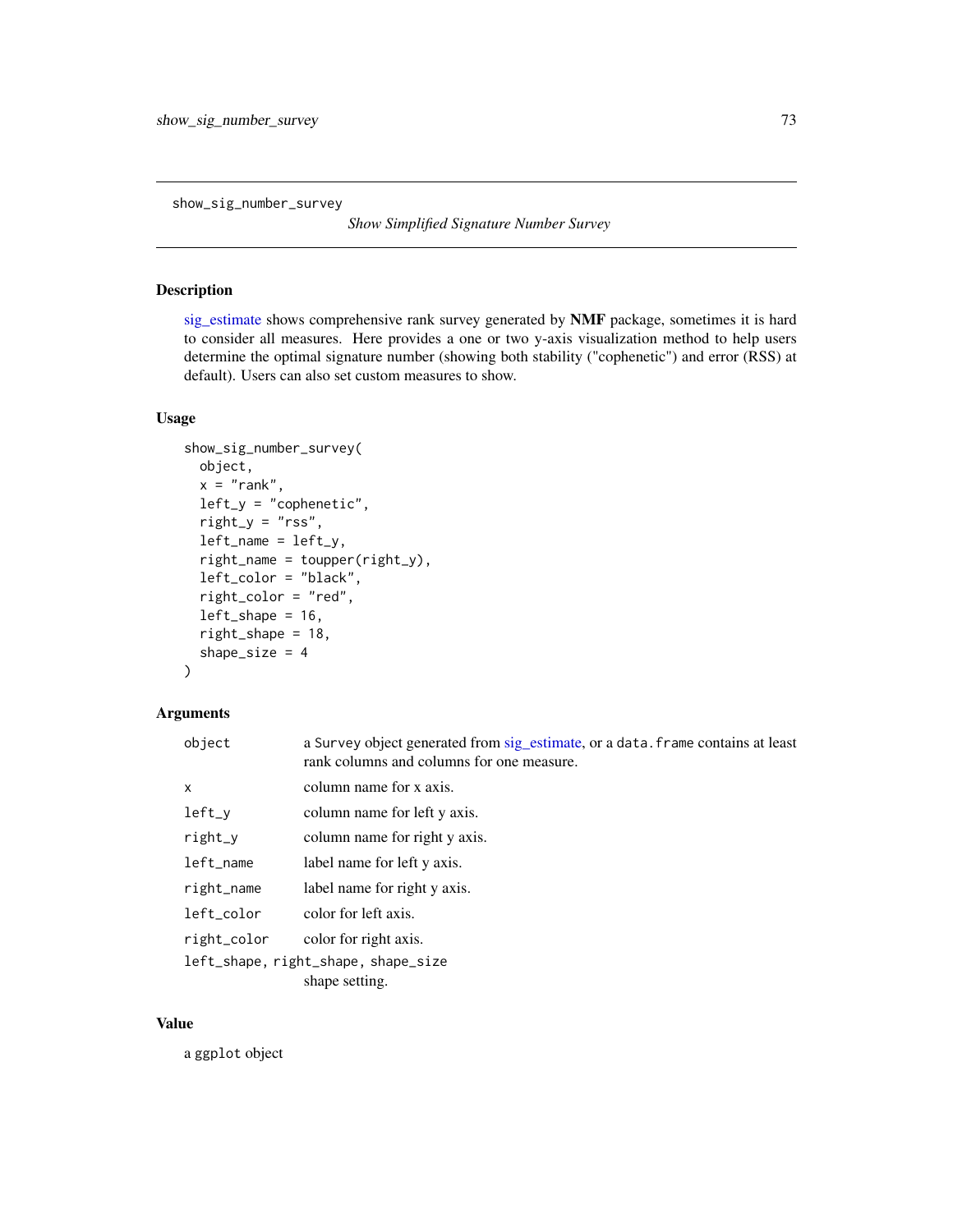show\_sig\_number\_survey

*Show Simplified Signature Number Survey*

## Description

[sig\\_estimate](#page-88-0) shows comprehensive rank survey generated by NMF package, sometimes it is hard to consider all measures. Here provides a one or two y-axis visualization method to help users determine the optimal signature number (showing both stability ("cophenetic") and error (RSS) at default). Users can also set custom measures to show.

## Usage

```
show_sig_number_survey(
 object,
  x = "rank",left_y = "cophenetic",
  right_y = "rss",left_name = left_y,right_name = toupper(right_y),
  left_color = "black",
  right_color = "red",
  left\_shape = 16,
  right_shape = 18,
  shape_size = 4)
```
### Arguments

| object                              | a Survey object generated from sig_estimate, or a data. frame contains at least<br>rank columns and columns for one measure. |
|-------------------------------------|------------------------------------------------------------------------------------------------------------------------------|
| x                                   | column name for x axis.                                                                                                      |
| $left_y$                            | column name for left y axis.                                                                                                 |
| $right_y$                           | column name for right y axis.                                                                                                |
| left_name                           | label name for left y axis.                                                                                                  |
| right_name                          | label name for right y axis.                                                                                                 |
| left_color                          | color for left axis.                                                                                                         |
| right_color                         | color for right axis.                                                                                                        |
| left_shape, right_shape, shape_size |                                                                                                                              |
|                                     | shape setting.                                                                                                               |

## Value

a ggplot object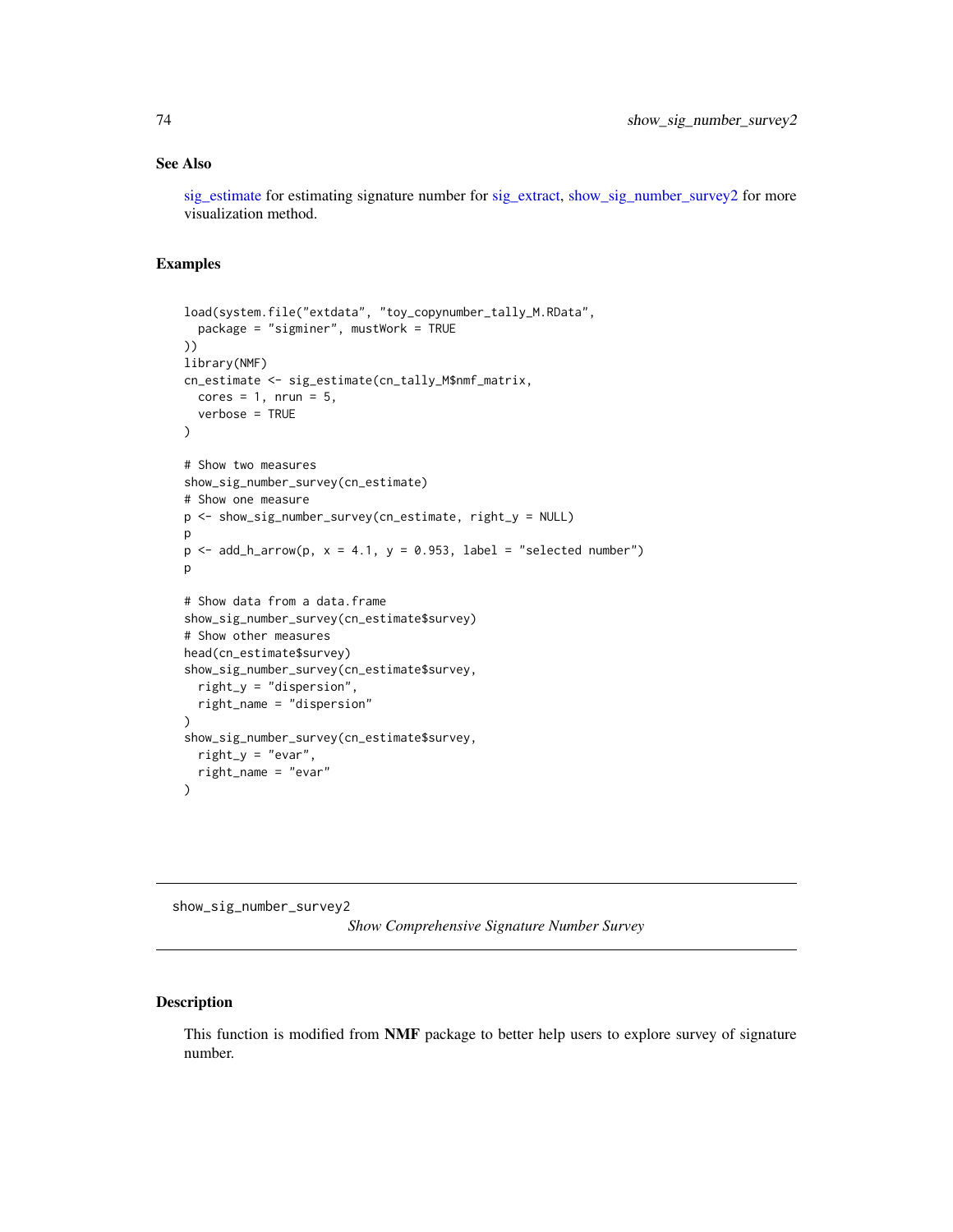#### See Also

[sig\\_estimate](#page-88-0) for estimating signature number for [sig\\_extract,](#page-90-0) [show\\_sig\\_number\\_survey2](#page-73-0) for more visualization method.

#### Examples

```
load(system.file("extdata", "toy_copynumber_tally_M.RData",
  package = "sigminer", mustWork = TRUE
))
library(NMF)
cn_estimate <- sig_estimate(cn_tally_M$nmf_matrix,
 cores = 1, nrun = 5,verbose = TRUE
\lambda# Show two measures
show_sig_number_survey(cn_estimate)
# Show one measure
p <- show_sig_number_survey(cn_estimate, right_y = NULL)
p
p \leq - add_h_arrow(p, x = 4.1, y = 0.953, label = "selected number")
p
# Show data from a data.frame
show_sig_number_survey(cn_estimate$survey)
# Show other measures
head(cn_estimate$survey)
show_sig_number_survey(cn_estimate$survey,
  right_y = "dispersion",
  right_name = "dispersion"
)
show_sig_number_survey(cn_estimate$survey,
  right_y = "evar",right_name = "evar"
)
```
<span id="page-73-0"></span>show\_sig\_number\_survey2

*Show Comprehensive Signature Number Survey*

## Description

This function is modified from NMF package to better help users to explore survey of signature number.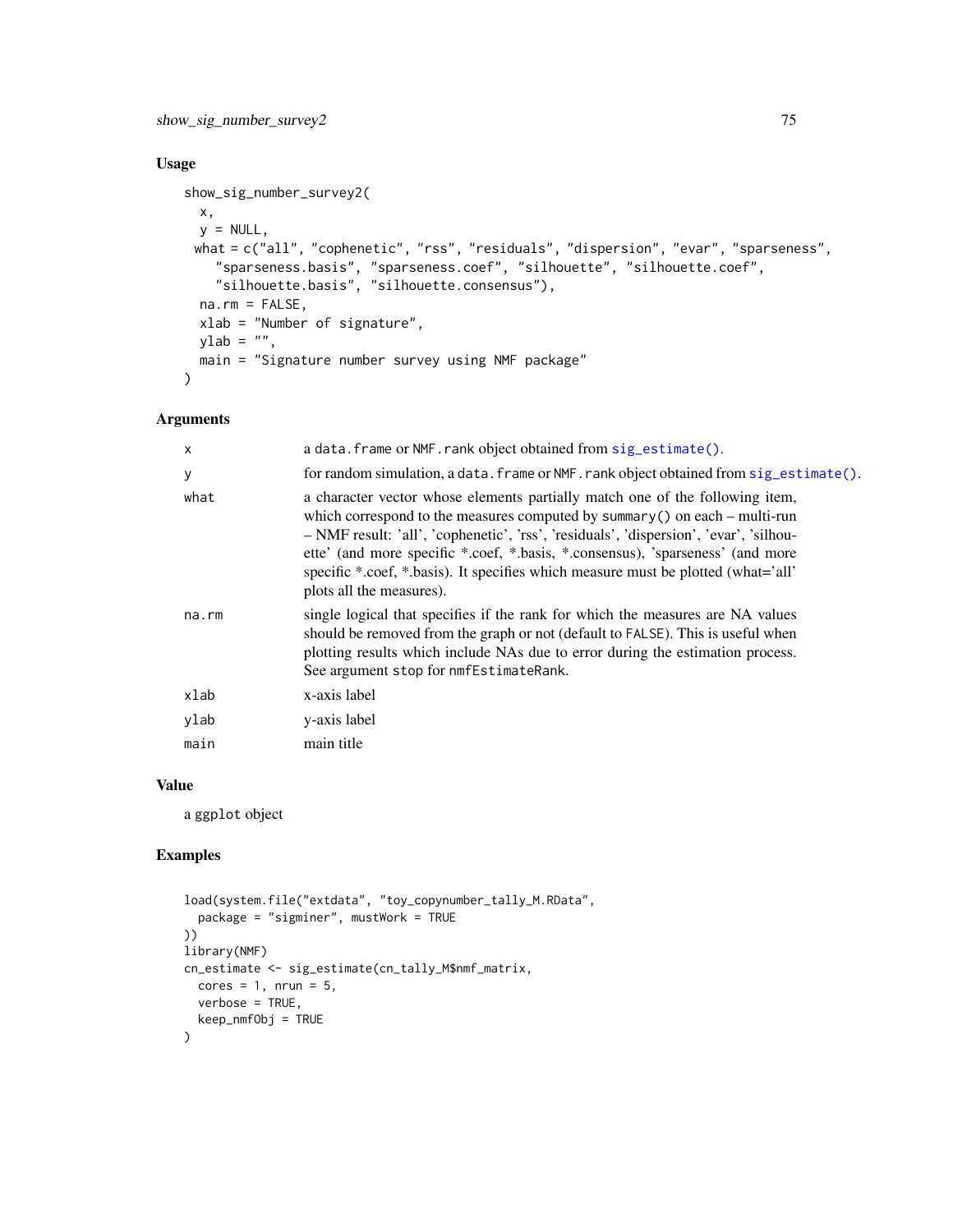## Usage

```
show_sig_number_survey2(
 x,
 y = NULL,what = c("all", "cophenetic", "rss", "residuals", "dispersion", "evar", "sparseness",
    "sparseness.basis", "sparseness.coef", "silhouette", "silhouette.coef",
    "silhouette.basis", "silhouette.consensus"),
 na.rm = FALSE,
 xlab = "Number of signature",
 ylab = "",
 main = "Signature number survey using NMF package"
\mathcal{L}
```
# Arguments

| X     | a data. frame or NMF. rank object obtained from sig_estimate().                                                                                                                                                                                                                                                                                                                                                                                           |
|-------|-----------------------------------------------------------------------------------------------------------------------------------------------------------------------------------------------------------------------------------------------------------------------------------------------------------------------------------------------------------------------------------------------------------------------------------------------------------|
| У     | for random simulation, a data. frame or NMF. rank object obtained from sig_estimate().                                                                                                                                                                                                                                                                                                                                                                    |
| what  | a character vector whose elements partially match one of the following item,<br>which correspond to the measures computed by summary () on each $-$ multi-run<br>- NMF result: 'all', 'cophenetic', 'rss', 'residuals', 'dispersion', 'evar', 'silhou-<br>ette' (and more specific *.coef, *.basis, *.consensus), 'sparseness' (and more<br>specific *.coef, *.basis). It specifies which measure must be plotted (what='all'<br>plots all the measures). |
| na.rm | single logical that specifies if the rank for which the measures are NA values<br>should be removed from the graph or not (default to FALSE). This is useful when<br>plotting results which include NAs due to error during the estimation process.<br>See argument stop for nmfEstimateRank.                                                                                                                                                             |
| xlab  | x-axis label                                                                                                                                                                                                                                                                                                                                                                                                                                              |
| ylab  | y-axis label                                                                                                                                                                                                                                                                                                                                                                                                                                              |
| main  | main title                                                                                                                                                                                                                                                                                                                                                                                                                                                |
|       |                                                                                                                                                                                                                                                                                                                                                                                                                                                           |

### Value

a ggplot object

## Examples

```
load(system.file("extdata", "toy_copynumber_tally_M.RData",
  package = "sigminer", mustWork = TRUE
))
library(NMF)
cn_estimate <- sig_estimate(cn_tally_M$nmf_matrix,
 cores = 1, nrun = 5,
  verbose = TRUE,
 keep_nmfObj = TRUE
\mathcal{L}
```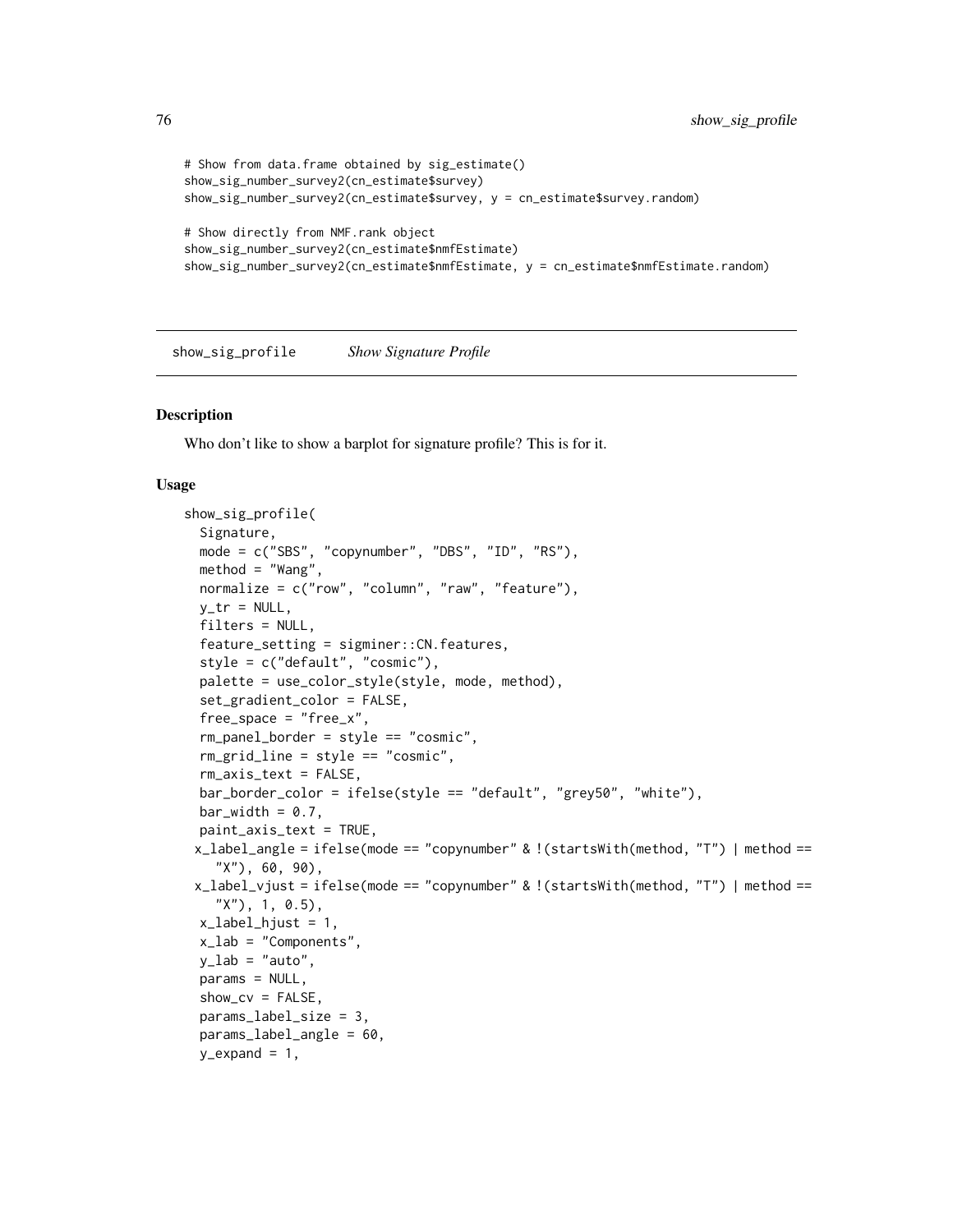```
# Show from data.frame obtained by sig_estimate()
show_sig_number_survey2(cn_estimate$survey)
show_sig_number_survey2(cn_estimate$survey, y = cn_estimate$survey.random)
# Show directly from NMF.rank object
show_sig_number_survey2(cn_estimate$nmfEstimate)
show_sig_number_survey2(cn_estimate$nmfEstimate, y = cn_estimate$nmfEstimate.random)
```
<span id="page-75-0"></span>show\_sig\_profile *Show Signature Profile*

#### Description

Who don't like to show a barplot for signature profile? This is for it.

#### Usage

```
show_sig_profile(
  Signature,
 mode = c("SBS", "copynumber", "DBS", "ID", "RS"),
 method = "Wang",normalize = c("row", "column", "raw", "feature"),
  y_tr = NULL,filters = NULL,
  feature_setting = sigminer::CN.features,
  style = c("default", "cosmic"),
  palette = use_color_style(style, mode, method),
  set_gradient_color = FALSE,
  free\_space = "free_x",rm_panel_border = style == "cosmic",
  rm_grid_line = style == "cosmic",
  rm_axis_text = FALSE,
  bar_border_color = ifelse(style == "default", "grey50", "white"),
 bar_wwidth = 0.7,
 paint_axis_text = TRUE,
 x_label_angle = ifelse(mode == "copynumber" & !(startsWith(method, "T") | method ==
    "X"), 60, 90),
 x_label_vjust = ifelse(mode == "copynumber" & !(startsWith(method, "T") | method ==
    "X"), 1, 0.5),
  x<sup>1</sup>abel_hjust = 1,
  x_lab = "Components",
 y_lab = "auto",
 params = NULL,
  show_{cv} = FALSE,
  params_label_size = 3,
  params_label_angle = 60,
  y<sup>=</sup>xpand = 1,
```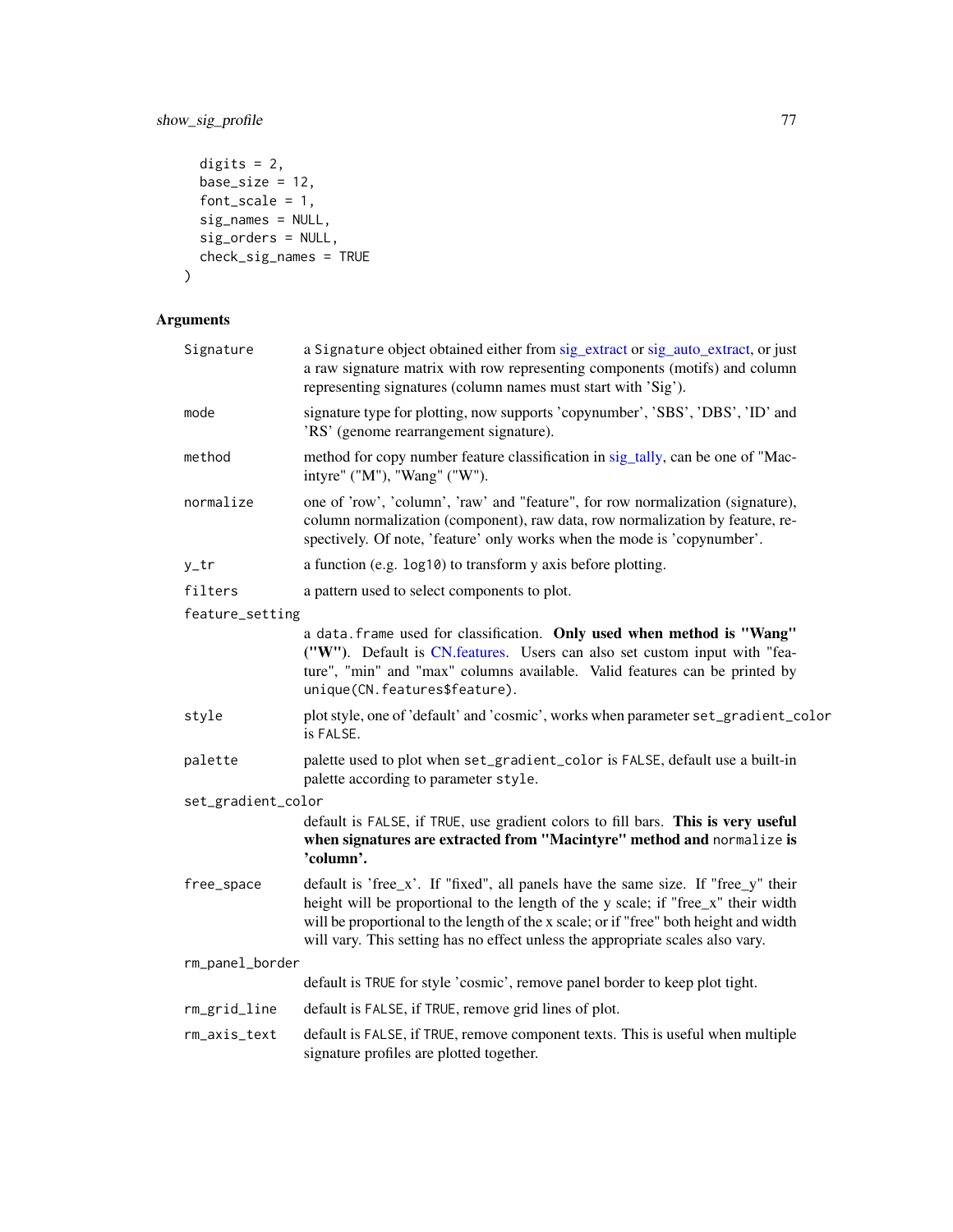# show\_sig\_profile 77

```
digits = 2,
 base_size = 12,
 font_scale = 1,sig_names = NULL,
 sig_orders = NULL,
 check_sig_names = TRUE
\mathcal{L}
```
# Arguments

| Signature          | a Signature object obtained either from sig_extract or sig_auto_extract, or just<br>a raw signature matrix with row representing components (motifs) and column<br>representing signatures (column names must start with 'Sig').                                                                                                                  |
|--------------------|---------------------------------------------------------------------------------------------------------------------------------------------------------------------------------------------------------------------------------------------------------------------------------------------------------------------------------------------------|
| mode               | signature type for plotting, now supports 'copynumber', 'SBS', 'DBS', 'ID' and<br>'RS' (genome rearrangement signature).                                                                                                                                                                                                                          |
| method             | method for copy number feature classification in sig_tally, can be one of "Mac-<br>intyre" ("M"), "Wang" ("W").                                                                                                                                                                                                                                   |
| normalize          | one of 'row', 'column', 'raw' and "feature", for row normalization (signature),<br>column normalization (component), raw data, row normalization by feature, re-<br>spectively. Of note, 'feature' only works when the mode is 'copynumber'.                                                                                                      |
| y_tr               | a function (e.g. log10) to transform y axis before plotting.                                                                                                                                                                                                                                                                                      |
| filters            | a pattern used to select components to plot.                                                                                                                                                                                                                                                                                                      |
| feature_setting    |                                                                                                                                                                                                                                                                                                                                                   |
|                    | a data. frame used for classification. Only used when method is "Wang"<br>("W"). Default is CN.features. Users can also set custom input with "fea-<br>ture", "min" and "max" columns available. Valid features can be printed by<br>unique(CN.features\$feature).                                                                                |
| style              | plot style, one of 'default' and 'cosmic', works when parameter set_gradient_color<br>is FALSE.                                                                                                                                                                                                                                                   |
| palette            | palette used to plot when set_gradient_color is FALSE, default use a built-in<br>palette according to parameter style.                                                                                                                                                                                                                            |
| set_gradient_color |                                                                                                                                                                                                                                                                                                                                                   |
|                    | default is FALSE, if TRUE, use gradient colors to fill bars. This is very useful<br>when signatures are extracted from "Macintyre" method and normalize is<br>'column'.                                                                                                                                                                           |
| free_space         | default is 'free_x'. If "fixed", all panels have the same size. If "free_y" their<br>height will be proportional to the length of the y scale; if "free_x" their width<br>will be proportional to the length of the x scale; or if "free" both height and width<br>will vary. This setting has no effect unless the appropriate scales also vary. |
| rm_panel_border    |                                                                                                                                                                                                                                                                                                                                                   |
|                    | default is TRUE for style 'cosmic', remove panel border to keep plot tight.                                                                                                                                                                                                                                                                       |
| rm_grid_line       | default is FALSE, if TRUE, remove grid lines of plot.                                                                                                                                                                                                                                                                                             |
| rm_axis_text       | default is FALSE, if TRUE, remove component texts. This is useful when multiple<br>signature profiles are plotted together.                                                                                                                                                                                                                       |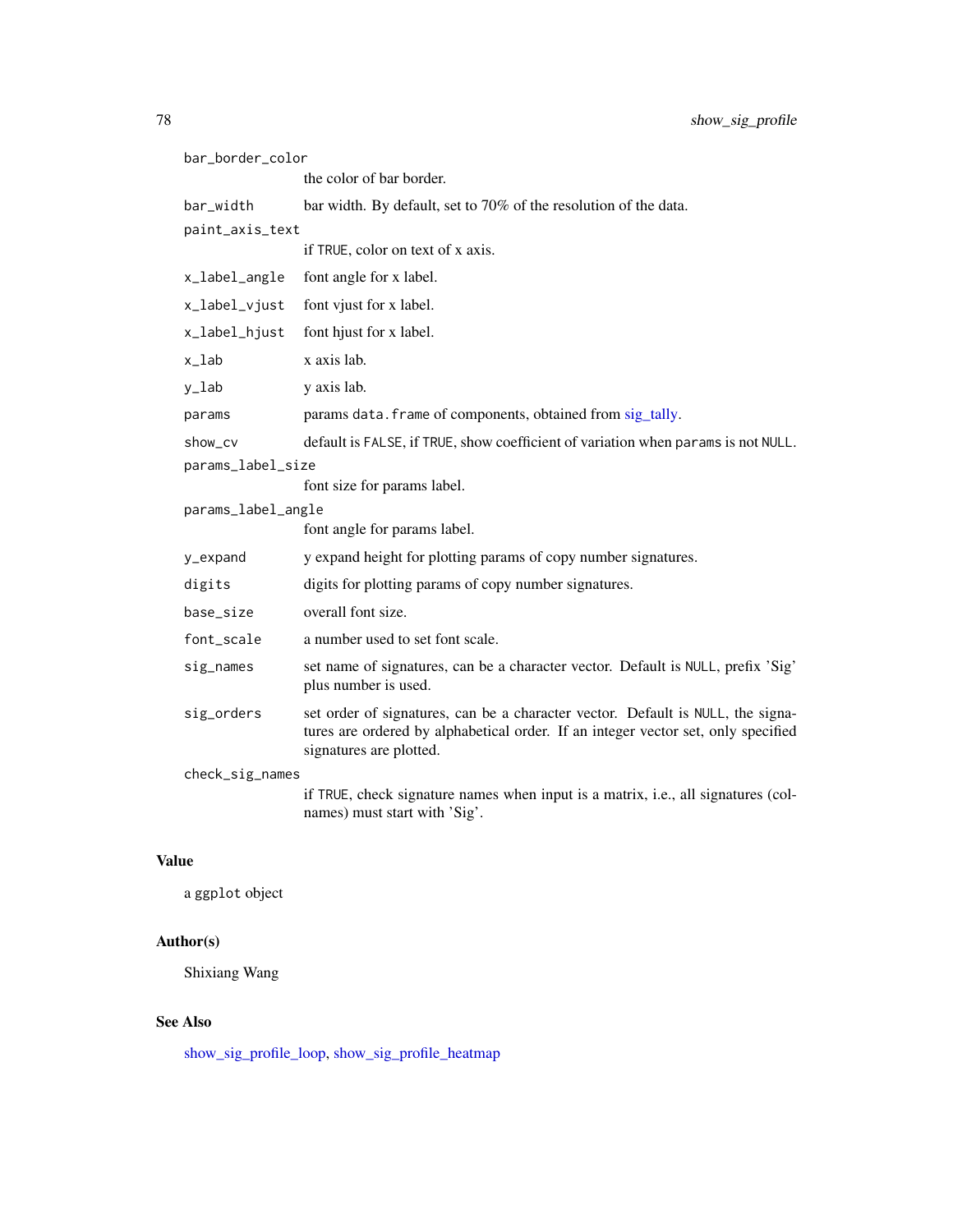| bar_border_color   |                                                                                                                                                                                                 |  |
|--------------------|-------------------------------------------------------------------------------------------------------------------------------------------------------------------------------------------------|--|
|                    | the color of bar border.                                                                                                                                                                        |  |
| bar_width          | bar width. By default, set to 70% of the resolution of the data.                                                                                                                                |  |
| paint_axis_text    |                                                                                                                                                                                                 |  |
|                    | if TRUE, color on text of x axis.                                                                                                                                                               |  |
| x_label_angle      | font angle for x label.                                                                                                                                                                         |  |
| x_label_vjust      | font vjust for x label.                                                                                                                                                                         |  |
| x_label_hjust      | font hjust for x label.                                                                                                                                                                         |  |
| x_lab              | x axis lab.                                                                                                                                                                                     |  |
| y_lab              | y axis lab.                                                                                                                                                                                     |  |
| params             | params data. frame of components, obtained from sig_tally.                                                                                                                                      |  |
| show_cv            | default is FALSE, if TRUE, show coefficient of variation when params is not NULL.                                                                                                               |  |
| params_label_size  |                                                                                                                                                                                                 |  |
|                    | font size for params label.                                                                                                                                                                     |  |
| params_label_angle |                                                                                                                                                                                                 |  |
|                    | font angle for params label.                                                                                                                                                                    |  |
| y_expand           | y expand height for plotting params of copy number signatures.                                                                                                                                  |  |
| digits             | digits for plotting params of copy number signatures.                                                                                                                                           |  |
| base_size          | overall font size.                                                                                                                                                                              |  |
| font_scale         | a number used to set font scale.                                                                                                                                                                |  |
| sig_names          | set name of signatures, can be a character vector. Default is NULL, prefix 'Sig'<br>plus number is used.                                                                                        |  |
| sig_orders         | set order of signatures, can be a character vector. Default is NULL, the signa-<br>tures are ordered by alphabetical order. If an integer vector set, only specified<br>signatures are plotted. |  |
| check_sig_names    |                                                                                                                                                                                                 |  |
|                    | if TRUE, check signature names when input is a matrix, i.e., all signatures (col-<br>names) must start with 'Sig'.                                                                              |  |

# Value

a ggplot object

# Author(s)

Shixiang Wang

# See Also

[show\\_sig\\_profile\\_loop,](#page-81-0) [show\\_sig\\_profile\\_heatmap](#page-79-0)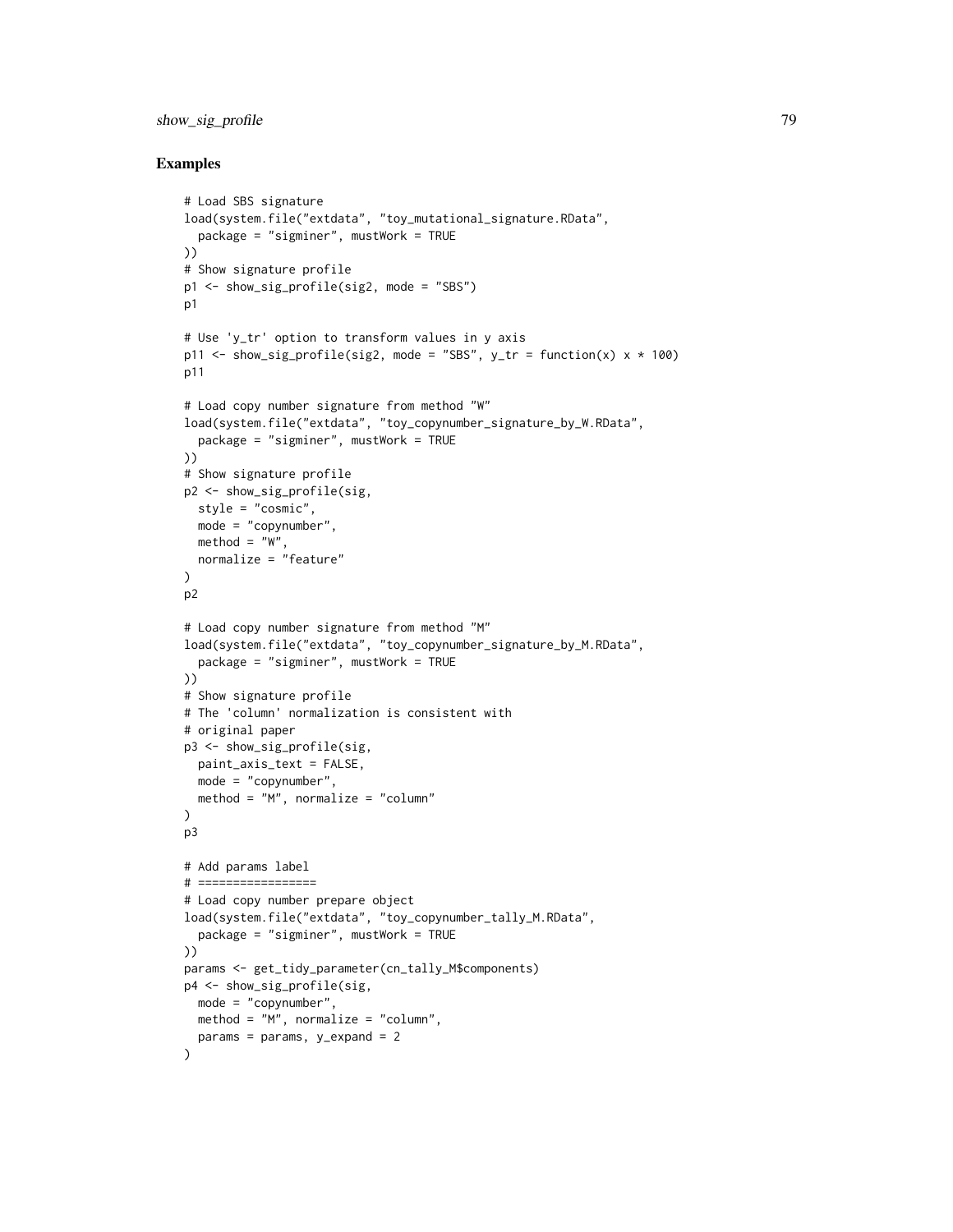## show\_sig\_profile 79

### Examples

```
# Load SBS signature
load(system.file("extdata", "toy_mutational_signature.RData",
  package = "sigminer", mustWork = TRUE
))
# Show signature profile
p1 <- show_sig_profile(sig2, mode = "SBS")
p1
# Use 'y_tr' option to transform values in y axis
p11 <- show_sig_profile(sig2, mode = "SBS", y_tr = function(x) \times x + 100)
p11
# Load copy number signature from method "W"
load(system.file("extdata", "toy_copynumber_signature_by_W.RData",
  package = "sigminer", mustWork = TRUE
))
# Show signature profile
p2 <- show_sig_profile(sig,
  style = "cosmic",
  mode = "copynumber",
 method = "W".normalize = "feature"
)
p2
# Load copy number signature from method "M"
load(system.file("extdata", "toy_copynumber_signature_by_M.RData",
  package = "sigminer", mustWork = TRUE
))
# Show signature profile
# The 'column' normalization is consistent with
# original paper
p3 <- show_sig_profile(sig,
 paint_axis_text = FALSE,
 mode = "copynumber",
 method = "M", normalize = "column"
)
p3
# Add params label
# =================
# Load copy number prepare object
load(system.file("extdata", "toy_copynumber_tally_M.RData",
  package = "sigminer", mustWork = TRUE
))
params <- get_tidy_parameter(cn_tally_M$components)
p4 <- show_sig_profile(sig,
 mode = "copynumber",
 method = "M", normalize = "column",
  params = params, y_{exp})
```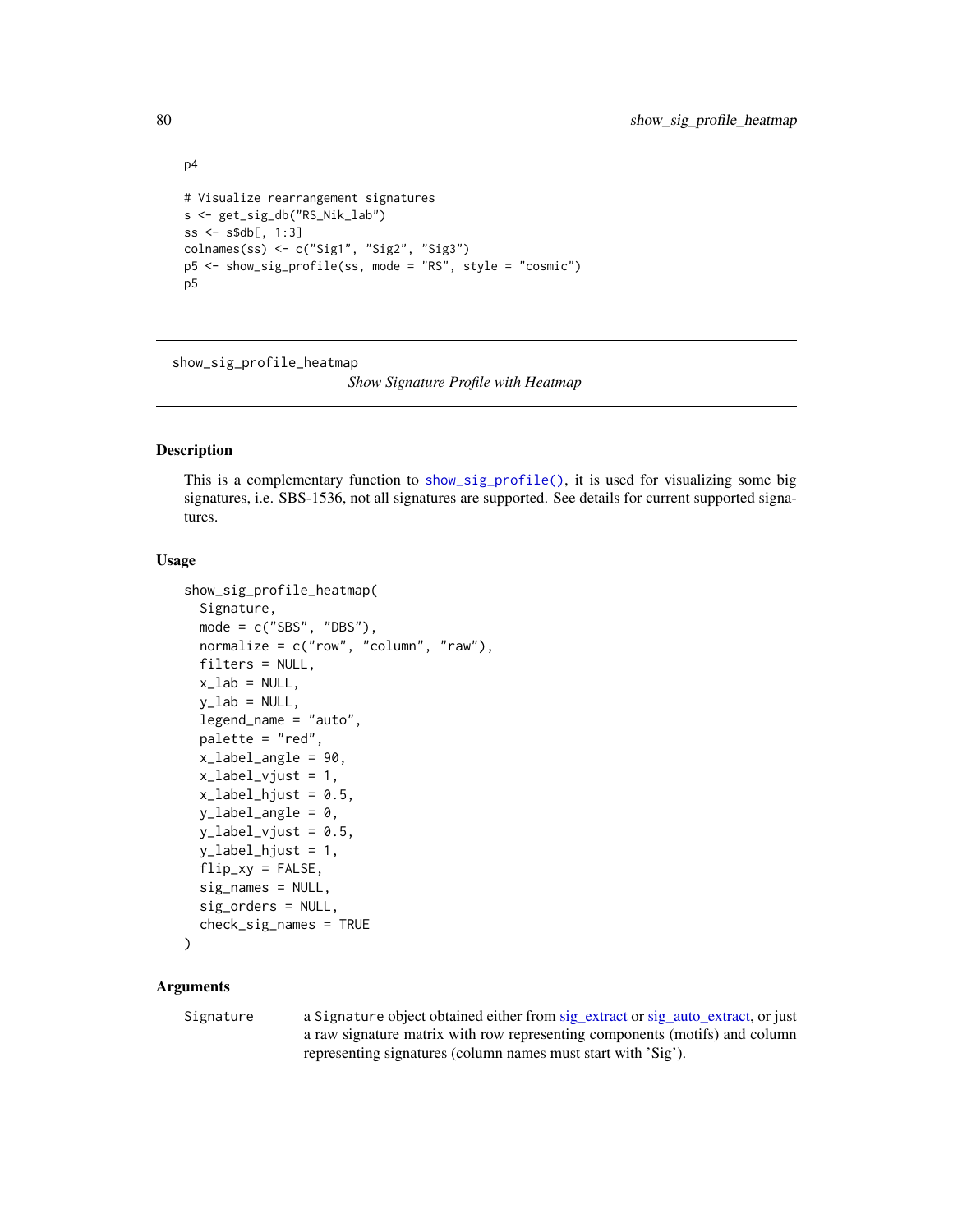```
p4
# Visualize rearrangement signatures
s <- get_sig_db("RS_Nik_lab")
ss <- s$db[, 1:3]
colnames(ss) <- c("Sig1", "Sig2", "Sig3")
p5 <- show_sig_profile(ss, mode = "RS", style = "cosmic")
p5
```
<span id="page-79-0"></span>show\_sig\_profile\_heatmap

*Show Signature Profile with Heatmap*

#### Description

This is a complementary function to [show\\_sig\\_profile\(\)](#page-75-0), it is used for visualizing some big signatures, i.e. SBS-1536, not all signatures are supported. See details for current supported signatures.

#### Usage

```
show_sig_profile_heatmap(
  Signature,
  mode = c("SBS", "DBS"),
  normalize = c("row", "column", "raw"),
  filters = NULL,
  x<sup>-</sup>lab = NULL,
  y<sup>-</sup>lab = NULL,
  legend_name = "auto",
  palette = "red",
  x_label_angle = 90,
  x<sup>l</sup>abel_vjust = 1,
  x<sup>1</sup>abel_hjust = 0.5,
  y_label_angle = 0,
  y<sup>1</sup>abel_vjust = 0.5,
  y_label_hjust = 1,
  flip_{xy} = FALSE,sig_names = NULL,
  sig_orders = NULL,
  check_sig_names = TRUE
```

```
)
```
#### Arguments

Signature a Signature object obtained either from [sig\\_extract](#page-90-0) or [sig\\_auto\\_extract,](#page-84-0) or just a raw signature matrix with row representing components (motifs) and column representing signatures (column names must start with 'Sig').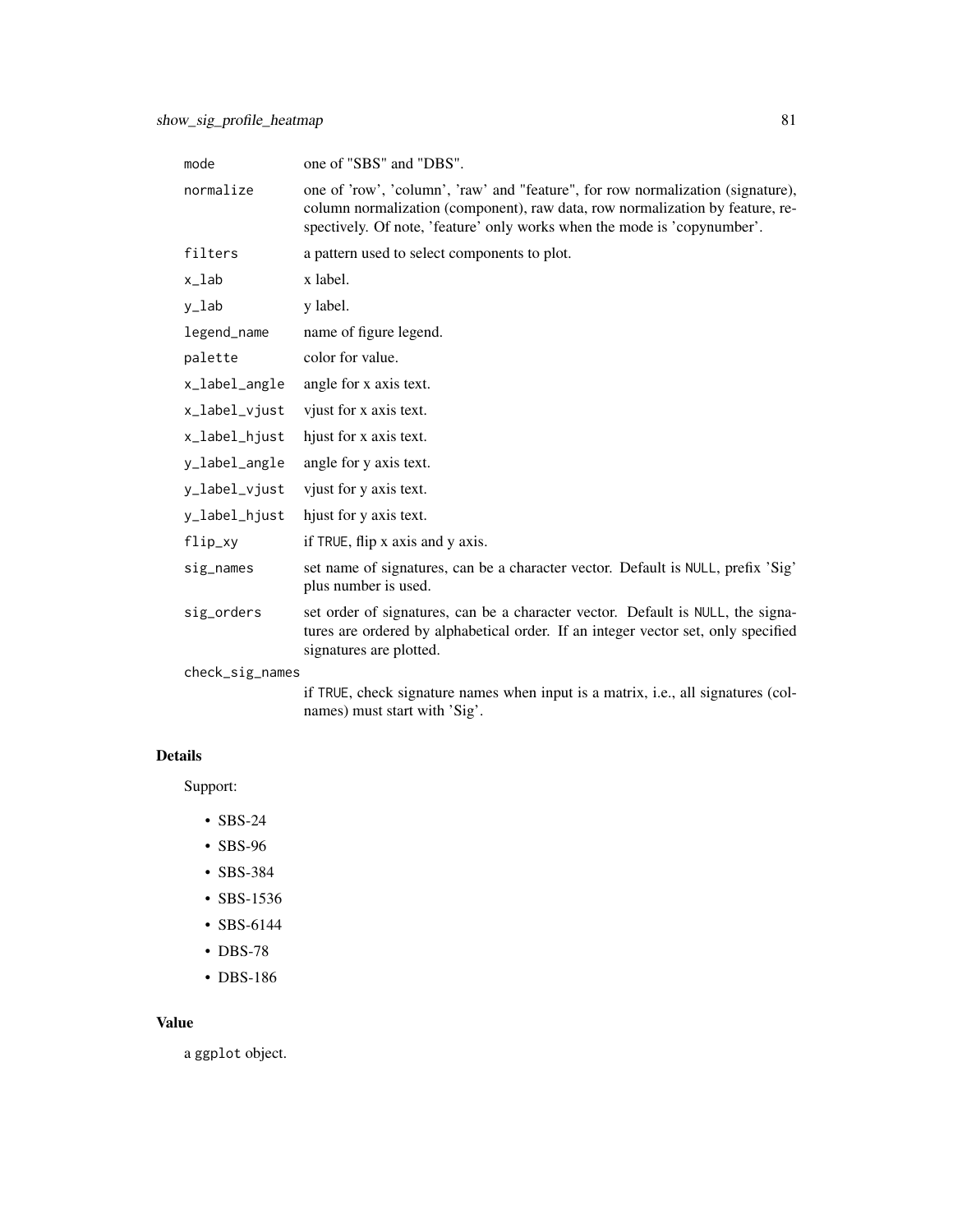| mode            | one of "SBS" and "DBS".                                                                                                                                                                                                                      |
|-----------------|----------------------------------------------------------------------------------------------------------------------------------------------------------------------------------------------------------------------------------------------|
| normalize       | one of 'row', 'column', 'raw' and "feature", for row normalization (signature),<br>column normalization (component), raw data, row normalization by feature, re-<br>spectively. Of note, 'feature' only works when the mode is 'copynumber'. |
| filters         | a pattern used to select components to plot.                                                                                                                                                                                                 |
| x_lab           | x label.                                                                                                                                                                                                                                     |
| y_lab           | y label.                                                                                                                                                                                                                                     |
| legend_name     | name of figure legend.                                                                                                                                                                                                                       |
| palette         | color for value.                                                                                                                                                                                                                             |
| x_label_angle   | angle for x axis text.                                                                                                                                                                                                                       |
| x_label_vjust   | vjust for x axis text.                                                                                                                                                                                                                       |
| x_label_hjust   | hjust for x axis text.                                                                                                                                                                                                                       |
| y_label_angle   | angle for y axis text.                                                                                                                                                                                                                       |
| y_label_vjust   | vjust for y axis text.                                                                                                                                                                                                                       |
| y_label_hjust   | hjust for y axis text.                                                                                                                                                                                                                       |
| flip_xy         | if TRUE, flip x axis and y axis.                                                                                                                                                                                                             |
| sig_names       | set name of signatures, can be a character vector. Default is NULL, prefix 'Sig'<br>plus number is used.                                                                                                                                     |
| sig_orders      | set order of signatures, can be a character vector. Default is NULL, the signa-<br>tures are ordered by alphabetical order. If an integer vector set, only specified<br>signatures are plotted.                                              |
| check_sig_names |                                                                                                                                                                                                                                              |

if TRUE, check signature names when input is a matrix, i.e., all signatures (colnames) must start with 'Sig'.

# Details

Support:

- SBS-24
- SBS-96
- SBS-384
- SBS-1536
- SBS-6144
- DBS-78
- DBS-186

### Value

a ggplot object.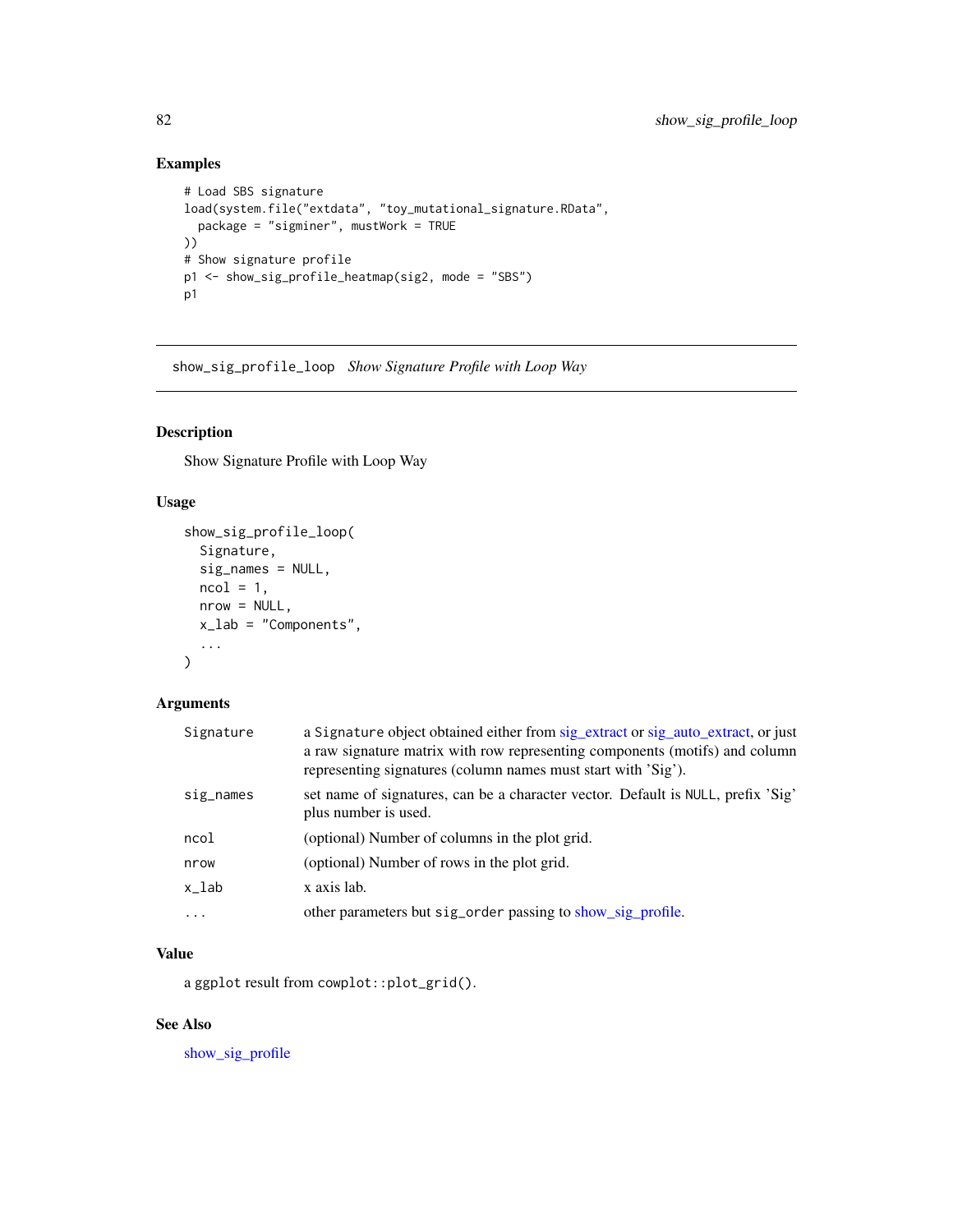# Examples

```
# Load SBS signature
load(system.file("extdata", "toy_mutational_signature.RData",
  package = "sigminer", mustWork = TRUE
))
# Show signature profile
p1 <- show_sig_profile_heatmap(sig2, mode = "SBS")
p1
```
<span id="page-81-0"></span>show\_sig\_profile\_loop *Show Signature Profile with Loop Way*

## Description

Show Signature Profile with Loop Way

### Usage

```
show_sig_profile_loop(
 Signature,
 sig_names = NULL,
 ncol = 1,
 nrow = NULL,
 x_lab = "Components",
  ...
)
```
## Arguments

| Signature | a Signature object obtained either from sig_extract or sig_auto_extract, or just<br>a raw signature matrix with row representing components (motifs) and column<br>representing signatures (column names must start with 'Sig'). |
|-----------|----------------------------------------------------------------------------------------------------------------------------------------------------------------------------------------------------------------------------------|
| sig_names | set name of signatures, can be a character vector. Default is NULL, prefix 'Sig'<br>plus number is used.                                                                                                                         |
| ncol      | (optional) Number of columns in the plot grid.                                                                                                                                                                                   |
| nrow      | (optional) Number of rows in the plot grid.                                                                                                                                                                                      |
| x_lab     | x axis lab.                                                                                                                                                                                                                      |
|           | other parameters but sig_order passing to show_sig_profile.                                                                                                                                                                      |

# Value

a ggplot result from cowplot::plot\_grid().

# See Also

[show\\_sig\\_profile](#page-75-0)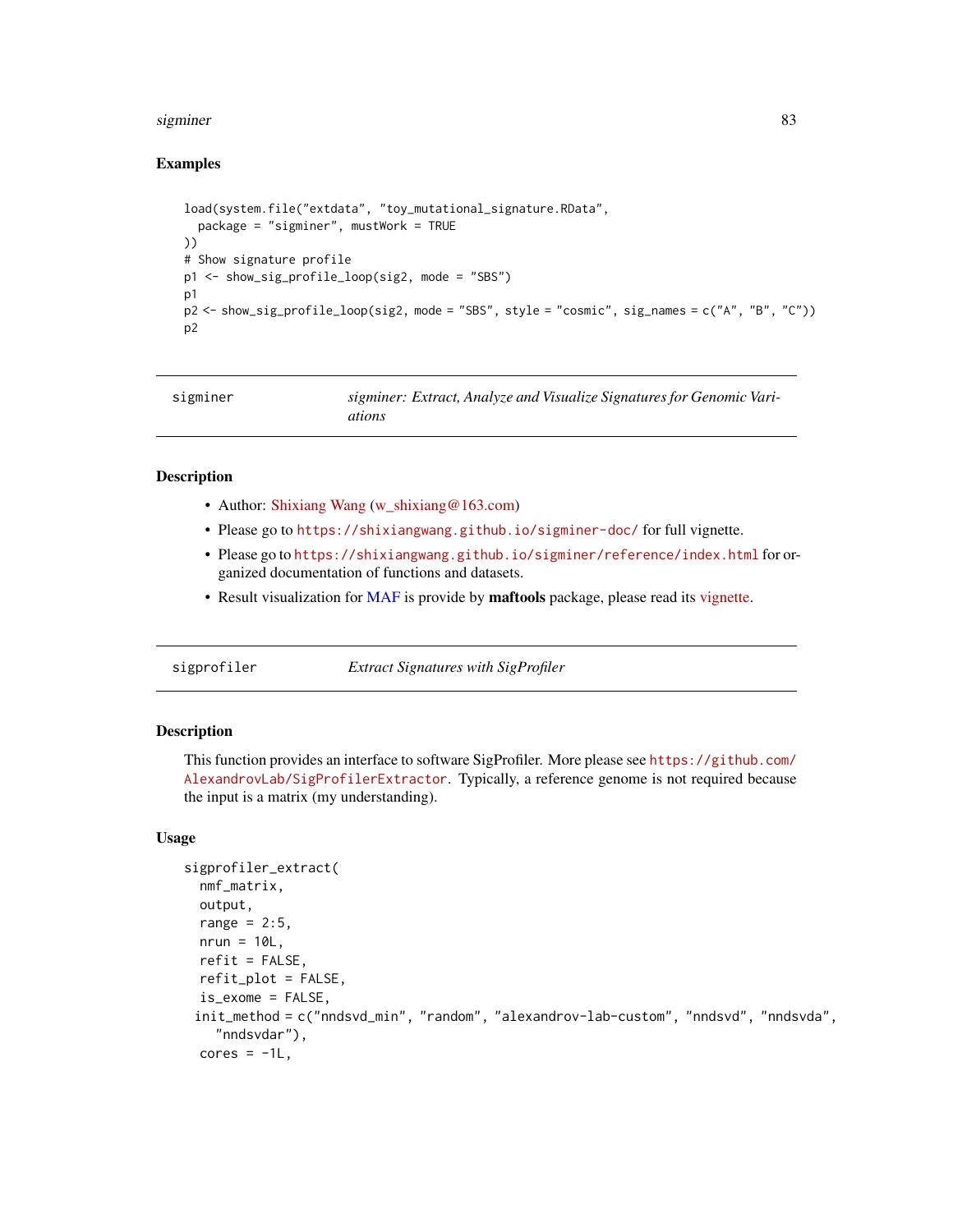#### sigminer 83

### Examples

```
load(system.file("extdata", "toy_mutational_signature.RData",
  package = "sigminer", mustWork = TRUE
))
# Show signature profile
p1 <- show_sig_profile_loop(sig2, mode = "SBS")
p1
p2 <- show_sig_profile_loop(sig2, mode = "SBS", style = "cosmic", sig_names = c("A", "B", "C"))
p2
```

| sigminer | sigminer: Extract, Analyze and Visualize Signatures for Genomic Vari-<br>ations |
|----------|---------------------------------------------------------------------------------|
|----------|---------------------------------------------------------------------------------|

## Description

- Author: [Shixiang Wang](https://shixiangwang.github.io/home/) [\(w\\_shixiang@163.com\)](mailto:w_shixiang@163.com)
- Please go to <https://shixiangwang.github.io/sigminer-doc/> for full vignette.
- Please go to <https://shixiangwang.github.io/sigminer/reference/index.html> for organized documentation of functions and datasets.
- Result visualization for [MAF](#page-31-0) is provide by maftools package, please read its [vignette.](https://bioconductor.org/packages/release/bioc/vignettes/maftools/inst/doc/maftools.html)

sigprofiler *Extract Signatures with SigProfiler*

### Description

This function provides an interface to software SigProfiler. More please see [https://github.com/](https://github.com/AlexandrovLab/SigProfilerExtractor) [AlexandrovLab/SigProfilerExtractor](https://github.com/AlexandrovLab/SigProfilerExtractor). Typically, a reference genome is not required because the input is a matrix (my understanding).

## Usage

```
sigprofiler_extract(
  nmf_matrix,
 output,
  range = 2:5,
 nrun = 10L,refit = FALSE,refit_plot = FALSE,
  is\_exome = FALSE,
 init_method = c("nndsvd_min", "random", "alexandrov-lab-custom", "nndsvd", "nndsvda",
    "nndsvdar"),
  cores = -1L,
```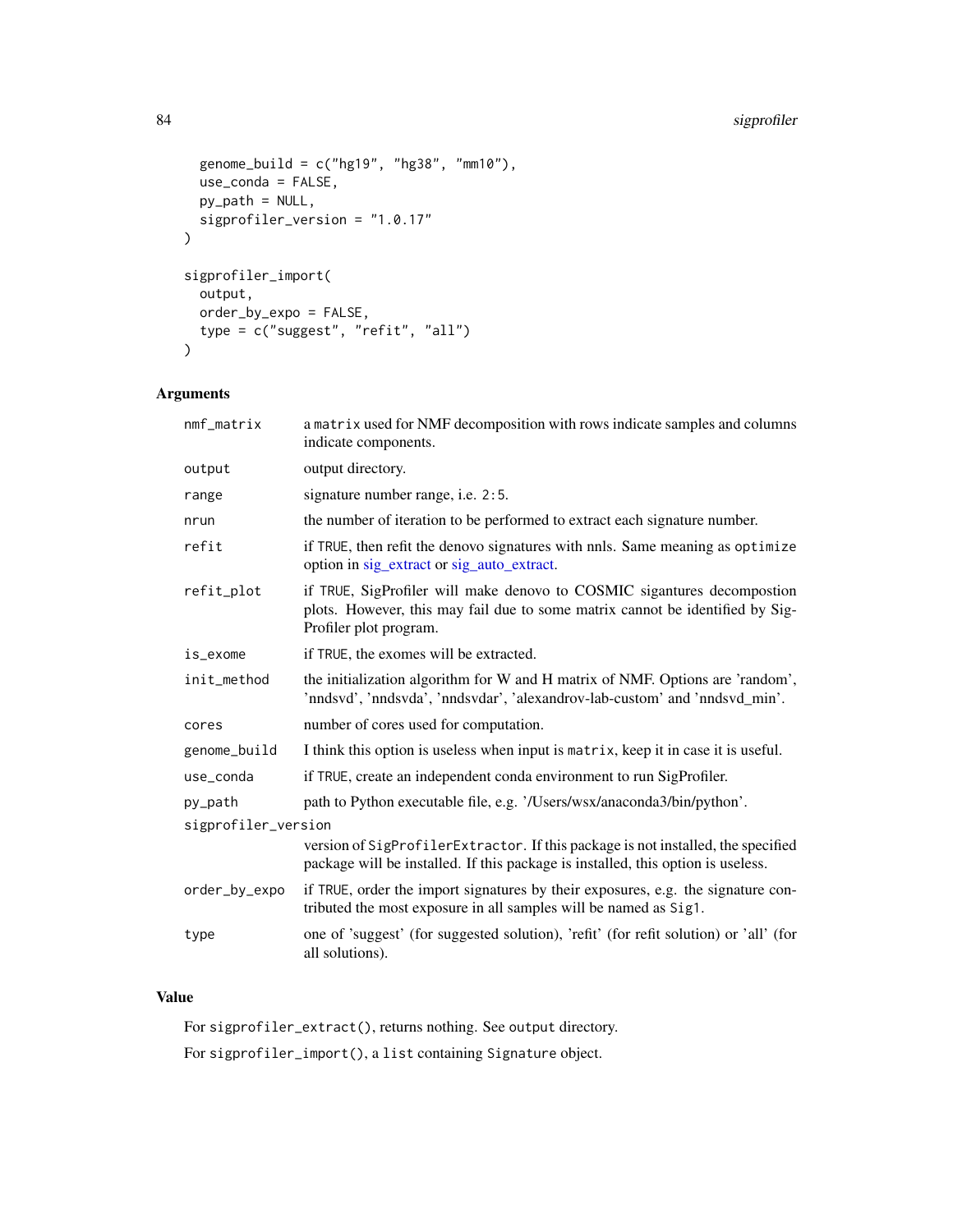# 84 sigprofiler

```
genome_build = c("hg19", "hg38", "mm10"),
 use_conda = FALSE,
 py_path = NULL,
 sigprofiler_version = "1.0.17"
\mathcal{L}sigprofiler_import(
 output,
 order_by_expo = FALSE,
 type = c("suggest", "refit", "all")
\mathcal{L}
```
# Arguments

| $nmf_matrix$        | a matrix used for NMF decomposition with rows indicate samples and columns<br>indicate components.                                                                                 |  |
|---------------------|------------------------------------------------------------------------------------------------------------------------------------------------------------------------------------|--|
| output              | output directory.                                                                                                                                                                  |  |
| range               | signature number range, i.e. 2:5.                                                                                                                                                  |  |
| nrun                | the number of iteration to be performed to extract each signature number.                                                                                                          |  |
| refit               | if TRUE, then refit the denovo signatures with nnls. Same meaning as optimize<br>option in sig_extract or sig_auto_extract.                                                        |  |
| refit_plot          | if TRUE, SigProfiler will make denovo to COSMIC sigantures decompostion<br>plots. However, this may fail due to some matrix cannot be identified by Sig-<br>Profiler plot program. |  |
| is_exome            | if TRUE, the exomes will be extracted.                                                                                                                                             |  |
| init_method         | the initialization algorithm for W and H matrix of NMF. Options are 'random',<br>'nndsvd', 'nndsvda', 'nndsvdar', 'alexandrov-lab-custom' and 'nndsvd_min'.                        |  |
| cores               | number of cores used for computation.                                                                                                                                              |  |
| genome_build        | I think this option is useless when input is matrix, keep it in case it is useful.                                                                                                 |  |
| use_conda           | if TRUE, create an independent conda environment to run SigProfiler.                                                                                                               |  |
| py_path             | path to Python executable file, e.g. '/Users/wsx/anaconda3/bin/python'.                                                                                                            |  |
| sigprofiler_version |                                                                                                                                                                                    |  |
|                     | version of SigProfilerExtractor. If this package is not installed, the specified<br>package will be installed. If this package is installed, this option is useless.               |  |
| order_by_expo       | if TRUE, order the import signatures by their exposures, e.g. the signature con-<br>tributed the most exposure in all samples will be named as Sig1.                               |  |
| type                | one of 'suggest' (for suggested solution), 'refit' (for refit solution) or 'all' (for<br>all solutions).                                                                           |  |
|                     |                                                                                                                                                                                    |  |

# Value

For sigprofiler\_extract(), returns nothing. See output directory. For sigprofiler\_import(), a list containing Signature object.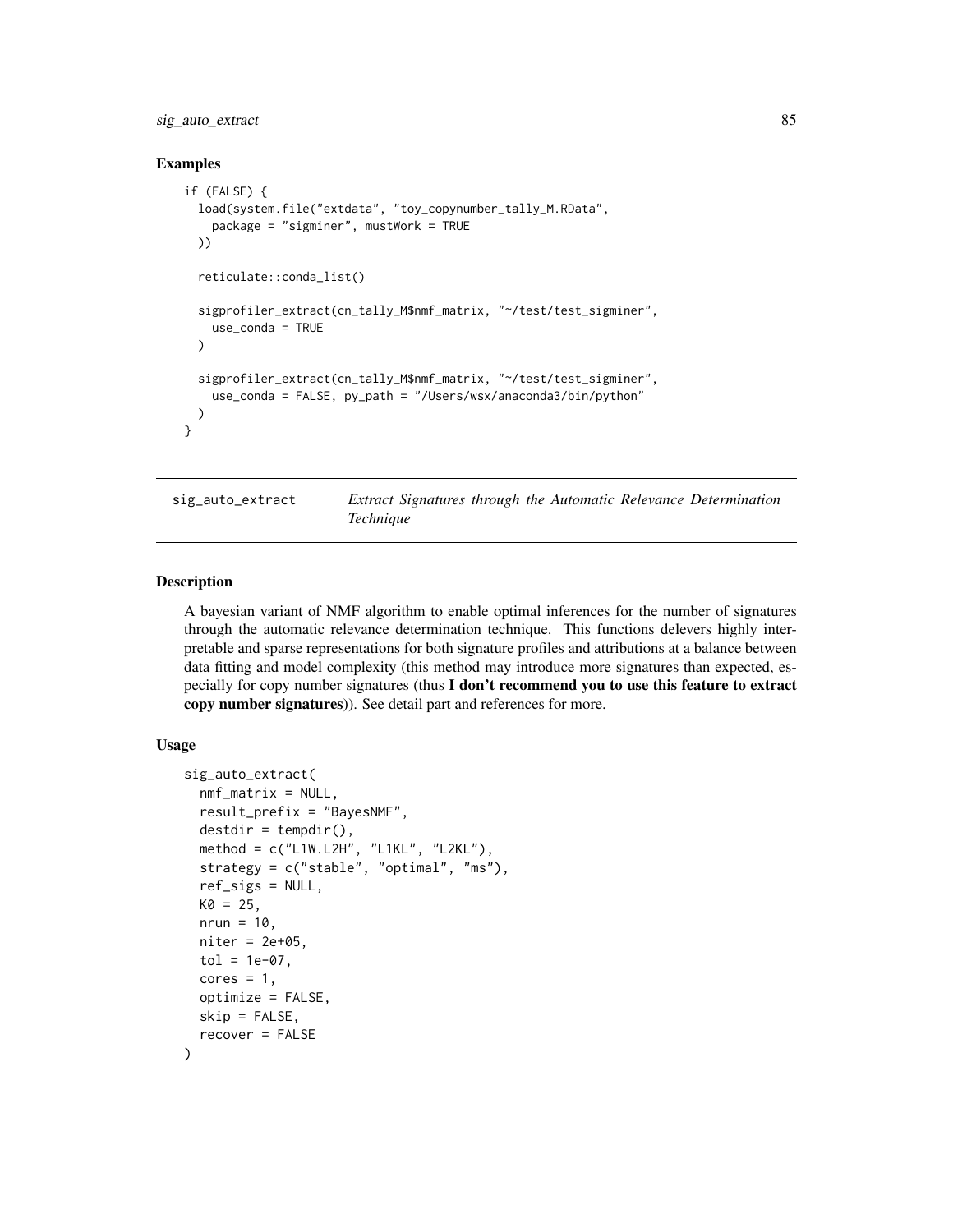## sig\_auto\_extract 85

#### Examples

```
if (FALSE) {
 load(system.file("extdata", "toy_copynumber_tally_M.RData",
   package = "sigminer", mustWork = TRUE
 ))
 reticulate::conda_list()
 sigprofiler_extract(cn_tally_M$nmf_matrix, "~/test/test_sigminer",
   use_conda = TRUE
 )
 sigprofiler_extract(cn_tally_M$nmf_matrix, "~/test/test_sigminer",
   use_conda = FALSE, py_path = "/Users/wsx/anaconda3/bin/python"
 )
}
```
<span id="page-84-0"></span>sig\_auto\_extract *Extract Signatures through the Automatic Relevance Determination Technique*

#### Description

A bayesian variant of NMF algorithm to enable optimal inferences for the number of signatures through the automatic relevance determination technique. This functions delevers highly interpretable and sparse representations for both signature profiles and attributions at a balance between data fitting and model complexity (this method may introduce more signatures than expected, especially for copy number signatures (thus I don't recommend you to use this feature to extract copy number signatures)). See detail part and references for more.

#### Usage

```
sig_auto_extract(
  nmf_matrix = NULL,
  result_prefix = "BayesNMF",
  destdir = tempdir(),
 method = c("L1W.L2H", "L1KL", "L2KL"),
  strategy = c("stable", "optimal", "ms"),
  ref_sigs = NULL,
 K0 = 25,
  nrun = 10,
  niter = 2e+05,
  tol = 1e-07.
  cores = 1,optimize = FALSE,
  skip = FALSE,
  recover = FALSE
)
```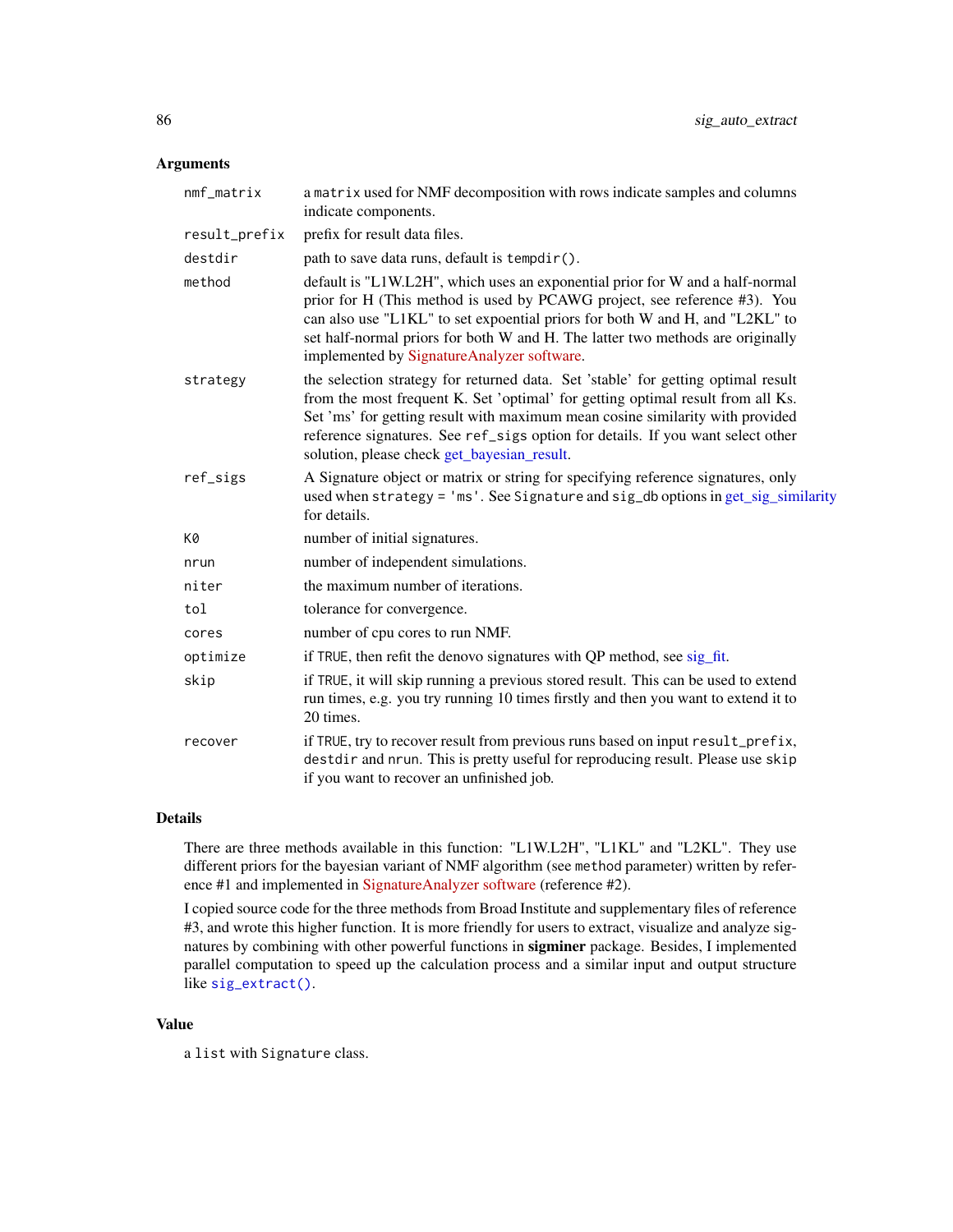## Arguments

| nmf_matrix    | a matrix used for NMF decomposition with rows indicate samples and columns<br>indicate components.                                                                                                                                                                                                                                                                                      |
|---------------|-----------------------------------------------------------------------------------------------------------------------------------------------------------------------------------------------------------------------------------------------------------------------------------------------------------------------------------------------------------------------------------------|
| result_prefix | prefix for result data files.                                                                                                                                                                                                                                                                                                                                                           |
| destdir       | path to save data runs, default is tempdir().                                                                                                                                                                                                                                                                                                                                           |
| method        | default is "L1W.L2H", which uses an exponential prior for W and a half-normal<br>prior for H (This method is used by PCAWG project, see reference #3). You<br>can also use "L1KL" to set expoential priors for both W and H, and "L2KL" to<br>set half-normal priors for both W and H. The latter two methods are originally<br>implemented by SignatureAnalyzer software.              |
| strategy      | the selection strategy for returned data. Set 'stable' for getting optimal result<br>from the most frequent K. Set 'optimal' for getting optimal result from all Ks.<br>Set 'ms' for getting result with maximum mean cosine similarity with provided<br>reference signatures. See ref_sigs option for details. If you want select other<br>solution, please check get_bayesian_result. |
| ref_sigs      | A Signature object or matrix or string for specifying reference signatures, only<br>used when strategy = 'ms'. See Signature and sig_db options in get_sig_similarity<br>for details.                                                                                                                                                                                                   |
| K0            | number of initial signatures.                                                                                                                                                                                                                                                                                                                                                           |
| nrun          | number of independent simulations.                                                                                                                                                                                                                                                                                                                                                      |
| niter         | the maximum number of iterations.                                                                                                                                                                                                                                                                                                                                                       |
| tol           | tolerance for convergence.                                                                                                                                                                                                                                                                                                                                                              |
| cores         | number of cpu cores to run NMF.                                                                                                                                                                                                                                                                                                                                                         |
| optimize      | if TRUE, then refit the denovo signatures with QP method, see sig_fit.                                                                                                                                                                                                                                                                                                                  |
| skip          | if TRUE, it will skip running a previous stored result. This can be used to extend<br>run times, e.g. you try running 10 times firstly and then you want to extend it to<br>20 times.                                                                                                                                                                                                   |
| recover       | if TRUE, try to recover result from previous runs based on input result_prefix,<br>destdir and nrun. This is pretty useful for reproducing result. Please use skip<br>if you want to recover an unfinished job.                                                                                                                                                                         |

#### Details

There are three methods available in this function: "L1W.L2H", "L1KL" and "L2KL". They use different priors for the bayesian variant of NMF algorithm (see method parameter) written by reference #1 and implemented in [SignatureAnalyzer software](https://software.broadinstitute.org/cancer/cga/msp) (reference #2).

I copied source code for the three methods from Broad Institute and supplementary files of reference #3, and wrote this higher function. It is more friendly for users to extract, visualize and analyze signatures by combining with other powerful functions in sigminer package. Besides, I implemented parallel computation to speed up the calculation process and a similar input and output structure like [sig\\_extract\(\)](#page-90-0).

### Value

a list with Signature class.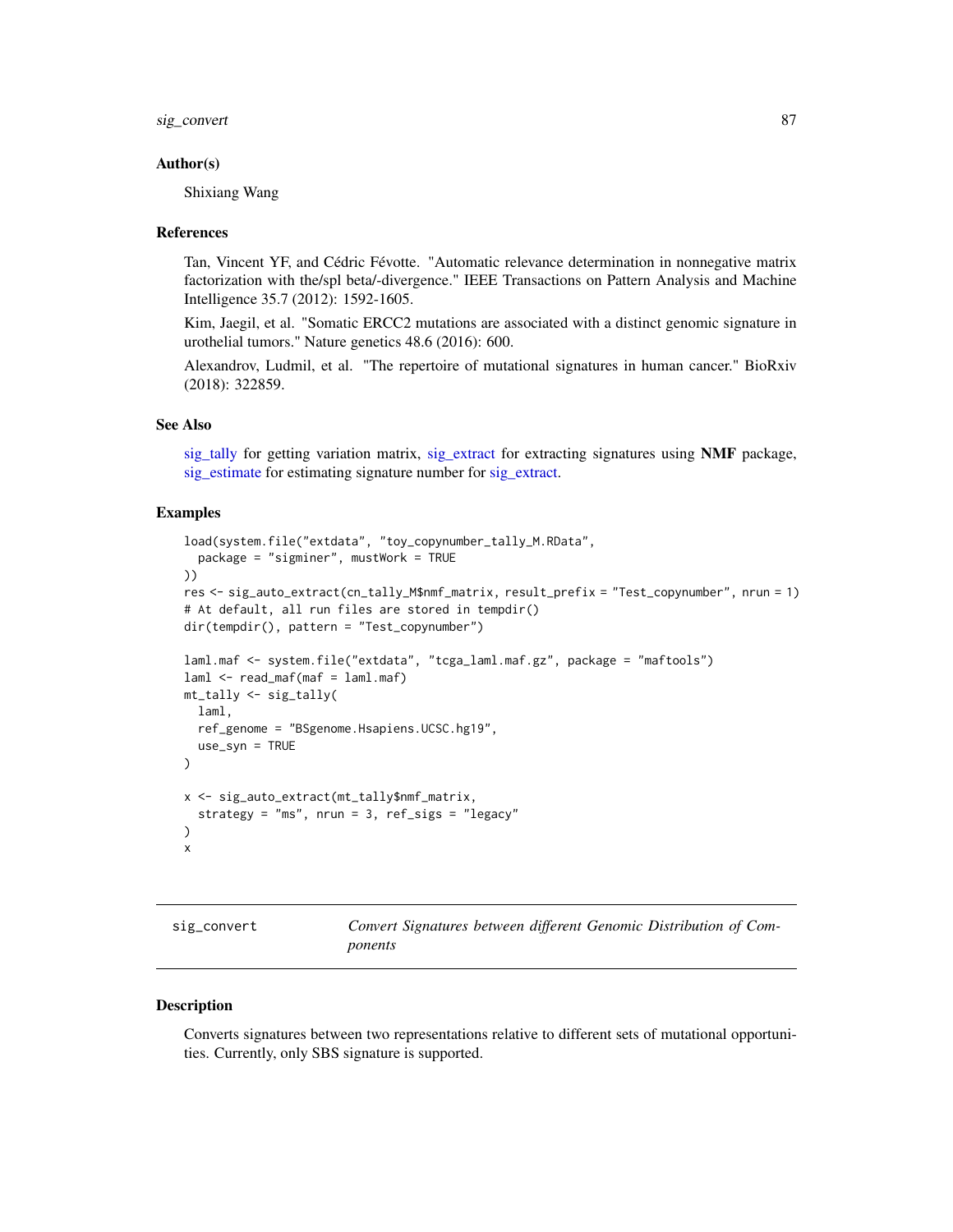sig\_convert 87

#### Author(s)

Shixiang Wang

#### References

Tan, Vincent YF, and Cédric Févotte. "Automatic relevance determination in nonnegative matrix factorization with the/spl beta/-divergence." IEEE Transactions on Pattern Analysis and Machine Intelligence 35.7 (2012): 1592-1605.

Kim, Jaegil, et al. "Somatic ERCC2 mutations are associated with a distinct genomic signature in urothelial tumors." Nature genetics 48.6 (2016): 600.

Alexandrov, Ludmil, et al. "The repertoire of mutational signatures in human cancer." BioRxiv (2018): 322859.

### See Also

[sig\\_tally](#page-99-0) for getting variation matrix, [sig\\_extract](#page-90-0) for extracting signatures using NMF package, [sig\\_estimate](#page-88-0) for estimating signature number for [sig\\_extract.](#page-90-0)

### Examples

```
load(system.file("extdata", "toy_copynumber_tally_M.RData",
  package = "sigminer", mustWork = TRUE
))
res <- sig_auto_extract(cn_tally_M$nmf_matrix, result_prefix = "Test_copynumber", nrun = 1)
# At default, all run files are stored in tempdir()
dir(tempdir(), pattern = "Test_copynumber")
laml.maf <- system.file("extdata", "tcga_laml.maf.gz", package = "maftools")
laml < - read_maf(maf = laml.maf)mt_tally <- sig_tally(
  laml,
  ref_genome = "BSgenome.Hsapiens.UCSC.hg19",
  use_syn = TRUE
)
x <- sig_auto_extract(mt_tally$nmf_matrix,
  strategy = "ms", nrun = 3, ref_sigs = "legacy"
)
x
```

| sıg_convert |  |
|-------------|--|
|-------------|--|

sig\_convert *Convert Signatures between different Genomic Distribution of Components*

#### **Description**

Converts signatures between two representations relative to different sets of mutational opportunities. Currently, only SBS signature is supported.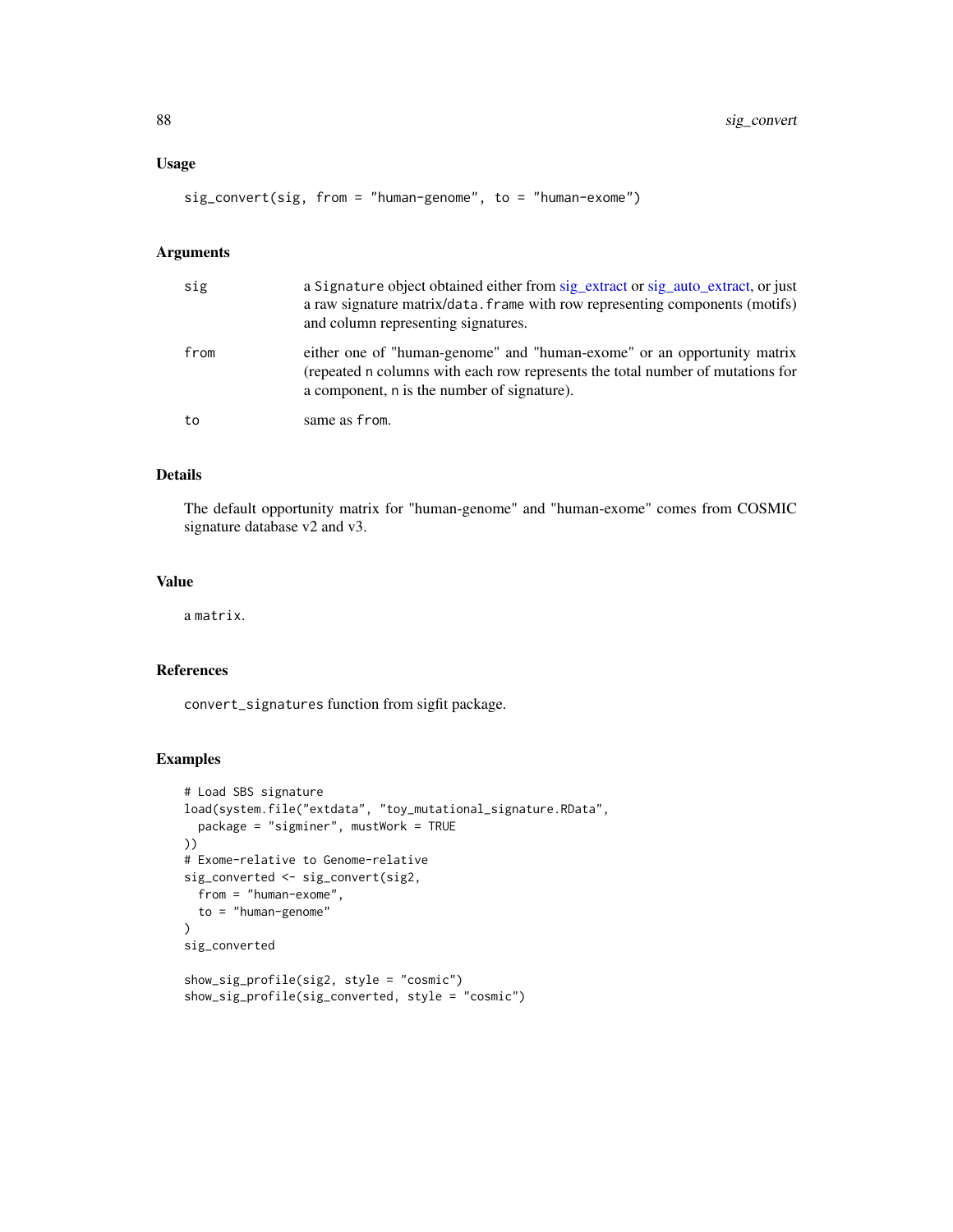## Usage

```
sig_convert(sig, from = "human-genome", to = "human-exome")
```
### Arguments

| sig  | a Signature object obtained either from sig_extract or sig_auto_extract, or just<br>a raw signature matrix/data. frame with row representing components (motifs)<br>and column representing signatures.  |
|------|----------------------------------------------------------------------------------------------------------------------------------------------------------------------------------------------------------|
| from | either one of "human-genome" and "human-exome" or an opportunity matrix<br>(repeated n columns with each row represents the total number of mutations for<br>a component, n is the number of signature). |
| to   | same as from.                                                                                                                                                                                            |

# Details

The default opportunity matrix for "human-genome" and "human-exome" comes from COSMIC signature database v2 and v3.

## Value

a matrix.

### References

convert\_signatures function from sigfit package.

#### Examples

```
# Load SBS signature
load(system.file("extdata", "toy_mutational_signature.RData",
  package = "sigminer", mustWork = TRUE
))
# Exome-relative to Genome-relative
sig_converted <- sig_convert(sig2,
 from = "human-exome",
  to = "human-genome"
)
sig_converted
show_sig_profile(sig2, style = "cosmic")
show_sig_profile(sig_converted, style = "cosmic")
```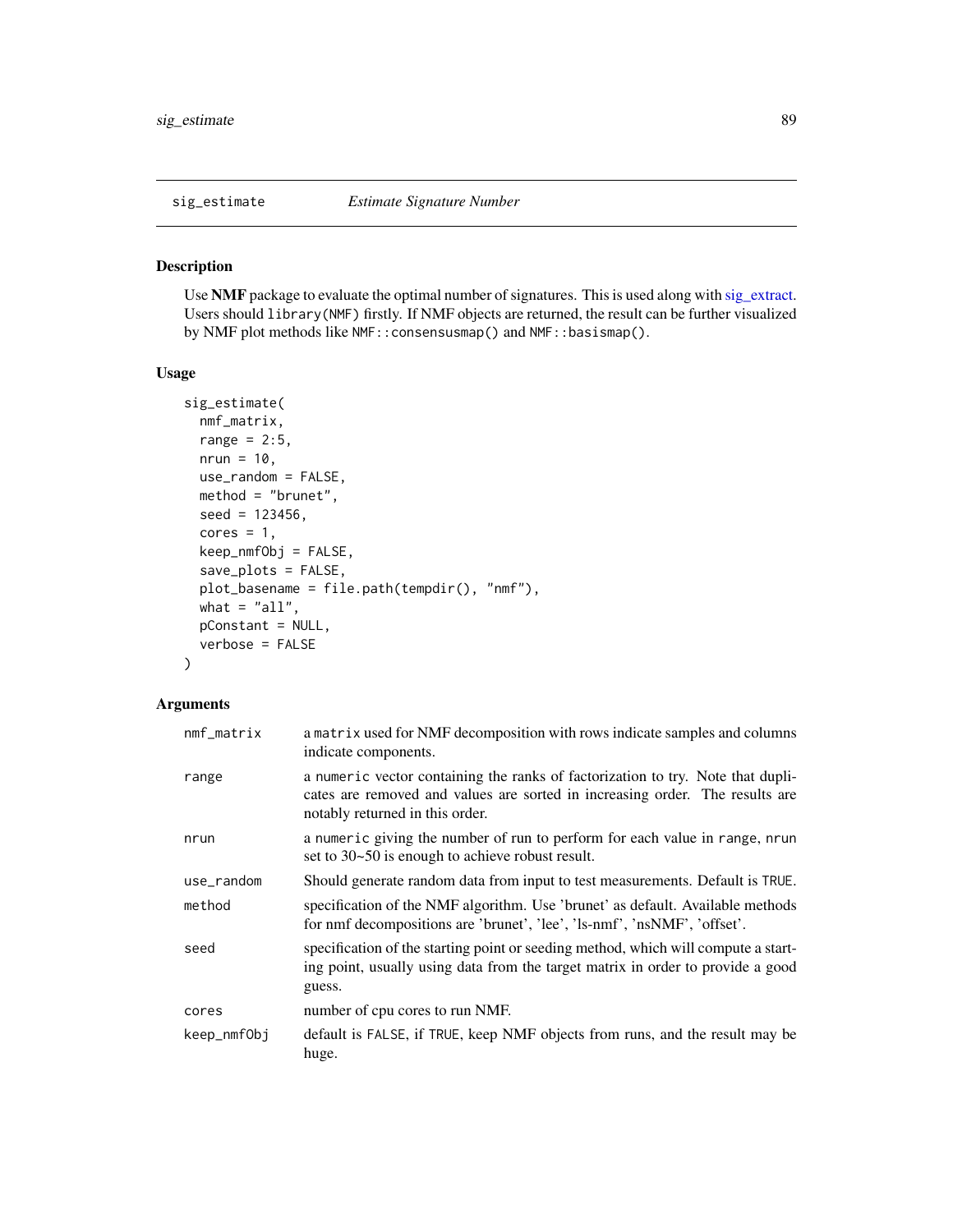<span id="page-88-0"></span>

## Description

Use NMF package to evaluate the optimal number of signatures. This is used along with [sig\\_extract.](#page-90-0) Users should library(NMF) firstly. If NMF objects are returned, the result can be further visualized by NMF plot methods like NMF::consensusmap() and NMF::basismap().

#### Usage

```
sig_estimate(
 nmf_matrix,
 range = 2:5,
 nrun = 10,
 use_random = FALSE,
 method = "brunet",seed = 123456,cores = 1,keep_nmfObj = FALSE,
 save_plots = FALSE,
 plot_basename = file.path(tempdir(), "nmf"),
 what = "all",pConstant = NULL,
  verbose = FALSE
)
```
#### Arguments

| $nmf_matrix$ | a matrix used for NMF decomposition with rows indicate samples and columns<br>indicate components.                                                                                                 |
|--------------|----------------------------------------------------------------------------------------------------------------------------------------------------------------------------------------------------|
| range        | a numeric vector containing the ranks of factorization to try. Note that dupli-<br>cates are removed and values are sorted in increasing order. The results are<br>notably returned in this order. |
| nrun         | a numeric giving the number of run to perform for each value in range, nrun<br>set to 30~50 is enough to achieve robust result.                                                                    |
| use_random   | Should generate random data from input to test measurements. Default is TRUE.                                                                                                                      |
| method       | specification of the NMF algorithm. Use 'brunet' as default. Available methods<br>for nmf decompositions are 'brunet', 'lee', 'ls-nmf', 'nsNMF', 'offset'.                                         |
| seed         | specification of the starting point or seeding method, which will compute a start-<br>ing point, usually using data from the target matrix in order to provide a good<br>guess.                    |
| cores        | number of cpu cores to run NMF.                                                                                                                                                                    |
| keep_nmfObj  | default is FALSE, if TRUE, keep NMF objects from runs, and the result may be<br>huge.                                                                                                              |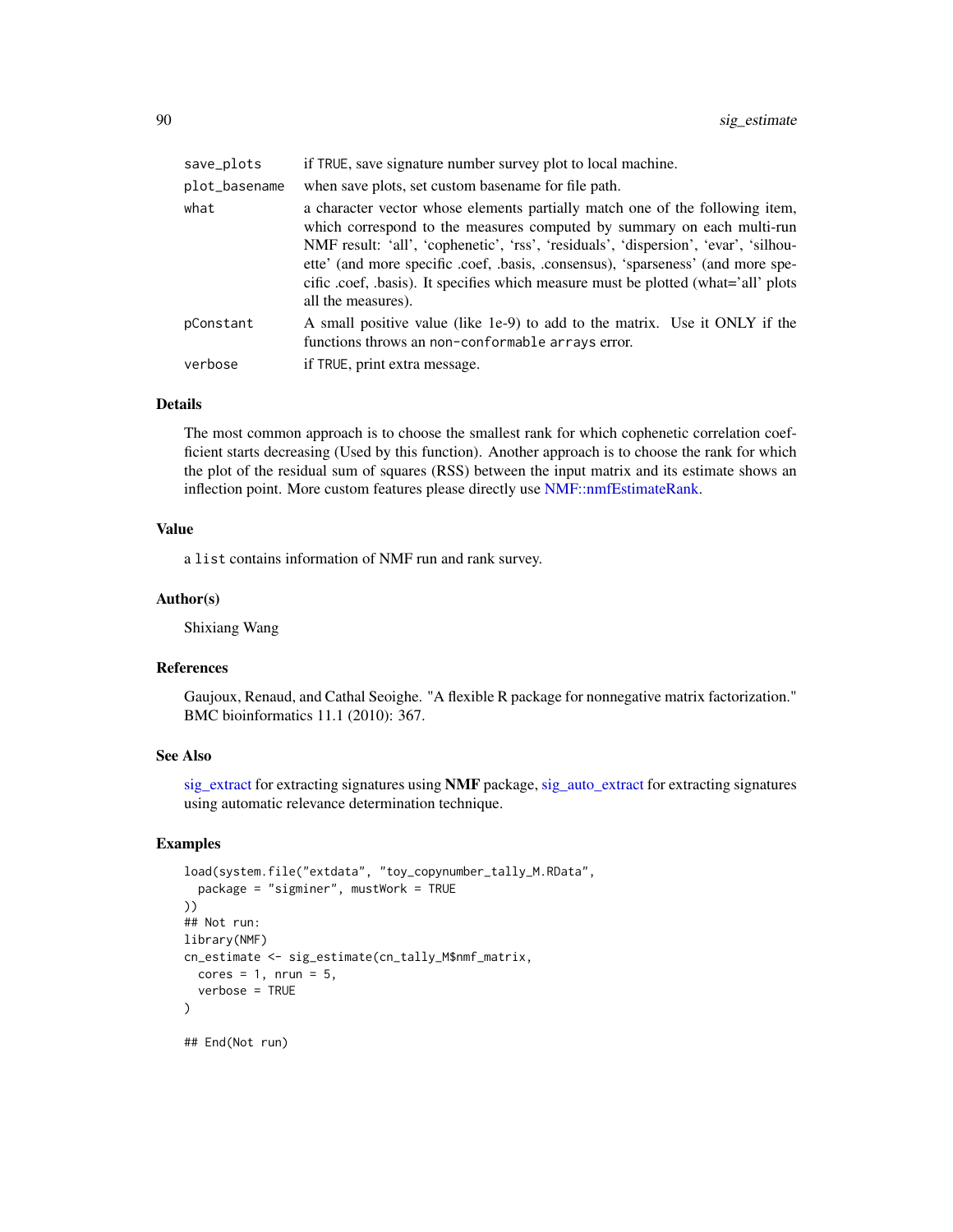| save_plots    | if TRUE, save signature number survey plot to local machine.                                                                                                                                                                                                                                                                                                                                                                                  |
|---------------|-----------------------------------------------------------------------------------------------------------------------------------------------------------------------------------------------------------------------------------------------------------------------------------------------------------------------------------------------------------------------------------------------------------------------------------------------|
| plot_basename | when save plots, set custom base name for file path.                                                                                                                                                                                                                                                                                                                                                                                          |
| what          | a character vector whose elements partially match one of the following item,<br>which correspond to the measures computed by summary on each multi-run<br>NMF result: 'all', 'cophenetic', 'rss', 'residuals', 'dispersion', 'evar', 'silhou-<br>ette' (and more specific .coef, .basis, .consensus), 'sparseness' (and more spe-<br>cific .coef, .basis). It specifies which measure must be plotted (what='all' plots<br>all the measures). |
| pConstant     | A small positive value (like 1e-9) to add to the matrix. Use it ONLY if the<br>functions throws an non-conformable arrays error.                                                                                                                                                                                                                                                                                                              |
| verbose       | if TRUE, print extra message.                                                                                                                                                                                                                                                                                                                                                                                                                 |

#### Details

The most common approach is to choose the smallest rank for which cophenetic correlation coefficient starts decreasing (Used by this function). Another approach is to choose the rank for which the plot of the residual sum of squares (RSS) between the input matrix and its estimate shows an inflection point. More custom features please directly use [NMF::nmfEstimateRank.](#page-0-0)

#### Value

a list contains information of NMF run and rank survey.

#### Author(s)

Shixiang Wang

## References

Gaujoux, Renaud, and Cathal Seoighe. "A flexible R package for nonnegative matrix factorization." BMC bioinformatics 11.1 (2010): 367.

#### See Also

[sig\\_extract](#page-90-0) for extracting signatures using NMF package, [sig\\_auto\\_extract](#page-84-0) for extracting signatures using automatic relevance determination technique.

### Examples

```
load(system.file("extdata", "toy_copynumber_tally_M.RData",
  package = "sigminer", mustWork = TRUE
))
## Not run:
library(NMF)
cn_estimate <- sig_estimate(cn_tally_M$nmf_matrix,
  cores = 1, nrun = 5,verbose = TRUE
\mathcal{L}## End(Not run)
```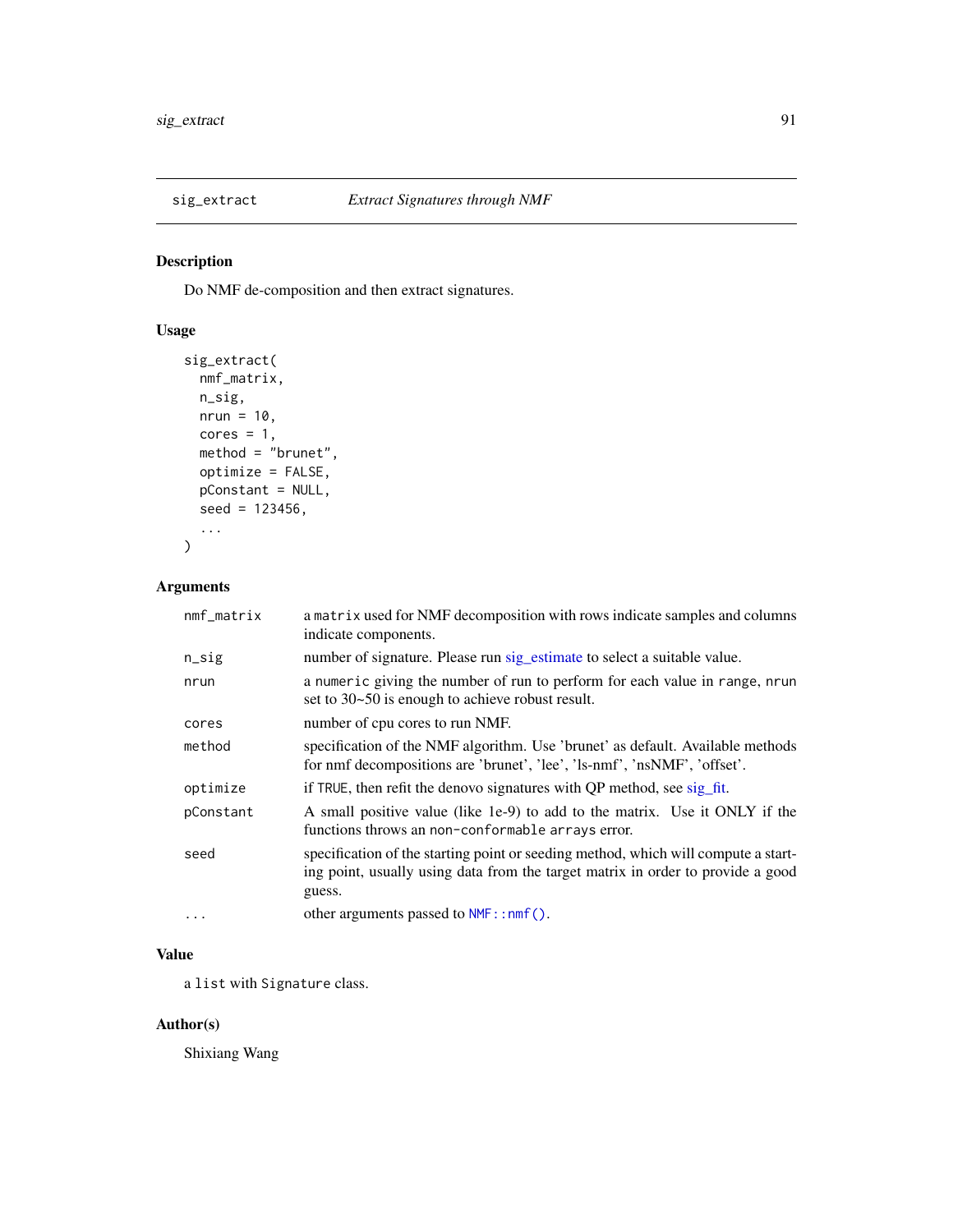<span id="page-90-0"></span>

## Description

Do NMF de-composition and then extract signatures.

## Usage

```
sig_extract(
 nmf_matrix,
 n_sig,
 nrun = 10,
 cores = 1,method = "brunet",
 optimize = FALSE,
 pConstant = NULL,
  seed = 123456,
  ...
)
```
## Arguments

| $nmf_matrix$ | a matrix used for NMF decomposition with rows indicate samples and columns<br>indicate components.                                                                              |
|--------------|---------------------------------------------------------------------------------------------------------------------------------------------------------------------------------|
| $n$ _sig     | number of signature. Please run sig_estimate to select a suitable value.                                                                                                        |
| nrun         | a numeric giving the number of run to perform for each value in range, nrun<br>set to 30~50 is enough to achieve robust result.                                                 |
| cores        | number of cpu cores to run NMF.                                                                                                                                                 |
| method       | specification of the NMF algorithm. Use 'brunet' as default. Available methods<br>for nmf decompositions are 'brunet', 'lee', 'ls-nmf', 'nsNMF', 'offset'.                      |
| optimize     | if TRUE, then refit the denovo signatures with QP method, see sig_fit.                                                                                                          |
| pConstant    | A small positive value (like 1e-9) to add to the matrix. Use it ONLY if the<br>functions throws an non-conformable arrays error.                                                |
| seed         | specification of the starting point or seeding method, which will compute a start-<br>ing point, usually using data from the target matrix in order to provide a good<br>guess. |
| $\cdots$     | other arguments passed to $NMF$ : : nmf().                                                                                                                                      |

# Value

a list with Signature class.

## Author(s)

Shixiang Wang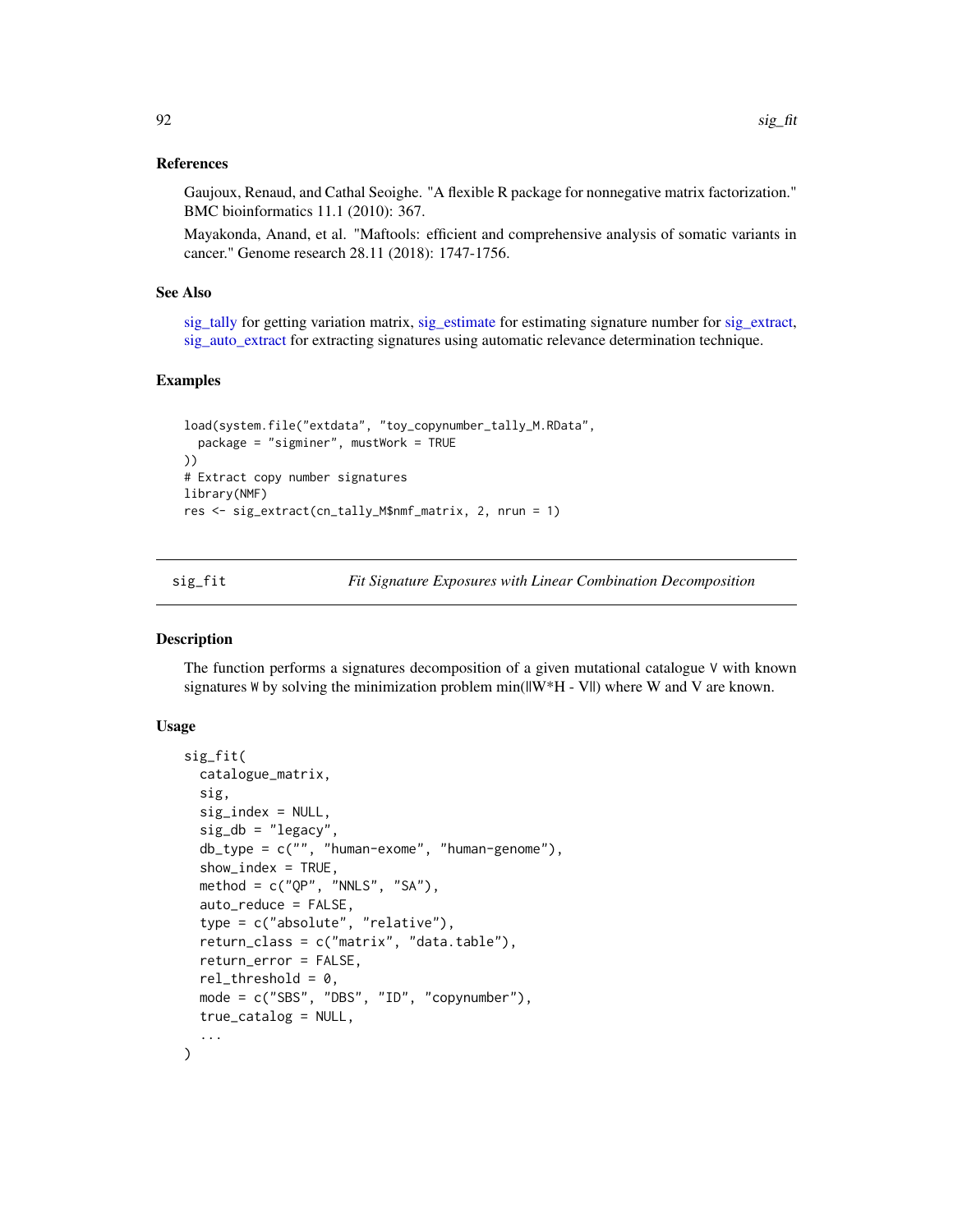## References

Gaujoux, Renaud, and Cathal Seoighe. "A flexible R package for nonnegative matrix factorization." BMC bioinformatics 11.1 (2010): 367.

Mayakonda, Anand, et al. "Maftools: efficient and comprehensive analysis of somatic variants in cancer." Genome research 28.11 (2018): 1747-1756.

## See Also

[sig\\_tally](#page-99-0) for getting variation matrix, [sig\\_estimate](#page-88-0) for estimating signature number for [sig\\_extract,](#page-90-0) [sig\\_auto\\_extract](#page-84-0) for extracting signatures using automatic relevance determination technique.

#### Examples

```
load(system.file("extdata", "toy_copynumber_tally_M.RData",
  package = "sigminer", mustWork = TRUE
))
# Extract copy number signatures
library(NMF)
res <- sig_extract(cn_tally_M$nmf_matrix, 2, nrun = 1)
```
<span id="page-91-0"></span>sig\_fit *Fit Signature Exposures with Linear Combination Decomposition*

#### Description

The function performs a signatures decomposition of a given mutational catalogue V with known signatures W by solving the minimization problem  $min(||W^*H - V||)$  where W and V are known.

### Usage

```
sig_fit(
  catalogue_matrix,
  sig,
  sig_index = NULL,
  sig_d b = "legacy",db_type = c("", "human-exome", "human-genome"),
  show\_index = TRUE,method = c("QP", "NNLS", "SA"),
  auto_reduce = FALSE,
  type = c("absolute", "relative"),
  return_class = c("matrix", "data.table"),
  return_error = FALSE,
  rel_{th}rel<sub>z</sub>threshold = 0,
  mode = c("SBS", "DBS", "ID", "copynumber"),
  true_catalog = NULL,
  ...
)
```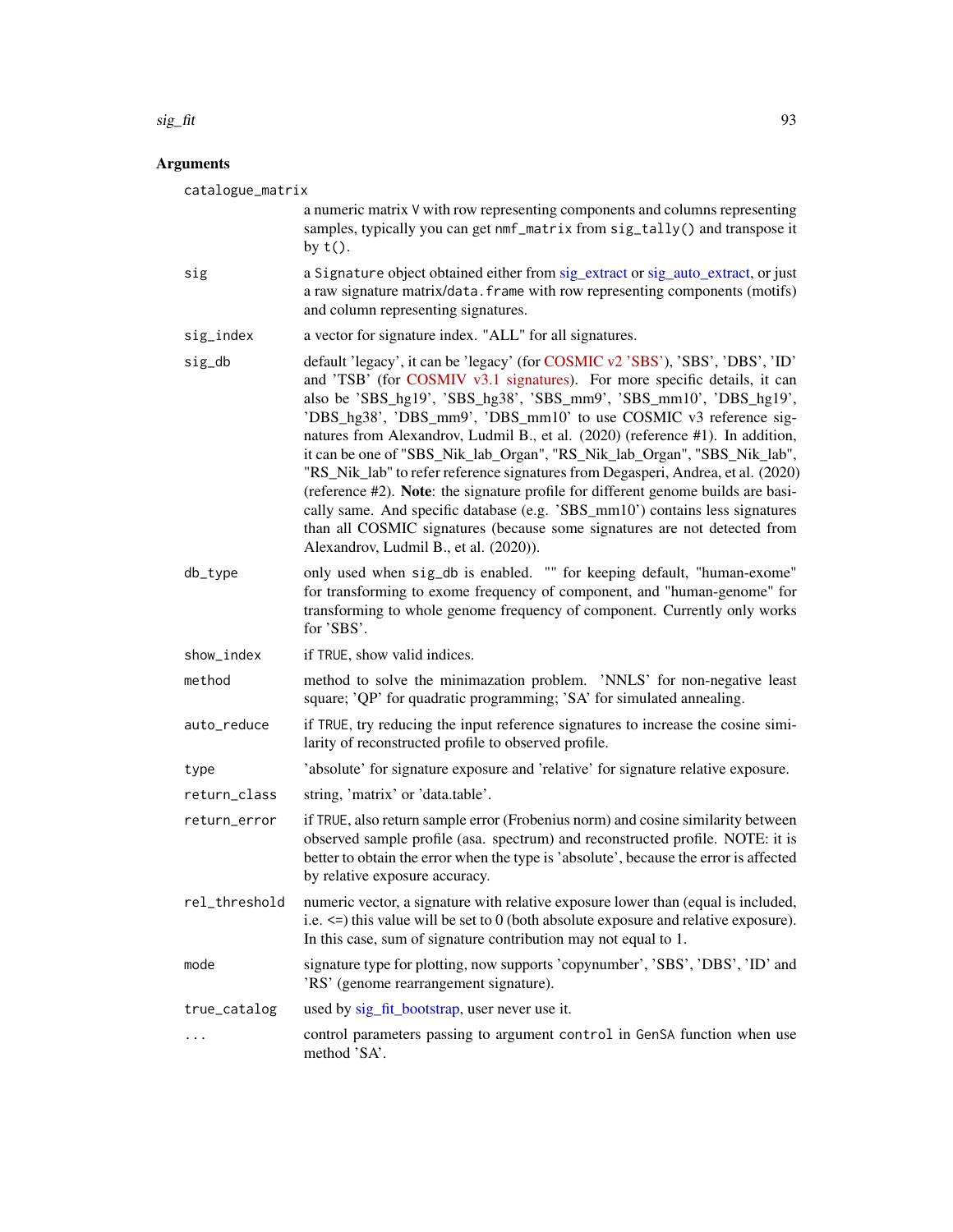### sig\_fit 93

# Arguments

| catalogue_matrix | a numeric matrix V with row representing components and columns representing<br>samples, typically you can get nmf_matrix from sig_tally() and transpose it<br>by $t()$ .                                                                                                                                                                                                                                                                                                                                                                                                                                                                                                                                                                                                                                                                            |
|------------------|------------------------------------------------------------------------------------------------------------------------------------------------------------------------------------------------------------------------------------------------------------------------------------------------------------------------------------------------------------------------------------------------------------------------------------------------------------------------------------------------------------------------------------------------------------------------------------------------------------------------------------------------------------------------------------------------------------------------------------------------------------------------------------------------------------------------------------------------------|
| sig              | a Signature object obtained either from sig_extract or sig_auto_extract, or just<br>a raw signature matrix/data. frame with row representing components (motifs)<br>and column representing signatures.                                                                                                                                                                                                                                                                                                                                                                                                                                                                                                                                                                                                                                              |
| sig_index        | a vector for signature index. "ALL" for all signatures.                                                                                                                                                                                                                                                                                                                                                                                                                                                                                                                                                                                                                                                                                                                                                                                              |
| sig_db           | default 'legacy', it can be 'legacy' (for COSMIC v2 'SBS'), 'SBS', 'DBS', 'ID'<br>and 'TSB' (for COSMIV v3.1 signatures). For more specific details, it can<br>also be 'SBS_hg19', 'SBS_hg38', 'SBS_mm9', 'SBS_mm10', 'DBS_hg19',<br>'DBS_hg38', 'DBS_mm9', 'DBS_mm10' to use COSMIC v3 reference sig-<br>natures from Alexandrov, Ludmil B., et al. (2020) (reference #1). In addition,<br>it can be one of "SBS_Nik_lab_Organ", "RS_Nik_lab_Organ", "SBS_Nik_lab",<br>"RS_Nik_lab" to refer reference signatures from Degasperi, Andrea, et al. (2020)<br>(reference #2). Note: the signature profile for different genome builds are basi-<br>cally same. And specific database (e.g. 'SBS_mm10') contains less signatures<br>than all COSMIC signatures (because some signatures are not detected from<br>Alexandrov, Ludmil B., et al. (2020)). |
| db_type          | only used when sig_db is enabled. "" for keeping default, "human-exome"<br>for transforming to exome frequency of component, and "human-genome" for<br>transforming to whole genome frequency of component. Currently only works<br>for 'SBS'.                                                                                                                                                                                                                                                                                                                                                                                                                                                                                                                                                                                                       |
| show_index       | if TRUE, show valid indices.                                                                                                                                                                                                                                                                                                                                                                                                                                                                                                                                                                                                                                                                                                                                                                                                                         |
| method           | method to solve the minimazation problem. 'NNLS' for non-negative least<br>square; 'QP' for quadratic programming; 'SA' for simulated annealing.                                                                                                                                                                                                                                                                                                                                                                                                                                                                                                                                                                                                                                                                                                     |
| auto_reduce      | if TRUE, try reducing the input reference signatures to increase the cosine simi-<br>larity of reconstructed profile to observed profile.                                                                                                                                                                                                                                                                                                                                                                                                                                                                                                                                                                                                                                                                                                            |
| type             | 'absolute' for signature exposure and 'relative' for signature relative exposure.                                                                                                                                                                                                                                                                                                                                                                                                                                                                                                                                                                                                                                                                                                                                                                    |
| return_class     | string, 'matrix' or 'data.table'.                                                                                                                                                                                                                                                                                                                                                                                                                                                                                                                                                                                                                                                                                                                                                                                                                    |
| return_error     | if TRUE, also return sample error (Frobenius norm) and cosine similarity between<br>observed sample profile (asa. spectrum) and reconstructed profile. NOTE: it is<br>better to obtain the error when the type is 'absolute', because the error is affected<br>by relative exposure accuracy.                                                                                                                                                                                                                                                                                                                                                                                                                                                                                                                                                        |
| rel_threshold    | numeric vector, a signature with relative exposure lower than (equal is included,<br>i.e. <= > this value will be set to 0 (both absolute exposure and relative exposure).<br>In this case, sum of signature contribution may not equal to 1.                                                                                                                                                                                                                                                                                                                                                                                                                                                                                                                                                                                                        |
| mode             | signature type for plotting, now supports 'copynumber', 'SBS', 'DBS', 'ID' and<br>'RS' (genome rearrangement signature).                                                                                                                                                                                                                                                                                                                                                                                                                                                                                                                                                                                                                                                                                                                             |
| true_catalog     | used by sig_fit_bootstrap, user never use it.                                                                                                                                                                                                                                                                                                                                                                                                                                                                                                                                                                                                                                                                                                                                                                                                        |
| .                | control parameters passing to argument control in GenSA function when use<br>method 'SA'.                                                                                                                                                                                                                                                                                                                                                                                                                                                                                                                                                                                                                                                                                                                                                            |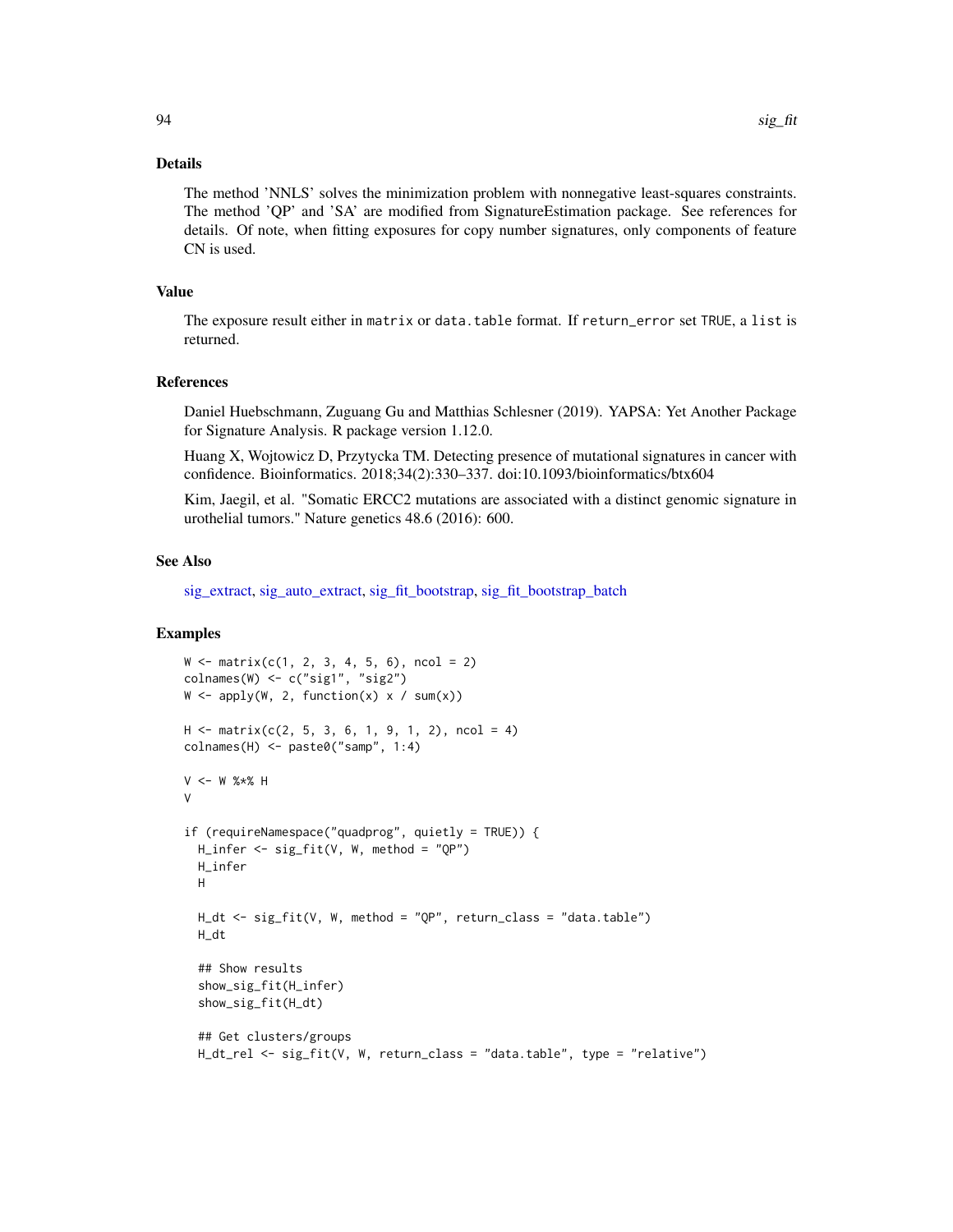#### Details

The method 'NNLS' solves the minimization problem with nonnegative least-squares constraints. The method 'QP' and 'SA' are modified from SignatureEstimation package. See references for details. Of note, when fitting exposures for copy number signatures, only components of feature CN is used.

#### Value

The exposure result either in matrix or data.table format. If return\_error set TRUE, a list is returned.

#### References

Daniel Huebschmann, Zuguang Gu and Matthias Schlesner (2019). YAPSA: Yet Another Package for Signature Analysis. R package version 1.12.0.

Huang X, Wojtowicz D, Przytycka TM. Detecting presence of mutational signatures in cancer with confidence. Bioinformatics. 2018;34(2):330–337. doi:10.1093/bioinformatics/btx604

Kim, Jaegil, et al. "Somatic ERCC2 mutations are associated with a distinct genomic signature in urothelial tumors." Nature genetics 48.6 (2016): 600.

#### See Also

[sig\\_extract,](#page-90-0) [sig\\_auto\\_extract,](#page-84-0) [sig\\_fit\\_bootstrap,](#page-94-0) [sig\\_fit\\_bootstrap\\_batch](#page-96-0)

## Examples

```
W \le - matrix(c(1, 2, 3, 4, 5, 6), ncol = 2)
colnames(W) <- c("sig1", "sig2")
W \leftarrow apply(W, 2, function(x) \times / sum(x))H \leq - matrix(c(2, 5, 3, 6, 1, 9, 1, 2), ncol = 4)
collnames(H) \leq -</math> paste0("samp", 1:4)V <- W %*% H
V
if (requireNamespace("quadprog", quietly = TRUE)) {
 H_infer <- sig_fit(V, W, method = "QP")
 H_infer
 H
 H_dt <- sig_fit(V, W, method = "QP", return_class = "data.table")
 H_dt
 ## Show results
 show_sig_fit(H_infer)
 show_sig_fit(H_dt)
 ## Get clusters/groups
 H_dt_rel <- sig_fit(V, W, return_class = "data.table", type = "relative")
```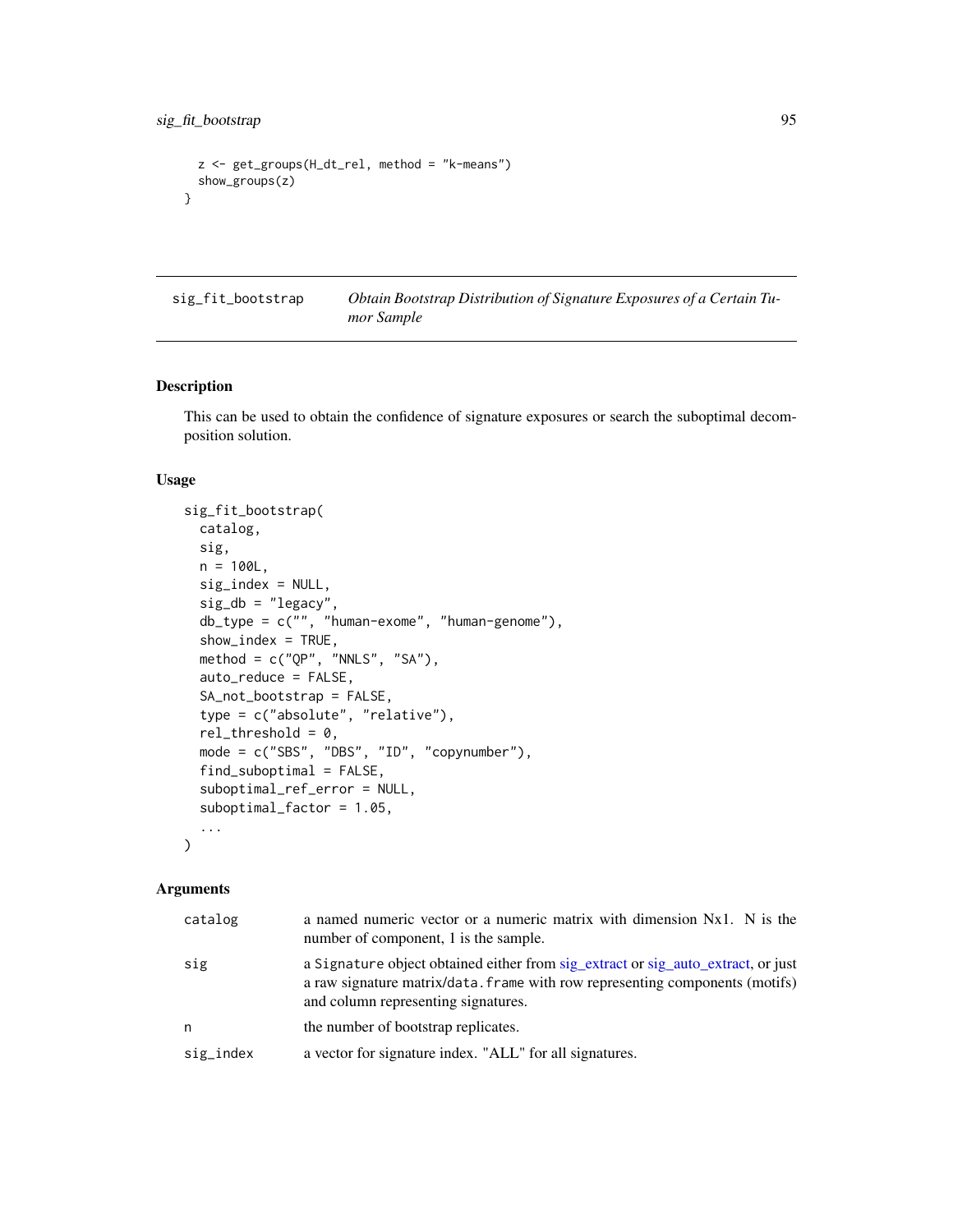```
z <- get_groups(H_dt_rel, method = "k-means")
 show_groups(z)
}
```
<span id="page-94-0"></span>sig\_fit\_bootstrap *Obtain Bootstrap Distribution of Signature Exposures of a Certain Tumor Sample*

## Description

This can be used to obtain the confidence of signature exposures or search the suboptimal decomposition solution.

## Usage

```
sig_fit_bootstrap(
 catalog,
  sig,
  n = 100L,sig_index = NULL,
  sig_d b = "legacy",db_type = c("", "human-exome", "human-genome"),
  show_index = TRUE,
 method = c("QP", "NNLS", "SA"),
  auto_reduce = FALSE,
  SA_not_bootstrap = FALSE,
  type = c("absolute", "relative"),
  rel\_threshold = 0,
 mode = c("SBS", "DBS", "ID", "copynumber"),
  find_suboptimal = FALSE,
  suboptimal_ref_error = NULL,
  suboptimal_factor = 1.05,
  ...
\mathcal{L}
```
### Arguments

| catalog   | a named numeric vector or a numeric matrix with dimension Nx1. N is the<br>number of component, 1 is the sample.                                                                                        |
|-----------|---------------------------------------------------------------------------------------------------------------------------------------------------------------------------------------------------------|
| sig       | a Signature object obtained either from sig_extract or sig_auto_extract, or just<br>a raw signature matrix/data. frame with row representing components (motifs)<br>and column representing signatures. |
| n         | the number of bootstrap replicates.                                                                                                                                                                     |
| sig_index | a vector for signature index. "ALL" for all signatures.                                                                                                                                                 |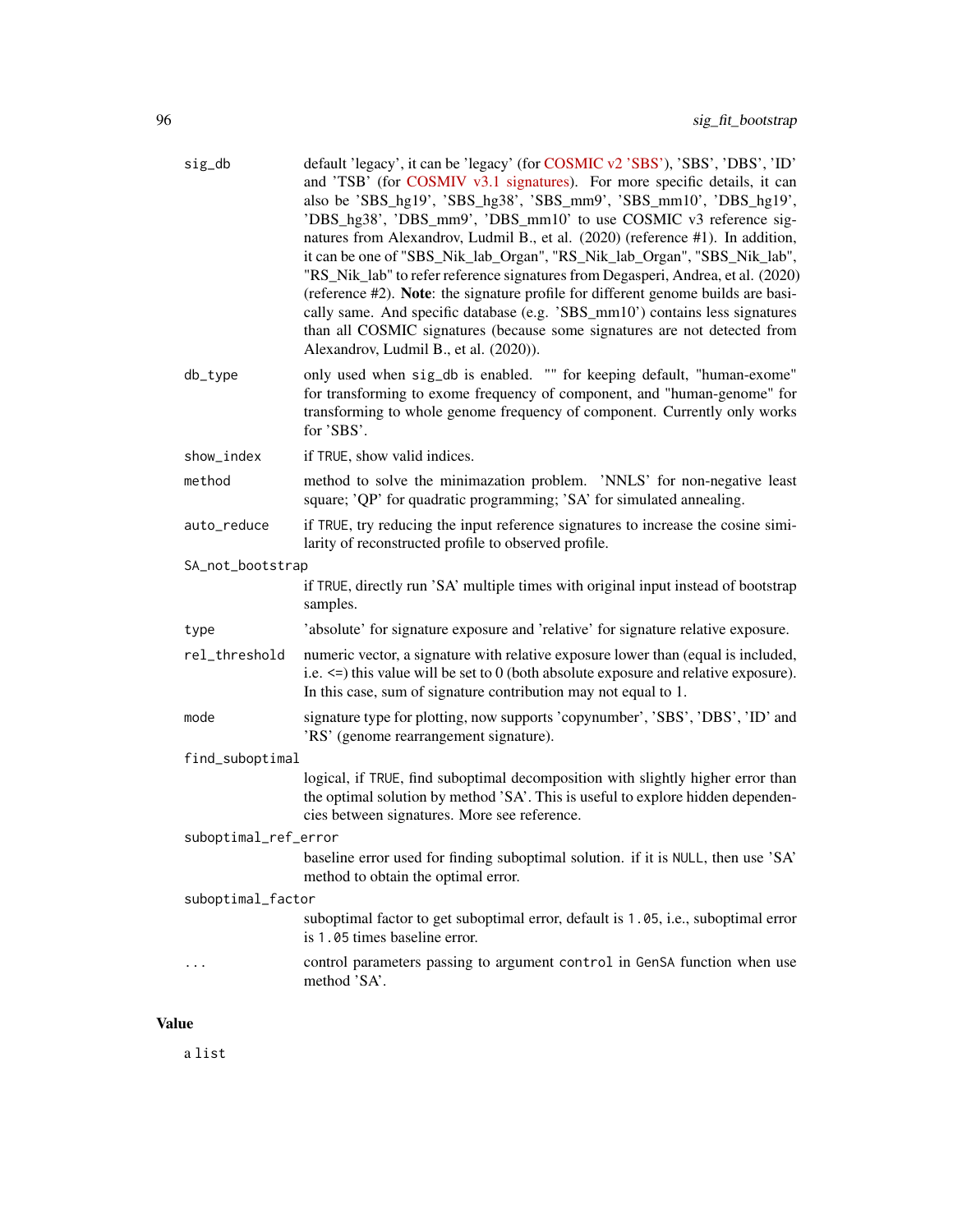| sig_db               | default 'legacy', it can be 'legacy' (for COSMIC v2 'SBS'), 'SBS', 'DBS', 'ID'<br>and 'TSB' (for COSMIV v3.1 signatures). For more specific details, it can<br>also be 'SBS_hg19', 'SBS_hg38', 'SBS_mm9', 'SBS_mm10', 'DBS_hg19',<br>'DBS_hg38', 'DBS_mm9', 'DBS_mm10' to use COSMIC v3 reference sig-<br>natures from Alexandrov, Ludmil B., et al. (2020) (reference #1). In addition,<br>it can be one of "SBS_Nik_lab_Organ", "RS_Nik_lab_Organ", "SBS_Nik_lab",<br>"RS_Nik_lab" to refer reference signatures from Degasperi, Andrea, et al. (2020)<br>(reference #2). Note: the signature profile for different genome builds are basi-<br>cally same. And specific database (e.g. 'SBS_mm10') contains less signatures<br>than all COSMIC signatures (because some signatures are not detected from<br>Alexandrov, Ludmil B., et al. (2020)). |
|----------------------|------------------------------------------------------------------------------------------------------------------------------------------------------------------------------------------------------------------------------------------------------------------------------------------------------------------------------------------------------------------------------------------------------------------------------------------------------------------------------------------------------------------------------------------------------------------------------------------------------------------------------------------------------------------------------------------------------------------------------------------------------------------------------------------------------------------------------------------------------|
| db_type              | only used when sig_db is enabled. "" for keeping default, "human-exome"<br>for transforming to exome frequency of component, and "human-genome" for<br>transforming to whole genome frequency of component. Currently only works<br>for 'SBS'.                                                                                                                                                                                                                                                                                                                                                                                                                                                                                                                                                                                                       |
| show_index           | if TRUE, show valid indices.                                                                                                                                                                                                                                                                                                                                                                                                                                                                                                                                                                                                                                                                                                                                                                                                                         |
| method               | method to solve the minimazation problem. 'NNLS' for non-negative least<br>square; 'QP' for quadratic programming; 'SA' for simulated annealing.                                                                                                                                                                                                                                                                                                                                                                                                                                                                                                                                                                                                                                                                                                     |
| auto_reduce          | if TRUE, try reducing the input reference signatures to increase the cosine simi-<br>larity of reconstructed profile to observed profile.                                                                                                                                                                                                                                                                                                                                                                                                                                                                                                                                                                                                                                                                                                            |
| SA_not_bootstrap     |                                                                                                                                                                                                                                                                                                                                                                                                                                                                                                                                                                                                                                                                                                                                                                                                                                                      |
|                      | if TRUE, directly run 'SA' multiple times with original input instead of bootstrap<br>samples.                                                                                                                                                                                                                                                                                                                                                                                                                                                                                                                                                                                                                                                                                                                                                       |
| type                 | 'absolute' for signature exposure and 'relative' for signature relative exposure.                                                                                                                                                                                                                                                                                                                                                                                                                                                                                                                                                                                                                                                                                                                                                                    |
| rel_threshold        | numeric vector, a signature with relative exposure lower than (equal is included,<br>i.e. $\le$ this value will be set to 0 (both absolute exposure and relative exposure).<br>In this case, sum of signature contribution may not equal to 1.                                                                                                                                                                                                                                                                                                                                                                                                                                                                                                                                                                                                       |
| mode                 | signature type for plotting, now supports 'copynumber', 'SBS', 'DBS', 'ID' and<br>'RS' (genome rearrangement signature).                                                                                                                                                                                                                                                                                                                                                                                                                                                                                                                                                                                                                                                                                                                             |
| find_suboptimal      |                                                                                                                                                                                                                                                                                                                                                                                                                                                                                                                                                                                                                                                                                                                                                                                                                                                      |
|                      | logical, if TRUE, find suboptimal decomposition with slightly higher error than<br>the optimal solution by method 'SA'. This is useful to explore hidden dependen-<br>cies between signatures. More see reference.                                                                                                                                                                                                                                                                                                                                                                                                                                                                                                                                                                                                                                   |
| suboptimal_ref_error |                                                                                                                                                                                                                                                                                                                                                                                                                                                                                                                                                                                                                                                                                                                                                                                                                                                      |
|                      | baseline error used for finding suboptimal solution. if it is NULL, then use 'SA'<br>method to obtain the optimal error.                                                                                                                                                                                                                                                                                                                                                                                                                                                                                                                                                                                                                                                                                                                             |
| suboptimal_factor    |                                                                                                                                                                                                                                                                                                                                                                                                                                                                                                                                                                                                                                                                                                                                                                                                                                                      |
|                      | suboptimal factor to get suboptimal error, default is 1.05, i.e., suboptimal error<br>is 1.05 times baseline error.                                                                                                                                                                                                                                                                                                                                                                                                                                                                                                                                                                                                                                                                                                                                  |
|                      | control parameters passing to argument control in GenSA function when use<br>method 'SA'.                                                                                                                                                                                                                                                                                                                                                                                                                                                                                                                                                                                                                                                                                                                                                            |

## Value

a list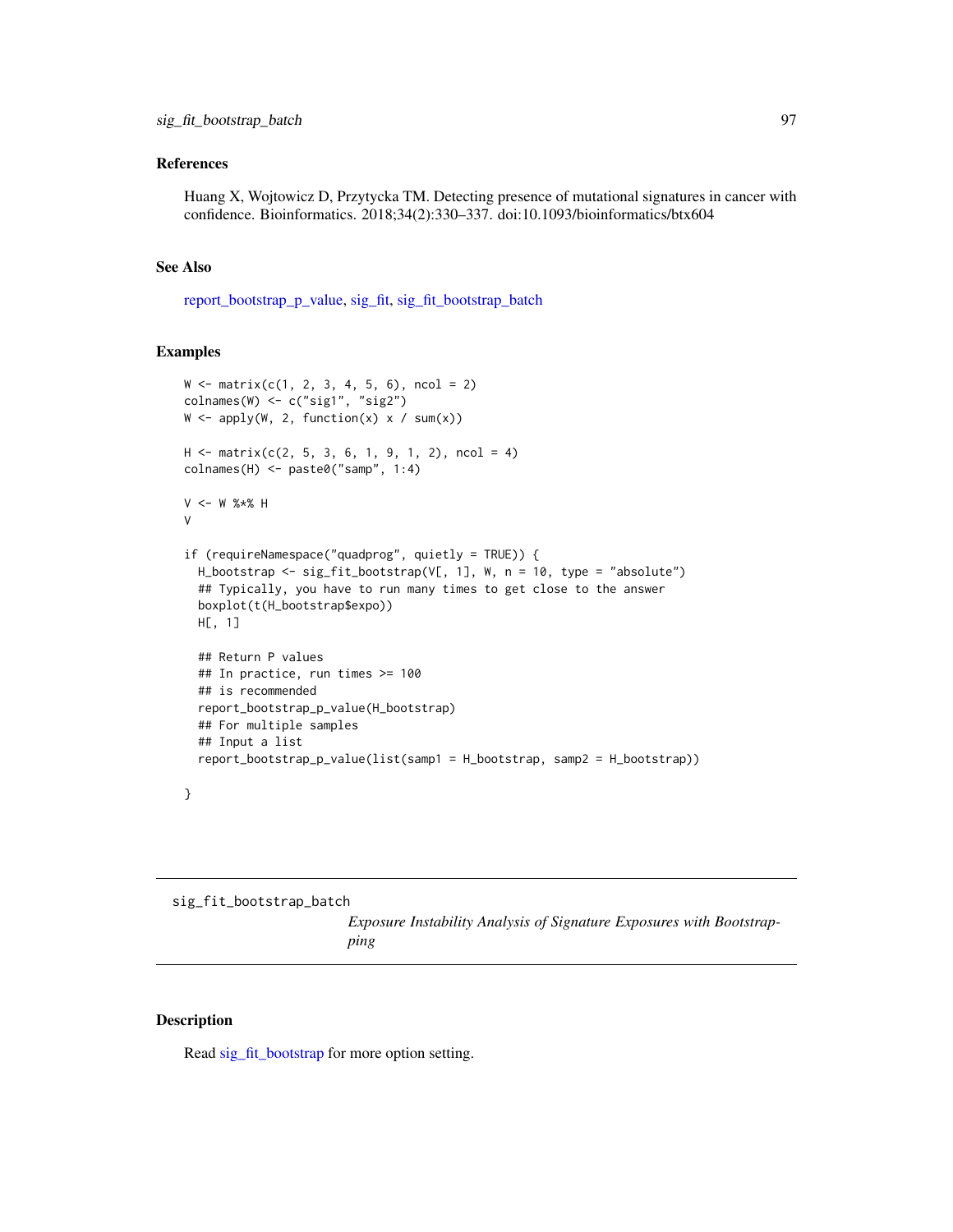## References

Huang X, Wojtowicz D, Przytycka TM. Detecting presence of mutational signatures in cancer with confidence. Bioinformatics. 2018;34(2):330–337. doi:10.1093/bioinformatics/btx604

#### See Also

[report\\_bootstrap\\_p\\_value,](#page-38-0) [sig\\_fit,](#page-91-0) [sig\\_fit\\_bootstrap\\_batch](#page-96-0)

## Examples

```
W \leftarrow matrix(c(1, 2, 3, 4, 5, 6), ncol = 2)colnames(W) <- c("sig1", "sig2")
W \leftarrow apply(W, 2, function(x) \times / sum(x))H \leq -\text{ matrix}(c(2, 5, 3, 6, 1, 9, 1, 2), \text{ncol} = 4)colnames(H) <- paste0("samp", 1:4)
V <- W %*% H
V
if (requireNamespace("quadprog", quietly = TRUE)) {
  H_bootstrap <- sig_fit_bootstrap(V[, 1], W, n = 10, type = "absolute")
  ## Typically, you have to run many times to get close to the answer
  boxplot(t(H_bootstrap$expo))
  H[, 1]
  ## Return P values
  ## In practice, run times >= 100
  ## is recommended
  report_bootstrap_p_value(H_bootstrap)
  ## For multiple samples
  ## Input a list
  report_bootstrap_p_value(list(samp1 = H_bootstrap, samp2 = H_bootstrap))
}
```
<span id="page-96-0"></span>sig\_fit\_bootstrap\_batch

*Exposure Instability Analysis of Signature Exposures with Bootstrapping*

### Description

Read [sig\\_fit\\_bootstrap](#page-94-0) for more option setting.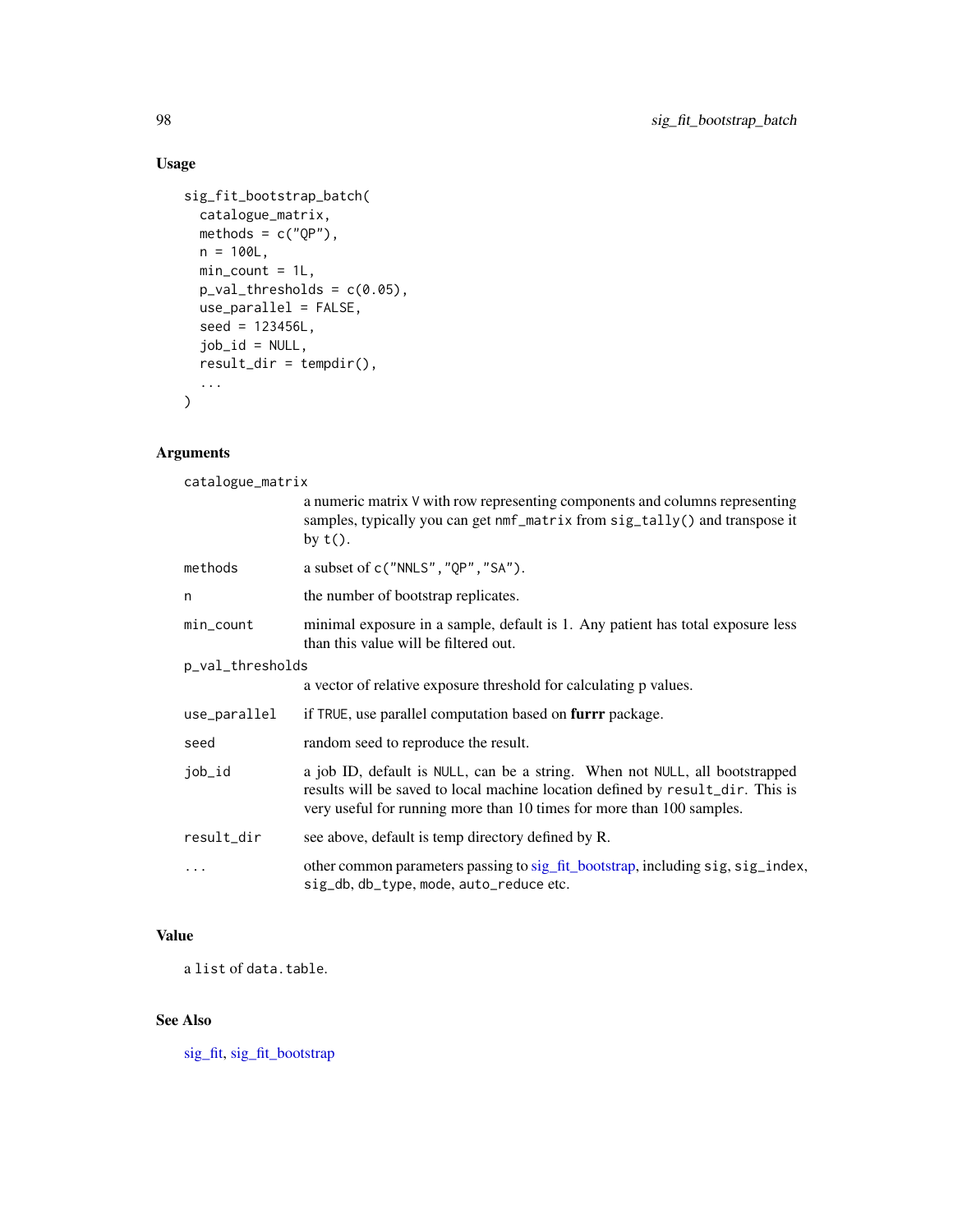# Usage

```
sig_fit_bootstrap_batch(
  catalogue_matrix,
  methods = c("QP"),
  n = 100L,min\_count = 1L,
  p_val_thresholds = c(0.05),
  use_parallel = FALSE,
  seed = 123456L,
  job_id = NULL,
  result_dir = tempdir(),
  ...
\mathcal{L}
```
## Arguments

| catalogue_matrix |                                                                                                                                                                                                                                        |  |
|------------------|----------------------------------------------------------------------------------------------------------------------------------------------------------------------------------------------------------------------------------------|--|
|                  | a numeric matrix V with row representing components and columns representing<br>samples, typically you can get nmf_matrix from sig_tally() and transpose it<br>by $t()$ .                                                              |  |
| methods          | a subset of $c("NNLS", "QP", "SA").$                                                                                                                                                                                                   |  |
| n                | the number of bootstrap replicates.                                                                                                                                                                                                    |  |
| min_count        | minimal exposure in a sample, default is 1. Any patient has total exposure less<br>than this value will be filtered out.                                                                                                               |  |
| p_val_thresholds |                                                                                                                                                                                                                                        |  |
|                  | a vector of relative exposure threshold for calculating p values.                                                                                                                                                                      |  |
| use_parallel     | if TRUE, use parallel computation based on furrr package.                                                                                                                                                                              |  |
| seed             | random seed to reproduce the result.                                                                                                                                                                                                   |  |
| job_id           | a job ID, default is NULL, can be a string. When not NULL, all bootstrapped<br>results will be saved to local machine location defined by result_dir. This is<br>very useful for running more than 10 times for more than 100 samples. |  |
| result_dir       | see above, default is temp directory defined by R.                                                                                                                                                                                     |  |
| $\ddotsc$        | other common parameters passing to sig_fit_bootstrap, including sig, sig_index,<br>sig_db, db_type, mode, auto_reduce etc.                                                                                                             |  |

# Value

a list of data.table.

# See Also

[sig\\_fit,](#page-91-0) [sig\\_fit\\_bootstrap](#page-94-0)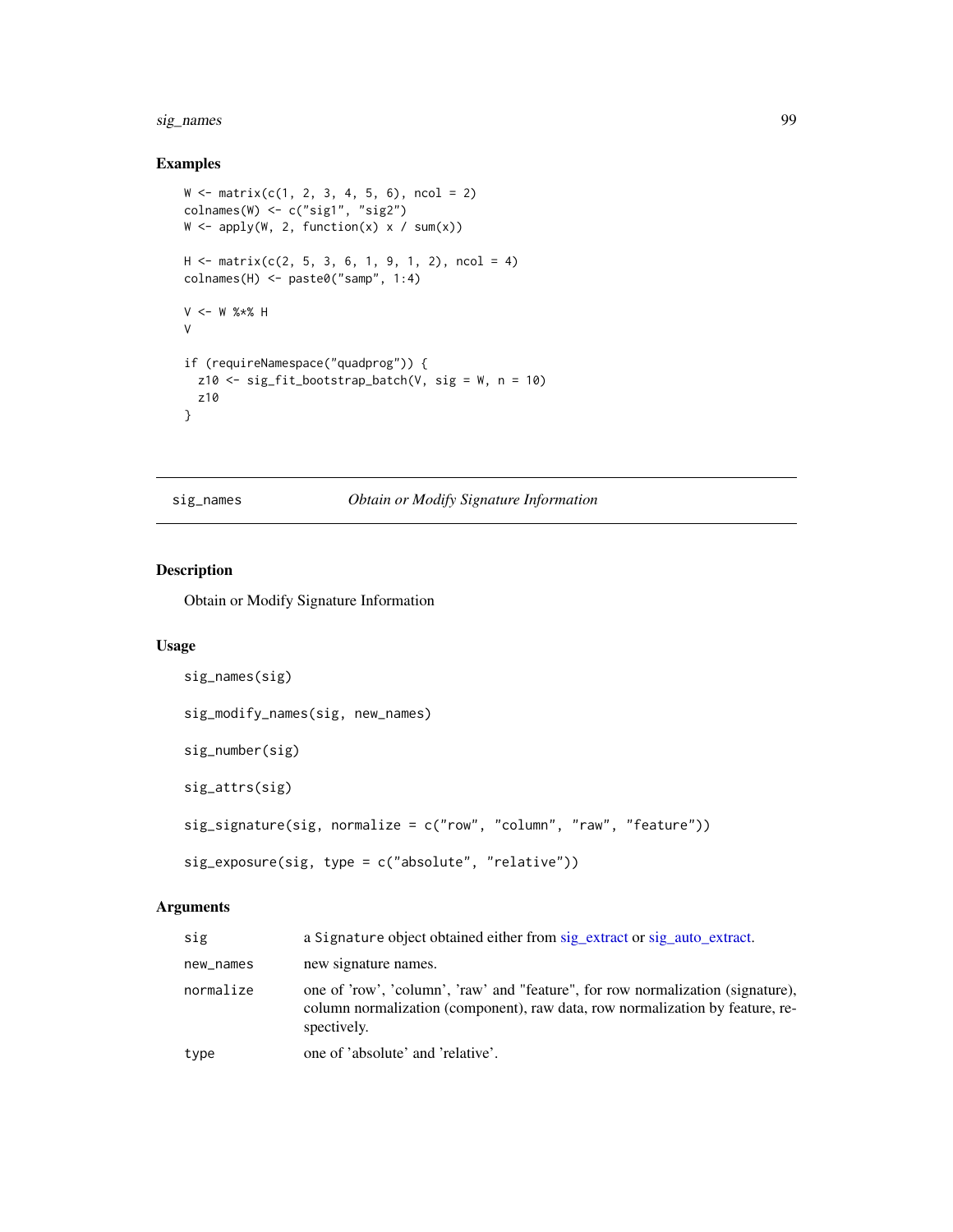## sig\_names 99

## Examples

```
W \leftarrow matrix(c(1, 2, 3, 4, 5, 6), ncol = 2)colnames(W) <- c("sig1", "sig2")
W \leftarrow apply(W, 2, function(x) \times / sum(x))H \leq - matrix(c(2, 5, 3, 6, 1, 9, 1, 2), ncol = 4)
colnames(H) <- paste0("samp", 1:4)
V <- W %*% H
V
if (requireNamespace("quadprog")) {
  z10 \leftarrow sig\_fit\_bootstrap\_batch(V, sig = W, n = 10)z10
}
```
sig\_names *Obtain or Modify Signature Information*

## Description

Obtain or Modify Signature Information

## Usage

```
sig_names(sig)
sig_modify_names(sig, new_names)
sig_number(sig)
sig_attrs(sig)
sig_signature(sig, normalize = c("row", "column", "raw", "feature"))
sig_exposure(sig, type = c("absolute", "relative"))
```
## Arguments

| sig       | a Signature object obtained either from sig_extract or sig_auto_extract.                                                                                                        |
|-----------|---------------------------------------------------------------------------------------------------------------------------------------------------------------------------------|
| new_names | new signature names.                                                                                                                                                            |
| normalize | one of 'row', 'column', 'raw' and "feature", for row normalization (signature),<br>column normalization (component), raw data, row normalization by feature, re-<br>spectively. |
| type      | one of 'absolute' and 'relative'.                                                                                                                                               |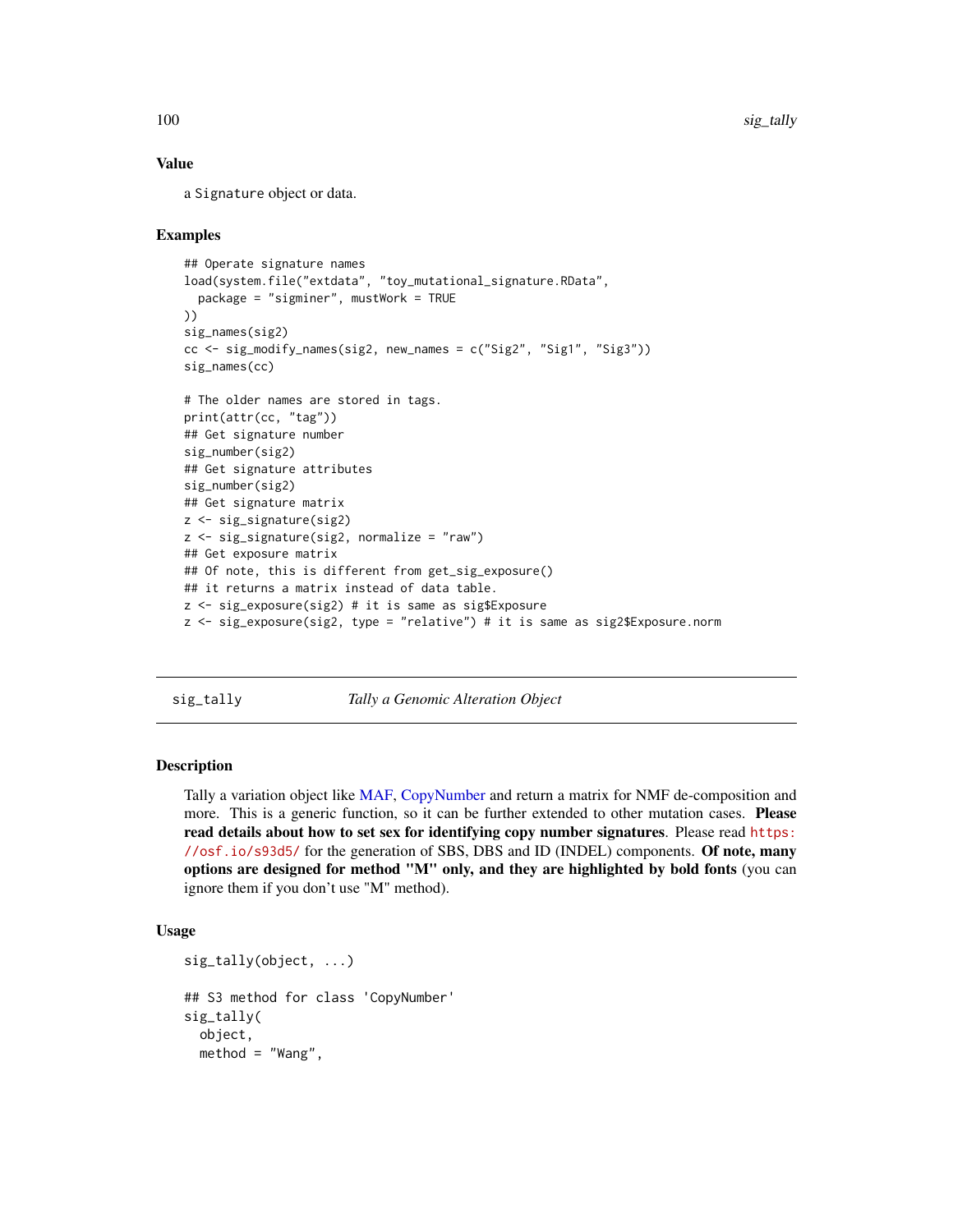#### Value

a Signature object or data.

## Examples

```
## Operate signature names
load(system.file("extdata", "toy_mutational_signature.RData",
  package = "sigminer", mustWork = TRUE
))
sig_names(sig2)
cc \leq - sig_modelfy_names(sig2, new_names = c("Sig2", "Sig1", "Sig3"))sig_names(cc)
# The older names are stored in tags.
print(attr(cc, "tag"))
## Get signature number
sig_number(sig2)
## Get signature attributes
sig_number(sig2)
## Get signature matrix
z <- sig_signature(sig2)
z <- sig_signature(sig2, normalize = "raw")
## Get exposure matrix
## Of note, this is different from get_sig_exposure()
## it returns a matrix instead of data table.
z <- sig_exposure(sig2) # it is same as sig$Exposure
z <- sig_exposure(sig2, type = "relative") # it is same as sig2$Exposure.norm
```
<span id="page-99-0"></span>sig\_tally *Tally a Genomic Alteration Object*

### Description

Tally a variation object like [MAF,](#page-31-0) [CopyNumber](#page-9-0) and return a matrix for NMF de-composition and more. This is a generic function, so it can be further extended to other mutation cases. Please read details about how to set sex for identifying copy number signatures. Please read [https:](https://osf.io/s93d5/) [//osf.io/s93d5/](https://osf.io/s93d5/) for the generation of SBS, DBS and ID (INDEL) components. Of note, many options are designed for method "M" only, and they are highlighted by bold fonts (you can ignore them if you don't use "M" method).

## Usage

```
sig_tally(object, ...)
## S3 method for class 'CopyNumber'
sig_tally(
 object,
 method = "Wang",
```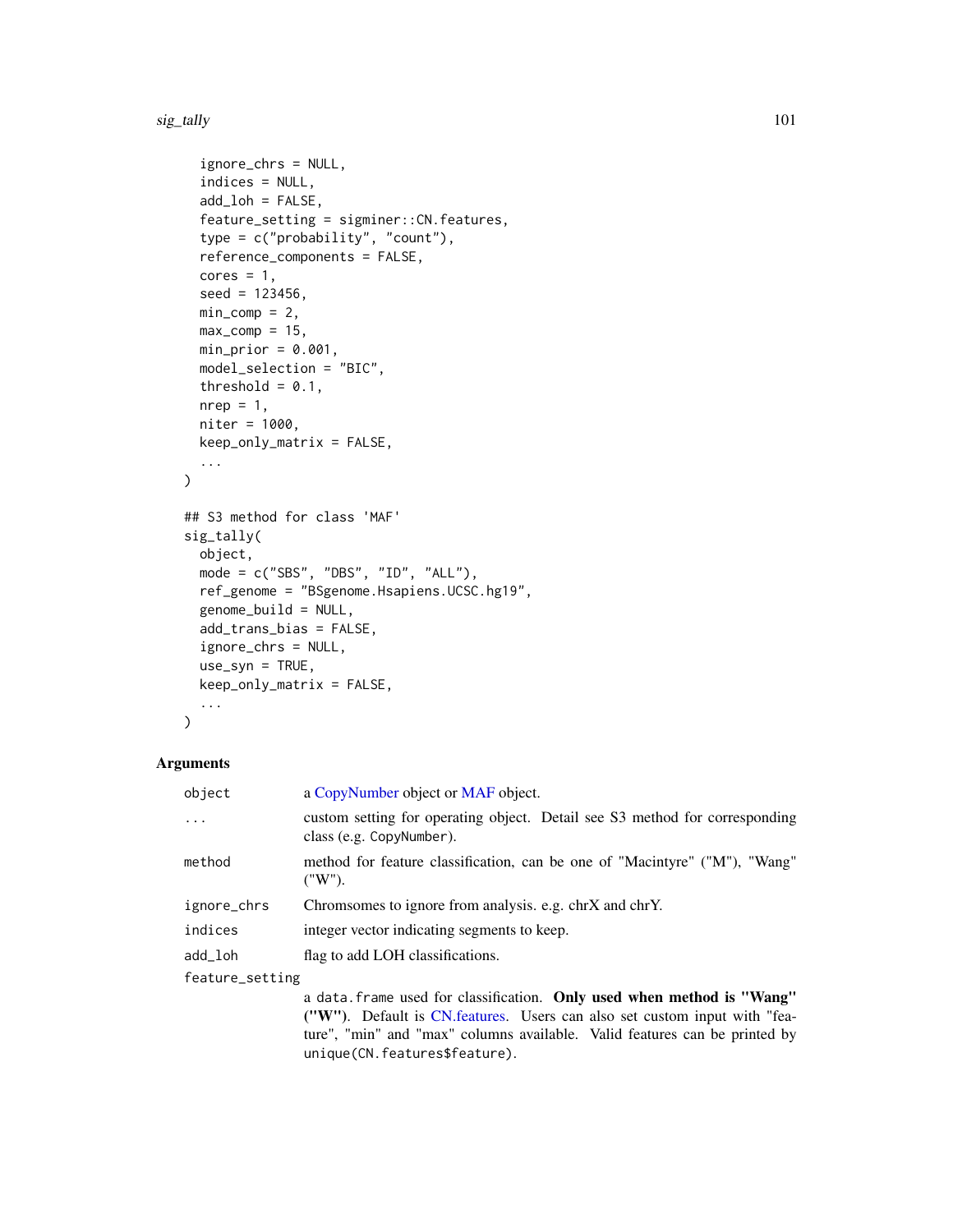#### sig\_tally 101

```
ignore_chrs = NULL,
  indices = NULL,
  add\_loh = FALSE,
  feature_setting = sigminer::CN.features,
  type = c("probability", "count"),
  reference_components = FALSE,
  cores = 1,
  seed = 123456,
 min\_comp = 2,max_{comp} = 15,
 min\_prior = 0.001,model_selection = "BIC",
  threshold = 0.1,
 nrep = 1,
 niter = 1000,
 keep_only_matrix = FALSE,
  ...
\mathcal{L}## S3 method for class 'MAF'
sig_tally(
 object,
 mode = c("SBS", "DBS", "ID", "ALL"),
  ref_genome = "BSgenome.Hsapiens.UCSC.hg19",
  genome_build = NULL,
  add_trans_bias = FALSE,
  ignore_chrs = NULL,
  use_syn = TRUE,
 keep_only_matrix = FALSE,
  ...
```

```
\mathcal{L}
```
#### Arguments

| object          | a CopyNumber object or MAF object.                                                                      |
|-----------------|---------------------------------------------------------------------------------------------------------|
| $\ddotsc$       | custom setting for operating object. Detail see S3 method for corresponding<br>class (e.g. CopyNumber). |
| method          | method for feature classification, can be one of "Macintyre" ("M"), "Wang"<br>("W").                    |
| ignore_chrs     | Chromsomes to ignore from analysis. e.g. chrX and chrY.                                                 |
| indices         | integer vector indicating segments to keep.                                                             |
| add_loh         | flag to add LOH classifications.                                                                        |
| feature_setting |                                                                                                         |
|                 | a data. frame used for classification. Only used when method is "Wang"                                  |

("W"). Default is [CN.features.](#page-8-0) Users can also set custom input with "feature", "min" and "max" columns available. Valid features can be printed by unique(CN.features\$feature).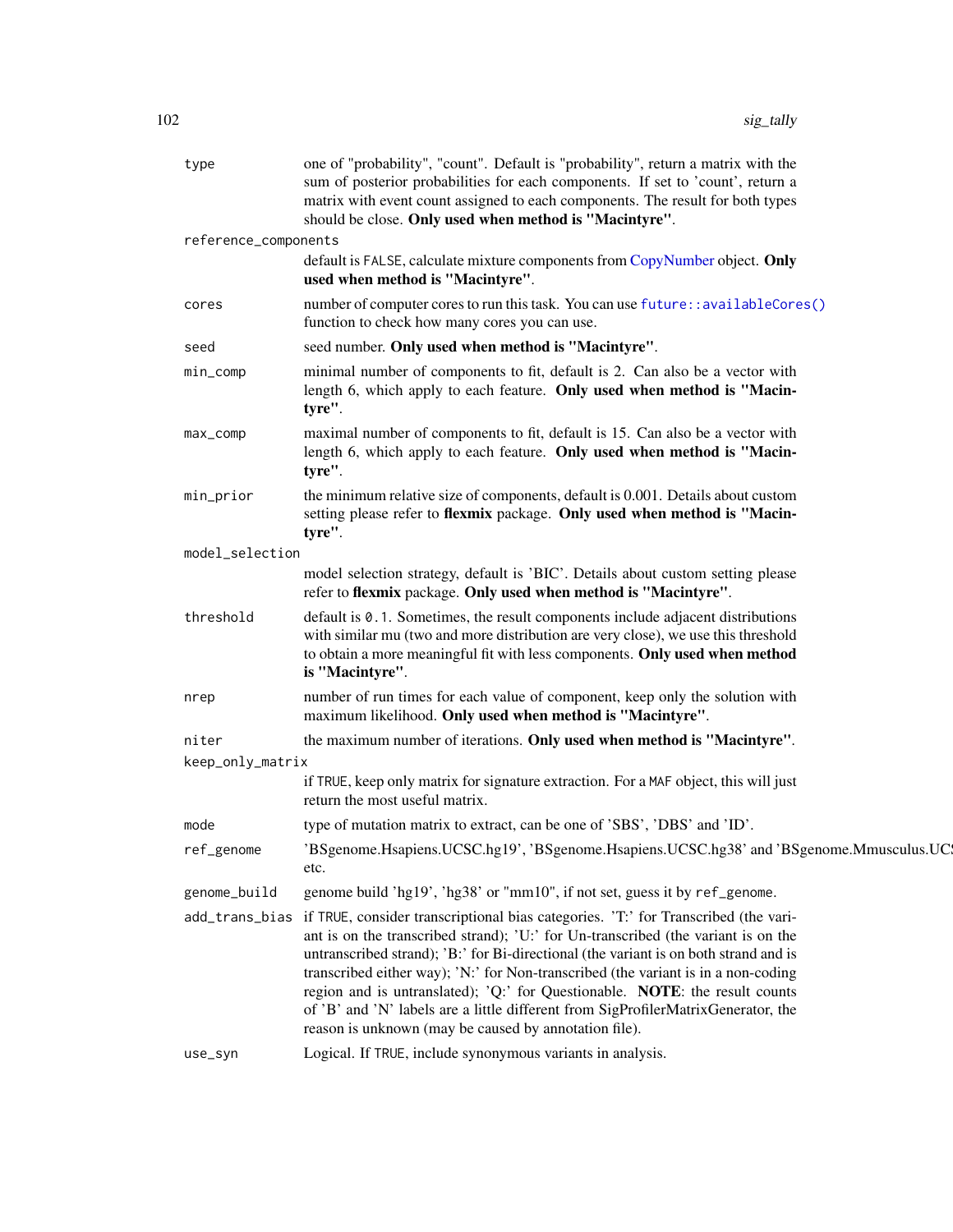| type                 | one of "probability", "count". Default is "probability", return a matrix with the<br>sum of posterior probabilities for each components. If set to 'count', return a<br>matrix with event count assigned to each components. The result for both types<br>should be close. Only used when method is "Macintyre".                                                                                                                                                                                                                                                                                 |
|----------------------|--------------------------------------------------------------------------------------------------------------------------------------------------------------------------------------------------------------------------------------------------------------------------------------------------------------------------------------------------------------------------------------------------------------------------------------------------------------------------------------------------------------------------------------------------------------------------------------------------|
| reference_components |                                                                                                                                                                                                                                                                                                                                                                                                                                                                                                                                                                                                  |
|                      | default is FALSE, calculate mixture components from CopyNumber object. Only<br>used when method is "Macintyre".                                                                                                                                                                                                                                                                                                                                                                                                                                                                                  |
| cores                | number of computer cores to run this task. You can use future:: availableCores()<br>function to check how many cores you can use.                                                                                                                                                                                                                                                                                                                                                                                                                                                                |
| seed                 | seed number. Only used when method is "Macintyre".                                                                                                                                                                                                                                                                                                                                                                                                                                                                                                                                               |
| min_comp             | minimal number of components to fit, default is 2. Can also be a vector with<br>length 6, which apply to each feature. Only used when method is "Macin-<br>tyre".                                                                                                                                                                                                                                                                                                                                                                                                                                |
| $max_{comp}$         | maximal number of components to fit, default is 15. Can also be a vector with<br>length 6, which apply to each feature. Only used when method is "Macin-<br>tyre".                                                                                                                                                                                                                                                                                                                                                                                                                               |
| min_prior            | the minimum relative size of components, default is 0.001. Details about custom<br>setting please refer to flexmix package. Only used when method is "Macin-<br>tyre".                                                                                                                                                                                                                                                                                                                                                                                                                           |
| model_selection      |                                                                                                                                                                                                                                                                                                                                                                                                                                                                                                                                                                                                  |
|                      | model selection strategy, default is 'BIC'. Details about custom setting please<br>refer to flexmix package. Only used when method is "Macintyre".                                                                                                                                                                                                                                                                                                                                                                                                                                               |
| threshold            | default is 0.1. Sometimes, the result components include adjacent distributions<br>with similar mu (two and more distribution are very close), we use this threshold<br>to obtain a more meaningful fit with less components. Only used when method<br>is "Macintyre".                                                                                                                                                                                                                                                                                                                           |
| nrep                 | number of run times for each value of component, keep only the solution with<br>maximum likelihood. Only used when method is "Macintyre".                                                                                                                                                                                                                                                                                                                                                                                                                                                        |
| niter                | the maximum number of iterations. Only used when method is "Macintyre".                                                                                                                                                                                                                                                                                                                                                                                                                                                                                                                          |
| keep_only_matrix     |                                                                                                                                                                                                                                                                                                                                                                                                                                                                                                                                                                                                  |
|                      | if TRUE, keep only matrix for signature extraction. For a MAF object, this will just<br>return the most useful matrix.                                                                                                                                                                                                                                                                                                                                                                                                                                                                           |
| mode                 | type of mutation matrix to extract, can be one of 'SBS', 'DBS' and 'ID'.                                                                                                                                                                                                                                                                                                                                                                                                                                                                                                                         |
| ref_genome           | 'BSgenome.Hsapiens.UCSC.hg19', 'BSgenome.Hsapiens.UCSC.hg38' and 'BSgenome.Mmusculus.UC<br>etc.                                                                                                                                                                                                                                                                                                                                                                                                                                                                                                  |
| genome_build         | genome build 'hg19', 'hg38' or "mm10", if not set, guess it by ref_genome.                                                                                                                                                                                                                                                                                                                                                                                                                                                                                                                       |
|                      | add_trans_bias if TRUE, consider transcriptional bias categories. 'T:' for Transcribed (the vari-<br>ant is on the transcribed strand); 'U:' for Un-transcribed (the variant is on the<br>untranscribed strand); 'B:' for Bi-directional (the variant is on both strand and is<br>transcribed either way); 'N:' for Non-transcribed (the variant is in a non-coding<br>region and is untranslated); 'Q:' for Questionable. NOTE: the result counts<br>of 'B' and 'N' labels are a little different from SigProfilerMatrixGenerator, the<br>reason is unknown (may be caused by annotation file). |
| use_syn              | Logical. If TRUE, include synonymous variants in analysis.                                                                                                                                                                                                                                                                                                                                                                                                                                                                                                                                       |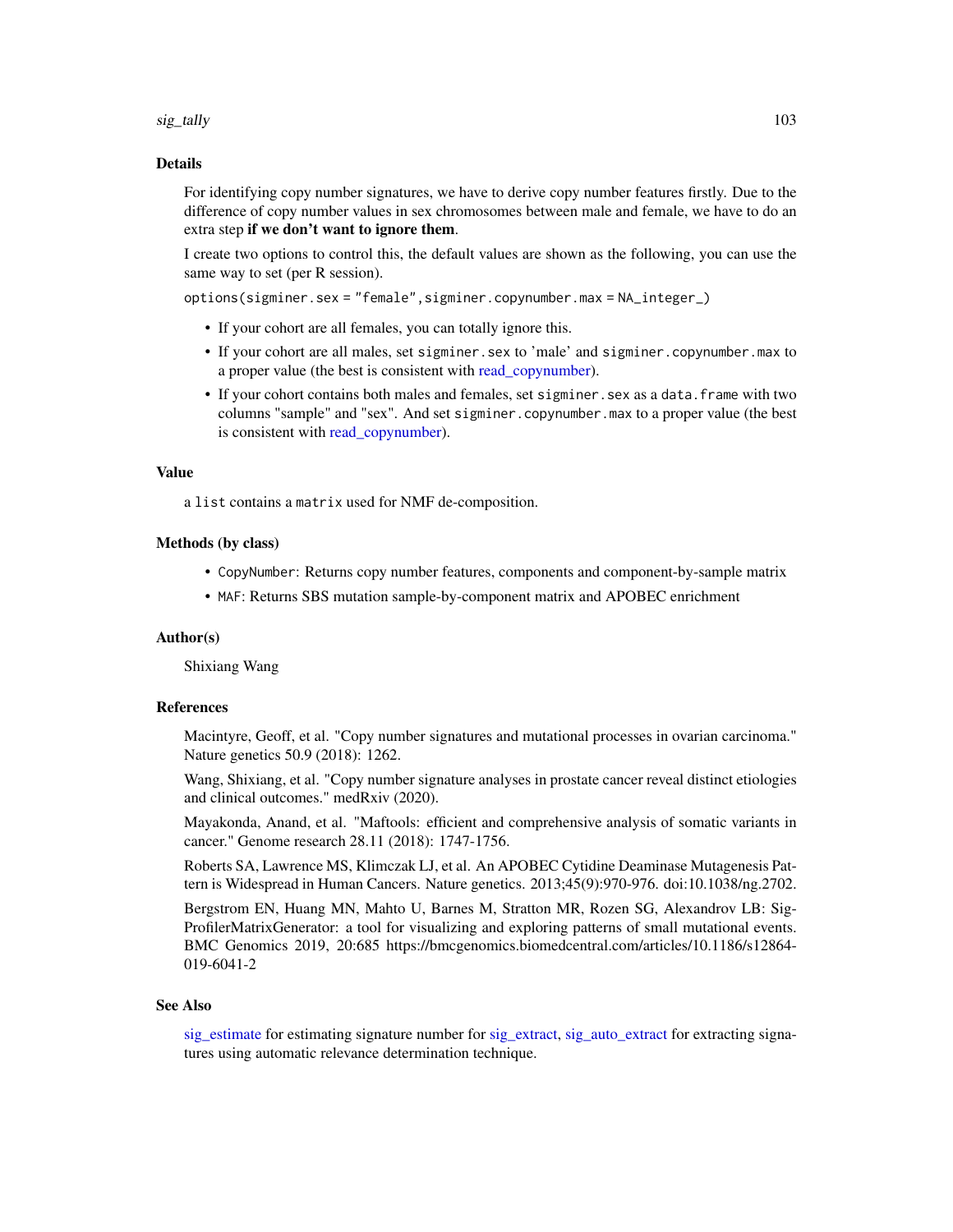sig\_tally 103

#### Details

For identifying copy number signatures, we have to derive copy number features firstly. Due to the difference of copy number values in sex chromosomes between male and female, we have to do an extra step if we don't want to ignore them.

I create two options to control this, the default values are shown as the following, you can use the same way to set (per R session).

options(sigminer.sex = "female",sigminer.copynumber.max = NA\_integer\_)

- If your cohort are all females, you can totally ignore this.
- If your cohort are all males, set sigminer.sex to 'male' and sigminer.copynumber.max to a proper value (the best is consistent with read copynumber).
- If your cohort contains both males and females, set sigminer. sex as a data. frame with two columns "sample" and "sex". And set sigminer.copynumber.max to a proper value (the best is consistent with [read\\_copynumber\)](#page-33-0).

### Value

a list contains a matrix used for NMF de-composition.

#### Methods (by class)

- CopyNumber: Returns copy number features, components and component-by-sample matrix
- MAF: Returns SBS mutation sample-by-component matrix and APOBEC enrichment

#### Author(s)

Shixiang Wang

#### **References**

Macintyre, Geoff, et al. "Copy number signatures and mutational processes in ovarian carcinoma." Nature genetics 50.9 (2018): 1262.

Wang, Shixiang, et al. "Copy number signature analyses in prostate cancer reveal distinct etiologies and clinical outcomes." medRxiv (2020).

Mayakonda, Anand, et al. "Maftools: efficient and comprehensive analysis of somatic variants in cancer." Genome research 28.11 (2018): 1747-1756.

Roberts SA, Lawrence MS, Klimczak LJ, et al. An APOBEC Cytidine Deaminase Mutagenesis Pattern is Widespread in Human Cancers. Nature genetics. 2013;45(9):970-976. doi:10.1038/ng.2702.

Bergstrom EN, Huang MN, Mahto U, Barnes M, Stratton MR, Rozen SG, Alexandrov LB: Sig-ProfilerMatrixGenerator: a tool for visualizing and exploring patterns of small mutational events. BMC Genomics 2019, 20:685 https://bmcgenomics.biomedcentral.com/articles/10.1186/s12864- 019-6041-2

#### See Also

[sig\\_estimate](#page-88-0) for estimating signature number for [sig\\_extract,](#page-90-0) [sig\\_auto\\_extract](#page-84-0) for extracting signatures using automatic relevance determination technique.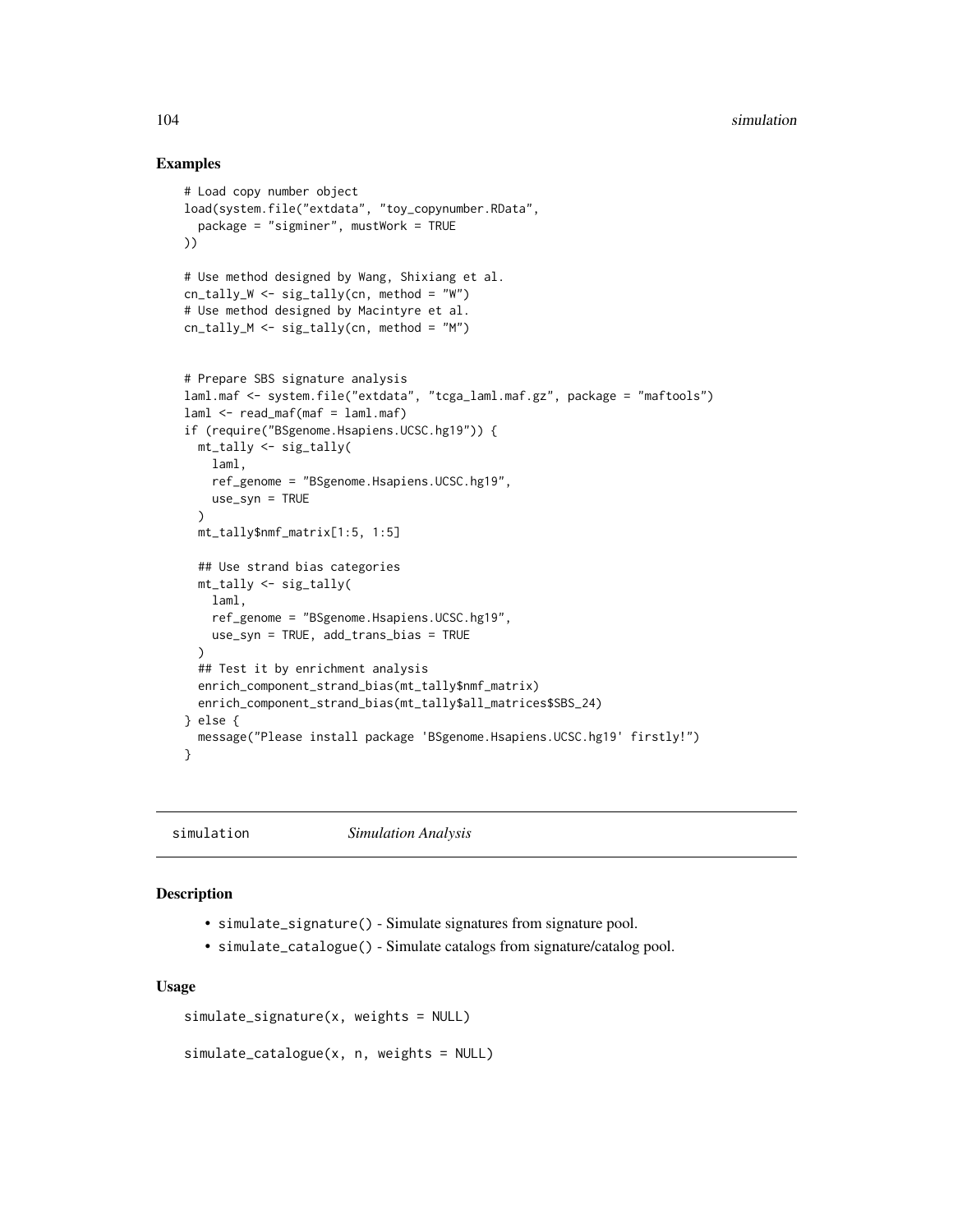## Examples

```
# Load copy number object
load(system.file("extdata", "toy_copynumber.RData",
 package = "sigminer", mustWork = TRUE
))
# Use method designed by Wang, Shixiang et al.
cn_tally_W <- sig_tally(cn, method = "W")
# Use method designed by Macintyre et al.
cn_tally_M <- sig_tally(cn, method = "M")
# Prepare SBS signature analysis
laml.maf <- system.file("extdata", "tcga_laml.maf.gz", package = "maftools")
laml < - read_maf(maf = laml.maf)if (require("BSgenome.Hsapiens.UCSC.hg19")) {
 mt_tally <- sig_tally(
   laml,
   ref_genome = "BSgenome.Hsapiens.UCSC.hg19",
   use_syn = TRUE
 \lambdamt_tally$nmf_matrix[1:5, 1:5]
 ## Use strand bias categories
 mt_tally <- sig_tally(
   laml,
   ref_genome = "BSgenome.Hsapiens.UCSC.hg19",
   use_syn = TRUE, add_trans_bias = TRUE
 )
 ## Test it by enrichment analysis
 enrich_component_strand_bias(mt_tally$nmf_matrix)
 enrich_component_strand_bias(mt_tally$all_matrices$SBS_24)
} else {
 message("Please install package 'BSgenome.Hsapiens.UCSC.hg19' firstly!")
}
```
simulation *Simulation Analysis*

#### Description

- simulate\_signature() Simulate signatures from signature pool.
- simulate\_catalogue() Simulate catalogs from signature/catalog pool.

#### Usage

```
simulate_signature(x, weights = NULL)
```

```
simulate_catalogue(x, n, weights = NULL)
```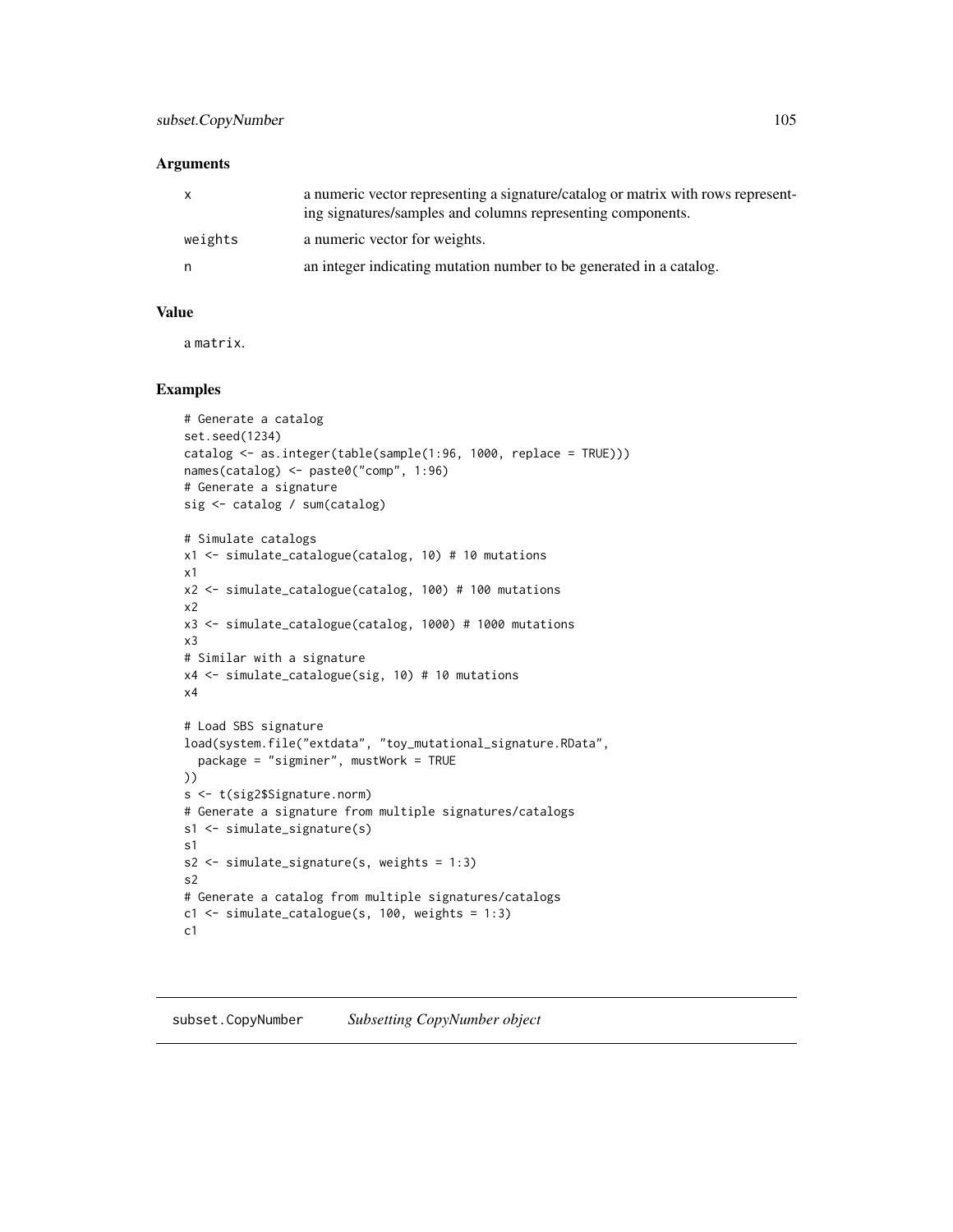#### **Arguments**

| $\mathsf{x}$ | a numeric vector representing a signature/catalog or matrix with rows represent-<br>ing signatures/samples and columns representing components. |
|--------------|-------------------------------------------------------------------------------------------------------------------------------------------------|
| weights      | a numeric vector for weights.                                                                                                                   |
| n.           | an integer indicating mutation number to be generated in a catalog.                                                                             |

#### Value

a matrix.

#### Examples

```
# Generate a catalog
set.seed(1234)
catalog <- as.integer(table(sample(1:96, 1000, replace = TRUE)))
names(catalog) <- paste0("comp", 1:96)
# Generate a signature
sig <- catalog / sum(catalog)
```

```
# Simulate catalogs
x1 <- simulate_catalogue(catalog, 10) # 10 mutations
x1
x2 <- simulate_catalogue(catalog, 100) # 100 mutations
x2
x3 <- simulate_catalogue(catalog, 1000) # 1000 mutations
x3
# Similar with a signature
x4 <- simulate_catalogue(sig, 10) # 10 mutations
x4
# Load SBS signature
load(system.file("extdata", "toy_mutational_signature.RData",
  package = "sigminer", mustWork = TRUE
))
s <- t(sig2$Signature.norm)
# Generate a signature from multiple signatures/catalogs
s1 <- simulate_signature(s)
s1
s2 <- simulate_signature(s, weights = 1:3)
s2
# Generate a catalog from multiple signatures/catalogs
c1 <- simulate_catalogue(s, 100, weights = 1:3)
c1
```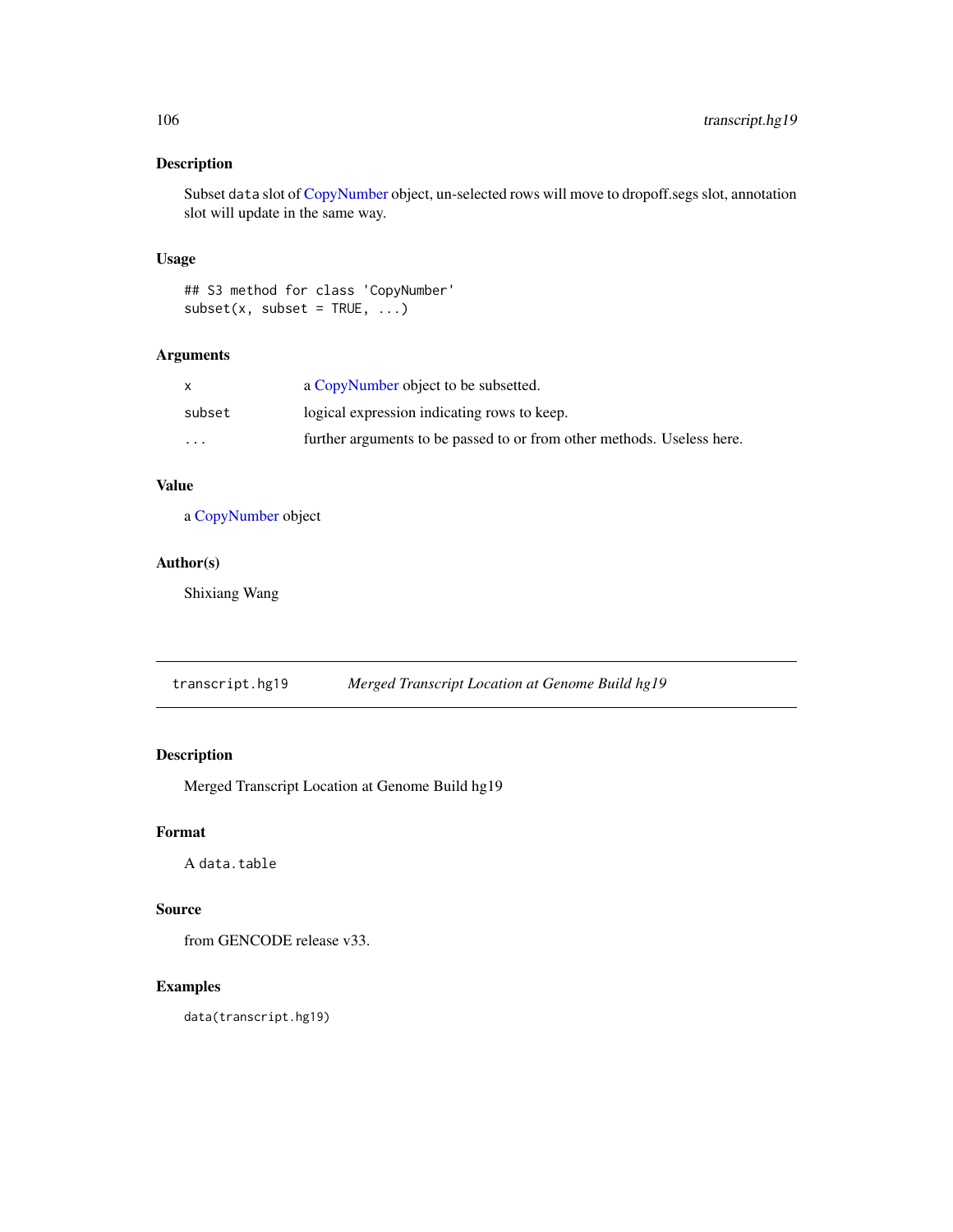## Description

Subset data slot of [CopyNumber](#page-9-0) object, un-selected rows will move to dropoff.segs slot, annotation slot will update in the same way.

## Usage

## S3 method for class 'CopyNumber'  $subset(x, subset = TRUE, ...)$ 

## Arguments

| X        | a CopyNumber object to be subsetted.                                   |
|----------|------------------------------------------------------------------------|
| subset   | logical expression indicating rows to keep.                            |
| $\cdots$ | further arguments to be passed to or from other methods. Useless here. |

## Value

a [CopyNumber](#page-9-0) object

# Author(s)

Shixiang Wang

transcript.hg19 *Merged Transcript Location at Genome Build hg19*

# Description

Merged Transcript Location at Genome Build hg19

# Format

A data.table

## Source

from GENCODE release v33.

## Examples

data(transcript.hg19)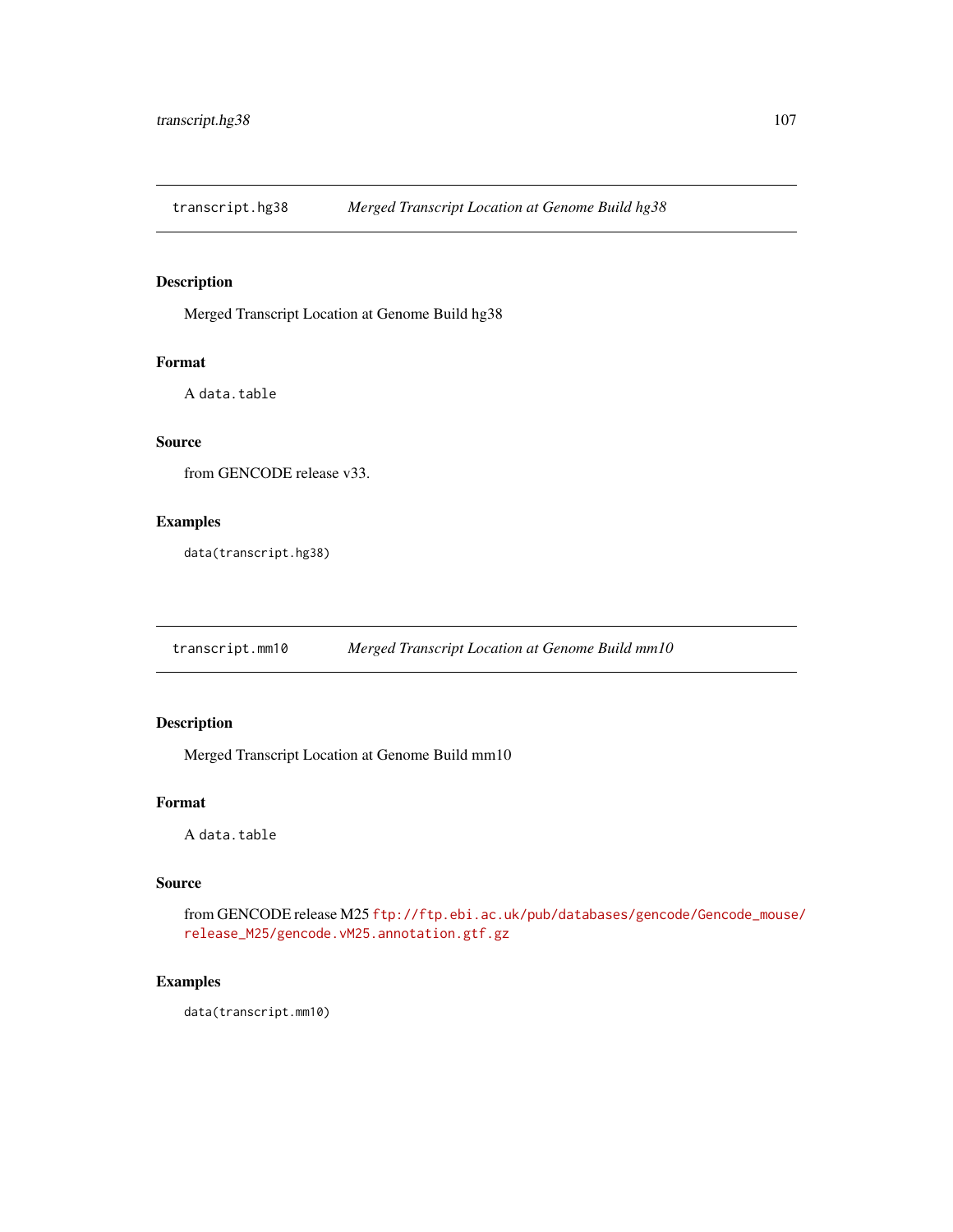transcript.hg38 *Merged Transcript Location at Genome Build hg38*

# Description

Merged Transcript Location at Genome Build hg38

#### Format

A data.table

## Source

from GENCODE release v33.

## Examples

data(transcript.hg38)

transcript.mm10 *Merged Transcript Location at Genome Build mm10*

# Description

Merged Transcript Location at Genome Build mm10

#### Format

A data.table

## Source

from GENCODE release M25 [ftp://ftp.ebi.ac.uk/pub/databases/gencode/Gencode\\_mouse](ftp://ftp.ebi.ac.uk/pub/databases/gencode/Gencode_mouse/release_M25/gencode.vM25.annotation.gtf.gz)/ [release\\_M25/gencode.vM25.annotation.gtf.gz](ftp://ftp.ebi.ac.uk/pub/databases/gencode/Gencode_mouse/release_M25/gencode.vM25.annotation.gtf.gz)

#### Examples

data(transcript.mm10)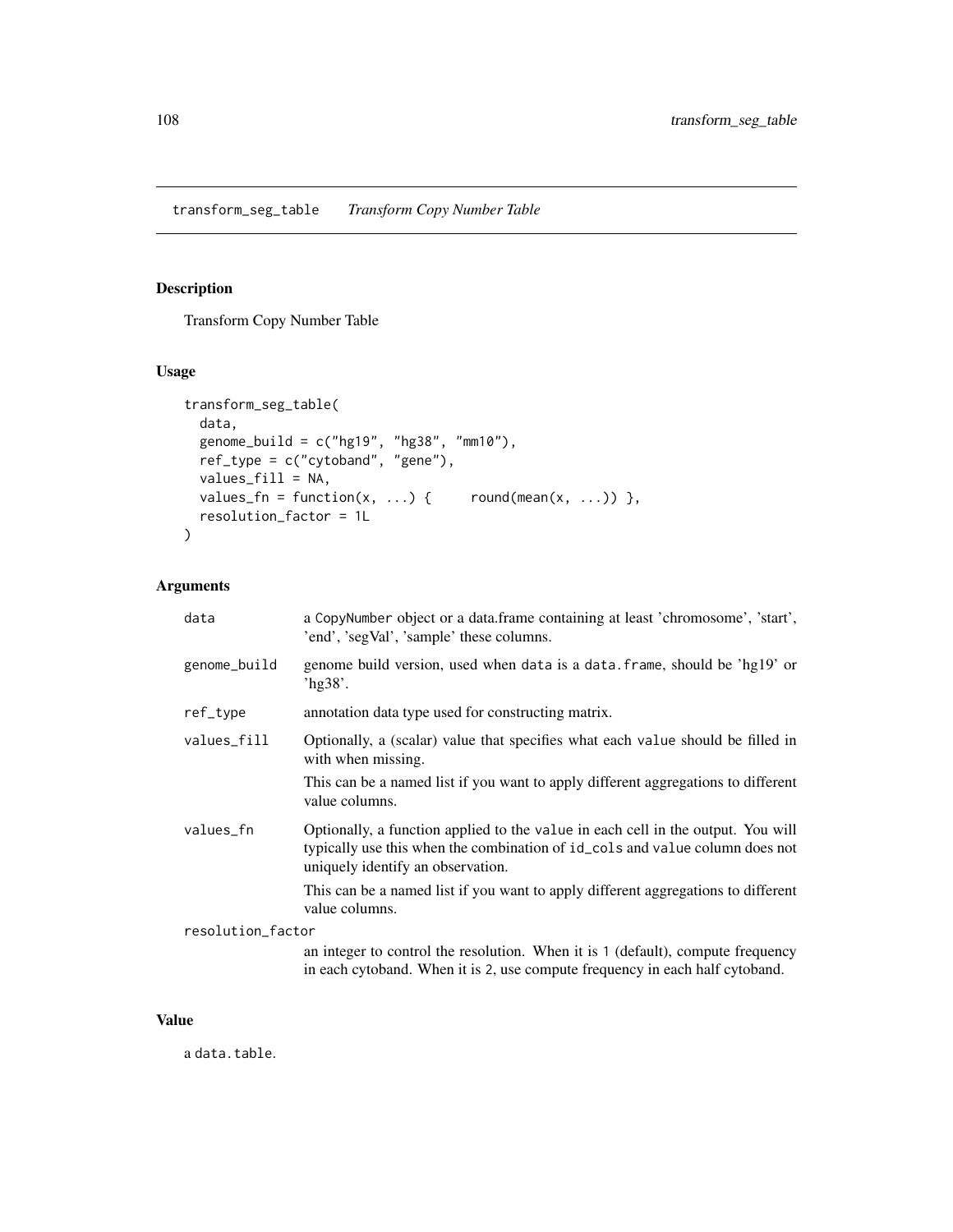## Description

Transform Copy Number Table

## Usage

```
transform_seg_table(
  data,
  genome_build = c("hg19", "hg38", "mm10"),
  ref_type = c("cytoband", "gene"),
 values_fill = NA,
 values_fn = function(x, ...) { round(mean(x, ...) ) },
  resolution_factor = 1L
\mathcal{L}
```
## Arguments

| data              | a CopyNumber object or a data.frame containing at least 'chromosome', 'start',<br>'end', 'segVal', 'sample' these columns.                                                                            |
|-------------------|-------------------------------------------------------------------------------------------------------------------------------------------------------------------------------------------------------|
| genome_build      | genome build version, used when data is a data. frame, should be 'hg19' or<br>'hg $38$ '.                                                                                                             |
| ref_type          | annotation data type used for constructing matrix.                                                                                                                                                    |
| values_fill       | Optionally, a (scalar) value that specifies what each value should be filled in<br>with when missing.                                                                                                 |
|                   | This can be a named list if you want to apply different aggregations to different<br>value columns.                                                                                                   |
| values_fn         | Optionally, a function applied to the value in each cell in the output. You will<br>typically use this when the combination of id_cols and value column does not<br>uniquely identify an observation. |
|                   | This can be a named list if you want to apply different aggregations to different<br>value columns.                                                                                                   |
| resolution_factor |                                                                                                                                                                                                       |
|                   | an integer to control the resolution. When it is 1 (default), compute frequency<br>in each cytoband. When it is 2, use compute frequency in each half cytoband.                                       |

## Value

a data.table.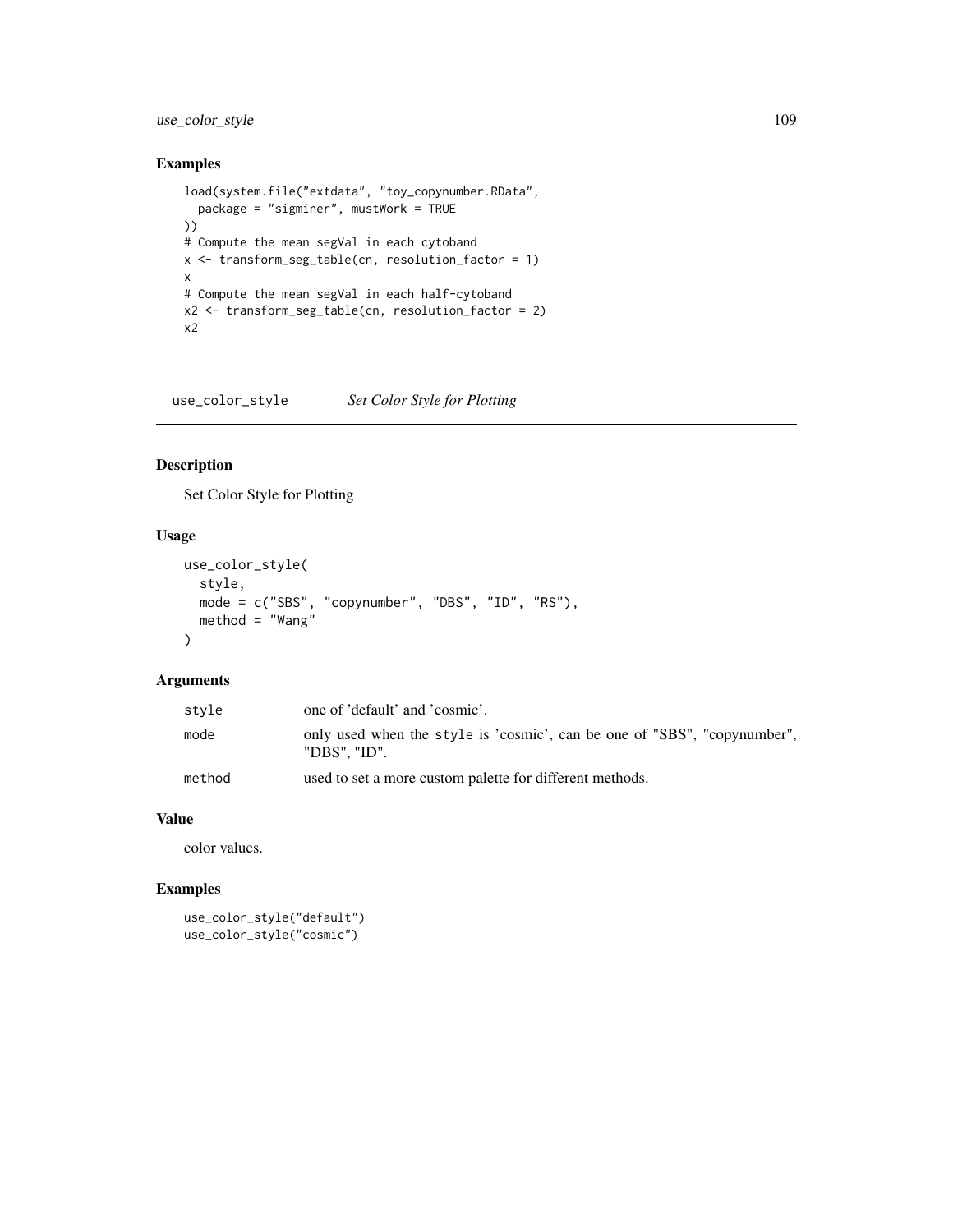## <span id="page-108-0"></span>use\_color\_style 109

## Examples

```
load(system.file("extdata", "toy_copynumber.RData",
  package = "sigminer", mustWork = TRUE
))
# Compute the mean segVal in each cytoband
x <- transform_seg_table(cn, resolution_factor = 1)
x
# Compute the mean segVal in each half-cytoband
x2 <- transform_seg_table(cn, resolution_factor = 2)
x2
```
use\_color\_style *Set Color Style for Plotting*

## Description

Set Color Style for Plotting

### Usage

```
use_color_style(
  style,
 mode = c("SBS", "copynumber", "DBS", "ID", "RS"),
 method = "Wang")
```
#### Arguments

| style  | one of 'default' and 'cosmic'.                                                           |
|--------|------------------------------------------------------------------------------------------|
| mode   | only used when the style is 'cosmic', can be one of "SBS", "copynumber",<br>"DBS". "ID". |
| method | used to set a more custom palette for different methods.                                 |

## Value

color values.

## Examples

```
use_color_style("default")
use_color_style("cosmic")
```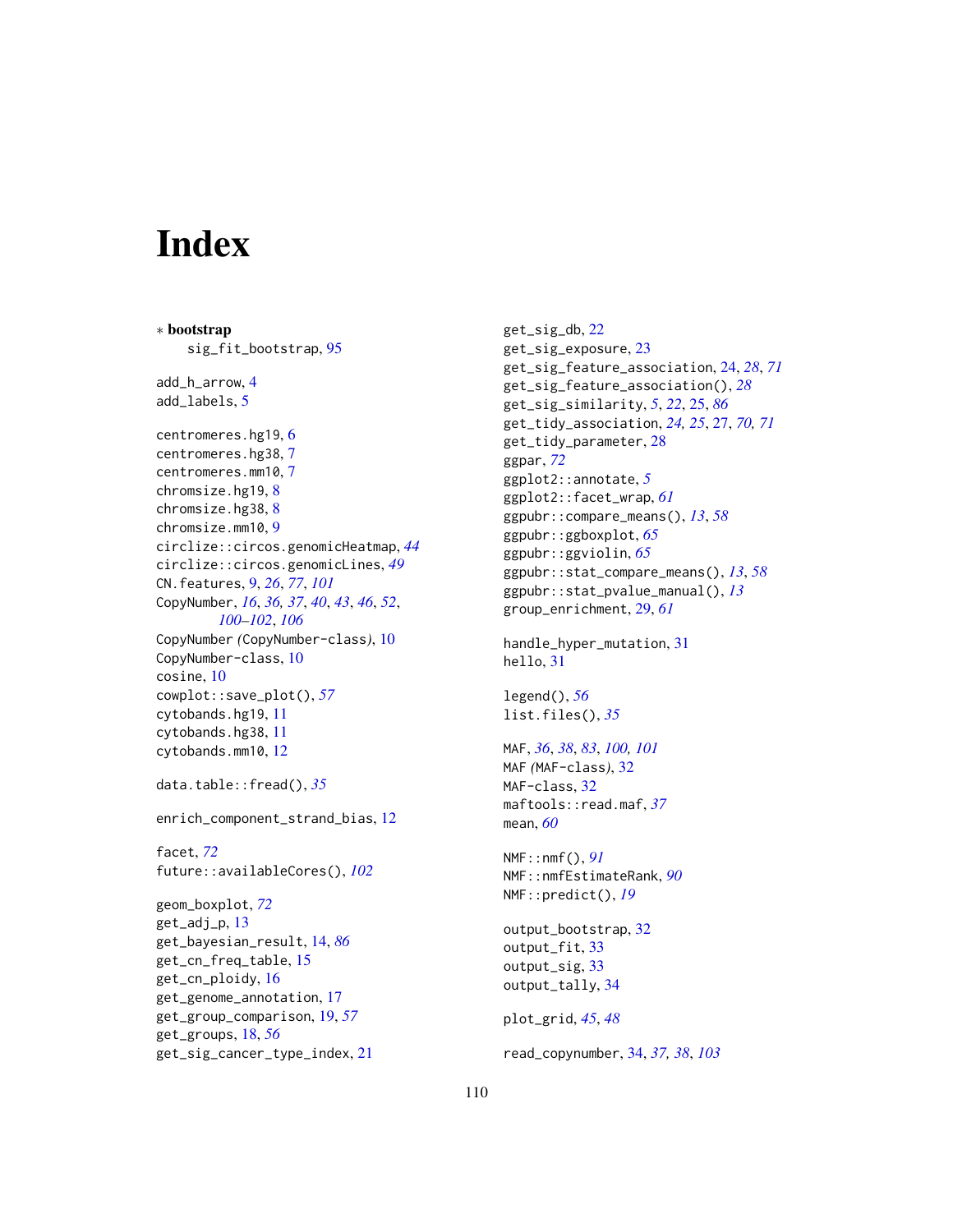# **Index**

∗ bootstrap sig\_fit\_bootstrap, [95](#page-94-0) add\_h\_arrow, [4](#page-3-0) add\_labels, [5](#page-4-0) centromeres.hg19, [6](#page-5-0) centromeres.hg38, [7](#page-6-0) centromeres.mm10, [7](#page-6-0) chromsize.hg19, [8](#page-7-0) chromsize.hg38, [8](#page-7-0) chromsize.mm10, [9](#page-8-0) circlize::circos.genomicHeatmap, *[44](#page-43-0)* circlize::circos.genomicLines, *[49](#page-48-0)* CN.features, [9,](#page-8-0) *[26](#page-25-0)*, *[77](#page-76-0)*, *[101](#page-100-0)* CopyNumber, *[16](#page-15-0)*, *[36,](#page-35-0) [37](#page-36-0)*, *[40](#page-39-0)*, *[43](#page-42-0)*, *[46](#page-45-0)*, *[52](#page-51-0)*, *[100](#page-99-0)[–102](#page-101-0)*, *[106](#page-105-0)* CopyNumber *(*CopyNumber-class*)*, [10](#page-9-0) CopyNumber-class, [10](#page-9-0) cosine, [10](#page-9-0) cowplot::save\_plot(), *[57](#page-56-0)* cytobands.hg19, [11](#page-10-0) cytobands.hg38, [11](#page-10-0) cytobands.mm10, [12](#page-11-0) data.table::fread(), *[35](#page-34-0)* enrich\_component\_strand\_bias, [12](#page-11-0) facet, *[72](#page-71-0)* future::availableCores(), *[102](#page-101-0)* geom\_boxplot, *[72](#page-71-0)* get\_adj\_p, [13](#page-12-0) get\_bayesian\_result, [14,](#page-13-0) *[86](#page-85-0)* get\_cn\_freq\_table, [15](#page-14-0) get\_cn\_ploidy, [16](#page-15-0) get\_genome\_annotation, [17](#page-16-0) get\_group\_comparison, [19,](#page-18-0) *[57](#page-56-0)* get\_groups, [18,](#page-17-0) *[56](#page-55-0)* get\_sig\_cancer\_type\_index, [21](#page-20-0)

get\_sig\_db, [22](#page-21-0) get\_sig\_exposure, [23](#page-22-0) get\_sig\_feature\_association, [24,](#page-23-0) *[28](#page-27-0)*, *[71](#page-70-0)* get\_sig\_feature\_association(), *[28](#page-27-0)* get\_sig\_similarity, *[5](#page-4-0)*, *[22](#page-21-0)*, [25,](#page-24-0) *[86](#page-85-0)* get\_tidy\_association, *[24,](#page-23-0) [25](#page-24-0)*, [27,](#page-26-0) *[70,](#page-69-0) [71](#page-70-0)* get\_tidy\_parameter, [28](#page-27-0) ggpar, *[72](#page-71-0)* ggplot2::annotate, *[5](#page-4-0)* ggplot2::facet\_wrap, *[61](#page-60-0)* ggpubr::compare\_means(), *[13](#page-12-0)*, *[58](#page-57-0)* ggpubr::ggboxplot, *[65](#page-64-0)* ggpubr::ggviolin, *[65](#page-64-0)* ggpubr::stat\_compare\_means(), *[13](#page-12-0)*, *[58](#page-57-0)* ggpubr::stat\_pvalue\_manual(), *[13](#page-12-0)* group\_enrichment, [29,](#page-28-0) *[61](#page-60-0)* handle\_hyper\_mutation, [31](#page-30-0) hello, [31](#page-30-0) legend(), *[56](#page-55-0)* list.files(), *[35](#page-34-0)* MAF, *[36](#page-35-0)*, *[38](#page-37-0)*, *[83](#page-82-0)*, *[100,](#page-99-0) [101](#page-100-0)* MAF *(*MAF-class*)*, [32](#page-31-0) MAF-class, [32](#page-31-0) maftools::read.maf, *[37](#page-36-0)* mean, *[60](#page-59-0)* NMF::nmf(), *[91](#page-90-0)* NMF::nmfEstimateRank, *[90](#page-89-0)* NMF::predict(), *[19](#page-18-0)* output\_bootstrap, [32](#page-31-0) output\_fit, [33](#page-32-0) output\_sig, [33](#page-32-0) output\_tally, [34](#page-33-0) plot\_grid, *[45](#page-44-0)*, *[48](#page-47-0)* read\_copynumber, [34,](#page-33-0) *[37,](#page-36-0) [38](#page-37-0)*, *[103](#page-102-0)*